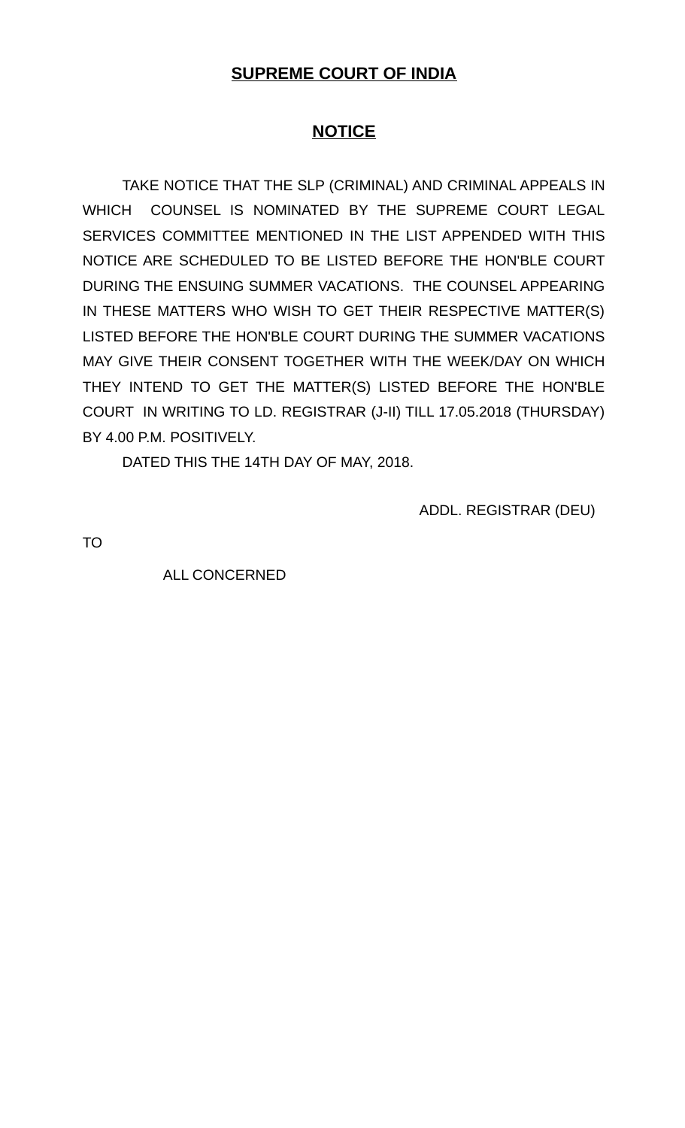## **SUPREME COURT OF INDIA**

## **NOTICE**

TAKE NOTICE THAT THE SLP (CRIMINAL) AND CRIMINAL APPEALS IN WHICH COUNSEL IS NOMINATED BY THE SUPREME COURT LEGAL SERVICES COMMITTEE MENTIONED IN THE LIST APPENDED WITH THIS NOTICE ARE SCHEDULED TO BE LISTED BEFORE THE HON'BLE COURT DURING THE ENSUING SUMMER VACATIONS. THE COUNSEL APPEARING IN THESE MATTERS WHO WISH TO GET THEIR RESPECTIVE MATTER(S) LISTED BEFORE THE HON'BLE COURT DURING THE SUMMER VACATIONS MAY GIVE THEIR CONSENT TOGETHER WITH THE WEEK/DAY ON WHICH THEY INTEND TO GET THE MATTER(S) LISTED BEFORE THE HON'BLE COURT IN WRITING TO LD. REGISTRAR (J-II) TILL 17.05.2018 (THURSDAY) BY 4.00 P.M. POSITIVELY.

DATED THIS THE 14TH DAY OF MAY, 2018.

ADDL. REGISTRAR (DEU)

TO

ALL CONCERNED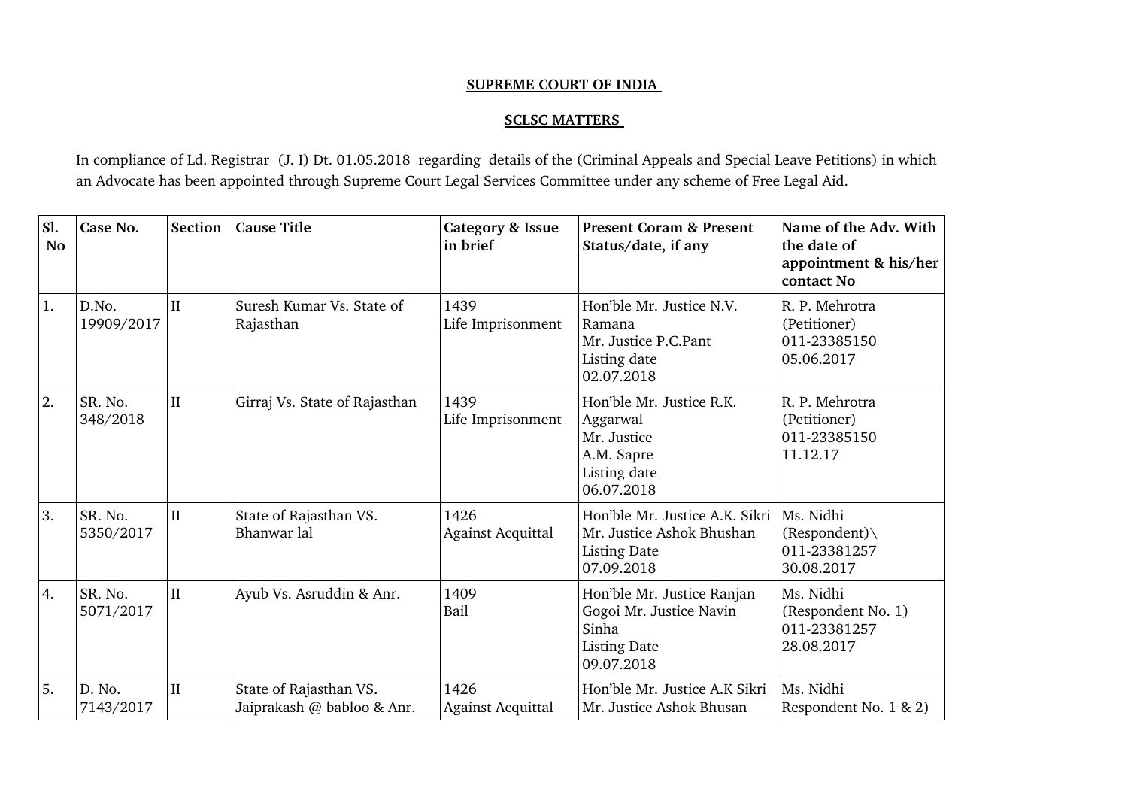## **SUPREME COURT OF INDIA**

## **SCLSC MATTERS**

In compliance of Ld. Registrar (J. I) Dt. 01.05.2018 regarding details of the (Criminal Appeals and Special Leave Petitions) in which an Advocate has been appointed through Supreme Court Legal Services Committee under any scheme of Free Legal Aid.

| Sl.<br><b>No</b> | Case No.             | Section                 | <b>Cause Title</b>                                   | <b>Category &amp; Issue</b><br>in brief | <b>Present Coram &amp; Present</b><br>Status/date, if any                                           | Name of the Adv. With<br>the date of<br>appointment & his/her<br>contact No |
|------------------|----------------------|-------------------------|------------------------------------------------------|-----------------------------------------|-----------------------------------------------------------------------------------------------------|-----------------------------------------------------------------------------|
| 1.               | D.No.<br>19909/2017  | $\overline{\mathbf{H}}$ | Suresh Kumar Vs. State of<br>Rajasthan               | 1439<br>Life Imprisonment               | Hon'ble Mr. Justice N.V.<br>Ramana<br>Mr. Justice P.C.Pant<br>Listing date<br>02.07.2018            | R. P. Mehrotra<br>(Petitioner)<br>011-23385150<br>05.06.2017                |
| 2.               | SR. No.<br>348/2018  | $\rm II$                | Girraj Vs. State of Rajasthan                        | 1439<br>Life Imprisonment               | Hon'ble Mr. Justice R.K.<br>Aggarwal<br>Mr. Justice<br>A.M. Sapre<br>Listing date<br>06.07.2018     | R. P. Mehrotra<br>(Petitioner)<br>011-23385150<br>11.12.17                  |
| 3.               | SR. No.<br>5350/2017 | $\mathbf{I}$            | State of Rajasthan VS.<br>Bhanwar lal                | 1426<br><b>Against Acquittal</b>        | Hon'ble Mr. Justice A.K. Sikri<br>Mr. Justice Ashok Bhushan<br><b>Listing Date</b><br>07.09.2018    | Ms. Nidhi<br>$(Respondent) \setminus$<br>011-23381257<br>30.08.2017         |
| 4.               | SR. No.<br>5071/2017 | $\mathbf{I}$            | Ayub Vs. Asruddin & Anr.                             | 1409<br>Bail                            | Hon'ble Mr. Justice Ranjan<br>Gogoi Mr. Justice Navin<br>Sinha<br><b>Listing Date</b><br>09.07.2018 | Ms. Nidhi<br>(Respondent No. 1)<br>011-23381257<br>28.08.2017               |
| 5.               | D. No.<br>7143/2017  | $\rm II$                | State of Rajasthan VS.<br>Jaiprakash @ babloo & Anr. | 1426<br><b>Against Acquittal</b>        | Hon'ble Mr. Justice A.K Sikri<br>Mr. Justice Ashok Bhusan                                           | Ms. Nidhi<br>Respondent No. 1 & 2)                                          |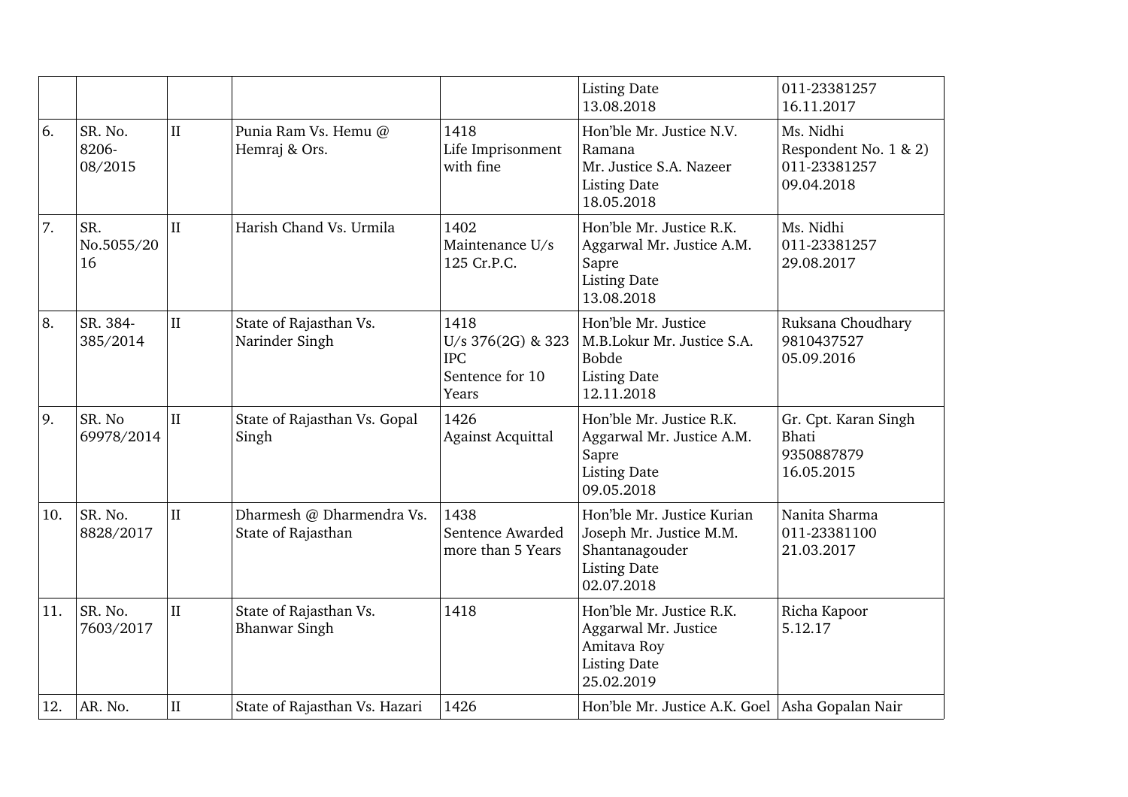|     |                             |              |                                                 |                                                                     | <b>Listing Date</b><br>13.08.2018                                                                            | 011-23381257<br>16.11.2017                                       |
|-----|-----------------------------|--------------|-------------------------------------------------|---------------------------------------------------------------------|--------------------------------------------------------------------------------------------------------------|------------------------------------------------------------------|
| 6.  | SR. No.<br>8206-<br>08/2015 | $\mathbf{I}$ | Punia Ram Vs. Hemu @<br>Hemraj & Ors.           | 1418<br>Life Imprisonment<br>with fine                              | Hon'ble Mr. Justice N.V.<br>Ramana<br>Mr. Justice S.A. Nazeer<br><b>Listing Date</b><br>18.05.2018           | Ms. Nidhi<br>Respondent No. 1 & 2)<br>011-23381257<br>09.04.2018 |
| 7.  | SR.<br>No.5055/20<br>16     | $\mathbf{I}$ | Harish Chand Vs. Urmila                         | 1402<br>Maintenance U/s<br>125 Cr.P.C.                              | Hon'ble Mr. Justice R.K.<br>Aggarwal Mr. Justice A.M.<br>Sapre<br><b>Listing Date</b><br>13.08.2018          | Ms. Nidhi<br>011-23381257<br>29.08.2017                          |
| 8.  | SR. 384-<br>385/2014        | $\rm II$     | State of Rajasthan Vs.<br>Narinder Singh        | 1418<br>U/s 376(2G) & 323<br><b>IPC</b><br>Sentence for 10<br>Years | Hon'ble Mr. Justice<br>M.B.Lokur Mr. Justice S.A.<br><b>Bobde</b><br><b>Listing Date</b><br>12.11.2018       | Ruksana Choudhary<br>9810437527<br>05.09.2016                    |
| 9.  | SR. No<br>69978/2014        | II           | State of Rajasthan Vs. Gopal<br>Singh           | 1426<br><b>Against Acquittal</b>                                    | Hon'ble Mr. Justice R.K.<br>Aggarwal Mr. Justice A.M.<br>Sapre<br><b>Listing Date</b><br>09.05.2018          | Gr. Cpt. Karan Singh<br><b>Bhati</b><br>9350887879<br>16.05.2015 |
| 10. | SR. No.<br>8828/2017        | $\rm II$     | Dharmesh @ Dharmendra Vs.<br>State of Rajasthan | 1438<br>Sentence Awarded<br>more than 5 Years                       | Hon'ble Mr. Justice Kurian<br>Joseph Mr. Justice M.M.<br>Shantanagouder<br><b>Listing Date</b><br>02.07.2018 | Nanita Sharma<br>011-23381100<br>21.03.2017                      |
| 11. | SR. No.<br>7603/2017        | $\rm II$     | State of Rajasthan Vs.<br><b>Bhanwar Singh</b>  | 1418                                                                | Hon'ble Mr. Justice R.K.<br>Aggarwal Mr. Justice<br>Amitava Roy<br><b>Listing Date</b><br>25.02.2019         | Richa Kapoor<br>5.12.17                                          |
| 12. | AR. No.                     | $\rm II$     | State of Rajasthan Vs. Hazari                   | 1426                                                                | Hon'ble Mr. Justice A.K. Goel Asha Gopalan Nair                                                              |                                                                  |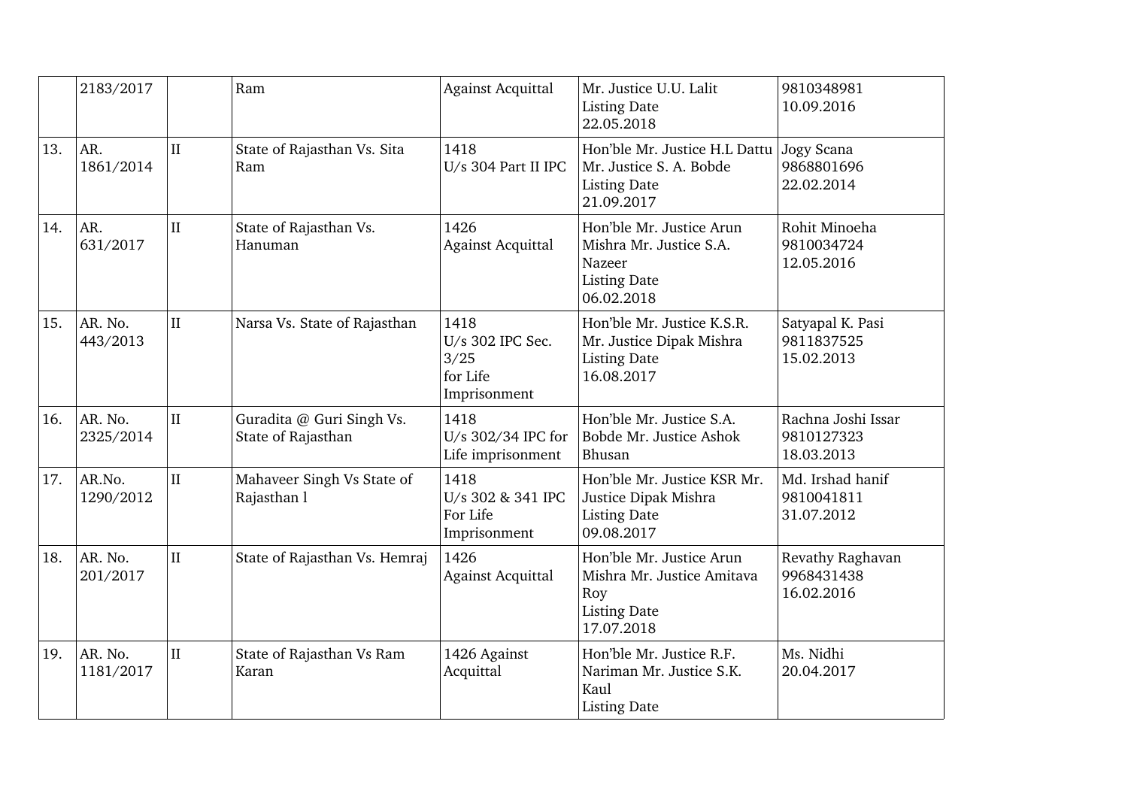|     | 2183/2017            |              | Ram                                             | <b>Against Acquittal</b>                                     | Mr. Justice U.U. Lalit<br><b>Listing Date</b><br>22.05.2018                                        | 9810348981<br>10.09.2016                       |
|-----|----------------------|--------------|-------------------------------------------------|--------------------------------------------------------------|----------------------------------------------------------------------------------------------------|------------------------------------------------|
| 13. | AR.<br>1861/2014     | $\mathbf{I}$ | State of Rajasthan Vs. Sita<br>Ram              | 1418<br>U/s 304 Part II IPC                                  | Hon'ble Mr. Justice H.L Dattu<br>Mr. Justice S. A. Bobde<br><b>Listing Date</b><br>21.09.2017      | Jogy Scana<br>9868801696<br>22.02.2014         |
| 14. | AR.<br>631/2017      | $\rm II$     | State of Rajasthan Vs.<br>Hanuman               | 1426<br><b>Against Acquittal</b>                             | Hon'ble Mr. Justice Arun<br>Mishra Mr. Justice S.A.<br>Nazeer<br><b>Listing Date</b><br>06.02.2018 | Rohit Minoeha<br>9810034724<br>12.05.2016      |
| 15. | AR. No.<br>443/2013  | $\rm II$     | Narsa Vs. State of Rajasthan                    | 1418<br>U/s 302 IPC Sec.<br>3/25<br>for Life<br>Imprisonment | Hon'ble Mr. Justice K.S.R.<br>Mr. Justice Dipak Mishra<br><b>Listing Date</b><br>16.08.2017        | Satyapal K. Pasi<br>9811837525<br>15.02.2013   |
| 16. | AR. No.<br>2325/2014 | $\rm II$     | Guradita @ Guri Singh Vs.<br>State of Rajasthan | 1418<br>U/s 302/34 IPC for<br>Life imprisonment              | Hon'ble Mr. Justice S.A.<br>Bobde Mr. Justice Ashok<br>Bhusan                                      | Rachna Joshi Issar<br>9810127323<br>18.03.2013 |
| 17. | AR.No.<br>1290/2012  | $\rm II$     | Mahaveer Singh Vs State of<br>Rajasthan l       | 1418<br>U/s 302 & 341 IPC<br>For Life<br>Imprisonment        | Hon'ble Mr. Justice KSR Mr.<br>Justice Dipak Mishra<br><b>Listing Date</b><br>09.08.2017           | Md. Irshad hanif<br>9810041811<br>31.07.2012   |
| 18. | AR. No.<br>201/2017  | $\rm II$     | State of Rajasthan Vs. Hemraj                   | 1426<br><b>Against Acquittal</b>                             | Hon'ble Mr. Justice Arun<br>Mishra Mr. Justice Amitava<br>Roy<br><b>Listing Date</b><br>17.07.2018 | Revathy Raghavan<br>9968431438<br>16.02.2016   |
| 19. | AR. No.<br>1181/2017 | $\rm II$     | State of Rajasthan Vs Ram<br>Karan              | 1426 Against<br>Acquittal                                    | Hon'ble Mr. Justice R.F.<br>Nariman Mr. Justice S.K.<br>Kaul<br><b>Listing Date</b>                | Ms. Nidhi<br>20.04.2017                        |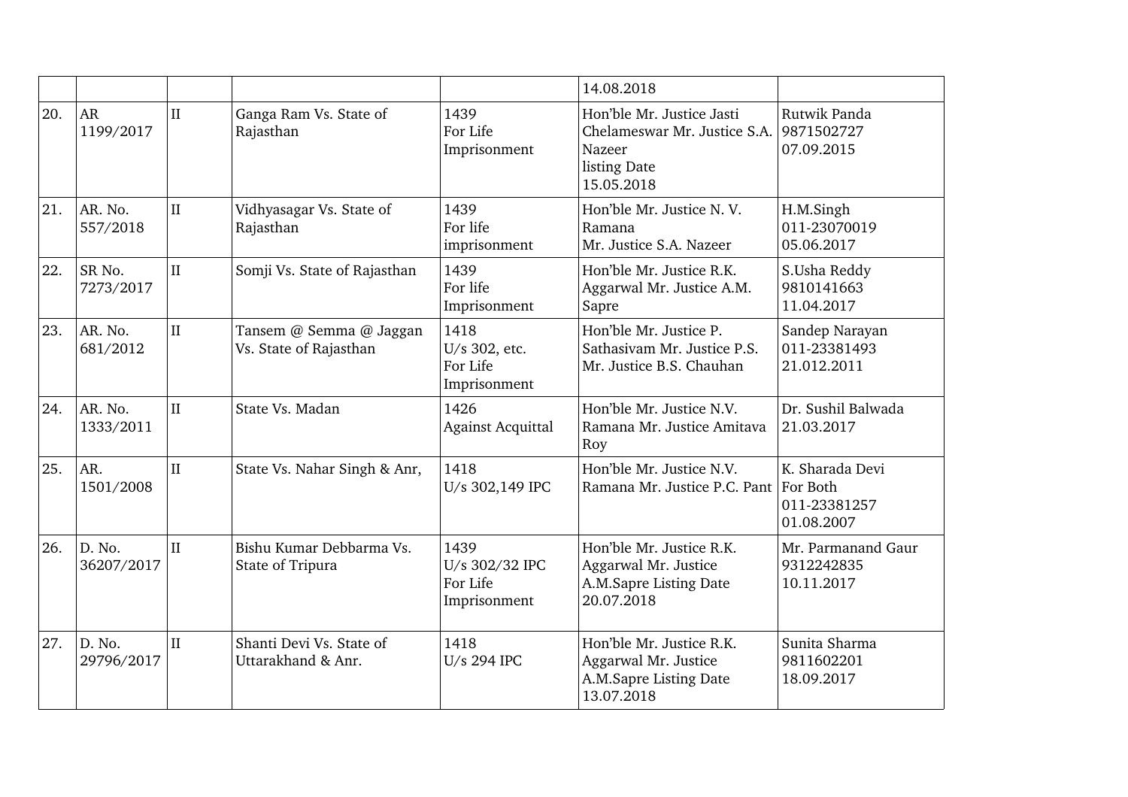|     |                        |              |                                                   |                                                    | 14.08.2018                                                                                        |                                                           |
|-----|------------------------|--------------|---------------------------------------------------|----------------------------------------------------|---------------------------------------------------------------------------------------------------|-----------------------------------------------------------|
| 20. | <b>AR</b><br>1199/2017 | $\mathbf{I}$ | Ganga Ram Vs. State of<br>Rajasthan               | 1439<br>For Life<br>Imprisonment                   | Hon'ble Mr. Justice Jasti<br>Chelameswar Mr. Justice S.A.<br>Nazeer<br>listing Date<br>15.05.2018 | Rutwik Panda<br>9871502727<br>07.09.2015                  |
| 21. | AR. No.<br>557/2018    | $\rm II$     | Vidhyasagar Vs. State of<br>Rajasthan             | 1439<br>For life<br>imprisonment                   | Hon'ble Mr. Justice N.V.<br>Ramana<br>Mr. Justice S.A. Nazeer                                     | H.M.Singh<br>011-23070019<br>05.06.2017                   |
| 22. | SR No.<br>7273/2017    | II           | Somji Vs. State of Rajasthan                      | 1439<br>For life<br>Imprisonment                   | Hon'ble Mr. Justice R.K.<br>Aggarwal Mr. Justice A.M.<br>Sapre                                    | S.Usha Reddy<br>9810141663<br>11.04.2017                  |
| 23. | AR. No.<br>681/2012    | $\rm II$     | Tansem @ Semma @ Jaggan<br>Vs. State of Rajasthan | 1418<br>U/s 302, etc.<br>For Life<br>Imprisonment  | Hon'ble Mr. Justice P.<br>Sathasiyam Mr. Justice P.S.<br>Mr. Justice B.S. Chauhan                 | Sandep Narayan<br>011-23381493<br>21.012.2011             |
| 24. | AR. No.<br>1333/2011   | $\mathbf{I}$ | State Vs. Madan                                   | 1426<br><b>Against Acquittal</b>                   | Hon'ble Mr. Justice N.V.<br>Ramana Mr. Justice Amitava<br>Roy                                     | Dr. Sushil Balwada<br>21.03.2017                          |
| 25. | AR.<br>1501/2008       | $\mathbf{I}$ | State Vs. Nahar Singh & Anr,                      | 1418<br>U/s 302,149 IPC                            | Hon'ble Mr. Justice N.V.<br>Ramana Mr. Justice P.C. Pant                                          | K. Sharada Devi<br>For Both<br>011-23381257<br>01.08.2007 |
| 26. | D. No.<br>36207/2017   | $\mathbf{I}$ | Bishu Kumar Debbarma Vs.<br>State of Tripura      | 1439<br>U/s 302/32 IPC<br>For Life<br>Imprisonment | Hon'ble Mr. Justice R.K.<br>Aggarwal Mr. Justice<br>A.M.Sapre Listing Date<br>20.07.2018          | Mr. Parmanand Gaur<br>9312242835<br>10.11.2017            |
| 27. | D. No.<br>29796/2017   | $\rm II$     | Shanti Devi Vs. State of<br>Uttarakhand & Anr.    | 1418<br>U/s 294 IPC                                | Hon'ble Mr. Justice R.K.<br>Aggarwal Mr. Justice<br>A.M.Sapre Listing Date<br>13.07.2018          | Sunita Sharma<br>9811602201<br>18.09.2017                 |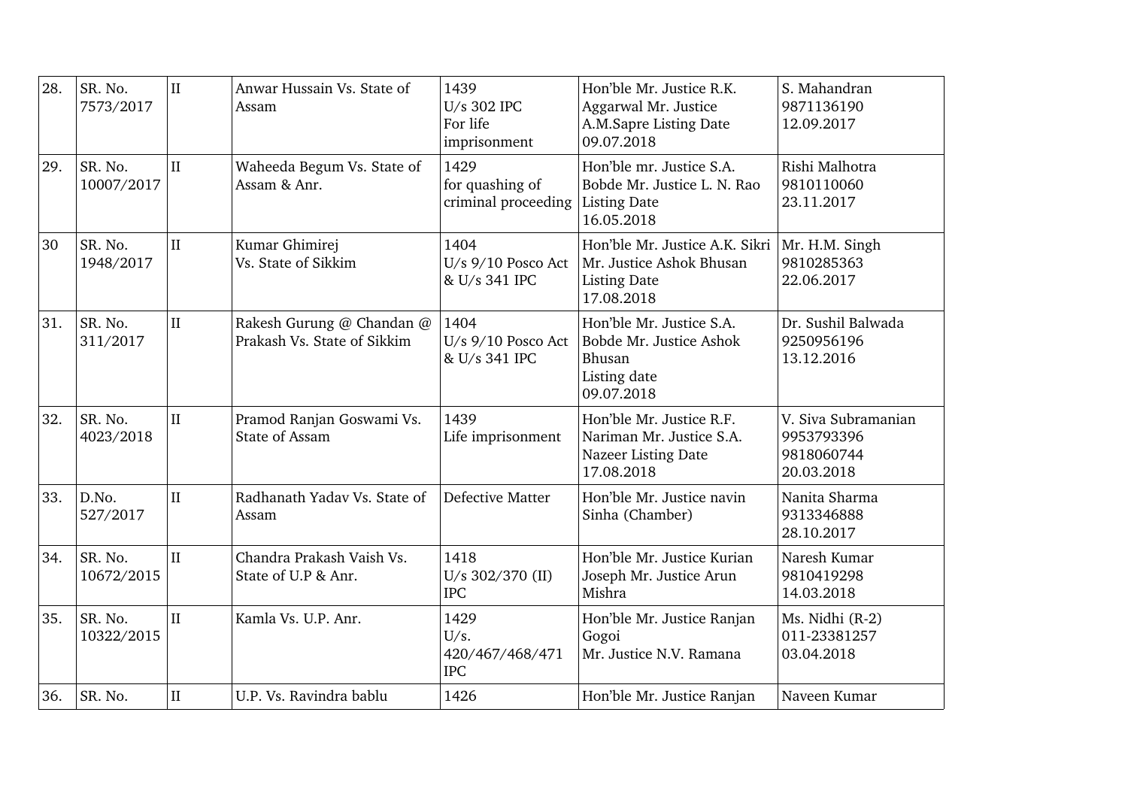| 28. | SR. No.<br>7573/2017  | $\mathbf{I}$ | Anwar Hussain Vs. State of<br>Assam                      | 1439<br>U/s 302 IPC<br>For life<br>imprisonment | Hon'ble Mr. Justice R.K.<br>Aggarwal Mr. Justice<br>A.M.Sapre Listing Date<br>09.07.2018        | S. Mahandran<br>9871136190<br>12.09.2017                      |
|-----|-----------------------|--------------|----------------------------------------------------------|-------------------------------------------------|-------------------------------------------------------------------------------------------------|---------------------------------------------------------------|
| 29. | SR. No.<br>10007/2017 | $\rm II$     | Waheeda Begum Vs. State of<br>Assam & Anr.               | 1429<br>for quashing of<br>criminal proceeding  | Hon'ble mr. Justice S.A.<br>Bobde Mr. Justice L. N. Rao<br>Listing Date<br>16.05.2018           | Rishi Malhotra<br>9810110060<br>23.11.2017                    |
| 30  | SR. No.<br>1948/2017  | $\mathbf{I}$ | Kumar Ghimirej<br>Vs. State of Sikkim                    | 1404<br>U/s 9/10 Posco Act<br>& U/s 341 IPC     | Hon'ble Mr. Justice A.K. Sikri<br>Mr. Justice Ashok Bhusan<br><b>Listing Date</b><br>17.08.2018 | Mr. H.M. Singh<br>9810285363<br>22.06.2017                    |
| 31. | SR. No.<br>311/2017   | $\mathbf{I}$ | Rakesh Gurung @ Chandan @<br>Prakash Vs. State of Sikkim | 1404<br>U/s 9/10 Posco Act<br>& U/s 341 IPC     | Hon'ble Mr. Justice S.A.<br>Bobde Mr. Justice Ashok<br>Bhusan<br>Listing date<br>09.07.2018     | Dr. Sushil Balwada<br>9250956196<br>13.12.2016                |
| 32. | SR. No.<br>4023/2018  | $\mathbf{I}$ | Pramod Ranjan Goswami Vs.<br><b>State of Assam</b>       | 1439<br>Life imprisonment                       | Hon'ble Mr. Justice R.F.<br>Nariman Mr. Justice S.A.<br>Nazeer Listing Date<br>17.08.2018       | V. Siva Subramanian<br>9953793396<br>9818060744<br>20.03.2018 |
| 33. | D.No.<br>527/2017     | $\mathbf{I}$ | Radhanath Yaday Vs. State of<br>Assam                    | Defective Matter                                | Hon'ble Mr. Justice navin<br>Sinha (Chamber)                                                    | Nanita Sharma<br>9313346888<br>28.10.2017                     |
| 34. | SR. No.<br>10672/2015 | $\mathbf{I}$ | Chandra Prakash Vaish Vs.<br>State of U.P & Anr.         | 1418<br>U/s 302/370 (II)<br><b>IPC</b>          | Hon'ble Mr. Justice Kurian<br>Joseph Mr. Justice Arun<br>Mishra                                 | Naresh Kumar<br>9810419298<br>14.03.2018                      |
| 35. | SR. No.<br>10322/2015 | II           | Kamla Vs. U.P. Anr.                                      | 1429<br>U/s.<br>420/467/468/471<br><b>IPC</b>   | Hon'ble Mr. Justice Ranjan<br>Gogoi<br>Mr. Justice N.V. Ramana                                  | Ms. Nidhi (R-2)<br>011-23381257<br>03.04.2018                 |
| 36. | SR. No.               | $\mathbf{I}$ | U.P. Vs. Ravindra bablu                                  | 1426                                            | Hon'ble Mr. Justice Ranjan                                                                      | Naveen Kumar                                                  |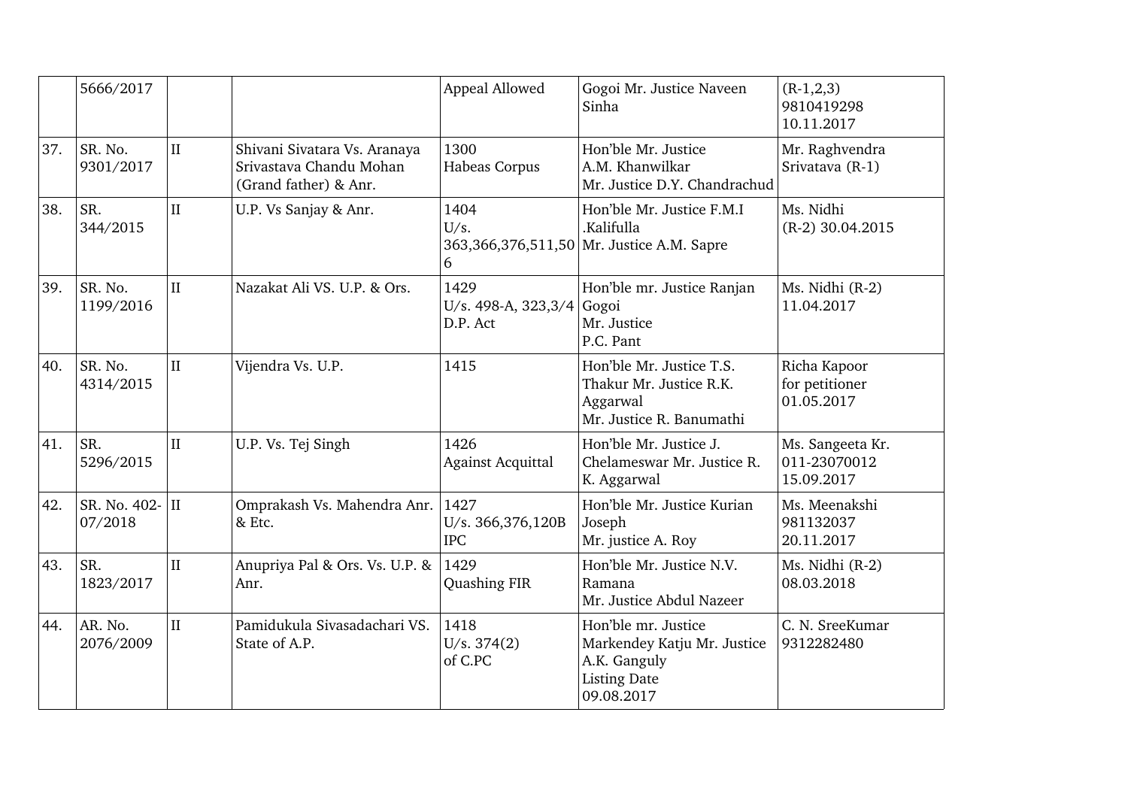|     | 5666/2017                     |              |                                                                                  | Appeal Allowed                          | Gogoi Mr. Justice Naveen<br>Sinha                                                                       | $(R-1,2,3)$<br>9810419298<br>10.11.2017        |
|-----|-------------------------------|--------------|----------------------------------------------------------------------------------|-----------------------------------------|---------------------------------------------------------------------------------------------------------|------------------------------------------------|
| 37. | SR. No.<br>9301/2017          | $\rm II$     | Shivani Sivatara Vs. Aranaya<br>Srivastava Chandu Mohan<br>(Grand father) & Anr. | 1300<br>Habeas Corpus                   | Hon'ble Mr. Justice<br>A.M. Khanwilkar<br>Mr. Justice D.Y. Chandrachud                                  | Mr. Raghvendra<br>Srivatava (R-1)              |
| 38. | SR.<br>344/2015               | $\mathbf{I}$ | U.P. Vs Sanjay & Anr.                                                            | 1404<br>U/s.<br>6                       | Hon'ble Mr. Justice F.M.I<br>.Kalifulla<br>363,366,376,511,50 Mr. Justice A.M. Sapre                    | Ms. Nidhi<br>$(R-2)$ 30.04.2015                |
| 39. | SR. No.<br>1199/2016          | $\mathbf{I}$ | Nazakat Ali VS. U.P. & Ors.                                                      | 1429<br>U/s. 498-A, 323,3/4<br>D.P. Act | Hon'ble mr. Justice Ranjan<br>Gogoi<br>Mr. Justice<br>P.C. Pant                                         | Ms. Nidhi (R-2)<br>11.04.2017                  |
| 40. | SR. No.<br>4314/2015          | $\rm II$     | Vijendra Vs. U.P.                                                                | 1415                                    | Hon'ble Mr. Justice T.S.<br>Thakur Mr. Justice R.K.<br>Aggarwal<br>Mr. Justice R. Banumathi             | Richa Kapoor<br>for petitioner<br>01.05.2017   |
| 41. | SR.<br>5296/2015              | $\rm II$     | U.P. Vs. Tej Singh                                                               | 1426<br><b>Against Acquittal</b>        | Hon'ble Mr. Justice J.<br>Chelameswar Mr. Justice R.<br>K. Aggarwal                                     | Ms. Sangeeta Kr.<br>011-23070012<br>15.09.2017 |
| 42. | SR. No. $402 -$ II<br>07/2018 |              | Omprakash Vs. Mahendra Anr.<br>& Etc.                                            | 1427<br>U/s. 366,376,120B<br><b>IPC</b> | Hon'ble Mr. Justice Kurian<br>Joseph<br>Mr. justice A. Roy                                              | Ms. Meenakshi<br>981132037<br>20.11.2017       |
| 43. | SR.<br>1823/2017              | $\rm II$     | Anupriya Pal & Ors. Vs. U.P. &<br>Anr.                                           | 1429<br>Quashing FIR                    | Hon'ble Mr. Justice N.V.<br>Ramana<br>Mr. Justice Abdul Nazeer                                          | Ms. Nidhi (R-2)<br>08.03.2018                  |
| 44. | AR. No.<br>2076/2009          | $\mathbf{I}$ | Pamidukula Sivasadachari VS.<br>State of A.P.                                    | 1418<br>U/s. 374(2)<br>of C.PC          | Hon'ble mr. Justice<br>Markendey Katju Mr. Justice<br>A.K. Ganguly<br><b>Listing Date</b><br>09.08.2017 | C. N. SreeKumar<br>9312282480                  |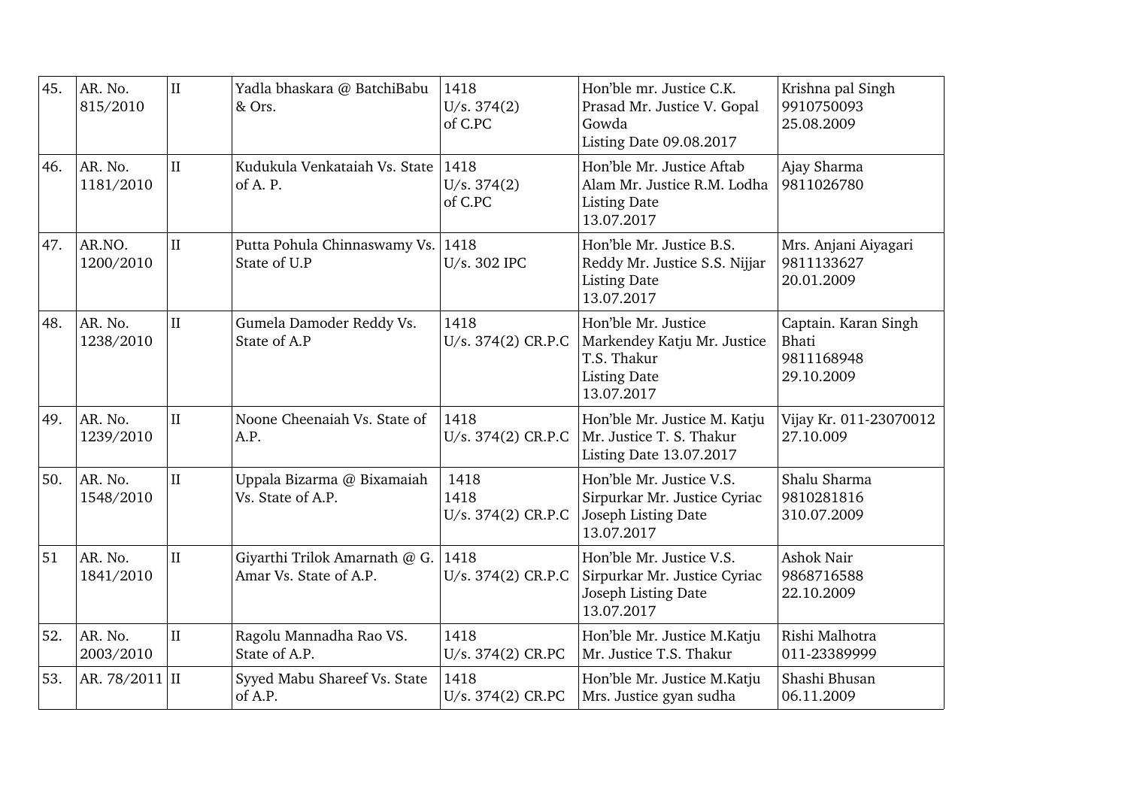| 45. | AR. No.<br>815/2010  | $\rm II$     | Yadla bhaskara @ BatchiBabu<br>& Ors.                   | 1418<br>U/s. 374(2)<br>of C.PC     | Hon'ble mr. Justice C.K.<br>Prasad Mr. Justice V. Gopal<br>Gowda<br>Listing Date 09.08.2017            | Krishna pal Singh<br>9910750093<br>25.08.2009                    |
|-----|----------------------|--------------|---------------------------------------------------------|------------------------------------|--------------------------------------------------------------------------------------------------------|------------------------------------------------------------------|
| 46. | AR. No.<br>1181/2010 | $\mathbf{I}$ | Kudukula Venkataiah Vs. State<br>of A. P.               | 1418<br>U/s. 374(2)<br>of C.PC     | Hon'ble Mr. Justice Aftab<br>Alam Mr. Justice R.M. Lodha<br><b>Listing Date</b><br>13.07.2017          | Ajay Sharma<br>9811026780                                        |
| 47. | AR.NO.<br>1200/2010  | $\mathbf{I}$ | Putta Pohula Chinnaswamy Vs.<br>State of U.P            | 1418<br>U/s. 302 IPC               | Hon'ble Mr. Justice B.S.<br>Reddy Mr. Justice S.S. Nijjar<br><b>Listing Date</b><br>13.07.2017         | Mrs. Anjani Aiyagari<br>9811133627<br>20.01.2009                 |
| 48. | AR. No.<br>1238/2010 | $\mathbf{I}$ | Gumela Damoder Reddy Vs.<br>State of A.P                | 1418<br>U/s. 374(2) CR.P.C         | Hon'ble Mr. Justice<br>Markendey Katju Mr. Justice<br>T.S. Thakur<br><b>Listing Date</b><br>13.07.2017 | Captain. Karan Singh<br><b>Bhati</b><br>9811168948<br>29.10.2009 |
| 49. | AR. No.<br>1239/2010 | $\mathbf{I}$ | Noone Cheenaiah Vs. State of<br>A.P.                    | 1418<br>U/s. 374(2) CR.P.C         | Hon'ble Mr. Justice M. Katju<br>Mr. Justice T. S. Thakur<br>Listing Date 13.07.2017                    | Vijay Kr. 011-23070012<br>27.10.009                              |
| 50. | AR. No.<br>1548/2010 | $\mathbf{I}$ | Uppala Bizarma @ Bixamaiah<br>Vs. State of A.P.         | 1418<br>1418<br>U/s. 374(2) CR.P.C | Hon'ble Mr. Justice V.S.<br>Sirpurkar Mr. Justice Cyriac<br>Joseph Listing Date<br>13.07.2017          | Shalu Sharma<br>9810281816<br>310.07.2009                        |
| 51  | AR. No.<br>1841/2010 | II           | Giyarthi Trilok Amarnath @ G.<br>Amar Vs. State of A.P. | 1418<br>U/s. 374(2) CR.P.C         | Hon'ble Mr. Justice V.S.<br>Sirpurkar Mr. Justice Cyriac<br>Joseph Listing Date<br>13.07.2017          | Ashok Nair<br>9868716588<br>22.10.2009                           |
| 52. | AR. No.<br>2003/2010 | $\rm II$     | Ragolu Mannadha Rao VS.<br>State of A.P.                | 1418<br>U/s. 374(2) CR.PC          | Hon'ble Mr. Justice M.Katju<br>Mr. Justice T.S. Thakur                                                 | Rishi Malhotra<br>011-23389999                                   |
| 53. | AR. 78/2011 II       |              | Syyed Mabu Shareef Vs. State<br>of A.P.                 | 1418<br>U/s. 374(2) CR.PC          | Hon'ble Mr. Justice M.Katju<br>Mrs. Justice gyan sudha                                                 | Shashi Bhusan<br>06.11.2009                                      |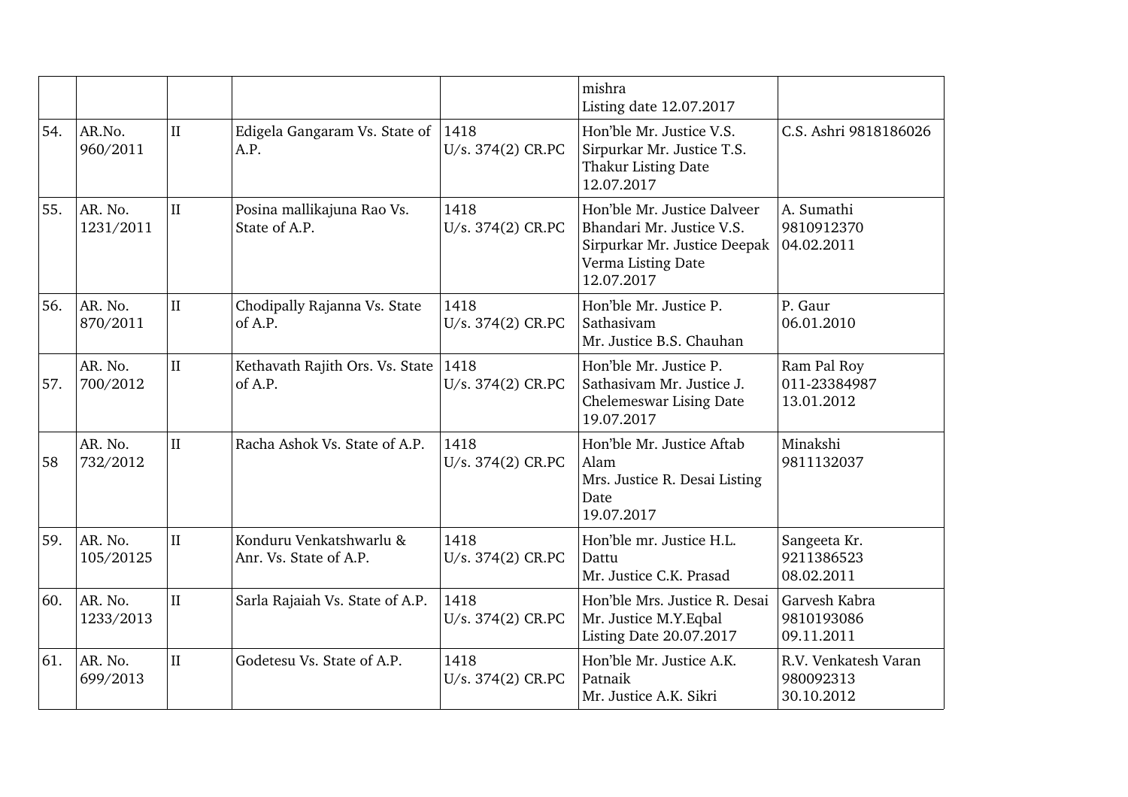|     |                      |              |                                                   |                           | mishra<br>Listing date 12.07.2017                                                                                            |                                                 |
|-----|----------------------|--------------|---------------------------------------------------|---------------------------|------------------------------------------------------------------------------------------------------------------------------|-------------------------------------------------|
| 54. | AR.No.<br>960/2011   | $\mathbf{I}$ | Edigela Gangaram Vs. State of<br>A.P.             | 1418<br>U/s. 374(2) CR.PC | Hon'ble Mr. Justice V.S.<br>Sirpurkar Mr. Justice T.S.<br>Thakur Listing Date<br>12.07.2017                                  | C.S. Ashri 9818186026                           |
| 55. | AR. No.<br>1231/2011 | $\mathbf{I}$ | Posina mallikajuna Rao Vs.<br>State of A.P.       | 1418<br>U/s. 374(2) CR.PC | Hon'ble Mr. Justice Dalveer<br>Bhandari Mr. Justice V.S.<br>Sirpurkar Mr. Justice Deepak<br>Verma Listing Date<br>12.07.2017 | A. Sumathi<br>9810912370<br>04.02.2011          |
| 56. | AR. No.<br>870/2011  | $\rm II$     | Chodipally Rajanna Vs. State<br>of A.P.           | 1418<br>U/s. 374(2) CR.PC | Hon'ble Mr. Justice P.<br>Sathasivam<br>Mr. Justice B.S. Chauhan                                                             | P. Gaur<br>06.01.2010                           |
| 57. | AR. No.<br>700/2012  | $\rm II$     | Kethavath Rajith Ors. Vs. State<br>of A.P.        | 1418<br>U/s. 374(2) CR.PC | Hon'ble Mr. Justice P.<br>Sathasivam Mr. Justice J.<br>Chelemeswar Lising Date<br>19.07.2017                                 | Ram Pal Roy<br>011-23384987<br>13.01.2012       |
| 58  | AR. No.<br>732/2012  | $\mathbf{I}$ | Racha Ashok Vs. State of A.P.                     | 1418<br>U/s. 374(2) CR.PC | Hon'ble Mr. Justice Aftab<br>Alam<br>Mrs. Justice R. Desai Listing<br>Date<br>19.07.2017                                     | Minakshi<br>9811132037                          |
| 59. | AR. No.<br>105/20125 | $\mathbf{I}$ | Konduru Venkatshwarlu &<br>Anr. Vs. State of A.P. | 1418<br>U/s. 374(2) CR.PC | Hon'ble mr. Justice H.L.<br>Dattu<br>Mr. Justice C.K. Prasad                                                                 | Sangeeta Kr.<br>9211386523<br>08.02.2011        |
| 60. | AR. No.<br>1233/2013 | $\prod$      | Sarla Rajaiah Vs. State of A.P.                   | 1418<br>U/s. 374(2) CR.PC | Hon'ble Mrs. Justice R. Desai<br>Mr. Justice M.Y. Eqbal<br>Listing Date 20.07.2017                                           | Garvesh Kabra<br>9810193086<br>09.11.2011       |
| 61. | AR. No.<br>699/2013  | $\rm II$     | Godetesu Vs. State of A.P.                        | 1418<br>U/s. 374(2) CR.PC | Hon'ble Mr. Justice A.K.<br>Patnaik<br>Mr. Justice A.K. Sikri                                                                | R.V. Venkatesh Varan<br>980092313<br>30.10.2012 |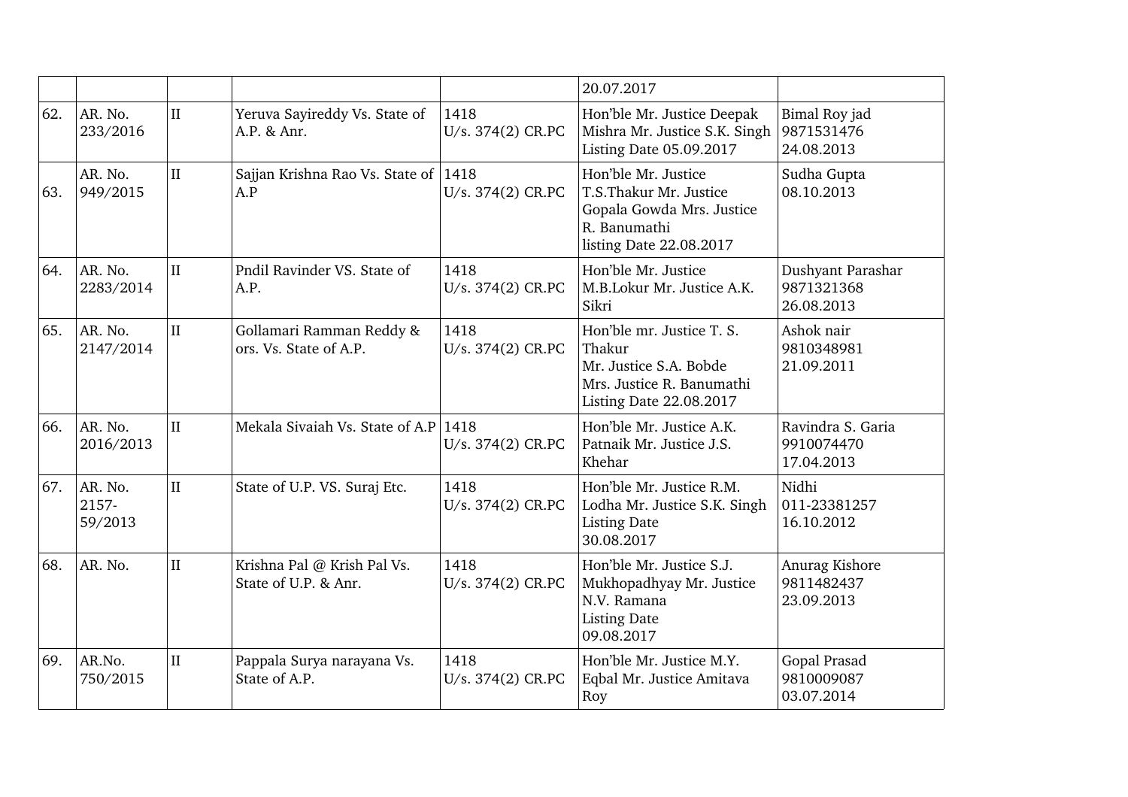|     |                             |                     |                                                     |                           | 20.07.2017                                                                                                                   |                                               |
|-----|-----------------------------|---------------------|-----------------------------------------------------|---------------------------|------------------------------------------------------------------------------------------------------------------------------|-----------------------------------------------|
| 62. | AR. No.<br>233/2016         | $\mathbf{I}$        | Yeruva Sayireddy Vs. State of<br>A.P. & Anr.        | 1418<br>U/s. 374(2) CR.PC | Hon'ble Mr. Justice Deepak<br>Mishra Mr. Justice S.K. Singh<br>Listing Date 05.09.2017                                       | Bimal Roy jad<br>9871531476<br>24.08.2013     |
| 63. | AR. No.<br>949/2015         | $\mathbf{I}$        | Sajjan Krishna Rao Vs. State of 1418<br>A.P         | U/s. 374(2) CR.PC         | Hon'ble Mr. Justice<br>T.S.Thakur Mr. Justice<br>Gopala Gowda Mrs. Justice<br>R. Banumathi<br>listing Date 22.08.2017        | Sudha Gupta<br>08.10.2013                     |
| 64. | AR. No.<br>2283/2014        | $\mathbf{I}$        | Pndil Ravinder VS. State of<br>A.P.                 | 1418<br>U/s. 374(2) CR.PC | Hon'ble Mr. Justice<br>M.B.Lokur Mr. Justice A.K.<br>Sikri                                                                   | Dushyant Parashar<br>9871321368<br>26.08.2013 |
| 65. | AR. No.<br>2147/2014        | II                  | Gollamari Ramman Reddy &<br>ors. Vs. State of A.P.  | 1418<br>U/s. 374(2) CR.PC | Hon'ble mr. Justice T. S.<br>Thakur<br>Mr. Justice S.A. Bobde<br>Mrs. Justice R. Banumathi<br><b>Listing Date 22.08.2017</b> | Ashok nair<br>9810348981<br>21.09.2011        |
| 66. | AR. No.<br>2016/2013        | $\mathbf{H}$        | Mekala Sivaiah Vs. State of A.P 1418                | U/s. 374(2) CR.PC         | Hon'ble Mr. Justice A.K.<br>Patnaik Mr. Justice J.S.<br>Khehar                                                               | Ravindra S. Garia<br>9910074470<br>17.04.2013 |
| 67. | AR. No.<br>2157-<br>59/2013 | $\overline{\rm II}$ | State of U.P. VS. Suraj Etc.                        | 1418<br>U/s. 374(2) CR.PC | Hon'ble Mr. Justice R.M.<br>Lodha Mr. Justice S.K. Singh<br><b>Listing Date</b><br>30.08.2017                                | Nidhi<br>011-23381257<br>16.10.2012           |
| 68. | AR. No.                     | $\mathbf{I}$        | Krishna Pal @ Krish Pal Vs.<br>State of U.P. & Anr. | 1418<br>U/s. 374(2) CR.PC | Hon'ble Mr. Justice S.J.<br>Mukhopadhyay Mr. Justice<br>N.V. Ramana<br><b>Listing Date</b><br>09.08.2017                     | Anurag Kishore<br>9811482437<br>23.09.2013    |
| 69. | AR.No.<br>750/2015          | $\mathbf{I}$        | Pappala Surya narayana Vs.<br>State of A.P.         | 1418<br>U/s. 374(2) CR.PC | Hon'ble Mr. Justice M.Y.<br>Eqbal Mr. Justice Amitava<br>Roy                                                                 | Gopal Prasad<br>9810009087<br>03.07.2014      |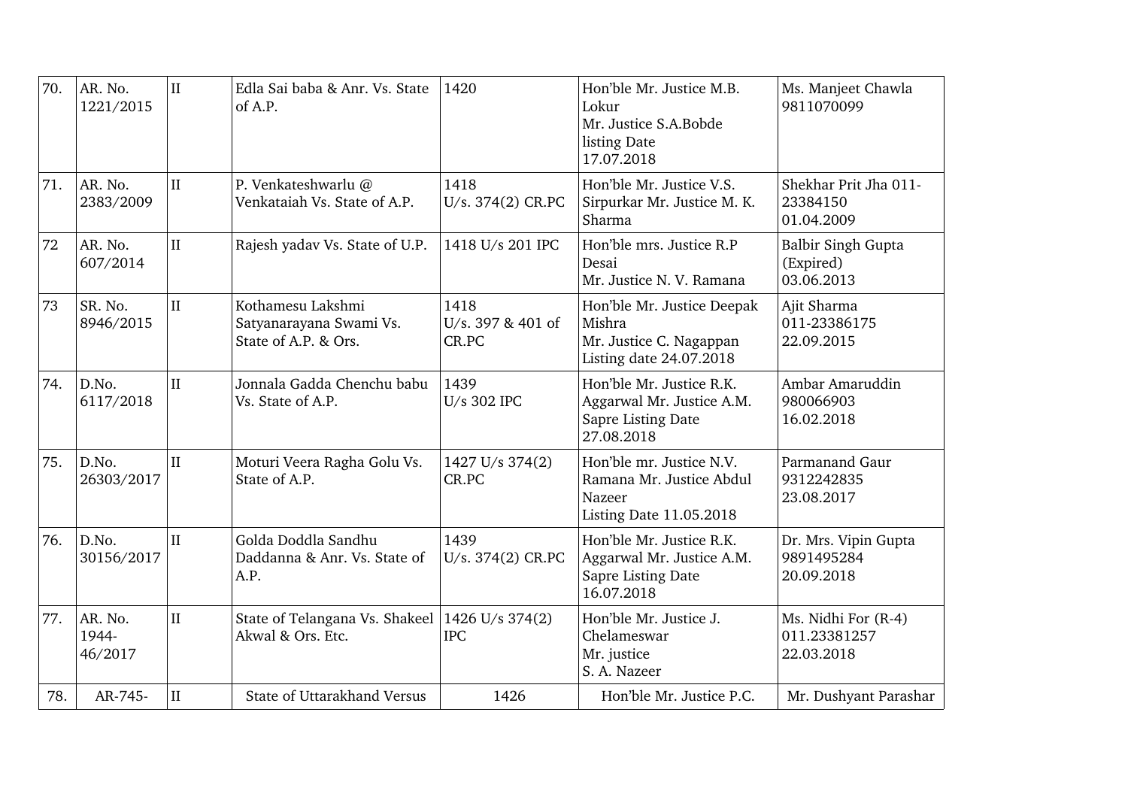| 70. | AR. No.<br>1221/2015        | $\rm II$     | Edla Sai baba & Anr. Vs. State<br>of A.P.                            | 1420                               | Hon'ble Mr. Justice M.B.<br>Lokur<br>Mr. Justice S.A.Bobde<br>listing Date<br>17.07.2018         | Ms. Manjeet Chawla<br>9811070099                     |
|-----|-----------------------------|--------------|----------------------------------------------------------------------|------------------------------------|--------------------------------------------------------------------------------------------------|------------------------------------------------------|
| 71. | AR. No.<br>2383/2009        | $\mathbf{I}$ | P. Venkateshwarlu @<br>Venkataiah Vs. State of A.P.                  | 1418<br>U/s. 374(2) CR.PC          | Hon'ble Mr. Justice V.S.<br>Sirpurkar Mr. Justice M. K.<br>Sharma                                | Shekhar Prit Jha 011-<br>23384150<br>01.04.2009      |
| 72  | AR. No.<br>607/2014         | $\rm II$     | Rajesh yadav Vs. State of U.P.                                       | 1418 U/s 201 IPC                   | Hon'ble mrs. Justice R.P<br>Desai<br>Mr. Justice N. V. Ramana                                    | <b>Balbir Singh Gupta</b><br>(Expired)<br>03.06.2013 |
| 73  | SR. No.<br>8946/2015        | $\mathbf{I}$ | Kothamesu Lakshmi<br>Satyanarayana Swami Vs.<br>State of A.P. & Ors. | 1418<br>U/s. 397 & 401 of<br>CR.PC | Hon'ble Mr. Justice Deepak<br>Mishra<br>Mr. Justice C. Nagappan<br>Listing date 24.07.2018       | Ajit Sharma<br>011-23386175<br>22.09.2015            |
| 74. | D.No.<br>6117/2018          | $\rm II$     | Jonnala Gadda Chenchu babu<br>Vs. State of A.P.                      | 1439<br>U/s 302 IPC                | Hon'ble Mr. Justice R.K.<br>Aggarwal Mr. Justice A.M.<br>Sapre Listing Date<br>27.08.2018        | Ambar Amaruddin<br>980066903<br>16.02.2018           |
| 75. | D.No.<br>26303/2017         | $\mathbf{I}$ | Moturi Veera Ragha Golu Vs.<br>State of A.P.                         | 1427 U/s 374(2)<br>CR.PC           | Hon'ble mr. Justice N.V.<br>Ramana Mr. Justice Abdul<br>Nazeer<br><b>Listing Date 11.05.2018</b> | Parmanand Gaur<br>9312242835<br>23.08.2017           |
| 76. | D.No.<br>30156/2017         | $\mathbf{I}$ | Golda Doddla Sandhu<br>Daddanna & Anr. Vs. State of<br>A.P.          | 1439<br>U/s. 374(2) CR.PC          | Hon'ble Mr. Justice R.K.<br>Aggarwal Mr. Justice A.M.<br>Sapre Listing Date<br>16.07.2018        | Dr. Mrs. Vipin Gupta<br>9891495284<br>20.09.2018     |
| 77. | AR. No.<br>1944-<br>46/2017 | II           | State of Telangana Vs. Shakeel<br>Akwal & Ors. Etc.                  | 1426 U/s 374(2)<br><b>IPC</b>      | Hon'ble Mr. Justice J.<br>Chelameswar<br>Mr. justice<br>S. A. Nazeer                             | Ms. Nidhi For (R-4)<br>011.23381257<br>22.03.2018    |
| 78. | AR-745-                     | $\mathbf{I}$ | State of Uttarakhand Versus                                          | 1426                               | Hon'ble Mr. Justice P.C.                                                                         | Mr. Dushyant Parashar                                |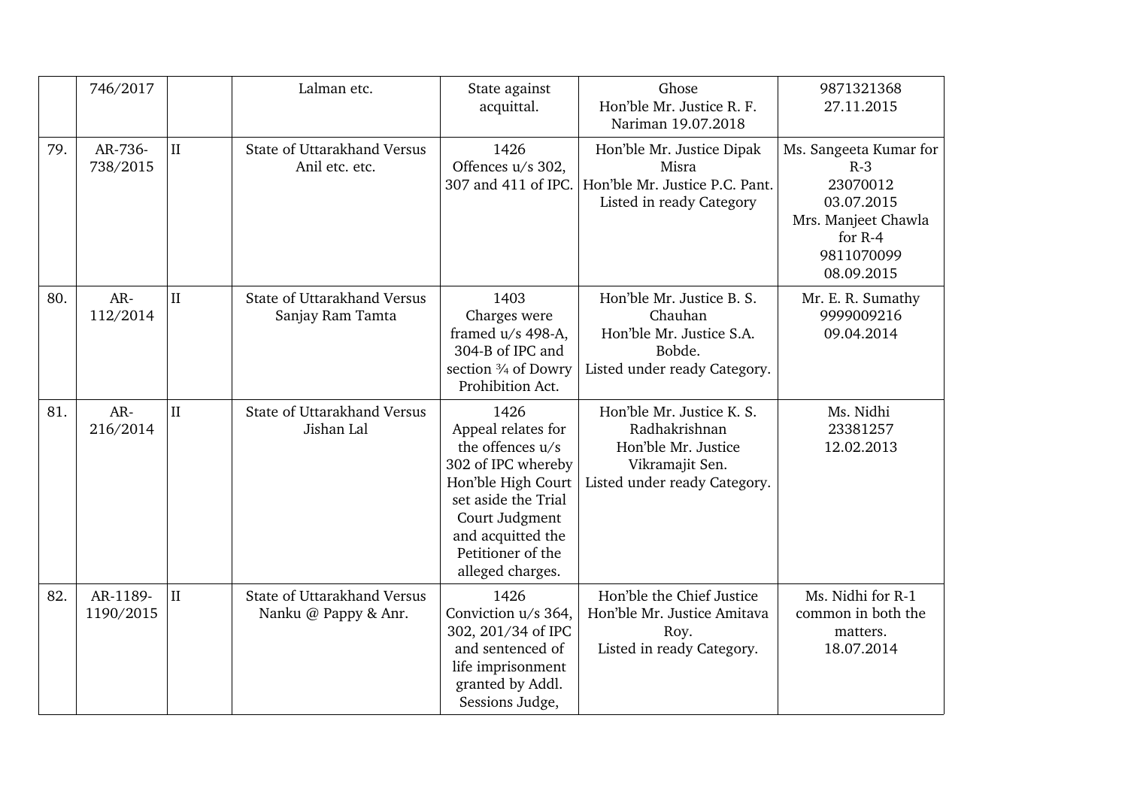|     | 746/2017              |              | Lalman etc.                                            | State against<br>acquittal.                                                                                                                                                                       | Ghose<br>Hon'ble Mr. Justice R. F.<br>Nariman 19.07.2018                                                             | 9871321368<br>27.11.2015                                                                                                  |
|-----|-----------------------|--------------|--------------------------------------------------------|---------------------------------------------------------------------------------------------------------------------------------------------------------------------------------------------------|----------------------------------------------------------------------------------------------------------------------|---------------------------------------------------------------------------------------------------------------------------|
| 79. | AR-736-<br>738/2015   | $\mathbf{I}$ | State of Uttarakhand Versus<br>Anil etc. etc.          | 1426<br>Offences u/s 302,<br>307 and 411 of IPC.                                                                                                                                                  | Hon'ble Mr. Justice Dipak<br>Misra<br>Hon'ble Mr. Justice P.C. Pant.<br>Listed in ready Category                     | Ms. Sangeeta Kumar for<br>$R-3$<br>23070012<br>03.07.2015<br>Mrs. Manjeet Chawla<br>for $R-4$<br>9811070099<br>08.09.2015 |
| 80. | AR-<br>112/2014       | $\mathbf{I}$ | <b>State of Uttarakhand Versus</b><br>Sanjay Ram Tamta | 1403<br>Charges were<br>framed $u/s$ 498-A,<br>304-B of IPC and<br>section 3/4 of Dowry<br>Prohibition Act.                                                                                       | Hon'ble Mr. Justice B. S.<br>Chauhan<br>Hon'ble Mr. Justice S.A.<br>Bobde.<br>Listed under ready Category.           | Mr. E. R. Sumathy<br>9999009216<br>09.04.2014                                                                             |
| 81. | AR-<br>216/2014       | $\rm II$     | State of Uttarakhand Versus<br>Jishan Lal              | 1426<br>Appeal relates for<br>the offences u/s<br>302 of IPC whereby<br>Hon'ble High Court<br>set aside the Trial<br>Court Judgment<br>and acquitted the<br>Petitioner of the<br>alleged charges. | Hon'ble Mr. Justice K. S.<br>Radhakrishnan<br>Hon'ble Mr. Justice<br>Vikramajit Sen.<br>Listed under ready Category. | Ms. Nidhi<br>23381257<br>12.02.2013                                                                                       |
| 82. | AR-1189-<br>1190/2015 | $\rm II$     | State of Uttarakhand Versus<br>Nanku @ Pappy & Anr.    | 1426<br>Conviction u/s 364,<br>302, 201/34 of IPC<br>and sentenced of<br>life imprisonment<br>granted by Addl.<br>Sessions Judge,                                                                 | Hon'ble the Chief Justice<br>Hon'ble Mr. Justice Amitava<br>Roy.<br>Listed in ready Category.                        | Ms. Nidhi for R-1<br>common in both the<br>matters.<br>18.07.2014                                                         |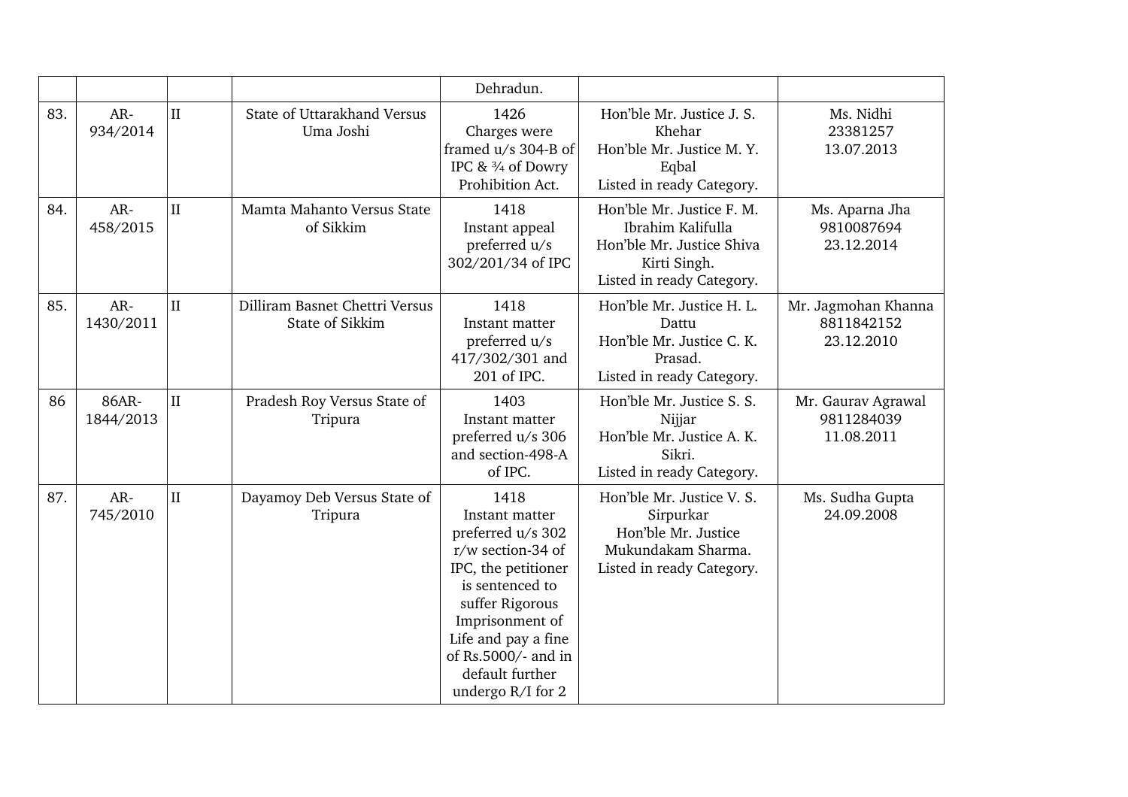|     |                    |              |                                                   | Dehradun.                                                                                                                                                                                                                              |                                                                                                                          |                                                 |
|-----|--------------------|--------------|---------------------------------------------------|----------------------------------------------------------------------------------------------------------------------------------------------------------------------------------------------------------------------------------------|--------------------------------------------------------------------------------------------------------------------------|-------------------------------------------------|
| 83. | AR-<br>934/2014    | $\rm II$     | State of Uttarakhand Versus<br>Uma Joshi          | 1426<br>Charges were<br>framed u/s 304-B of<br>IPC & 3/4 of Dowry<br>Prohibition Act.                                                                                                                                                  | Hon'ble Mr. Justice J. S.<br>Khehar<br>Hon'ble Mr. Justice M.Y.<br>Eqbal<br>Listed in ready Category.                    | Ms. Nidhi<br>23381257<br>13.07.2013             |
| 84. | AR-<br>458/2015    | $\mathbf{I}$ | Mamta Mahanto Versus State<br>of Sikkim           | 1418<br>Instant appeal<br>preferred u/s<br>302/201/34 of IPC                                                                                                                                                                           | Hon'ble Mr. Justice F. M.<br>Ibrahim Kalifulla<br>Hon'ble Mr. Justice Shiva<br>Kirti Singh.<br>Listed in ready Category. | Ms. Aparna Jha<br>9810087694<br>23.12.2014      |
| 85. | AR-<br>1430/2011   | $\rm II$     | Dilliram Basnet Chettri Versus<br>State of Sikkim | 1418<br>Instant matter<br>preferred u/s<br>417/302/301 and<br>201 of IPC.                                                                                                                                                              | Hon'ble Mr. Justice H. L.<br>Dattu<br>Hon'ble Mr. Justice C. K.<br>Prasad.<br>Listed in ready Category.                  | Mr. Jagmohan Khanna<br>8811842152<br>23.12.2010 |
| 86  | 86AR-<br>1844/2013 | II           | Pradesh Roy Versus State of<br>Tripura            | 1403<br>Instant matter<br>preferred u/s 306<br>and section-498-A<br>of IPC.                                                                                                                                                            | Hon'ble Mr. Justice S. S.<br>Nijjar<br>Hon'ble Mr. Justice A. K.<br>Sikri.<br>Listed in ready Category.                  | Mr. Gaurav Agrawal<br>9811284039<br>11.08.2011  |
| 87. | AR-<br>745/2010    | $\rm II$     | Dayamoy Deb Versus State of<br>Tripura            | 1418<br>Instant matter<br>preferred u/s 302<br>r/w section-34 of<br>IPC, the petitioner<br>is sentenced to<br>suffer Rigorous<br>Imprisonment of<br>Life and pay a fine<br>of Rs.5000/- and in<br>default further<br>undergo R/I for 2 | Hon'ble Mr. Justice V. S.<br>Sirpurkar<br>Hon'ble Mr. Justice<br>Mukundakam Sharma.<br>Listed in ready Category.         | Ms. Sudha Gupta<br>24.09.2008                   |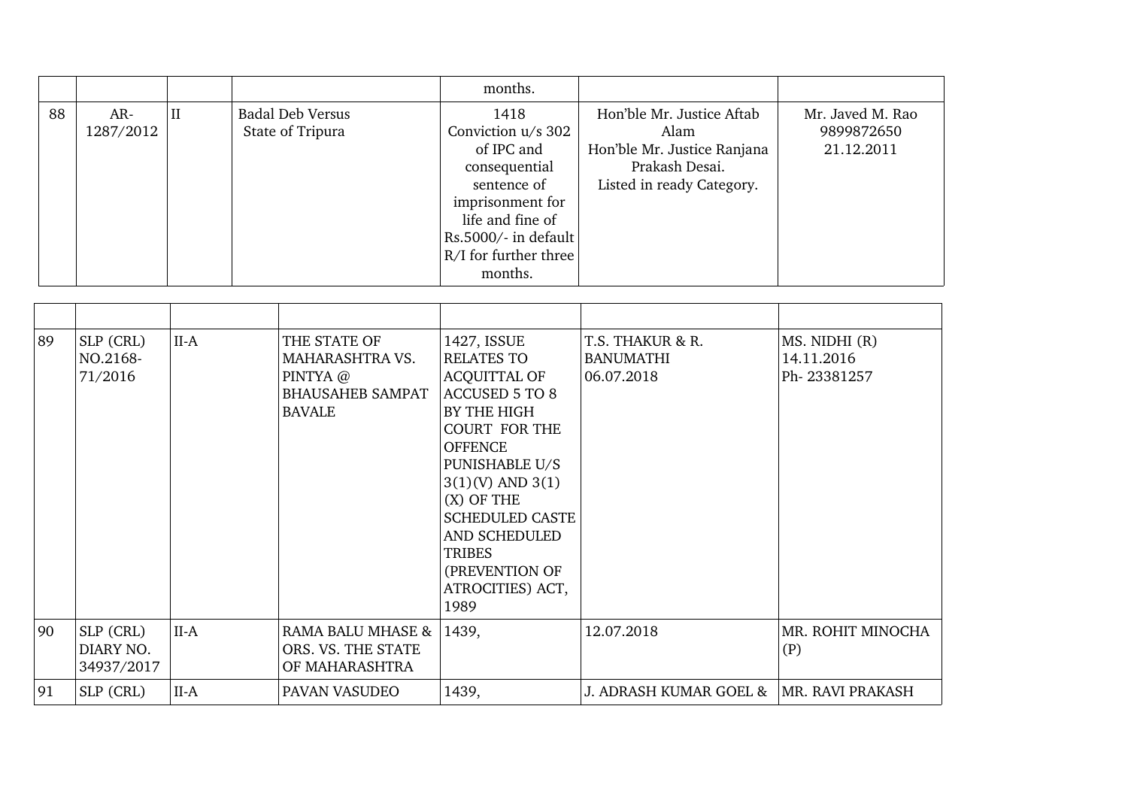|    |                  |   |                                             | months.                                                                                                          |                                                                                                                 |                                              |
|----|------------------|---|---------------------------------------------|------------------------------------------------------------------------------------------------------------------|-----------------------------------------------------------------------------------------------------------------|----------------------------------------------|
| 88 | AR-<br>1287/2012 | Н | <b>Badal Deb Versus</b><br>State of Tripura | 1418<br>Conviction u/s 302<br>of IPC and<br>consequential<br>sentence of<br>imprisonment for<br>life and fine of | Hon'ble Mr. Justice Aftab<br>Alam<br>Hon'ble Mr. Justice Ranjana<br>Prakash Desai.<br>Listed in ready Category. | Mr. Javed M. Rao<br>9899872650<br>21.12.2011 |
|    |                  |   |                                             | $\vert$ Rs.5000/- in default $\vert$<br>$R/I$ for further three<br>months.                                       |                                                                                                                 |                                              |

| 89 | SLP (CRL)<br>NO.2168-<br>71/2016     | $II-A$ | THE STATE OF<br>MAHARASHTRA VS.<br>PINTYA @<br><b>BHAUSAHEB SAMPAT</b><br><b>BAVALE</b> | 1427, ISSUE<br><b>RELATES TO</b><br><b>ACQUITTAL OF</b><br>ACCUSED 5 TO 8<br>BY THE HIGH<br><b>COURT FOR THE</b><br><b>OFFENCE</b><br>PUNISHABLE U/S<br>$3(1)(V)$ AND $3(1)$<br>$(X)$ OF THE<br><b>SCHEDULED CASTE</b><br>AND SCHEDULED<br><b>TRIBES</b><br>(PREVENTION OF<br>ATROCITIES) ACT,<br>1989 | T.S. THAKUR & R.<br><b>BANUMATHI</b><br>06.07.2018 | MS. NIDHI (R)<br>14.11.2016<br>Ph-23381257 |
|----|--------------------------------------|--------|-----------------------------------------------------------------------------------------|--------------------------------------------------------------------------------------------------------------------------------------------------------------------------------------------------------------------------------------------------------------------------------------------------------|----------------------------------------------------|--------------------------------------------|
| 90 | SLP (CRL)<br>DIARY NO.<br>34937/2017 | $II-A$ | RAMA BALU MHASE &<br>ORS. VS. THE STATE<br>OF MAHARASHTRA                               | 1439,                                                                                                                                                                                                                                                                                                  | 12.07.2018                                         | MR. ROHIT MINOCHA<br>(P)                   |
| 91 | SLP (CRL)                            | $II-A$ | PAVAN VASUDEO                                                                           | 1439,                                                                                                                                                                                                                                                                                                  | J. ADRASH KUMAR GOEL &                             | <b>MR. RAVI PRAKASH</b>                    |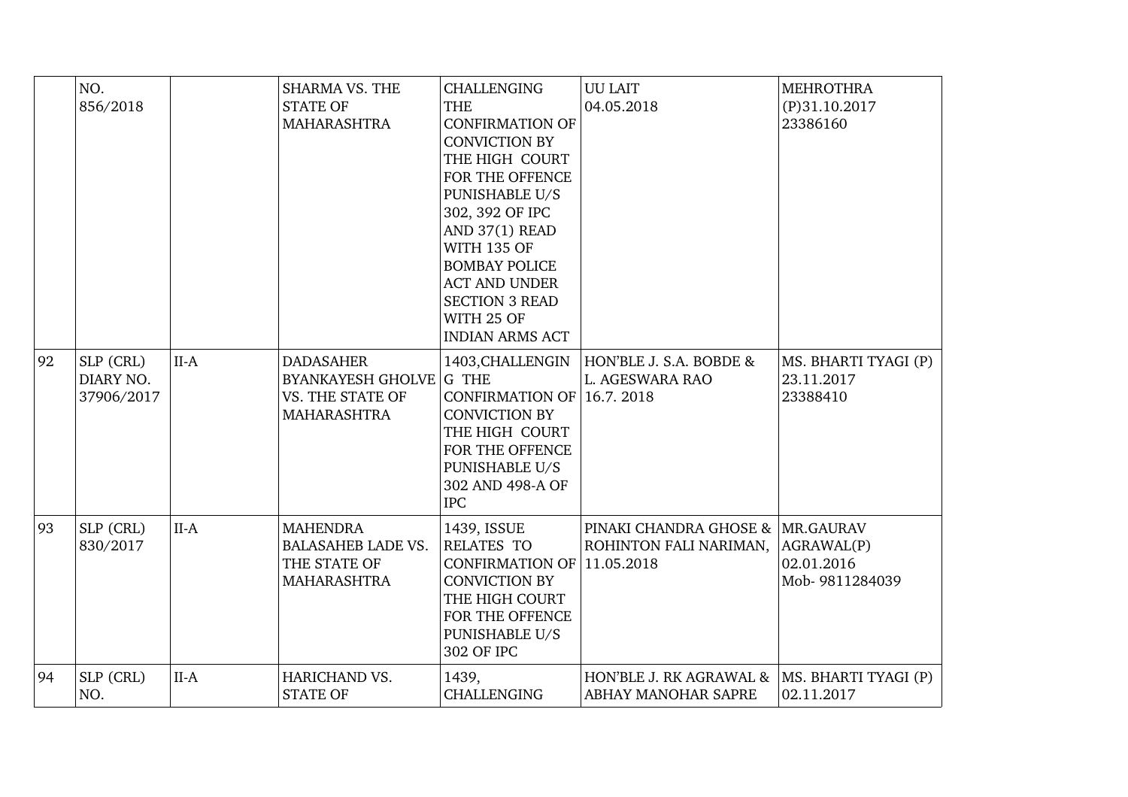|    | NO.<br>856/2018                      |        | <b>SHARMA VS. THE</b><br><b>STATE OF</b><br><b>MAHARASHTRA</b>                         | <b>CHALLENGING</b><br><b>THE</b><br><b>CONFIRMATION OF</b><br><b>CONVICTION BY</b><br>THE HIGH COURT<br>FOR THE OFFENCE<br>PUNISHABLE U/S<br>302, 392 OF IPC<br>AND 37(1) READ<br><b>WITH 135 OF</b><br><b>BOMBAY POLICE</b><br><b>ACT AND UNDER</b><br><b>SECTION 3 READ</b><br>WITH 25 OF<br><b>INDIAN ARMS ACT</b> | <b>UU LAIT</b><br>04.05.2018                               | <b>MEHROTHRA</b><br>$(P)$ 31.10.2017<br>23386160 |
|----|--------------------------------------|--------|----------------------------------------------------------------------------------------|-----------------------------------------------------------------------------------------------------------------------------------------------------------------------------------------------------------------------------------------------------------------------------------------------------------------------|------------------------------------------------------------|--------------------------------------------------|
| 92 | SLP (CRL)<br>DIARY NO.<br>37906/2017 | $II-A$ | <b>DADASAHER</b><br><b>BYANKAYESH GHOLVE</b><br>VS. THE STATE OF<br><b>MAHARASHTRA</b> | 1403, CHALLENGIN<br>G THE<br>CONFIRMATION OF 16.7. 2018<br><b>CONVICTION BY</b><br>THE HIGH COURT<br>FOR THE OFFENCE<br>PUNISHABLE U/S<br>302 AND 498-A OF<br><b>IPC</b>                                                                                                                                              | HON'BLE J. S.A. BOBDE &<br>L. AGESWARA RAO                 | MS. BHARTI TYAGI (P)<br>23.11.2017<br>23388410   |
| 93 | SLP (CRL)<br>830/2017                | $II-A$ | <b>MAHENDRA</b><br><b>BALASAHEB LADE VS.</b><br>THE STATE OF<br><b>MAHARASHTRA</b>     | 1439, ISSUE<br><b>RELATES TO</b><br>CONFIRMATION OF 11.05.2018<br><b>CONVICTION BY</b><br>THE HIGH COURT<br>FOR THE OFFENCE<br><b>PUNISHABLE U/S</b><br>302 OF IPC                                                                                                                                                    | PINAKI CHANDRA GHOSE & MR.GAURAV<br>ROHINTON FALI NARIMAN, | AGRAWAL(P)<br>02.01.2016<br>Mob-9811284039       |
| 94 | SLP (CRL)<br>NO.                     | $II-A$ | HARICHAND VS.<br><b>STATE OF</b>                                                       | 1439,<br><b>CHALLENGING</b>                                                                                                                                                                                                                                                                                           | HON'BLE J. RK AGRAWAL &<br>ABHAY MANOHAR SAPRE             | MS. BHARTI TYAGI (P)<br>02.11.2017               |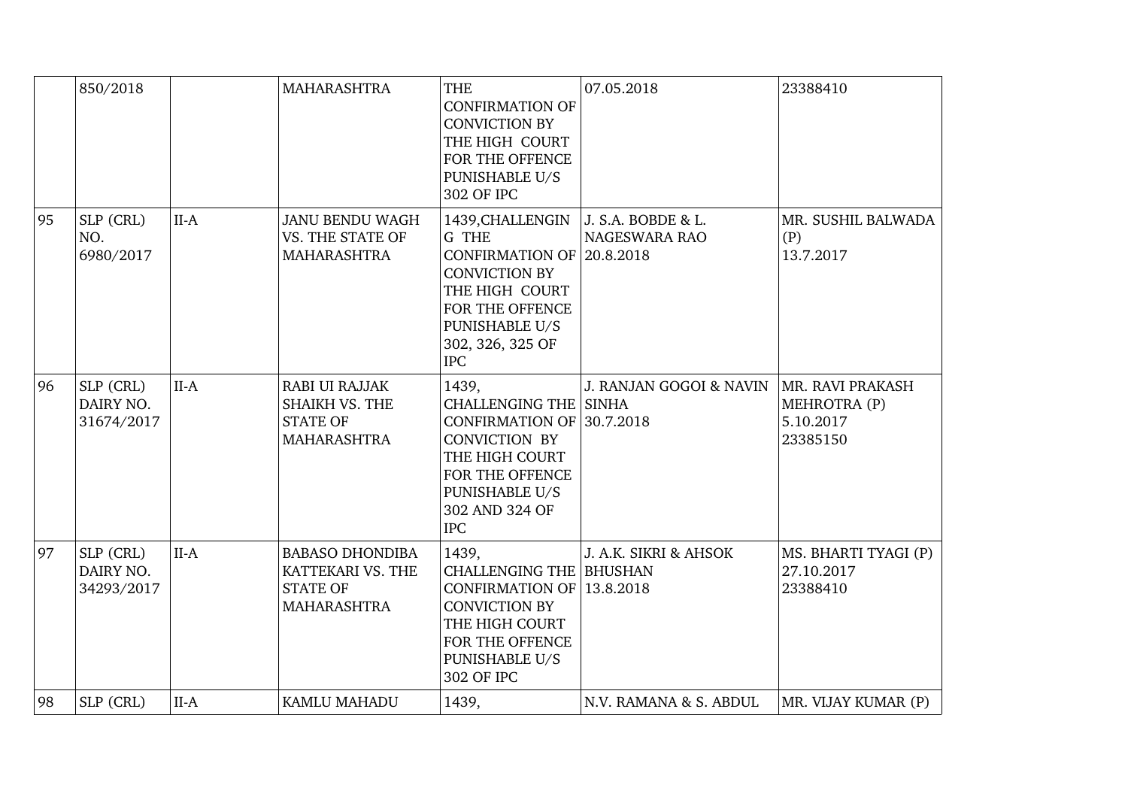|    | 850/2018                             |        | <b>MAHARASHTRA</b>                                                                   | <b>THE</b><br><b>CONFIRMATION OF</b><br><b>CONVICTION BY</b><br>THE HIGH COURT<br>FOR THE OFFENCE<br>PUNISHABLE U/S<br>302 OF IPC                                                            | 07.05.2018                         | 23388410                                                  |
|----|--------------------------------------|--------|--------------------------------------------------------------------------------------|----------------------------------------------------------------------------------------------------------------------------------------------------------------------------------------------|------------------------------------|-----------------------------------------------------------|
| 95 | SLP (CRL)<br>NO.<br>6980/2017        | $II-A$ | <b>JANU BENDU WAGH</b><br>VS. THE STATE OF<br><b>MAHARASHTRA</b>                     | 1439, CHALLENGIN   J. S.A. BOBDE & L.<br>G THE<br>CONFIRMATION OF 20.8.2018<br><b>CONVICTION BY</b><br>THE HIGH COURT<br>FOR THE OFFENCE<br>PUNISHABLE U/S<br>302, 326, 325 OF<br><b>IPC</b> | NAGESWARA RAO                      | MR. SUSHIL BALWADA<br>(P)<br>13.7.2017                    |
| 96 | SLP (CRL)<br>DAIRY NO.<br>31674/2017 | $II-A$ | <b>RABI UI RAJJAK</b><br>SHAIKH VS. THE<br><b>STATE OF</b><br><b>MAHARASHTRA</b>     | 1439,<br><b>CHALLENGING THE SINHA</b><br>CONFIRMATION OF 30.7.2018<br><b>CONVICTION BY</b><br>THE HIGH COURT<br>FOR THE OFFENCE<br>PUNISHABLE U/S<br>302 AND 324 OF<br><b>IPC</b>            | J. RANJAN GOGOI & NAVIN            | MR. RAVI PRAKASH<br>MEHROTRA (P)<br>5.10.2017<br>23385150 |
| 97 | SLP (CRL)<br>DAIRY NO.<br>34293/2017 | $II-A$ | <b>BABASO DHONDIBA</b><br>KATTEKARI VS. THE<br><b>STATE OF</b><br><b>MAHARASHTRA</b> | 1439.<br><b>CHALLENGING THE BHUSHAN</b><br><b>CONFIRMATION OF</b><br><b>CONVICTION BY</b><br>THE HIGH COURT<br>FOR THE OFFENCE<br>PUNISHABLE U/S<br>302 OF IPC                               | J. A.K. SIKRI & AHSOK<br>13.8.2018 | MS. BHARTI TYAGI (P)<br>27.10.2017<br>23388410            |
| 98 | SLP (CRL)                            | $II-A$ | KAMLU MAHADU                                                                         | 1439,                                                                                                                                                                                        | N.V. RAMANA & S. ABDUL             | MR. VIJAY KUMAR (P)                                       |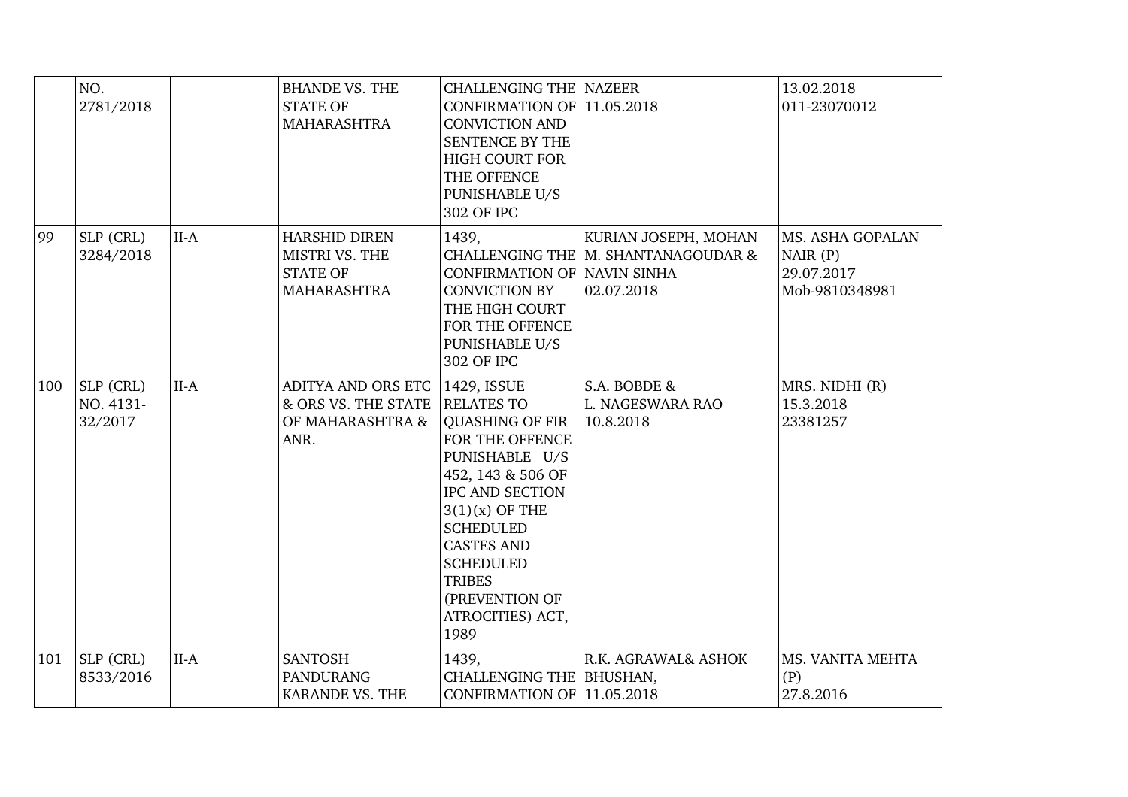|     | NO.<br>2781/2018                  |        | <b>BHANDE VS. THE</b><br><b>STATE OF</b><br><b>MAHARASHTRA</b>                  | <b>CHALLENGING THE NAZEER</b><br>CONFIRMATION OF 11.05.2018<br><b>CONVICTION AND</b><br>SENTENCE BY THE<br><b>HIGH COURT FOR</b><br>THE OFFENCE<br>PUNISHABLE U/S<br>302 OF IPC                                                                                                                |                                                                           | 13.02.2018<br>011-23070012                                  |
|-----|-----------------------------------|--------|---------------------------------------------------------------------------------|------------------------------------------------------------------------------------------------------------------------------------------------------------------------------------------------------------------------------------------------------------------------------------------------|---------------------------------------------------------------------------|-------------------------------------------------------------|
| 99  | SLP (CRL)<br>3284/2018            | $II-A$ | <b>HARSHID DIREN</b><br>MISTRI VS. THE<br><b>STATE OF</b><br><b>MAHARASHTRA</b> | 1439,<br>CONFIRMATION OF NAVIN SINHA<br><b>CONVICTION BY</b><br>THE HIGH COURT<br>FOR THE OFFENCE<br>PUNISHABLE U/S<br>302 OF IPC                                                                                                                                                              | KURIAN JOSEPH, MOHAN<br>CHALLENGING THE M. SHANTANAGOUDAR &<br>02.07.2018 | MS. ASHA GOPALAN<br>NAIR(P)<br>29.07.2017<br>Mob-9810348981 |
| 100 | SLP (CRL)<br>NO. 4131-<br>32/2017 | $II-A$ | ADITYA AND ORS ETC<br>& ORS VS. THE STATE<br>OF MAHARASHTRA &<br>ANR.           | 1429, ISSUE<br><b>RELATES TO</b><br><b>QUASHING OF FIR</b><br>FOR THE OFFENCE<br>PUNISHABLE U/S<br>452, 143 & 506 OF<br><b>IPC AND SECTION</b><br>$3(1)(x)$ OF THE<br><b>SCHEDULED</b><br><b>CASTES AND</b><br><b>SCHEDULED</b><br><b>TRIBES</b><br>(PREVENTION OF<br>ATROCITIES) ACT,<br>1989 | S.A. BOBDE &<br>L. NAGESWARA RAO<br>10.8.2018                             | MRS. NIDHI (R)<br>15.3.2018<br>23381257                     |
| 101 | SLP (CRL)<br>8533/2016            | $II-A$ | <b>SANTOSH</b><br><b>PANDURANG</b><br><b>KARANDE VS. THE</b>                    | 1439,<br>CHALLENGING THE   BHUSHAN,<br>CONFIRMATION OF 11.05.2018                                                                                                                                                                                                                              | R.K. AGRAWAL& ASHOK                                                       | MS. VANITA MEHTA<br>(P)<br>27.8.2016                        |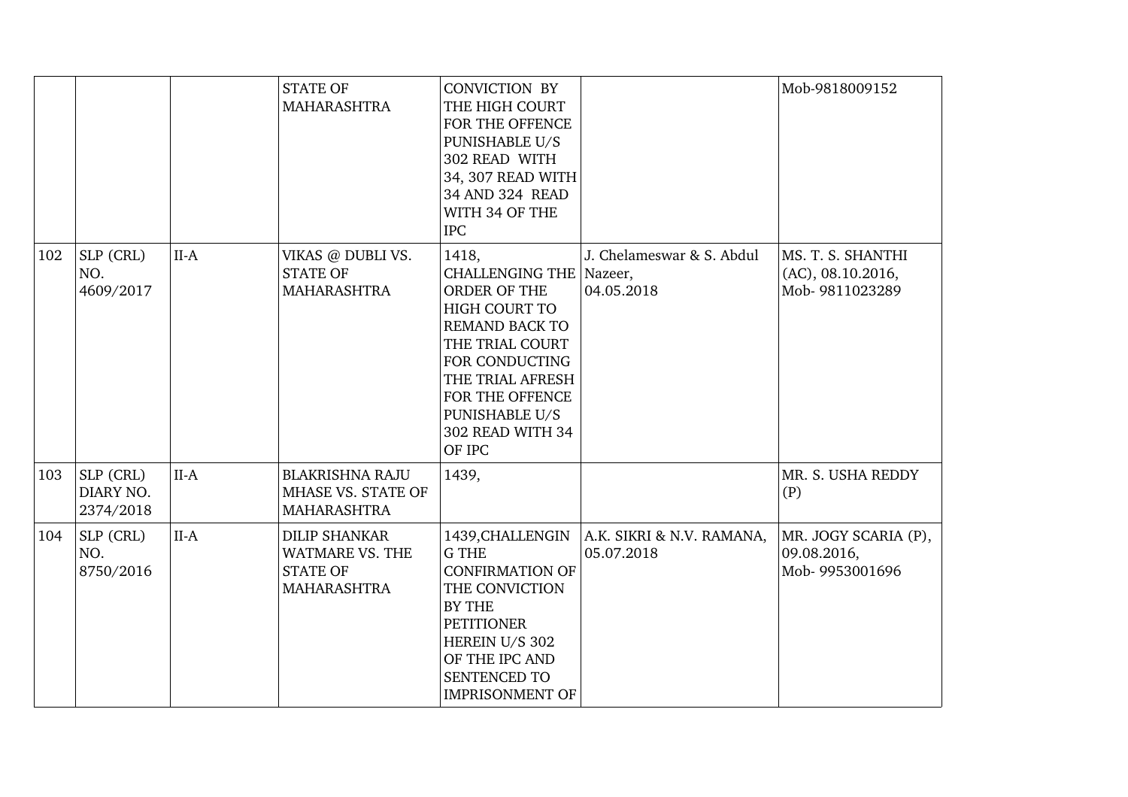|     |                                       |        | <b>STATE OF</b><br><b>MAHARASHTRA</b>                                                   | <b>CONVICTION BY</b><br>THE HIGH COURT<br>FOR THE OFFENCE<br>PUNISHABLE U/S<br>302 READ WITH<br>34, 307 READ WITH<br>34 AND 324 READ<br>WITH 34 OF THE<br><b>IPC</b>                                                                   |                                         | Mob-9818009152                                           |
|-----|---------------------------------------|--------|-----------------------------------------------------------------------------------------|----------------------------------------------------------------------------------------------------------------------------------------------------------------------------------------------------------------------------------------|-----------------------------------------|----------------------------------------------------------|
| 102 | SLP (CRL)<br>NO.<br>4609/2017         | $II-A$ | VIKAS @ DUBLI VS.<br><b>STATE OF</b><br><b>MAHARASHTRA</b>                              | 1418,<br><b>CHALLENGING THE   Nazeer,</b><br>ORDER OF THE<br><b>HIGH COURT TO</b><br><b>REMAND BACK TO</b><br>THE TRIAL COURT<br>FOR CONDUCTING<br>THE TRIAL AFRESH<br>FOR THE OFFENCE<br>PUNISHABLE U/S<br>302 READ WITH 34<br>OF IPC | J. Chelameswar & S. Abdul<br>04.05.2018 | MS. T. S. SHANTHI<br>(AC), 08.10.2016,<br>Mob-9811023289 |
| 103 | $SLP$ (CRL)<br>DIARY NO.<br>2374/2018 | $II-A$ | <b>BLAKRISHNA RAJU</b><br>MHASE VS. STATE OF<br><b>MAHARASHTRA</b>                      | 1439,                                                                                                                                                                                                                                  |                                         | MR. S. USHA REDDY<br>(P)                                 |
| 104 | SLP (CRL)<br>NO.<br>8750/2016         | $II-A$ | <b>DILIP SHANKAR</b><br><b>WATMARE VS. THE</b><br><b>STATE OF</b><br><b>MAHARASHTRA</b> | 1439, CHALLENGIN<br><b>G</b> THE<br><b>CONFIRMATION OF</b><br>THE CONVICTION<br><b>BY THE</b><br><b>PETITIONER</b><br>HEREIN U/S 302<br>OF THE IPC AND<br>SENTENCED TO<br><b>IMPRISONMENT OF</b>                                       | A.K. SIKRI & N.V. RAMANA,<br>05.07.2018 | MR. JOGY SCARIA (P),<br>09.08.2016,<br>Mob- 9953001696   |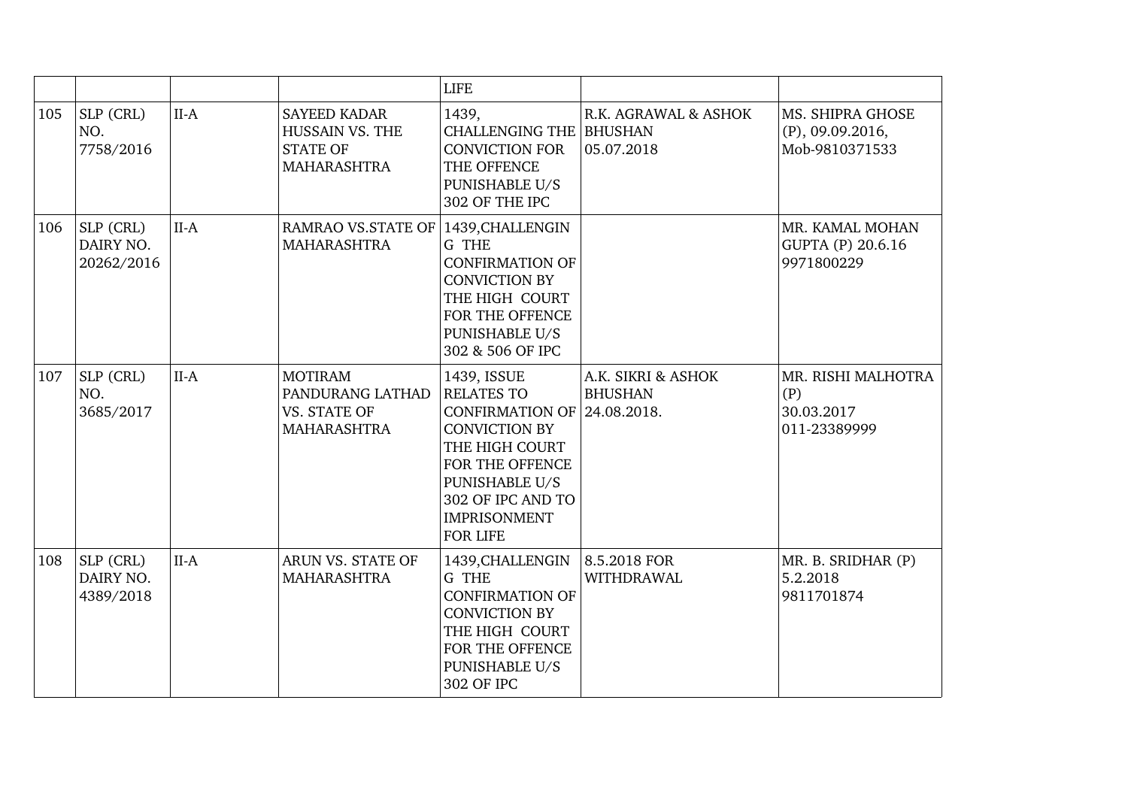|     |                                      |        |                                                                                        | <b>LIFE</b>                                                                                                                                                                                                          |                                      |                                                           |
|-----|--------------------------------------|--------|----------------------------------------------------------------------------------------|----------------------------------------------------------------------------------------------------------------------------------------------------------------------------------------------------------------------|--------------------------------------|-----------------------------------------------------------|
| 105 | SLP (CRL)<br>NO.<br>7758/2016        | $II-A$ | <b>SAYEED KADAR</b><br><b>HUSSAIN VS. THE</b><br><b>STATE OF</b><br><b>MAHARASHTRA</b> | 1439,<br><b>CHALLENGING THE BHUSHAN</b><br><b>CONVICTION FOR</b><br>THE OFFENCE<br>PUNISHABLE U/S<br>302 OF THE IPC                                                                                                  | R.K. AGRAWAL & ASHOK<br>05.07.2018   | MS. SHIPRA GHOSE<br>$(P)$ , 09.09.2016,<br>Mob-9810371533 |
| 106 | SLP (CRL)<br>DAIRY NO.<br>20262/2016 | $II-A$ | <b>RAMRAO VS.STATE OF</b><br><b>MAHARASHTRA</b>                                        | 1439, CHALLENGIN<br>G THE<br><b>CONFIRMATION OF</b><br><b>CONVICTION BY</b><br>THE HIGH COURT<br>FOR THE OFFENCE<br><b>PUNISHABLE U/S</b><br>302 & 506 OF IPC                                                        |                                      | MR. KAMAL MOHAN<br>GUPTA (P) 20.6.16<br>9971800229        |
| 107 | SLP (CRL)<br>NO.<br>3685/2017        | $II-A$ | <b>MOTIRAM</b><br>PANDURANG LATHAD<br>VS. STATE OF<br><b>MAHARASHTRA</b>               | 1439, ISSUE<br><b>RELATES TO</b><br>CONFIRMATION OF 24.08.2018.<br><b>CONVICTION BY</b><br>THE HIGH COURT<br>FOR THE OFFENCE<br><b>PUNISHABLE U/S</b><br>302 OF IPC AND TO<br><b>IMPRISONMENT</b><br><b>FOR LIFE</b> | A.K. SIKRI & ASHOK<br><b>BHUSHAN</b> | MR. RISHI MALHOTRA<br>(P)<br>30.03.2017<br>011-23389999   |
| 108 | SLP (CRL)<br>DAIRY NO.<br>4389/2018  | $II-A$ | ARUN VS. STATE OF<br><b>MAHARASHTRA</b>                                                | 1439, CHALLENGIN<br>G THE<br><b>CONFIRMATION OF</b><br><b>CONVICTION BY</b><br>THE HIGH COURT<br>FOR THE OFFENCE<br><b>PUNISHABLE U/S</b><br>302 OF IPC                                                              | $8.5.2018$ FOR<br><b>WITHDRAWAL</b>  | MR. B. SRIDHAR (P)<br>5.2.2018<br>9811701874              |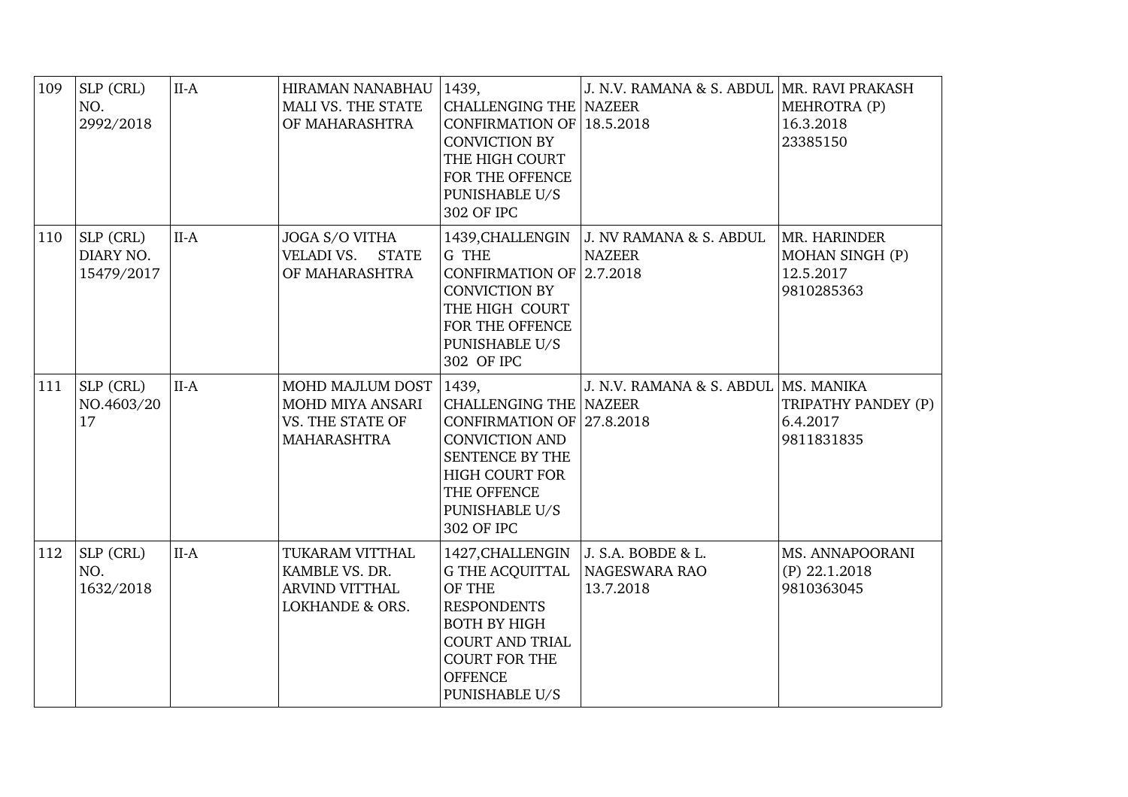| 109 | SLP (CRL)<br>NO.<br>2992/2018        | $II-A$ | HIRAMAN NANABHAU<br>MALI VS. THE STATE<br>OF MAHARASHTRA                                 | 1439,<br><b>CHALLENGING THE NAZEER</b><br>CONFIRMATION OF 18.5.2018<br><b>CONVICTION BY</b><br>THE HIGH COURT<br>FOR THE OFFENCE<br>PUNISHABLE U/S<br>302 OF IPC                                                    | J. N.V. RAMANA & S. ABDUL   MR. RAVI PRAKASH                | MEHROTRA (P)<br>16.3.2018<br>23385150                      |
|-----|--------------------------------------|--------|------------------------------------------------------------------------------------------|---------------------------------------------------------------------------------------------------------------------------------------------------------------------------------------------------------------------|-------------------------------------------------------------|------------------------------------------------------------|
| 110 | SLP (CRL)<br>DIARY NO.<br>15479/2017 | $II-A$ | JOGA S/O VITHA<br>VELADI VS. STATE<br>OF MAHARASHTRA                                     | G THE<br>CONFIRMATION OF $2.7.2018$<br><b>CONVICTION BY</b><br>THE HIGH COURT<br>FOR THE OFFENCE<br>PUNISHABLE U/S<br>302 OF IPC                                                                                    | 1439, CHALLENGIN   J. NV RAMANA & S. ABDUL<br><b>NAZEER</b> | MR. HARINDER<br>MOHAN SINGH (P)<br>12.5.2017<br>9810285363 |
| 111 | SLP (CRL)<br>NO.4603/20<br>17        | $II-A$ | MOHD MAJLUM DOST<br>MOHD MIYA ANSARI<br>VS. THE STATE OF<br><b>MAHARASHTRA</b>           | 1439,<br><b>CHALLENGING THE NAZEER</b><br>CONFIRMATION OF 27.8.2018<br><b>CONVICTION AND</b><br>SENTENCE BY THE<br><b>HIGH COURT FOR</b><br>THE OFFENCE<br>PUNISHABLE U/S<br>302 OF IPC                             | J. N.V. RAMANA & S. ABDUL   MS. MANIKA                      | TRIPATHY PANDEY (P)<br>6.4.2017<br>9811831835              |
| 112 | SLP (CRL)<br>NO.<br>1632/2018        | $II-A$ | TUKARAM VITTHAL<br>KAMBLE VS. DR.<br><b>ARVIND VITTHAL</b><br><b>LOKHANDE &amp; ORS.</b> | 1427, CHALLENGIN   J. S.A. BOBDE & L.<br>G THE ACQUITTAL NAGESWARA RAO<br>OF THE<br><b>RESPONDENTS</b><br><b>BOTH BY HIGH</b><br><b>COURT AND TRIAL</b><br><b>COURT FOR THE</b><br><b>OFFENCE</b><br>PUNISHABLE U/S | 13.7.2018                                                   | MS. ANNAPOORANI<br>$(P)$ 22.1.2018<br>9810363045           |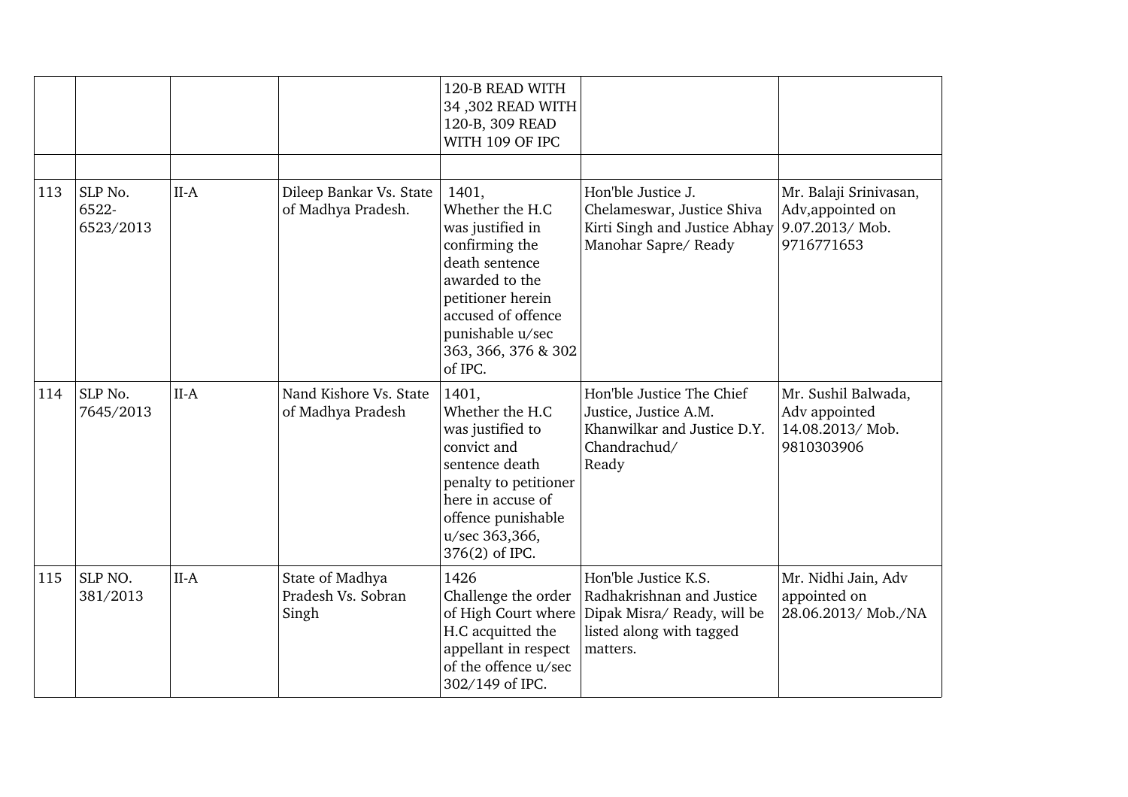|     |                               |        |                                                | 120-B READ WITH<br>34,302 READ WITH<br>120-B, 309 READ<br>WITH 109 OF IPC                                                                                                                           |                                                                                                                          |                                                                             |
|-----|-------------------------------|--------|------------------------------------------------|-----------------------------------------------------------------------------------------------------------------------------------------------------------------------------------------------------|--------------------------------------------------------------------------------------------------------------------------|-----------------------------------------------------------------------------|
| 113 | SLP No.<br>6522-<br>6523/2013 | $II-A$ | Dileep Bankar Vs. State<br>of Madhya Pradesh.  | 1401,<br>Whether the H.C<br>was justified in<br>confirming the<br>death sentence<br>awarded to the<br>petitioner herein<br>accused of offence<br>punishable u/sec<br>363, 366, 376 & 302<br>of IPC. | Hon'ble Justice J.<br>Chelameswar, Justice Shiva<br>Kirti Singh and Justice Abhay<br>Manohar Sapre/Ready                 | Mr. Balaji Srinivasan,<br>Adv, appointed on<br>9.07.2013/Mob.<br>9716771653 |
| 114 | SLP No.<br>7645/2013          | $II-A$ | Nand Kishore Vs. State<br>of Madhya Pradesh    | 1401,<br>Whether the H.C<br>was justified to<br>convict and<br>sentence death<br>penalty to petitioner<br>here in accuse of<br>offence punishable<br>u/sec 363,366,<br>376(2) of IPC.               | Hon'ble Justice The Chief<br>Justice, Justice A.M.<br>Khanwilkar and Justice D.Y.<br>Chandrachud/<br>Ready               | Mr. Sushil Balwada,<br>Adv appointed<br>14.08.2013/Mob.<br>9810303906       |
| 115 | SLP NO.<br>381/2013           | $II-A$ | State of Madhya<br>Pradesh Vs. Sobran<br>Singh | 1426<br>Challenge the order<br>of High Court where<br>H.C acquitted the<br>appellant in respect<br>of the offence u/sec<br>302/149 of IPC.                                                          | Hon'ble Justice K.S.<br>Radhakrishnan and Justice<br>Dipak Misra/ Ready, will be<br>listed along with tagged<br>matters. | Mr. Nidhi Jain, Adv<br>appointed on<br>28.06.2013/ Mob./NA                  |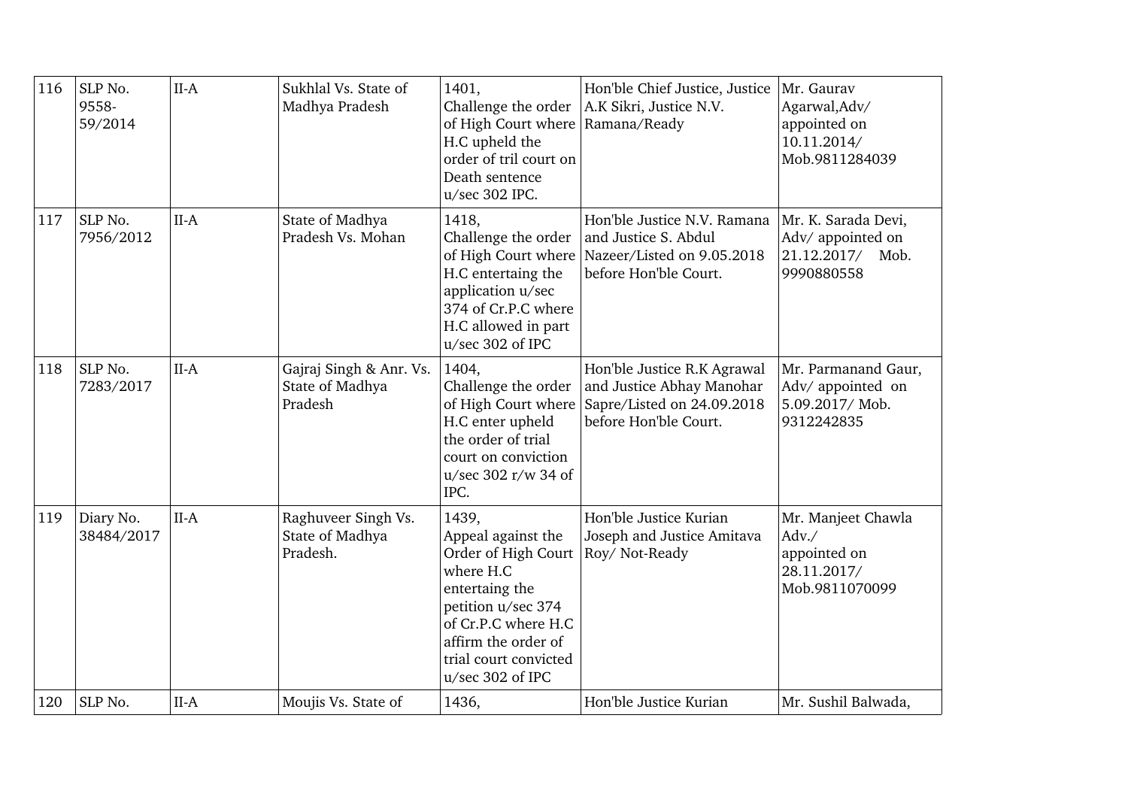| 116 | SLP No.<br>9558-<br>59/2014 | $II-A$ | Sukhlal Vs. State of<br>Madhya Pradesh                | 1401,<br>Challenge the order<br>of High Court where   Ramana/Ready<br>H.C upheld the<br>order of tril court on<br>Death sentence<br>u/sec 302 IPC.                                                 | Hon'ble Chief Justice, Justice<br>A.K Sikri, Justice N.V.                                                       | Mr. Gaurav<br>Agarwal, Adv/<br>appointed on<br>10.11.2014/<br>Mob.9811284039  |
|-----|-----------------------------|--------|-------------------------------------------------------|----------------------------------------------------------------------------------------------------------------------------------------------------------------------------------------------------|-----------------------------------------------------------------------------------------------------------------|-------------------------------------------------------------------------------|
| 117 | SLP No.<br>7956/2012        | $II-A$ | State of Madhya<br>Pradesh Vs. Mohan                  | 1418,<br>Challenge the order<br>of High Court where<br>H.C entertaing the<br>application u/sec<br>374 of Cr.P.C where<br>H.C allowed in part<br>u/sec 302 of IPC                                   | Hon'ble Justice N.V. Ramana<br>and Justice S. Abdul<br>Nazeer/Listed on 9.05.2018<br>before Hon'ble Court.      | Mr. K. Sarada Devi,<br>Adv/ appointed on<br>21.12.2017/<br>Mob.<br>9990880558 |
| 118 | SLP No.<br>7283/2017        | $II-A$ | Gajraj Singh & Anr. Vs.<br>State of Madhya<br>Pradesh | 1404,<br>Challenge the order<br>of High Court where<br>H.C enter upheld<br>the order of trial<br>court on conviction<br>u/sec 302 r/w 34 of<br>IPC.                                                | Hon'ble Justice R.K Agrawal<br>and Justice Abhay Manohar<br>Sapre/Listed on 24.09.2018<br>before Hon'ble Court. | Mr. Parmanand Gaur,<br>Adv/ appointed on<br>5.09.2017/Mob.<br>9312242835      |
| 119 | Diary No.<br>38484/2017     | $II-A$ | Raghuveer Singh Vs.<br>State of Madhya<br>Pradesh.    | 1439,<br>Appeal against the<br>Order of High Court<br>where H.C<br>entertaing the<br>petition u/sec 374<br>of Cr.P.C where H.C<br>affirm the order of<br>trial court convicted<br>u/sec 302 of IPC | Hon'ble Justice Kurian<br>Joseph and Justice Amitava<br>Roy/Not-Ready                                           | Mr. Manjeet Chawla<br>Adv./<br>appointed on<br>28.11.2017/<br>Mob.9811070099  |
| 120 | SLP No.                     | $II-A$ | Moujis Vs. State of                                   | 1436,                                                                                                                                                                                              | Hon'ble Justice Kurian                                                                                          | Mr. Sushil Balwada,                                                           |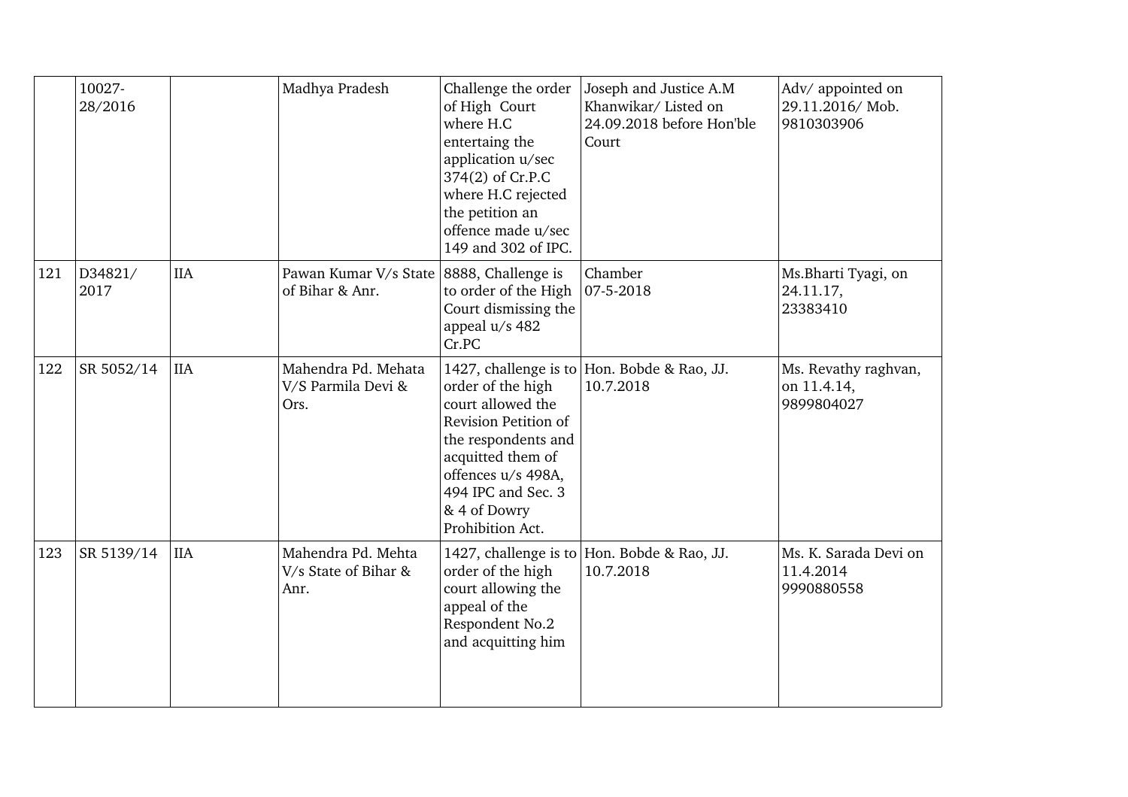|     | 10027-<br>28/2016 |            | Madhya Pradesh                                              | Challenge the order<br>of High Court<br>where H.C<br>entertaing the<br>application u/sec<br>374(2) of Cr.P.C<br>where H.C rejected<br>the petition an<br>offence made u/sec<br>149 and 302 of IPC. | Joseph and Justice A.M<br>Khanwikar/ Listed on<br>24.09.2018 before Hon'ble<br>Court | Adv/ appointed on<br>29.11.2016/Mob.<br>9810303906 |
|-----|-------------------|------------|-------------------------------------------------------------|----------------------------------------------------------------------------------------------------------------------------------------------------------------------------------------------------|--------------------------------------------------------------------------------------|----------------------------------------------------|
| 121 | D34821/<br>2017   | <b>IIA</b> | Pawan Kumar V/s State 8888, Challenge is<br>of Bihar & Anr. | to order of the High $ 07-5-2018 $<br>Court dismissing the<br>appeal u/s 482<br>Cr.PC                                                                                                              | Chamber                                                                              | Ms.Bharti Tyagi, on<br>24.11.17,<br>23383410       |
| 122 | SR 5052/14        | <b>IIA</b> | Mahendra Pd. Mehata<br>V/S Parmila Devi &<br>Ors.           | order of the high<br>court allowed the<br>Revision Petition of<br>the respondents and<br>acquitted them of<br>offences u/s 498A,<br>494 IPC and Sec. 3<br>& 4 of Dowry<br>Prohibition Act.         | 1427, challenge is to Hon. Bobde & Rao, JJ.<br>10.7.2018                             | Ms. Revathy raghvan,<br>on 11.4.14,<br>9899804027  |
| 123 | SR 5139/14        | <b>IIA</b> | Mahendra Pd. Mehta<br>V/s State of Bihar &<br>Anr.          | order of the high<br>court allowing the<br>appeal of the<br>Respondent No.2<br>and acquitting him                                                                                                  | 1427, challenge is to Hon. Bobde & Rao, JJ.<br>10.7.2018                             | Ms. K. Sarada Devi on<br>11.4.2014<br>9990880558   |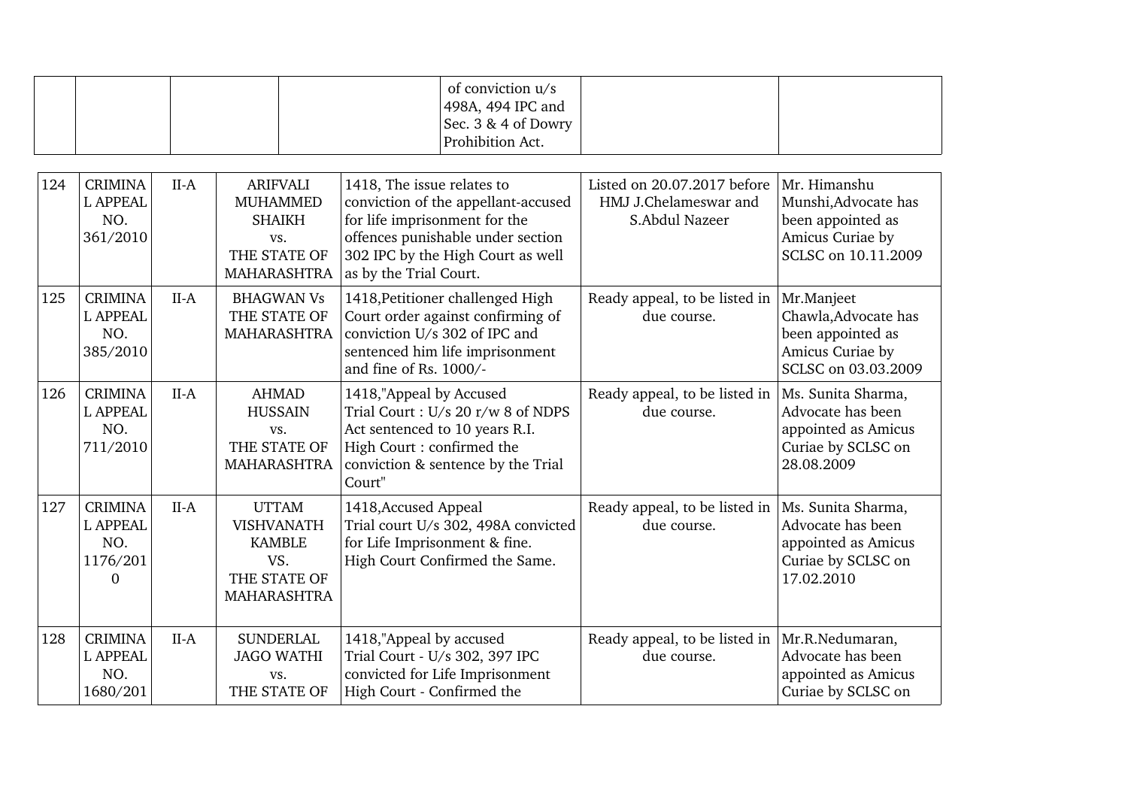|  | of conviction u/s<br>$ 498A, 494$ IPC and<br>Sec. $3 \& 4$ of Dowry |  |
|--|---------------------------------------------------------------------|--|
|  | Prohibition Act.                                                    |  |

| 124 | <b>CRIMINA</b><br><b>L APPEAL</b><br>NO.<br>361/2010             | $II-A$ | <b>ARIFVALI</b><br><b>MUHAMMED</b><br><b>SHAIKH</b><br>VS.<br>THE STATE OF<br>MAHARASHTRA | 1418, The issue relates to<br>conviction of the appellant-accused<br>for life imprisonment for the<br>offences punishable under section<br>302 IPC by the High Court as well<br>as by the Trial Court. | Listed on 20.07.2017 before<br>HMJ J.Chelameswar and<br>S.Abdul Nazeer | Mr. Himanshu<br>Munshi, Advocate has<br>been appointed as<br>Amicus Curiae by<br>SCLSC on 10.11.2009 |
|-----|------------------------------------------------------------------|--------|-------------------------------------------------------------------------------------------|--------------------------------------------------------------------------------------------------------------------------------------------------------------------------------------------------------|------------------------------------------------------------------------|------------------------------------------------------------------------------------------------------|
| 125 | <b>CRIMINA</b><br><b>L APPEAL</b><br>NO.<br>385/2010             | $II-A$ | <b>BHAGWAN Vs</b><br>THE STATE OF<br><b>MAHARASHTRA</b>                                   | 1418, Petitioner challenged High<br>Court order against confirming of<br>conviction U/s 302 of IPC and<br>sentenced him life imprisonment<br>and fine of Rs. 1000/-                                    | Ready appeal, to be listed in<br>due course.                           | Mr.Manjeet<br>Chawla, Advocate has<br>been appointed as<br>Amicus Curiae by<br>SCLSC on 03.03.2009   |
| 126 | <b>CRIMINA</b><br><b>L APPEAL</b><br>NO.<br>711/2010             | $II-A$ | <b>AHMAD</b><br><b>HUSSAIN</b><br>VS.<br>THE STATE OF<br><b>MAHARASHTRA</b>               | 1418,"Appeal by Accused<br>Trial Court: U/s 20 r/w 8 of NDPS<br>Act sentenced to 10 years R.I.<br>High Court: confirmed the<br>conviction & sentence by the Trial<br>Court"                            | Ready appeal, to be listed in<br>due course.                           | Ms. Sunita Sharma,<br>Advocate has been<br>appointed as Amicus<br>Curiae by SCLSC on<br>28.08.2009   |
| 127 | <b>CRIMINA</b><br><b>L APPEAL</b><br>NO.<br>1176/201<br>$\Omega$ | $II-A$ | <b>UTTAM</b><br><b>VISHVANATH</b><br><b>KAMBLE</b><br>VS.<br>THE STATE OF<br>MAHARASHTRA  | 1418, Accused Appeal<br>Trial court U/s 302, 498A convicted<br>for Life Imprisonment & fine.<br>High Court Confirmed the Same.                                                                         | Ready appeal, to be listed in<br>due course.                           | Ms. Sunita Sharma,<br>Advocate has been<br>appointed as Amicus<br>Curiae by SCLSC on<br>17.02.2010   |
| 128 | <b>CRIMINA</b><br><b>L APPEAL</b><br>NO.<br>1680/201             | $II-A$ | <b>SUNDERLAL</b><br><b>JAGO WATHI</b><br>VS.<br>THE STATE OF                              | 1418,"Appeal by accused<br>Trial Court - U/s 302, 397 IPC<br>convicted for Life Imprisonment<br>High Court - Confirmed the                                                                             | Ready appeal, to be listed in<br>due course.                           | Mr.R.Nedumaran,<br>Advocate has been<br>appointed as Amicus<br>Curiae by SCLSC on                    |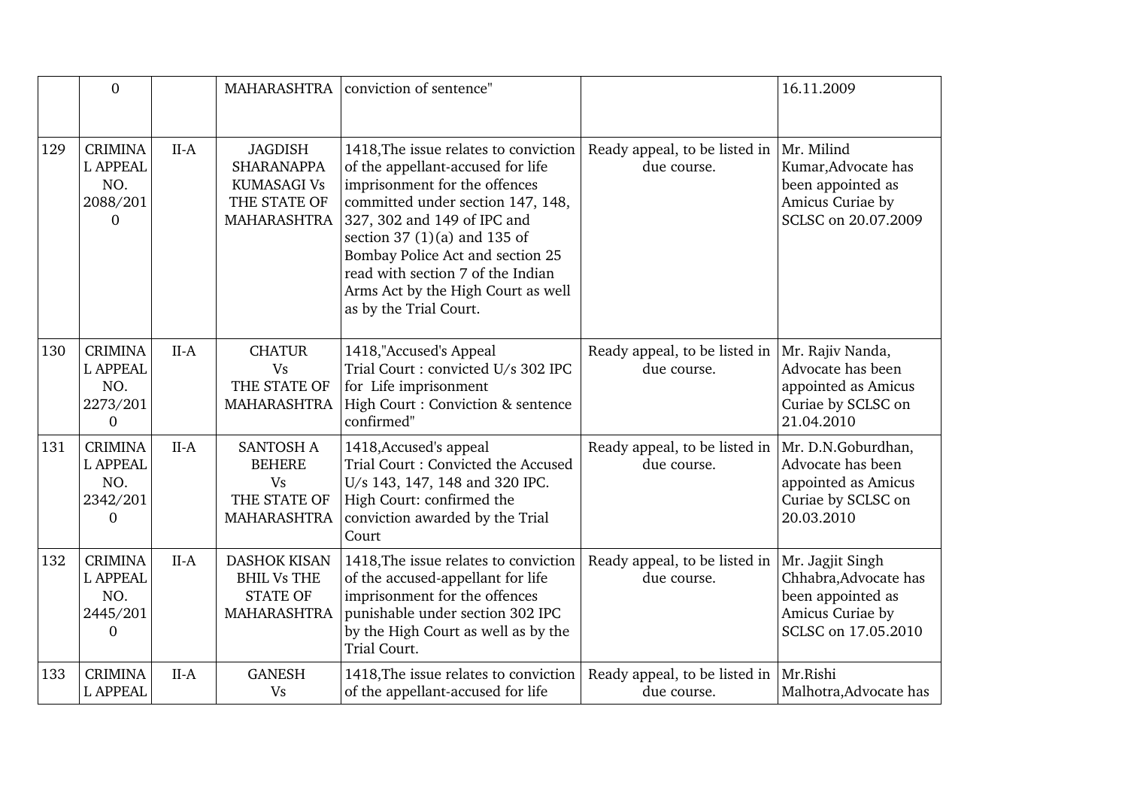|     | $\overline{0}$                                                       |        | MAHARASHTRA                                                                          | conviction of sentence"                                                                                                                                                                                                                                                                                                                                    |                                                                | 16.11.2009                                                                                                |
|-----|----------------------------------------------------------------------|--------|--------------------------------------------------------------------------------------|------------------------------------------------------------------------------------------------------------------------------------------------------------------------------------------------------------------------------------------------------------------------------------------------------------------------------------------------------------|----------------------------------------------------------------|-----------------------------------------------------------------------------------------------------------|
| 129 | <b>CRIMINA</b><br><b>L APPEAL</b><br>NO.<br>2088/201<br>$\Omega$     | $II-A$ | JAGDISH<br><b>SHARANAPPA</b><br><b>KUMASAGI Vs</b><br>THE STATE OF<br>MAHARASHTRA    | 1418, The issue relates to conviction<br>of the appellant-accused for life<br>imprisonment for the offences<br>committed under section 147, 148,<br>327, 302 and 149 of IPC and<br>section 37 $(1)(a)$ and 135 of<br>Bombay Police Act and section 25<br>read with section 7 of the Indian<br>Arms Act by the High Court as well<br>as by the Trial Court. | Ready appeal, to be listed in<br>due course.                   | Mr. Milind<br>Kumar, Advocate has<br>been appointed as<br>Amicus Curiae by<br>SCLSC on 20.07.2009         |
| 130 | <b>CRIMINA</b><br><b>L APPEAL</b><br>NO.<br>2273/201<br>$\mathbf{0}$ | $II-A$ | <b>CHATUR</b><br><b>Vs</b><br>THE STATE OF<br>MAHARASHTRA                            | 1418,"Accused's Appeal<br>Trial Court: convicted U/s 302 IPC<br>for Life imprisonment<br>High Court: Conviction & sentence<br>confirmed"                                                                                                                                                                                                                   | Ready appeal, to be listed in<br>due course.                   | Mr. Rajiv Nanda,<br>Advocate has been<br>appointed as Amicus<br>Curiae by SCLSC on<br>21.04.2010          |
| 131 | <b>CRIMINA</b><br><b>L APPEAL</b><br>NO.<br>2342/201<br>0            | $II-A$ | <b>SANTOSH A</b><br><b>BEHERE</b><br><b>Vs</b><br>THE STATE OF<br><b>MAHARASHTRA</b> | 1418, Accused's appeal<br>Trial Court: Convicted the Accused<br>U/s 143, 147, 148 and 320 IPC.<br>High Court: confirmed the<br>conviction awarded by the Trial<br>Court                                                                                                                                                                                    | Ready appeal, to be listed in<br>due course.                   | Mr. D.N.Goburdhan,<br>Advocate has been<br>appointed as Amicus<br>Curiae by SCLSC on<br>20.03.2010        |
| 132 | <b>CRIMINA</b><br><b>L APPEAL</b><br>NO.<br>2445/201<br>0            | $II-A$ | <b>DASHOK KISAN</b><br><b>BHIL Vs THE</b><br><b>STATE OF</b><br>MAHARASHTRA          | 1418, The issue relates to conviction<br>of the accused-appellant for life<br>imprisonment for the offences<br>punishable under section 302 IPC<br>by the High Court as well as by the<br>Trial Court.                                                                                                                                                     | Ready appeal, to be listed in<br>due course.                   | Mr. Jagjit Singh<br>Chhabra, Advocate has<br>been appointed as<br>Amicus Curiae by<br>SCLSC on 17.05.2010 |
| 133 | <b>CRIMINA</b><br><b>L APPEAL</b>                                    | $II-A$ | <b>GANESH</b><br><b>Vs</b>                                                           | 1418, The issue relates to conviction<br>of the appellant-accused for life                                                                                                                                                                                                                                                                                 | Ready appeal, to be listed in $\vert$ Mr. Rishi<br>due course. | Malhotra, Advocate has                                                                                    |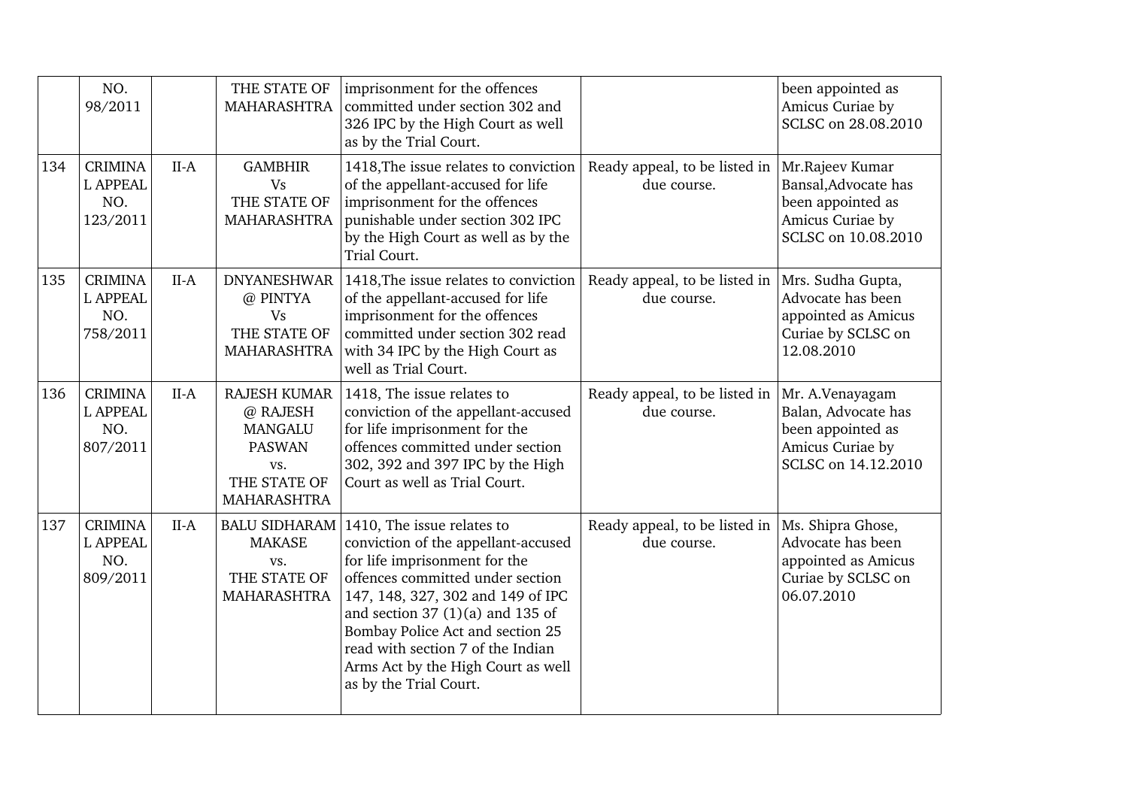|     | NO.<br>98/2011                                       |        | THE STATE OF<br><b>MAHARASHTRA</b>                                                                              | imprisonment for the offences<br>committed under section 302 and<br>326 IPC by the High Court as well<br>as by the Trial Court.                                                                                                                                                                                                                             |                                              | been appointed as<br>Amicus Curiae by<br>SCLSC on 28.08.2010                                            |
|-----|------------------------------------------------------|--------|-----------------------------------------------------------------------------------------------------------------|-------------------------------------------------------------------------------------------------------------------------------------------------------------------------------------------------------------------------------------------------------------------------------------------------------------------------------------------------------------|----------------------------------------------|---------------------------------------------------------------------------------------------------------|
| 134 | <b>CRIMINA</b><br><b>L APPEAL</b><br>NO.<br>123/2011 | $II-A$ | <b>GAMBHIR</b><br><b>Vs</b><br>THE STATE OF<br><b>MAHARASHTRA</b>                                               | 1418, The issue relates to conviction<br>of the appellant-accused for life<br>imprisonment for the offences<br>punishable under section 302 IPC<br>by the High Court as well as by the<br>Trial Court.                                                                                                                                                      | Ready appeal, to be listed in<br>due course. | Mr.Rajeev Kumar<br>Bansal, Advocate has<br>been appointed as<br>Amicus Curiae by<br>SCLSC on 10.08.2010 |
| 135 | <b>CRIMINA</b><br><b>L APPEAL</b><br>NO.<br>758/2011 | $II-A$ | <b>DNYANESHWAR</b><br>@ PINTYA<br><b>Vs</b><br>THE STATE OF<br><b>MAHARASHTRA</b>                               | 1418, The issue relates to conviction<br>of the appellant-accused for life<br>imprisonment for the offences<br>committed under section 302 read<br>with 34 IPC by the High Court as<br>well as Trial Court.                                                                                                                                                 | Ready appeal, to be listed in<br>due course. | Mrs. Sudha Gupta,<br>Advocate has been<br>appointed as Amicus<br>Curiae by SCLSC on<br>12.08.2010       |
| 136 | <b>CRIMINA</b><br><b>L APPEAL</b><br>NO.<br>807/2011 | $II-A$ | <b>RAJESH KUMAR</b><br>@ RAJESH<br><b>MANGALU</b><br><b>PASWAN</b><br>VS.<br>THE STATE OF<br><b>MAHARASHTRA</b> | 1418, The issue relates to<br>conviction of the appellant-accused<br>for life imprisonment for the<br>offences committed under section<br>302, 392 and 397 IPC by the High<br>Court as well as Trial Court.                                                                                                                                                 | Ready appeal, to be listed in<br>due course. | Mr. A.Venayagam<br>Balan, Advocate has<br>been appointed as<br>Amicus Curiae by<br>SCLSC on 14.12.2010  |
| 137 | <b>CRIMINA</b><br><b>L APPEAL</b><br>NO.<br>809/2011 | $II-A$ | <b>BALU SIDHARAM</b><br><b>MAKASE</b><br>VS.<br>THE STATE OF<br>MAHARASHTRA                                     | 1410, The issue relates to<br>conviction of the appellant-accused<br>for life imprisonment for the<br>offences committed under section<br>147, 148, 327, 302 and 149 of IPC<br>and section $37(1)(a)$ and $135$ of<br>Bombay Police Act and section 25<br>read with section 7 of the Indian<br>Arms Act by the High Court as well<br>as by the Trial Court. | Ready appeal, to be listed in<br>due course. | Ms. Shipra Ghose,<br>Advocate has been<br>appointed as Amicus<br>Curiae by SCLSC on<br>06.07.2010       |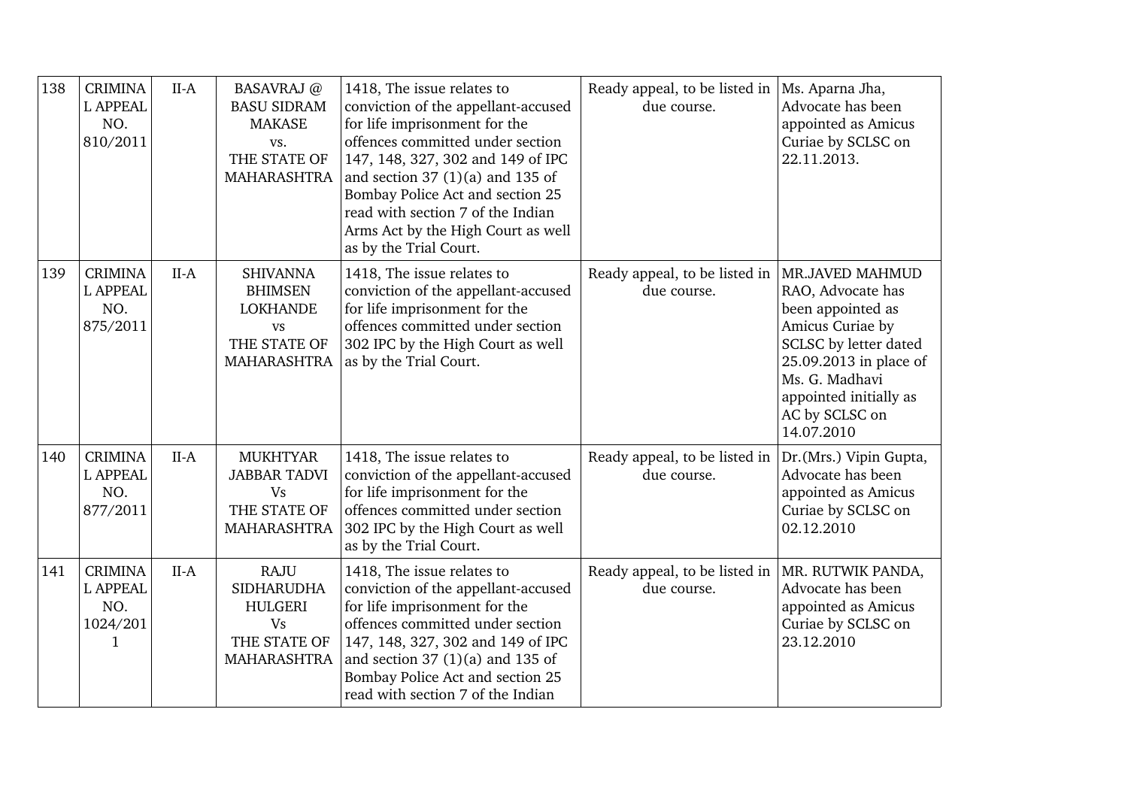| 138 | <b>CRIMINA</b><br><b>L APPEAL</b><br>NO.<br>810/2011      | $II-A$ | <b>BASAVRAJ</b> @<br><b>BASU SIDRAM</b><br><b>MAKASE</b><br>VS.<br>THE STATE OF<br><b>MAHARASHTRA</b> | 1418, The issue relates to<br>conviction of the appellant-accused<br>for life imprisonment for the<br>offences committed under section<br>147, 148, 327, 302 and 149 of IPC<br>and section $37(1)(a)$ and $135$ of<br>Bombay Police Act and section 25<br>read with section 7 of the Indian<br>Arms Act by the High Court as well<br>as by the Trial Court. | Ready appeal, to be listed in $\vert$ Ms. Aparna Jha,<br>due course. | Advocate has been<br>appointed as Amicus<br>Curiae by SCLSC on<br>22.11.2013.                                                                                                             |
|-----|-----------------------------------------------------------|--------|-------------------------------------------------------------------------------------------------------|-------------------------------------------------------------------------------------------------------------------------------------------------------------------------------------------------------------------------------------------------------------------------------------------------------------------------------------------------------------|----------------------------------------------------------------------|-------------------------------------------------------------------------------------------------------------------------------------------------------------------------------------------|
| 139 | <b>CRIMINA</b><br><b>L APPEAL</b><br>NO.<br>875/2011      | $II-A$ | <b>SHIVANNA</b><br><b>BHIMSEN</b><br><b>LOKHANDE</b><br><b>VS</b><br>THE STATE OF<br>MAHARASHTRA      | 1418, The issue relates to<br>conviction of the appellant-accused<br>for life imprisonment for the<br>offences committed under section<br>302 IPC by the High Court as well<br>as by the Trial Court.                                                                                                                                                       | Ready appeal, to be listed in   MR.JAVED MAHMUD<br>due course.       | RAO, Advocate has<br>been appointed as<br>Amicus Curiae by<br>SCLSC by letter dated<br>25.09.2013 in place of<br>Ms. G. Madhavi<br>appointed initially as<br>AC by SCLSC on<br>14.07.2010 |
| 140 | <b>CRIMINA</b><br><b>L APPEAL</b><br>NO.<br>877/2011      | $II-A$ | <b>MUKHTYAR</b><br><b>JABBAR TADVI</b><br><b>Vs</b><br>THE STATE OF<br><b>MAHARASHTRA</b>             | 1418, The issue relates to<br>conviction of the appellant-accused<br>for life imprisonment for the<br>offences committed under section<br>302 IPC by the High Court as well<br>as by the Trial Court.                                                                                                                                                       | Ready appeal, to be listed in<br>due course.                         | Dr. (Mrs.) Vipin Gupta,<br>Advocate has been<br>appointed as Amicus<br>Curiae by SCLSC on<br>02.12.2010                                                                                   |
| 141 | <b>CRIMINA</b><br><b>L APPEAL</b><br>NO.<br>1024/201<br>1 | $II-A$ | <b>RAJU</b><br><b>SIDHARUDHA</b><br><b>HULGERI</b><br><b>Vs</b><br>THE STATE OF<br><b>MAHARASHTRA</b> | 1418, The issue relates to<br>conviction of the appellant-accused<br>for life imprisonment for the<br>offences committed under section<br>147, 148, 327, 302 and 149 of IPC<br>and section $37(1)(a)$ and $135$ of<br>Bombay Police Act and section 25<br>read with section 7 of the Indian                                                                 | Ready appeal, to be listed in $ MR$ . RUTWIK PANDA,<br>due course.   | Advocate has been<br>appointed as Amicus<br>Curiae by SCLSC on<br>23.12.2010                                                                                                              |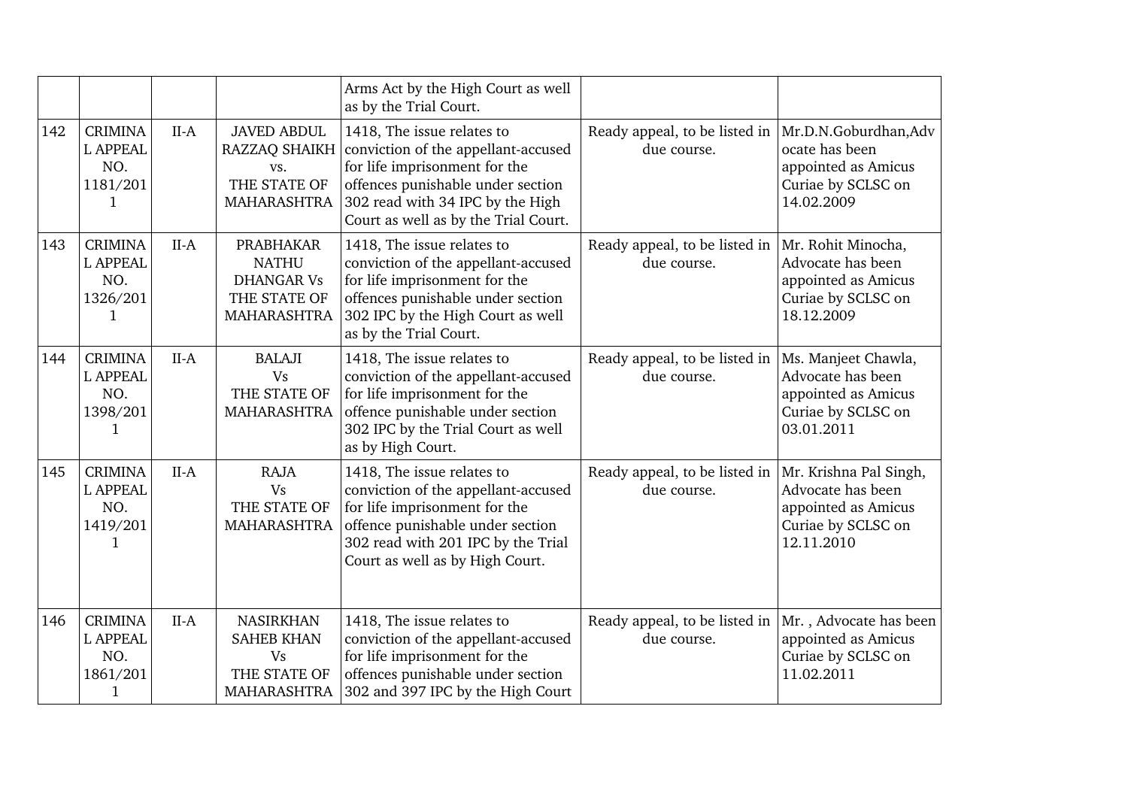|     |                                                                      |        |                                                                                      | Arms Act by the High Court as well<br>as by the Trial Court.                                                                                                                                                        |                                                                      |                                                                                                    |
|-----|----------------------------------------------------------------------|--------|--------------------------------------------------------------------------------------|---------------------------------------------------------------------------------------------------------------------------------------------------------------------------------------------------------------------|----------------------------------------------------------------------|----------------------------------------------------------------------------------------------------|
| 142 | <b>CRIMINA</b><br><b>L APPEAL</b><br>NO.<br>1181/201<br>1            | $II-A$ | <b>JAVED ABDUL</b><br>RAZZAQ SHAIKH<br>VS.<br>THE STATE OF<br>MAHARASHTRA            | 1418, The issue relates to<br>conviction of the appellant-accused<br>for life imprisonment for the<br>offences punishable under section<br>302 read with 34 IPC by the High<br>Court as well as by the Trial Court. | Ready appeal, to be listed in  Mr.D.N.Goburdhan,Adv<br>due course.   | ocate has been<br>appointed as Amicus<br>Curiae by SCLSC on<br>14.02.2009                          |
| 143 | <b>CRIMINA</b><br><b>L APPEAL</b><br>NO.<br>1326/201<br>1            | $II-A$ | <b>PRABHAKAR</b><br><b>NATHU</b><br><b>DHANGAR Vs</b><br>THE STATE OF<br>MAHARASHTRA | 1418, The issue relates to<br>conviction of the appellant-accused<br>for life imprisonment for the<br>offences punishable under section<br>302 IPC by the High Court as well<br>as by the Trial Court.              | Ready appeal, to be listed in<br>due course.                         | Mr. Rohit Minocha,<br>Advocate has been<br>appointed as Amicus<br>Curiae by SCLSC on<br>18.12.2009 |
| 144 | <b>CRIMINA</b><br><b>L APPEAL</b><br>NO.<br>1398/201<br>1            | $II-A$ | <b>BALAJI</b><br><b>Vs</b><br>THE STATE OF<br>MAHARASHTRA                            | 1418, The issue relates to<br>conviction of the appellant-accused<br>for life imprisonment for the<br>offence punishable under section<br>302 IPC by the Trial Court as well<br>as by High Court.                   | Ready appeal, to be listed in  Ms. Manjeet Chawla,<br>due course.    | Advocate has been<br>appointed as Amicus<br>Curiae by SCLSC on<br>03.01.2011                       |
| 145 | <b>CRIMINA</b><br><b>L APPEAL</b><br>NO.<br>1419/201<br>$\mathbf 1$  | $II-A$ | <b>RAJA</b><br><b>Vs</b><br>THE STATE OF<br>MAHARASHTRA                              | 1418, The issue relates to<br>conviction of the appellant-accused<br>for life imprisonment for the<br>offence punishable under section<br>302 read with 201 IPC by the Trial<br>Court as well as by High Court.     | Ready appeal, to be listed in  Mr. Krishna Pal Singh,<br>due course. | Advocate has been<br>appointed as Amicus<br>Curiae by SCLSC on<br>12.11.2010                       |
| 146 | <b>CRIMINA</b><br><b>L APPEAL</b><br>NO.<br>1861/201<br>$\mathbf{1}$ | $II-A$ | <b>NASIRKHAN</b><br><b>SAHEB KHAN</b><br>Vs<br>THE STATE OF<br><b>MAHARASHTRA</b>    | 1418, The issue relates to<br>conviction of the appellant-accused<br>for life imprisonment for the<br>offences punishable under section<br>302 and 397 IPC by the High Court                                        | Ready appeal, to be listed in<br>due course.                         | Mr., Advocate has been<br>appointed as Amicus<br>Curiae by SCLSC on<br>11.02.2011                  |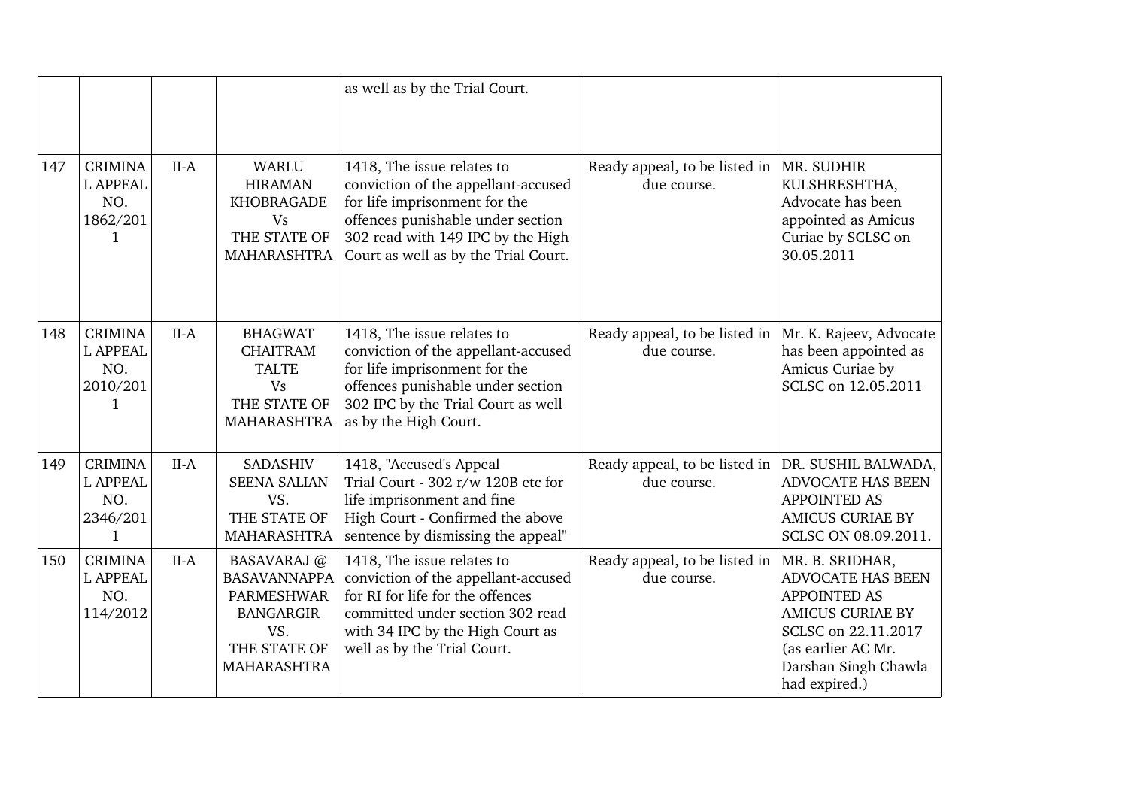|     |                                                           |        |                                                                                                                   | as well as by the Trial Court.                                                                                                                                                                                       |                                              |                                                                                                                                                                              |
|-----|-----------------------------------------------------------|--------|-------------------------------------------------------------------------------------------------------------------|----------------------------------------------------------------------------------------------------------------------------------------------------------------------------------------------------------------------|----------------------------------------------|------------------------------------------------------------------------------------------------------------------------------------------------------------------------------|
| 147 | <b>CRIMINA</b><br><b>L APPEAL</b><br>NO.<br>1862/201<br>1 | $II-A$ | WARLU<br><b>HIRAMAN</b><br><b>KHOBRAGADE</b><br><b>Vs</b><br>THE STATE OF<br>MAHARASHTRA                          | 1418, The issue relates to<br>conviction of the appellant-accused<br>for life imprisonment for the<br>offences punishable under section<br>302 read with 149 IPC by the High<br>Court as well as by the Trial Court. | Ready appeal, to be listed in<br>due course. | MR. SUDHIR<br>KULSHRESHTHA,<br>Advocate has been<br>appointed as Amicus<br>Curiae by SCLSC on<br>30.05.2011                                                                  |
| 148 | <b>CRIMINA</b><br><b>L APPEAL</b><br>NO.<br>2010/201<br>1 | $II-A$ | <b>BHAGWAT</b><br><b>CHAITRAM</b><br><b>TALTE</b><br><b>Vs</b><br>THE STATE OF<br>MAHARASHTRA                     | 1418, The issue relates to<br>conviction of the appellant-accused<br>for life imprisonment for the<br>offences punishable under section<br>302 IPC by the Trial Court as well<br>as by the High Court.               | Ready appeal, to be listed in<br>due course. | Mr. K. Rajeev, Advocate<br>has been appointed as<br>Amicus Curiae by<br>SCLSC on 12.05.2011                                                                                  |
| 149 | <b>CRIMINA</b><br><b>L APPEAL</b><br>NO.<br>2346/201<br>1 | $II-A$ | <b>SADASHIV</b><br><b>SEENA SALIAN</b><br>VS.<br>THE STATE OF<br><b>MAHARASHTRA</b>                               | 1418, "Accused's Appeal<br>Trial Court - 302 r/w 120B etc for<br>life imprisonment and fine<br>High Court - Confirmed the above<br>sentence by dismissing the appeal"                                                | Ready appeal, to be listed in<br>due course. | DR. SUSHIL BALWADA,<br>ADVOCATE HAS BEEN<br><b>APPOINTED AS</b><br><b>AMICUS CURIAE BY</b><br>SCLSC ON 08.09.2011.                                                           |
| 150 | <b>CRIMINA</b><br><b>L APPEAL</b><br>NO.<br>114/2012      | $II-A$ | <b>BASAVARAJ</b> @<br><b>BASAVANNAPPA</b><br>PARMESHWAR<br><b>BANGARGIR</b><br>VS.<br>THE STATE OF<br>MAHARASHTRA | 1418, The issue relates to<br>conviction of the appellant-accused<br>for RI for life for the offences<br>committed under section 302 read<br>with 34 IPC by the High Court as<br>well as by the Trial Court.         | Ready appeal, to be listed in<br>due course. | MR. B. SRIDHAR,<br><b>ADVOCATE HAS BEEN</b><br>APPOINTED AS<br><b>AMICUS CURIAE BY</b><br>SCLSC on 22.11.2017<br>(as earlier AC Mr.<br>Darshan Singh Chawla<br>had expired.) |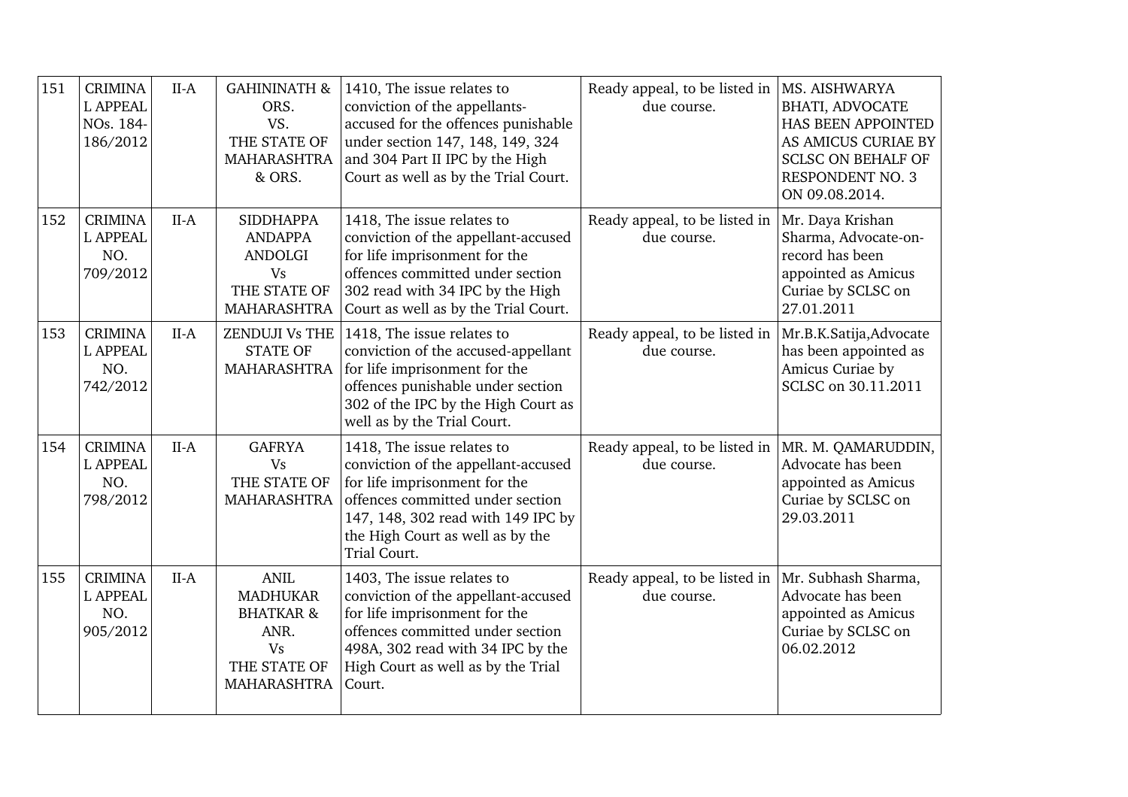| 151 | <b>CRIMINA</b><br><b>L APPEAL</b><br>NOs. 184-<br>186/2012 | $II-A$ | <b>GAHININATH &amp;</b><br>ORS.<br>VS.<br>THE STATE OF<br>MAHARASHTRA<br>& ORS.                                   | 1410, The issue relates to<br>conviction of the appellants-<br>accused for the offences punishable<br>under section 147, 148, 149, 324<br>and 304 Part II IPC by the High<br>Court as well as by the Trial Court.                | Ready appeal, to be listed in  MS. AISHWARYA<br>due course. | <b>BHATI, ADVOCATE</b><br>HAS BEEN APPOINTED<br>AS AMICUS CURIAE BY<br><b>SCLSC ON BEHALF OF</b><br><b>RESPONDENT NO. 3</b><br>ON 09.08.2014. |
|-----|------------------------------------------------------------|--------|-------------------------------------------------------------------------------------------------------------------|----------------------------------------------------------------------------------------------------------------------------------------------------------------------------------------------------------------------------------|-------------------------------------------------------------|-----------------------------------------------------------------------------------------------------------------------------------------------|
| 152 | <b>CRIMINA</b><br><b>L APPEAL</b><br>NO.<br>709/2012       | $II-A$ | <b>SIDDHAPPA</b><br><b>ANDAPPA</b><br>ANDOLGI<br><b>Vs</b><br>THE STATE OF<br>MAHARASHTRA                         | 1418, The issue relates to<br>conviction of the appellant-accused<br>for life imprisonment for the<br>offences committed under section<br>302 read with 34 IPC by the High<br>Court as well as by the Trial Court.               | Ready appeal, to be listed in<br>due course.                | Mr. Daya Krishan<br>Sharma, Advocate-on-<br>record has been<br>appointed as Amicus<br>Curiae by SCLSC on<br>27.01.2011                        |
| 153 | <b>CRIMINA</b><br><b>L APPEAL</b><br>NO.<br>742/2012       | $II-A$ | ZENDUJI Vs THE<br><b>STATE OF</b><br><b>MAHARASHTRA</b>                                                           | 1418, The issue relates to<br>conviction of the accused-appellant<br>for life imprisonment for the<br>offences punishable under section<br>302 of the IPC by the High Court as<br>well as by the Trial Court.                    | Ready appeal, to be listed in<br>due course.                | Mr.B.K.Satija,Advocate<br>has been appointed as<br>Amicus Curiae by<br>SCLSC on 30.11.2011                                                    |
| 154 | <b>CRIMINA</b><br><b>L APPEAL</b><br>NO.<br>798/2012       | $II-A$ | <b>GAFRYA</b><br><b>Vs</b><br>THE STATE OF<br>MAHARASHTRA                                                         | 1418, The issue relates to<br>conviction of the appellant-accused<br>for life imprisonment for the<br>offences committed under section<br>147, 148, 302 read with 149 IPC by<br>the High Court as well as by the<br>Trial Court. | Ready appeal, to be listed in<br>due course.                | MR. M. QAMARUDDIN,<br>Advocate has been<br>appointed as Amicus<br>Curiae by SCLSC on<br>29.03.2011                                            |
| 155 | <b>CRIMINA</b><br><b>L APPEAL</b><br>NO.<br>905/2012       | $II-A$ | <b>ANIL</b><br><b>MADHUKAR</b><br><b>BHATKAR &amp;</b><br>ANR.<br><b>Vs</b><br>THE STATE OF<br><b>MAHARASHTRA</b> | 1403, The issue relates to<br>conviction of the appellant-accused<br>for life imprisonment for the<br>offences committed under section<br>498A, 302 read with 34 IPC by the<br>High Court as well as by the Trial<br>Court.      | Ready appeal, to be listed in<br>due course.                | Mr. Subhash Sharma,<br>Advocate has been<br>appointed as Amicus<br>Curiae by SCLSC on<br>06.02.2012                                           |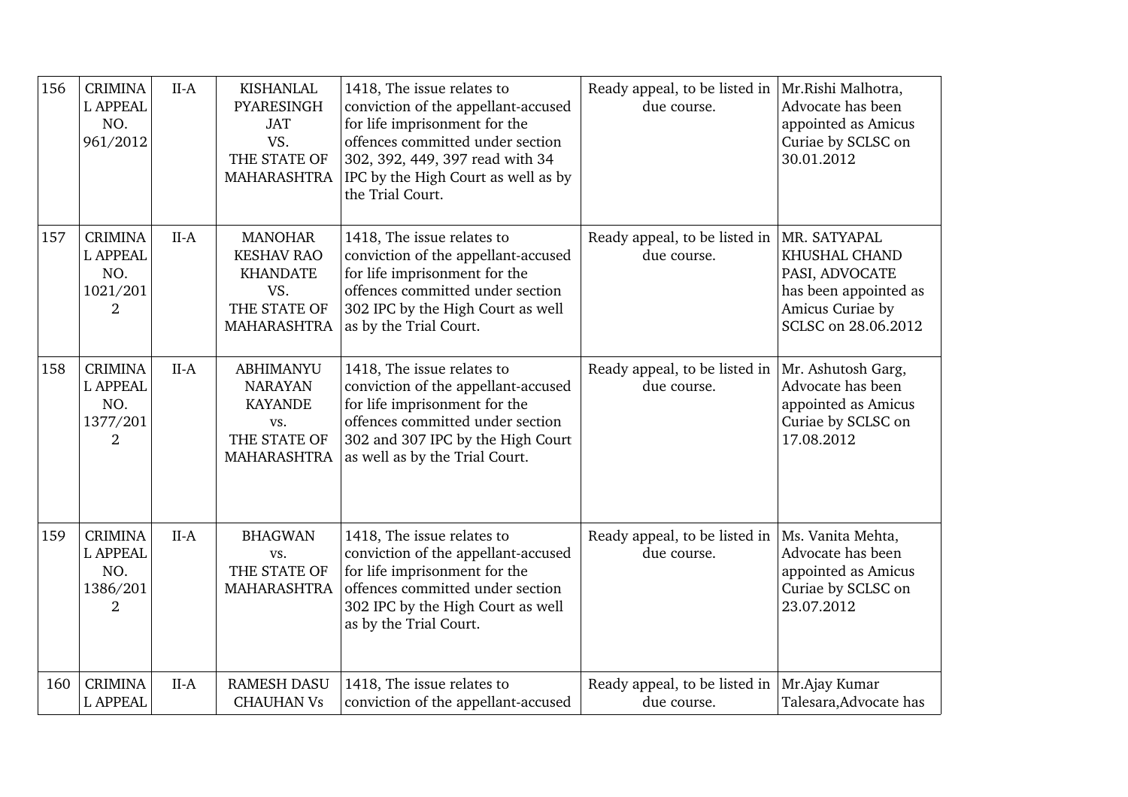| 156 | <b>CRIMINA</b><br><b>L APPEAL</b><br>NO.<br>961/2012                   | $II-A$ | <b>KISHANLAL</b><br>PYARESINGH<br><b>JAT</b><br>VS.<br>THE STATE OF<br>MAHARASHTRA           | 1418, The issue relates to<br>conviction of the appellant-accused<br>for life imprisonment for the<br>offences committed under section<br>302, 392, 449, 397 read with 34<br>IPC by the High Court as well as by<br>the Trial Court. | Ready appeal, to be listed in<br>due course. | Mr.Rishi Malhotra,<br>Advocate has been<br>appointed as Amicus<br>Curiae by SCLSC on<br>30.01.2012                  |
|-----|------------------------------------------------------------------------|--------|----------------------------------------------------------------------------------------------|--------------------------------------------------------------------------------------------------------------------------------------------------------------------------------------------------------------------------------------|----------------------------------------------|---------------------------------------------------------------------------------------------------------------------|
| 157 | <b>CRIMINA</b><br><b>L APPEAL</b><br>NO.<br>1021/201<br>$\overline{2}$ | $II-A$ | <b>MANOHAR</b><br><b>KESHAV RAO</b><br><b>KHANDATE</b><br>VS.<br>THE STATE OF<br>MAHARASHTRA | 1418, The issue relates to<br>conviction of the appellant-accused<br>for life imprisonment for the<br>offences committed under section<br>302 IPC by the High Court as well<br>as by the Trial Court.                                | Ready appeal, to be listed in<br>due course. | MR. SATYAPAL<br>KHUSHAL CHAND<br>PASI, ADVOCATE<br>has been appointed as<br>Amicus Curiae by<br>SCLSC on 28.06.2012 |
| 158 | <b>CRIMINA</b><br><b>L APPEAL</b><br>NO.<br>1377/201<br>2              | $II-A$ | <b>ABHIMANYU</b><br><b>NARAYAN</b><br><b>KAYANDE</b><br>VS.<br>THE STATE OF<br>MAHARASHTRA   | 1418, The issue relates to<br>conviction of the appellant-accused<br>for life imprisonment for the<br>offences committed under section<br>302 and 307 IPC by the High Court<br>as well as by the Trial Court.                        | Ready appeal, to be listed in<br>due course. | Mr. Ashutosh Garg,<br>Advocate has been<br>appointed as Amicus<br>Curiae by SCLSC on<br>17.08.2012                  |
| 159 | <b>CRIMINA</b><br><b>L APPEAL</b><br>NO.<br>1386/201<br>2              | $II-A$ | <b>BHAGWAN</b><br>VS.<br>THE STATE OF<br>MAHARASHTRA                                         | 1418, The issue relates to<br>conviction of the appellant-accused<br>for life imprisonment for the<br>offences committed under section<br>302 IPC by the High Court as well<br>as by the Trial Court.                                | Ready appeal, to be listed in<br>due course. | Ms. Vanita Mehta,<br>Advocate has been<br>appointed as Amicus<br>Curiae by SCLSC on<br>23.07.2012                   |
| 160 | <b>CRIMINA</b><br><b>L APPEAL</b>                                      | $II-A$ | <b>RAMESH DASU</b><br><b>CHAUHAN Vs</b>                                                      | 1418, The issue relates to<br>conviction of the appellant-accused                                                                                                                                                                    | Ready appeal, to be listed in<br>due course. | Mr.Ajay Kumar<br>Talesara, Advocate has                                                                             |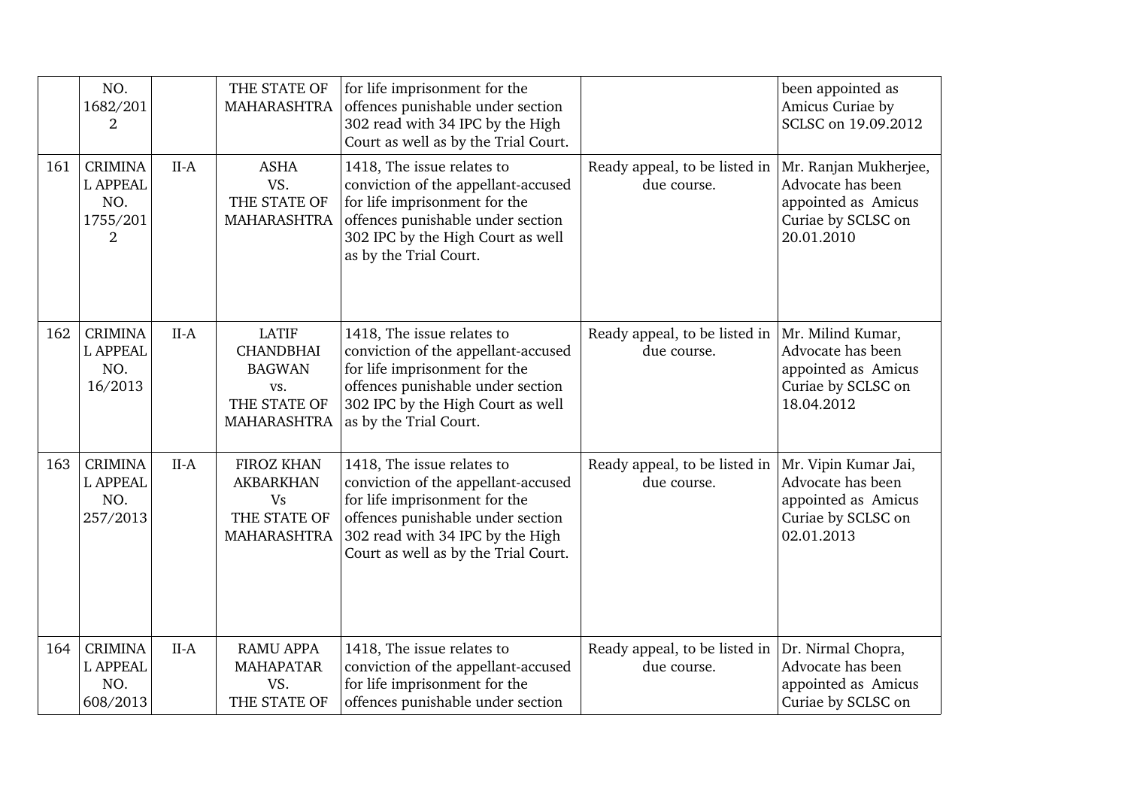|     | NO.<br>1682/201<br>2                                                   |        | THE STATE OF<br>MAHARASHTRA                                                                    | for life imprisonment for the<br>offences punishable under section<br>302 read with 34 IPC by the High<br>Court as well as by the Trial Court.                                                                      |                                              | been appointed as<br>Amicus Curiae by<br>SCLSC on 19.09.2012                                          |
|-----|------------------------------------------------------------------------|--------|------------------------------------------------------------------------------------------------|---------------------------------------------------------------------------------------------------------------------------------------------------------------------------------------------------------------------|----------------------------------------------|-------------------------------------------------------------------------------------------------------|
| 161 | <b>CRIMINA</b><br><b>L APPEAL</b><br>NO.<br>1755/201<br>$\overline{2}$ | $II-A$ | <b>ASHA</b><br>VS.<br>THE STATE OF<br>MAHARASHTRA                                              | 1418, The issue relates to<br>conviction of the appellant-accused<br>for life imprisonment for the<br>offences punishable under section<br>302 IPC by the High Court as well<br>as by the Trial Court.              | Ready appeal, to be listed in<br>due course. | Mr. Ranjan Mukherjee,<br>Advocate has been<br>appointed as Amicus<br>Curiae by SCLSC on<br>20.01.2010 |
| 162 | <b>CRIMINA</b><br><b>L APPEAL</b><br>NO.<br>16/2013                    | $II-A$ | <b>LATIF</b><br><b>CHANDBHAI</b><br><b>BAGWAN</b><br>VS.<br>THE STATE OF<br><b>MAHARASHTRA</b> | 1418, The issue relates to<br>conviction of the appellant-accused<br>for life imprisonment for the<br>offences punishable under section<br>302 IPC by the High Court as well<br>as by the Trial Court.              | Ready appeal, to be listed in<br>due course. | Mr. Milind Kumar,<br>Advocate has been<br>appointed as Amicus<br>Curiae by SCLSC on<br>18.04.2012     |
| 163 | <b>CRIMINA</b><br><b>L APPEAL</b><br>NO.<br>257/2013                   | $II-A$ | <b>FIROZ KHAN</b><br><b>AKBARKHAN</b><br><b>Vs</b><br>THE STATE OF<br>MAHARASHTRA              | 1418, The issue relates to<br>conviction of the appellant-accused<br>for life imprisonment for the<br>offences punishable under section<br>302 read with 34 IPC by the High<br>Court as well as by the Trial Court. | Ready appeal, to be listed in<br>due course. | Mr. Vipin Kumar Jai,<br>Advocate has been<br>appointed as Amicus<br>Curiae by SCLSC on<br>02.01.2013  |
| 164 | <b>CRIMINA</b><br><b>L APPEAL</b><br>NO.<br>608/2013                   | $II-A$ | <b>RAMU APPA</b><br><b>MAHAPATAR</b><br>VS.<br>THE STATE OF                                    | 1418, The issue relates to<br>conviction of the appellant-accused<br>for life imprisonment for the<br>offences punishable under section                                                                             | Ready appeal, to be listed in<br>due course. | Dr. Nirmal Chopra,<br>Advocate has been<br>appointed as Amicus<br>Curiae by SCLSC on                  |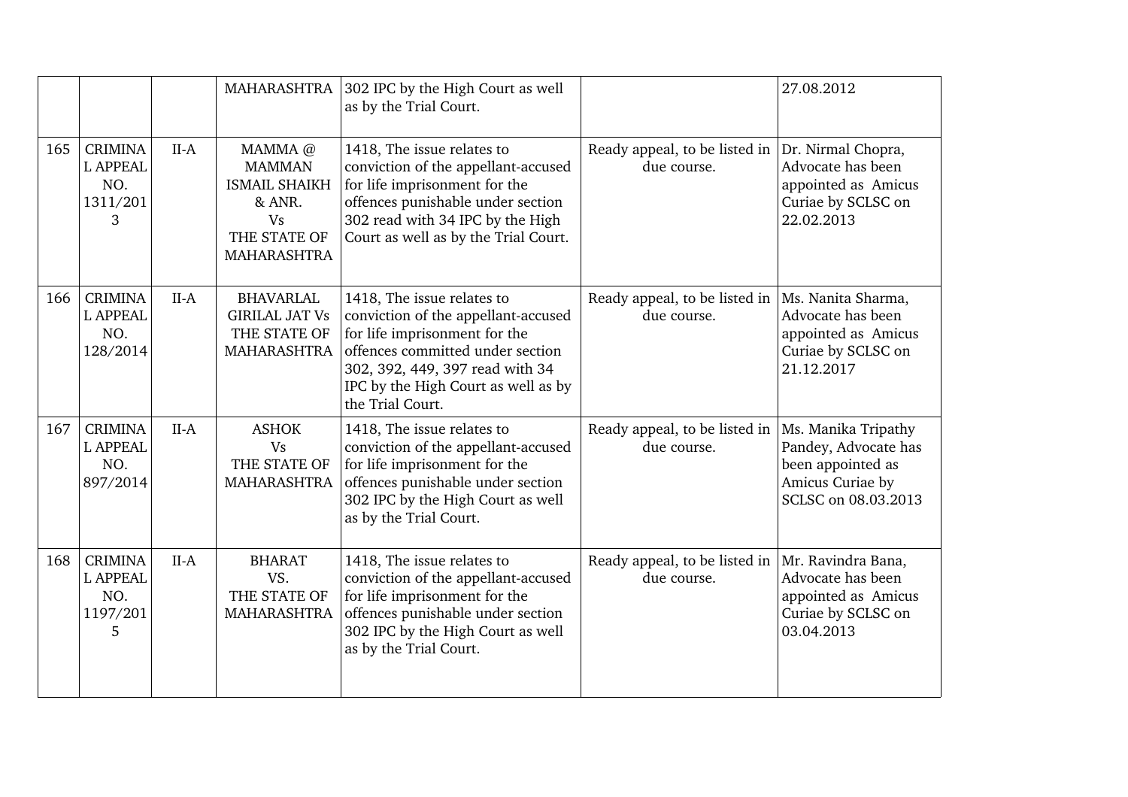|     |                                                           |        | <b>MAHARASHTRA</b>                                                                                            | 302 IPC by the High Court as well<br>as by the Trial Court.                                                                                                                                                                          |                                              | 27.08.2012                                                                                                  |
|-----|-----------------------------------------------------------|--------|---------------------------------------------------------------------------------------------------------------|--------------------------------------------------------------------------------------------------------------------------------------------------------------------------------------------------------------------------------------|----------------------------------------------|-------------------------------------------------------------------------------------------------------------|
| 165 | <b>CRIMINA</b><br><b>L APPEAL</b><br>NO.<br>1311/201<br>3 | $II-A$ | MAMMA @<br><b>MAMMAN</b><br><b>ISMAIL SHAIKH</b><br>& ANR.<br><b>Vs</b><br>THE STATE OF<br><b>MAHARASHTRA</b> | 1418, The issue relates to<br>conviction of the appellant-accused<br>for life imprisonment for the<br>offences punishable under section<br>302 read with 34 IPC by the High<br>Court as well as by the Trial Court.                  | Ready appeal, to be listed in<br>due course. | Dr. Nirmal Chopra,<br>Advocate has been<br>appointed as Amicus<br>Curiae by SCLSC on<br>22.02.2013          |
| 166 | <b>CRIMINA</b><br><b>L APPEAL</b><br>NO.<br>128/2014      | $II-A$ | <b>BHAVARLAL</b><br><b>GIRILAL JAT Vs</b><br>THE STATE OF<br><b>MAHARASHTRA</b>                               | 1418, The issue relates to<br>conviction of the appellant-accused<br>for life imprisonment for the<br>offences committed under section<br>302, 392, 449, 397 read with 34<br>IPC by the High Court as well as by<br>the Trial Court. | Ready appeal, to be listed in<br>due course. | Ms. Nanita Sharma,<br>Advocate has been<br>appointed as Amicus<br>Curiae by SCLSC on<br>21.12.2017          |
| 167 | <b>CRIMINA</b><br><b>L APPEAL</b><br>NO.<br>897/2014      | $II-A$ | <b>ASHOK</b><br><b>Vs</b><br>THE STATE OF<br><b>MAHARASHTRA</b>                                               | 1418, The issue relates to<br>conviction of the appellant-accused<br>for life imprisonment for the<br>offences punishable under section<br>302 IPC by the High Court as well<br>as by the Trial Court.                               | Ready appeal, to be listed in<br>due course. | Ms. Manika Tripathy<br>Pandey, Advocate has<br>been appointed as<br>Amicus Curiae by<br>SCLSC on 08.03.2013 |
| 168 | <b>CRIMINA</b><br><b>L APPEAL</b><br>NO.<br>1197/201<br>5 | $II-A$ | <b>BHARAT</b><br>VS.<br>THE STATE OF<br><b>MAHARASHTRA</b>                                                    | 1418, The issue relates to<br>conviction of the appellant-accused<br>for life imprisonment for the<br>offences punishable under section<br>302 IPC by the High Court as well<br>as by the Trial Court.                               | Ready appeal, to be listed in<br>due course. | Mr. Ravindra Bana,<br>Advocate has been<br>appointed as Amicus<br>Curiae by SCLSC on<br>03.04.2013          |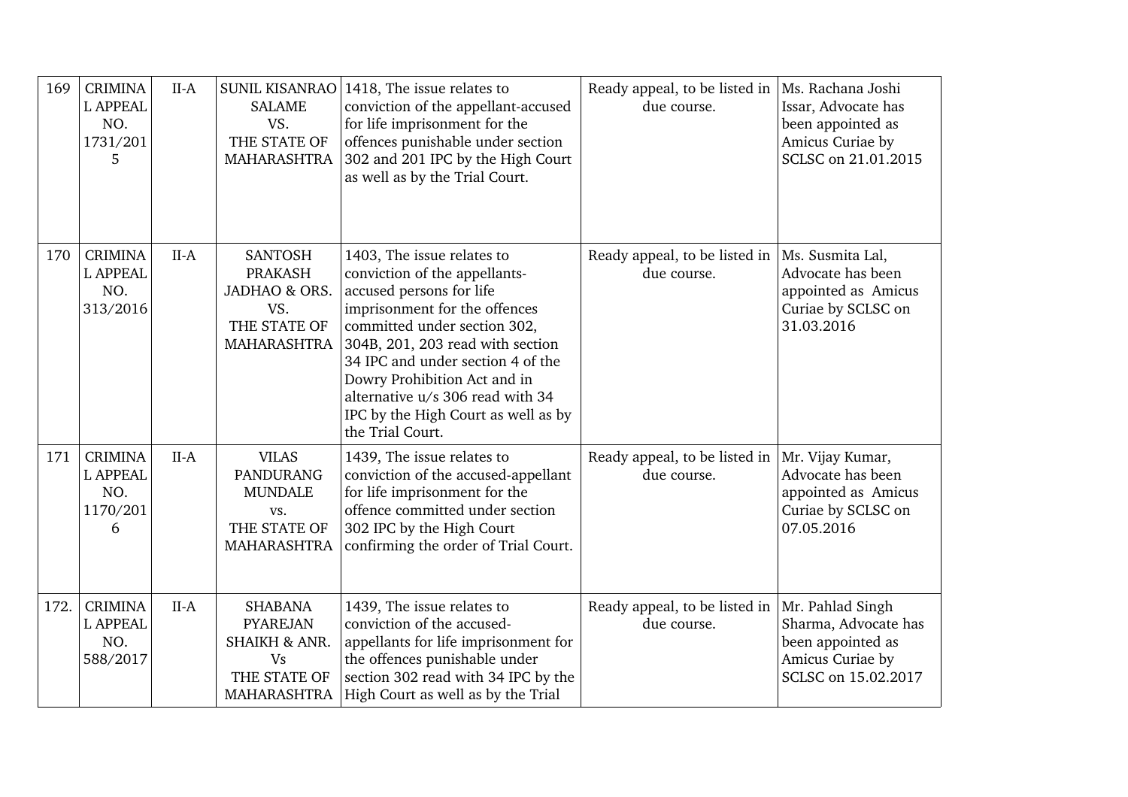| 169  | <b>CRIMINA</b><br><b>L APPEAL</b><br>NO.<br>1731/201<br>5 | $II-A$ | SUNIL KISANRAO<br><b>SALAME</b><br>VS.<br>THE STATE OF<br>MAHARASHTRA                          | 1418, The issue relates to<br>conviction of the appellant-accused<br>for life imprisonment for the<br>offences punishable under section<br>302 and 201 IPC by the High Court<br>as well as by the Trial Court.                                                                                                                                                   | Ready appeal, to be listed in<br>due course.     | Ms. Rachana Joshi<br>Issar, Advocate has<br>been appointed as<br>Amicus Curiae by<br>SCLSC on 21.01.2015 |
|------|-----------------------------------------------------------|--------|------------------------------------------------------------------------------------------------|------------------------------------------------------------------------------------------------------------------------------------------------------------------------------------------------------------------------------------------------------------------------------------------------------------------------------------------------------------------|--------------------------------------------------|----------------------------------------------------------------------------------------------------------|
| 170  | <b>CRIMINA</b><br><b>L APPEAL</b><br>NO.<br>313/2016      | $II-A$ | <b>SANTOSH</b><br><b>PRAKASH</b><br>JADHAO & ORS.<br>VS.<br>THE STATE OF<br>MAHARASHTRA        | 1403, The issue relates to<br>conviction of the appellants-<br>accused persons for life<br>imprisonment for the offences<br>committed under section 302,<br>304B, 201, 203 read with section<br>34 IPC and under section 4 of the<br>Dowry Prohibition Act and in<br>alternative u/s 306 read with 34<br>IPC by the High Court as well as by<br>the Trial Court. | Ready appeal, to be listed in $ $<br>due course. | Ms. Susmita Lal,<br>Advocate has been<br>appointed as Amicus<br>Curiae by SCLSC on<br>31.03.2016         |
| 171  | <b>CRIMINA</b><br><b>L APPEAL</b><br>NO.<br>1170/201<br>6 | $II-A$ | <b>VILAS</b><br><b>PANDURANG</b><br><b>MUNDALE</b><br>VS.<br>THE STATE OF<br>MAHARASHTRA       | 1439, The issue relates to<br>conviction of the accused-appellant<br>for life imprisonment for the<br>offence committed under section<br>302 IPC by the High Court<br>confirming the order of Trial Court.                                                                                                                                                       | Ready appeal, to be listed in<br>due course.     | Mr. Vijay Kumar,<br>Advocate has been<br>appointed as Amicus<br>Curiae by SCLSC on<br>07.05.2016         |
| 172. | <b>CRIMINA</b><br><b>L APPEAL</b><br>NO.<br>588/2017      | $II-A$ | <b>SHABANA</b><br><b>PYAREJAN</b><br>SHAIKH & ANR.<br><b>Vs</b><br>THE STATE OF<br>MAHARASHTRA | 1439, The issue relates to<br>conviction of the accused-<br>appellants for life imprisonment for<br>the offences punishable under<br>section 302 read with 34 IPC by the<br>High Court as well as by the Trial                                                                                                                                                   | Ready appeal, to be listed in<br>due course.     | Mr. Pahlad Singh<br>Sharma, Advocate has<br>been appointed as<br>Amicus Curiae by<br>SCLSC on 15.02.2017 |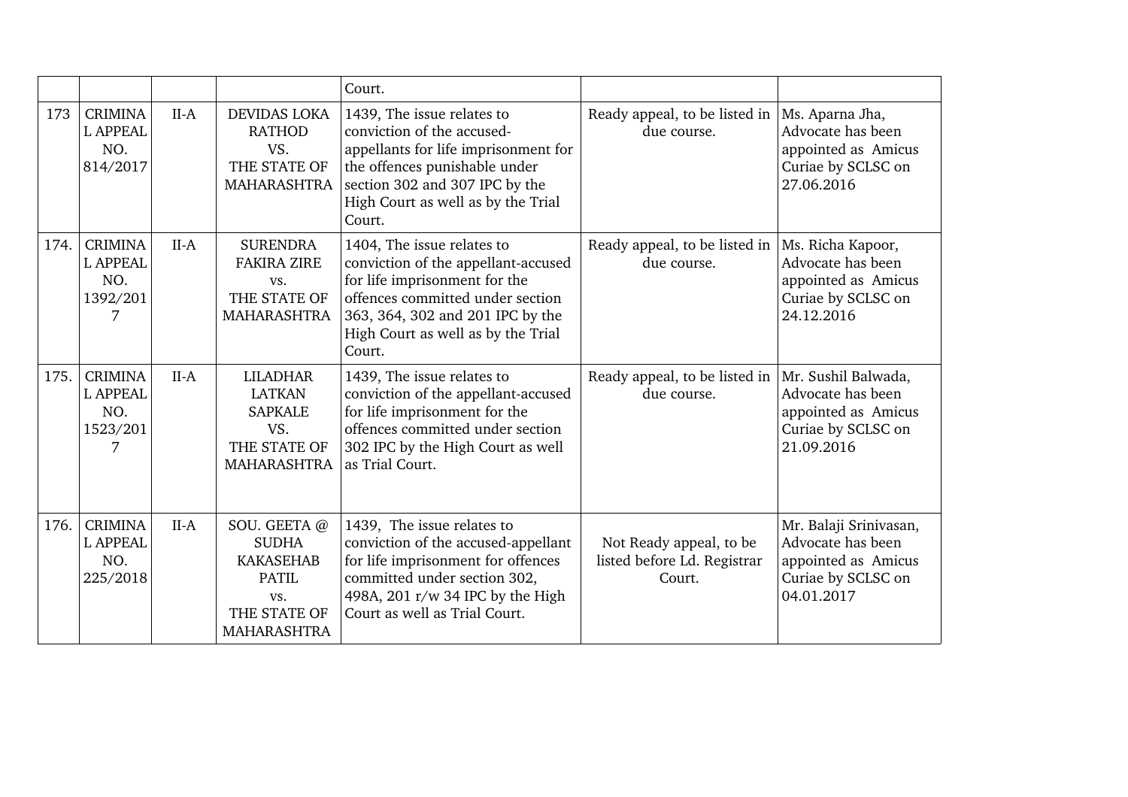|      |                                                           |        |                                                                                                              | Court.                                                                                                                                                                                                                     |                                                                  |                                                                                                        |
|------|-----------------------------------------------------------|--------|--------------------------------------------------------------------------------------------------------------|----------------------------------------------------------------------------------------------------------------------------------------------------------------------------------------------------------------------------|------------------------------------------------------------------|--------------------------------------------------------------------------------------------------------|
| 173  | <b>CRIMINA</b><br><b>L APPEAL</b><br>NO.<br>814/2017      | $II-A$ | <b>DEVIDAS LOKA</b><br><b>RATHOD</b><br>VS.<br>THE STATE OF<br><b>MAHARASHTRA</b>                            | 1439, The issue relates to<br>conviction of the accused-<br>appellants for life imprisonment for<br>the offences punishable under<br>section 302 and 307 IPC by the<br>High Court as well as by the Trial<br>Court.        | Ready appeal, to be listed in<br>due course.                     | Ms. Aparna Jha,<br>Advocate has been<br>appointed as Amicus<br>Curiae by SCLSC on<br>27.06.2016        |
| 174. | <b>CRIMINA</b><br><b>L APPEAL</b><br>NO.<br>1392/201<br>7 | $II-A$ | <b>SURENDRA</b><br><b>FAKIRA ZIRE</b><br>VS.<br>THE STATE OF<br>MAHARASHTRA                                  | 1404, The issue relates to<br>conviction of the appellant-accused<br>for life imprisonment for the<br>offences committed under section<br>363, 364, 302 and 201 IPC by the<br>High Court as well as by the Trial<br>Court. | Ready appeal, to be listed in<br>due course.                     | Ms. Richa Kapoor,<br>Advocate has been<br>appointed as Amicus<br>Curiae by SCLSC on<br>24.12.2016      |
| 175. | <b>CRIMINA</b><br><b>L APPEAL</b><br>NO.<br>1523/201<br>7 | $II-A$ | <b>LILADHAR</b><br><b>LATKAN</b><br><b>SAPKALE</b><br>VS.<br>THE STATE OF<br><b>MAHARASHTRA</b>              | 1439, The issue relates to<br>conviction of the appellant-accused<br>for life imprisonment for the<br>offences committed under section<br>302 IPC by the High Court as well<br>as Trial Court.                             | Ready appeal, to be listed in<br>due course.                     | Mr. Sushil Balwada,<br>Advocate has been<br>appointed as Amicus<br>Curiae by SCLSC on<br>21.09.2016    |
| 176. | <b>CRIMINA</b><br><b>L APPEAL</b><br>NO.<br>225/2018      | $II-A$ | SOU. GEETA@<br><b>SUDHA</b><br><b>KAKASEHAB</b><br><b>PATIL</b><br>VS.<br>THE STATE OF<br><b>MAHARASHTRA</b> | 1439, The issue relates to<br>conviction of the accused-appellant<br>for life imprisonment for offences<br>committed under section 302,<br>498A, 201 r/w 34 IPC by the High<br>Court as well as Trial Court.               | Not Ready appeal, to be<br>listed before Ld. Registrar<br>Court. | Mr. Balaji Srinivasan,<br>Advocate has been<br>appointed as Amicus<br>Curiae by SCLSC on<br>04.01.2017 |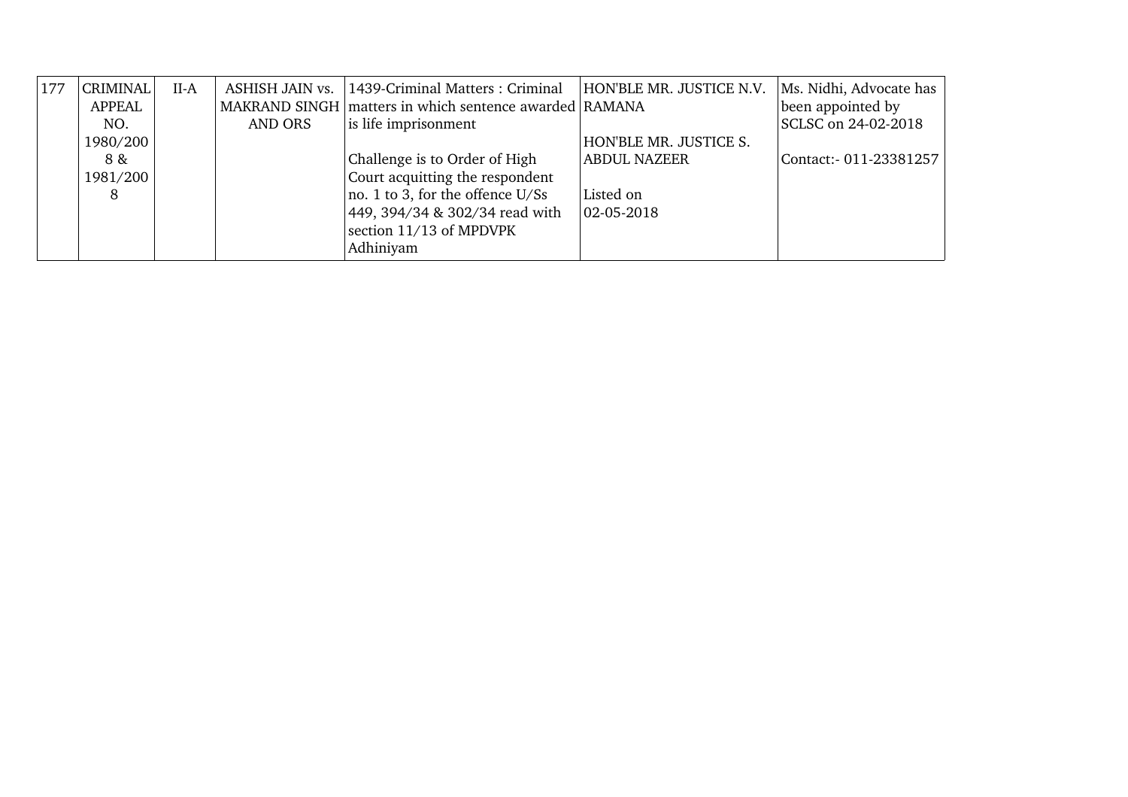| 177 | CRIMINAL<br><b>APPEAL</b> | $II-A$ | ASHISH JAIN vs. | 1439-Criminal Matters: Criminal<br>MAKRAND SINGH matters in which sentence awarded RAMANA | HON'BLE MR. JUSTICE N.V. | Ms. Nidhi, Advocate has<br>been appointed by |
|-----|---------------------------|--------|-----------------|-------------------------------------------------------------------------------------------|--------------------------|----------------------------------------------|
|     | NO.                       |        | AND ORS         | is life imprisonment                                                                      |                          | SCLSC on 24-02-2018                          |
|     | 1980/200                  |        |                 |                                                                                           | HON'BLE MR. JUSTICE S.   |                                              |
|     | 8 &                       |        |                 | Challenge is to Order of High                                                             | <b>ABDUL NAZEER</b>      | Contact: 011-23381257                        |
|     | 1981/200                  |        |                 | Court acquitting the respondent                                                           |                          |                                              |
|     | 8                         |        |                 | no. 1 to 3, for the offence U/Ss                                                          | Listed on                |                                              |
|     |                           |        |                 | 449, 394/34 & 302/34 read with                                                            | $ 02 - 05 - 2018 $       |                                              |
|     |                           |        |                 | section 11/13 of MPDVPK                                                                   |                          |                                              |
|     |                           |        |                 | Adhiniyam                                                                                 |                          |                                              |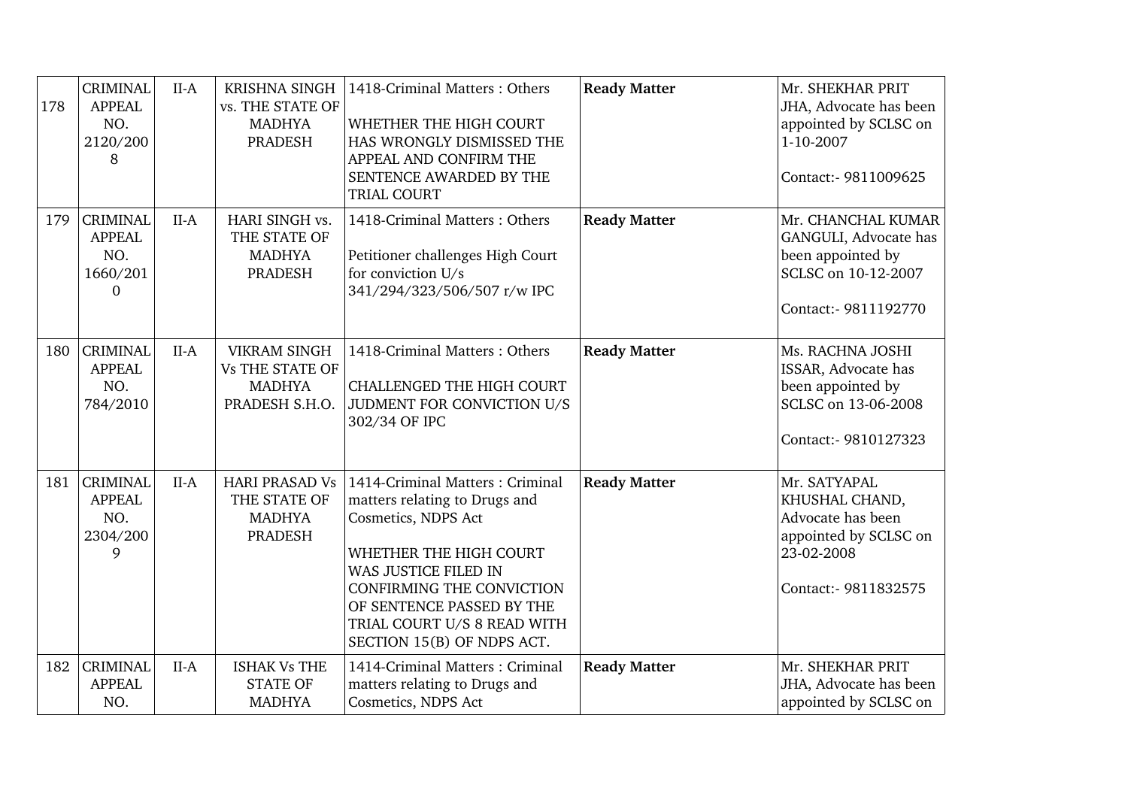| 178 | <b>CRIMINAL</b><br><b>APPEAL</b><br>NO.<br>2120/200<br>8        | $II-A$ | KRISHNA SINGH<br>vs. THE STATE OF<br><b>MADHYA</b><br>PRADESH                    | 1418-Criminal Matters: Others<br>WHETHER THE HIGH COURT<br>HAS WRONGLY DISMISSED THE<br>APPEAL AND CONFIRM THE<br>SENTENCE AWARDED BY THE<br>TRIAL COURT                                                                                                                | <b>Ready Matter</b> | Mr. SHEKHAR PRIT<br>JHA, Advocate has been<br>appointed by SCLSC on<br>1-10-2007<br>Contact:- 9811009625           |
|-----|-----------------------------------------------------------------|--------|----------------------------------------------------------------------------------|-------------------------------------------------------------------------------------------------------------------------------------------------------------------------------------------------------------------------------------------------------------------------|---------------------|--------------------------------------------------------------------------------------------------------------------|
| 179 | <b>CRIMINAL</b><br><b>APPEAL</b><br>NO.<br>1660/201<br>$\Omega$ | $II-A$ | HARI SINGH vs.<br>THE STATE OF<br><b>MADHYA</b><br><b>PRADESH</b>                | 1418-Criminal Matters: Others<br>Petitioner challenges High Court<br>for conviction U/s<br>341/294/323/506/507 r/w IPC                                                                                                                                                  | <b>Ready Matter</b> | Mr. CHANCHAL KUMAR<br>GANGULI, Advocate has<br>been appointed by<br>SCLSC on 10-12-2007<br>Contact:- 9811192770    |
| 180 | <b>CRIMINAL</b><br><b>APPEAL</b><br>NO.<br>784/2010             | $II-A$ | <b>VIKRAM SINGH</b><br><b>Vs THE STATE OF</b><br><b>MADHYA</b><br>PRADESH S.H.O. | 1418-Criminal Matters: Others<br><b>CHALLENGED THE HIGH COURT</b><br>JUDMENT FOR CONVICTION U/S<br>302/34 OF IPC                                                                                                                                                        | <b>Ready Matter</b> | Ms. RACHNA JOSHI<br>ISSAR, Advocate has<br>been appointed by<br>SCLSC on 13-06-2008<br>Contact:- 9810127323        |
| 181 | <b>CRIMINAL</b><br><b>APPEAL</b><br>NO.<br>2304/200<br>9        | $II-A$ | <b>HARI PRASAD Vs</b><br>THE STATE OF<br><b>MADHYA</b><br><b>PRADESH</b>         | 1414-Criminal Matters: Criminal<br>matters relating to Drugs and<br>Cosmetics, NDPS Act<br>WHETHER THE HIGH COURT<br>WAS JUSTICE FILED IN<br><b>CONFIRMING THE CONVICTION</b><br>OF SENTENCE PASSED BY THE<br>TRIAL COURT U/S 8 READ WITH<br>SECTION 15(B) OF NDPS ACT. | <b>Ready Matter</b> | Mr. SATYAPAL<br>KHUSHAL CHAND,<br>Advocate has been<br>appointed by SCLSC on<br>23-02-2008<br>Contact:- 9811832575 |
| 182 | <b>CRIMINAL</b><br><b>APPEAL</b><br>NO.                         | $II-A$ | <b>ISHAK Vs THE</b><br><b>STATE OF</b><br><b>MADHYA</b>                          | 1414-Criminal Matters: Criminal<br>matters relating to Drugs and<br>Cosmetics, NDPS Act                                                                                                                                                                                 | <b>Ready Matter</b> | Mr. SHEKHAR PRIT<br>JHA, Advocate has been<br>appointed by SCLSC on                                                |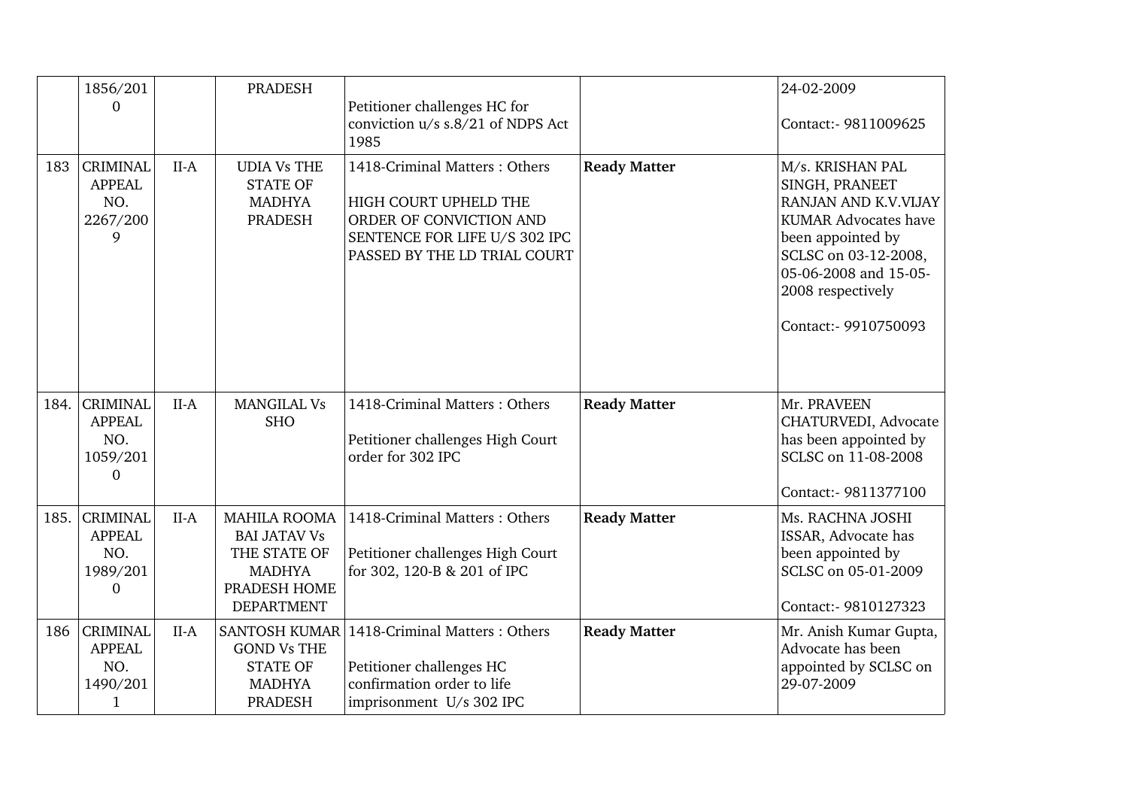|      | 1856/201<br>$\Omega$                                                  |        | <b>PRADESH</b>                                                                                                   | Petitioner challenges HC for<br>conviction u/s s.8/21 of NDPS Act<br>1985                                                                          |                     | 24-02-2009<br>Contact:- 9811009625                                                                                                                                                                           |
|------|-----------------------------------------------------------------------|--------|------------------------------------------------------------------------------------------------------------------|----------------------------------------------------------------------------------------------------------------------------------------------------|---------------------|--------------------------------------------------------------------------------------------------------------------------------------------------------------------------------------------------------------|
| 183  | <b>CRIMINAL</b><br><b>APPEAL</b><br>NO.<br>2267/200<br>9              | $II-A$ | <b>UDIA Vs THE</b><br><b>STATE OF</b><br><b>MADHYA</b><br><b>PRADESH</b>                                         | 1418-Criminal Matters: Others<br>HIGH COURT UPHELD THE<br>ORDER OF CONVICTION AND<br>SENTENCE FOR LIFE U/S 302 IPC<br>PASSED BY THE LD TRIAL COURT | <b>Ready Matter</b> | M/s. KRISHAN PAL<br>SINGH, PRANEET<br>RANJAN AND K.V.VIJAY<br><b>KUMAR Advocates have</b><br>been appointed by<br>SCLSC on 03-12-2008,<br>05-06-2008 and 15-05-<br>2008 respectively<br>Contact:- 9910750093 |
| 184. | <b>CRIMINAL</b><br><b>APPEAL</b><br>NO.<br>1059/201<br>$\Omega$       | $II-A$ | <b>MANGILAL Vs</b><br><b>SHO</b>                                                                                 | 1418-Criminal Matters: Others<br>Petitioner challenges High Court<br>order for 302 IPC                                                             | <b>Ready Matter</b> | Mr. PRAVEEN<br>CHATURVEDI, Advocate<br>has been appointed by<br>SCLSC on 11-08-2008<br>Contact:- 9811377100                                                                                                  |
| 185. | <b>CRIMINAL</b><br><b>APPEAL</b><br>NO.<br>1989/201<br>$\overline{0}$ | $II-A$ | <b>MAHILA ROOMA</b><br><b>BAI JATAV Vs</b><br>THE STATE OF<br><b>MADHYA</b><br>PRADESH HOME<br><b>DEPARTMENT</b> | 1418-Criminal Matters: Others<br>Petitioner challenges High Court<br>for 302, 120-B & 201 of IPC                                                   | <b>Ready Matter</b> | Ms. RACHNA JOSHI<br>ISSAR, Advocate has<br>been appointed by<br>SCLSC on 05-01-2009<br>Contact:- 9810127323                                                                                                  |
| 186  | <b>CRIMINAL</b><br><b>APPEAL</b><br>NO.<br>1490/201<br>$\mathbf{1}$   | $II-A$ | <b>SANTOSH KUMAR</b><br><b>GOND Vs THE</b><br><b>STATE OF</b><br><b>MADHYA</b><br><b>PRADESH</b>                 | 1418-Criminal Matters: Others<br>Petitioner challenges HC<br>confirmation order to life<br>imprisonment U/s 302 IPC                                | <b>Ready Matter</b> | Mr. Anish Kumar Gupta,<br>Advocate has been<br>appointed by SCLSC on<br>29-07-2009                                                                                                                           |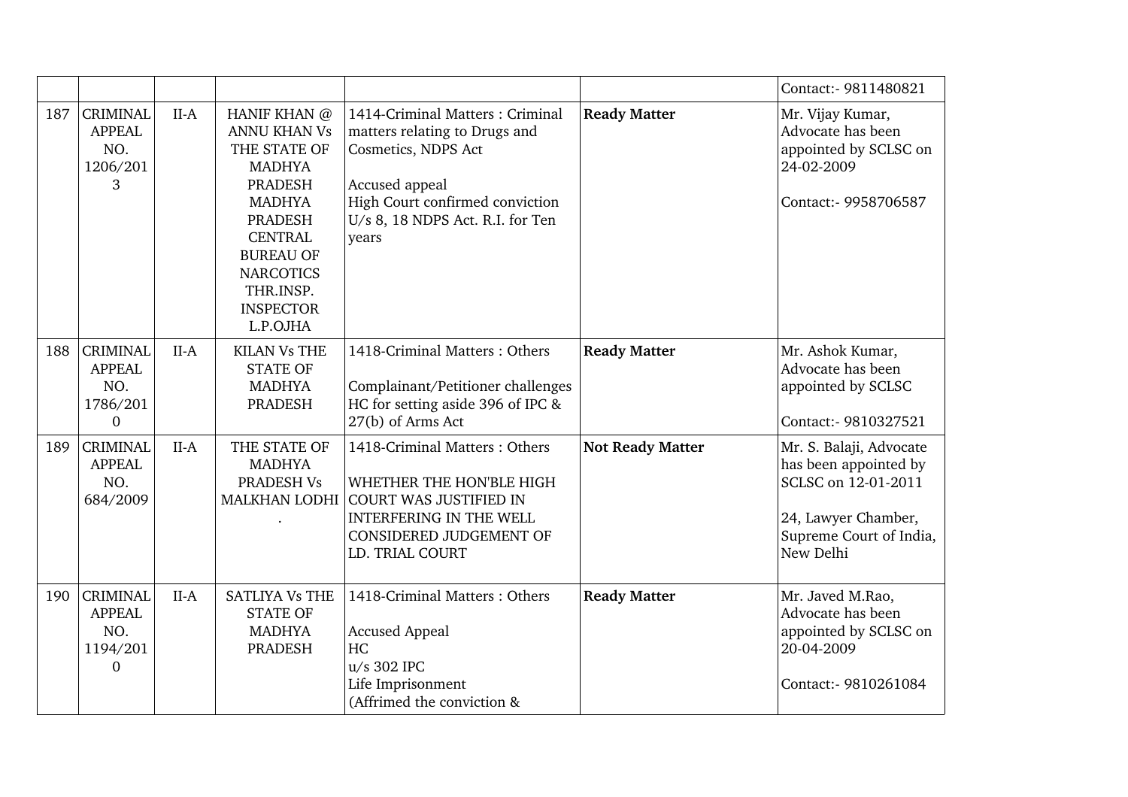|     |                                                                         |        |                                                                                                                                                                                                                                  |                                                                                                                                                                                           |                         | Contact:- 9811480821                                                                                                                   |
|-----|-------------------------------------------------------------------------|--------|----------------------------------------------------------------------------------------------------------------------------------------------------------------------------------------------------------------------------------|-------------------------------------------------------------------------------------------------------------------------------------------------------------------------------------------|-------------------------|----------------------------------------------------------------------------------------------------------------------------------------|
| 187 | <b>CRIMINAL</b><br><b>APPEAL</b><br>NO.<br>1206/201<br>3                | $II-A$ | HANIF KHAN @<br><b>ANNU KHAN Vs</b><br>THE STATE OF<br><b>MADHYA</b><br><b>PRADESH</b><br><b>MADHYA</b><br><b>PRADESH</b><br><b>CENTRAL</b><br><b>BUREAU OF</b><br><b>NARCOTICS</b><br>THR.INSP.<br><b>INSPECTOR</b><br>L.P.OJHA | 1414-Criminal Matters: Criminal<br>matters relating to Drugs and<br>Cosmetics, NDPS Act<br>Accused appeal<br>High Court confirmed conviction<br>U/s 8, 18 NDPS Act. R.I. for Ten<br>years | <b>Ready Matter</b>     | Mr. Vijay Kumar,<br>Advocate has been<br>appointed by SCLSC on<br>24-02-2009<br>Contact:- 9958706587                                   |
| 188 | <b>CRIMINAL</b><br><b>APPEAL</b><br>NO.<br>1786/201<br>$\mathbf{0}$     | $II-A$ | <b>KILAN Vs THE</b><br><b>STATE OF</b><br><b>MADHYA</b><br>PRADESH                                                                                                                                                               | 1418-Criminal Matters: Others<br>Complainant/Petitioner challenges<br>HC for setting aside 396 of IPC &<br>27(b) of Arms Act                                                              | <b>Ready Matter</b>     | Mr. Ashok Kumar,<br>Advocate has been<br>appointed by SCLSC<br>Contact:- 9810327521                                                    |
| 189 | <b>CRIMINAL</b><br><b>APPEAL</b><br>NO.<br>684/2009                     | $II-A$ | THE STATE OF<br><b>MADHYA</b><br>PRADESH Vs<br><b>MALKHAN LODHI</b>                                                                                                                                                              | 1418-Criminal Matters: Others<br>WHETHER THE HON'BLE HIGH<br><b>COURT WAS JUSTIFIED IN</b><br><b>INTERFERING IN THE WELL</b><br>CONSIDERED JUDGEMENT OF<br>LD. TRIAL COURT                | <b>Not Ready Matter</b> | Mr. S. Balaji, Advocate<br>has been appointed by<br>SCLSC on 12-01-2011<br>24, Lawyer Chamber,<br>Supreme Court of India,<br>New Delhi |
| 190 | <b>CRIMINAL</b><br><b>APPEAL</b><br>NO.<br>1194/201<br>$\boldsymbol{0}$ | $II-A$ | <b>SATLIYA Vs THE</b><br><b>STATE OF</b><br><b>MADHYA</b><br>PRADESH                                                                                                                                                             | 1418-Criminal Matters: Others<br><b>Accused Appeal</b><br>HC<br>u/s 302 IPC<br>Life Imprisonment<br>(Affrimed the conviction &                                                            | <b>Ready Matter</b>     | Mr. Javed M.Rao,<br>Advocate has been<br>appointed by SCLSC on<br>20-04-2009<br>Contact:- 9810261084                                   |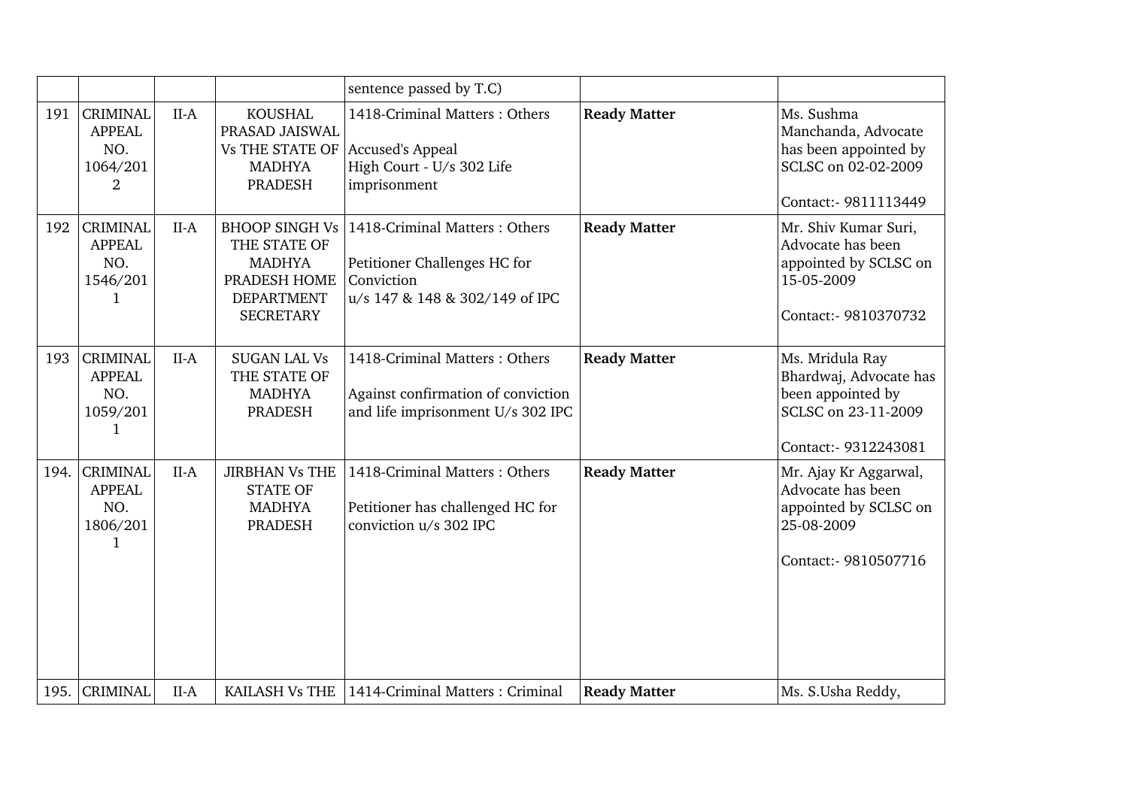|      |                                                          |        |                                                                                                                 | sentence passed by T.C)                                                                                       |                     |                                                                                                               |
|------|----------------------------------------------------------|--------|-----------------------------------------------------------------------------------------------------------------|---------------------------------------------------------------------------------------------------------------|---------------------|---------------------------------------------------------------------------------------------------------------|
| 191  | <b>CRIMINAL</b><br><b>APPEAL</b><br>NO.<br>1064/201<br>2 | $II-A$ | <b>KOUSHAL</b><br>PRASAD JAISWAL<br><b>Vs THE STATE OF</b><br><b>MADHYA</b><br><b>PRADESH</b>                   | 1418-Criminal Matters: Others<br>Accused's Appeal<br>High Court - U/s 302 Life<br>imprisonment                | <b>Ready Matter</b> | Ms. Sushma<br>Manchanda, Advocate<br>has been appointed by<br>SCLSC on 02-02-2009<br>Contact:- 9811113449     |
| 192  | <b>CRIMINAL</b><br><b>APPEAL</b><br>NO.<br>1546/201<br>1 | $II-A$ | <b>BHOOP SINGH Vs</b><br>THE STATE OF<br><b>MADHYA</b><br>PRADESH HOME<br><b>DEPARTMENT</b><br><b>SECRETARY</b> | 1418-Criminal Matters: Others<br>Petitioner Challenges HC for<br>Conviction<br>u/s 147 & 148 & 302/149 of IPC | <b>Ready Matter</b> | Mr. Shiv Kumar Suri,<br>Advocate has been<br>appointed by SCLSC on<br>15-05-2009<br>Contact:- 9810370732      |
| 193  | <b>CRIMINAL</b><br><b>APPEAL</b><br>NO.<br>1059/201<br>1 | $II-A$ | <b>SUGAN LAL Vs</b><br>THE STATE OF<br><b>MADHYA</b><br><b>PRADESH</b>                                          | 1418-Criminal Matters: Others<br>Against confirmation of conviction<br>and life imprisonment U/s 302 IPC      | <b>Ready Matter</b> | Ms. Mridula Ray<br>Bhardwaj, Advocate has<br>been appointed by<br>SCLSC on 23-11-2009<br>Contact:- 9312243081 |
| 194. | <b>CRIMINAL</b><br><b>APPEAL</b><br>NO.<br>1806/201<br>1 | $II-A$ | <b>JIRBHAN Vs THE</b><br><b>STATE OF</b><br><b>MADHYA</b><br><b>PRADESH</b>                                     | 1418-Criminal Matters: Others<br>Petitioner has challenged HC for<br>conviction u/s 302 IPC                   | <b>Ready Matter</b> | Mr. Ajay Kr Aggarwal,<br>Advocate has been<br>appointed by SCLSC on<br>25-08-2009<br>Contact:- 9810507716     |
| 195. | <b>CRIMINAL</b>                                          | $II-A$ | KAILASH Vs THE                                                                                                  | 1414-Criminal Matters: Criminal                                                                               | <b>Ready Matter</b> | Ms. S.Usha Reddy,                                                                                             |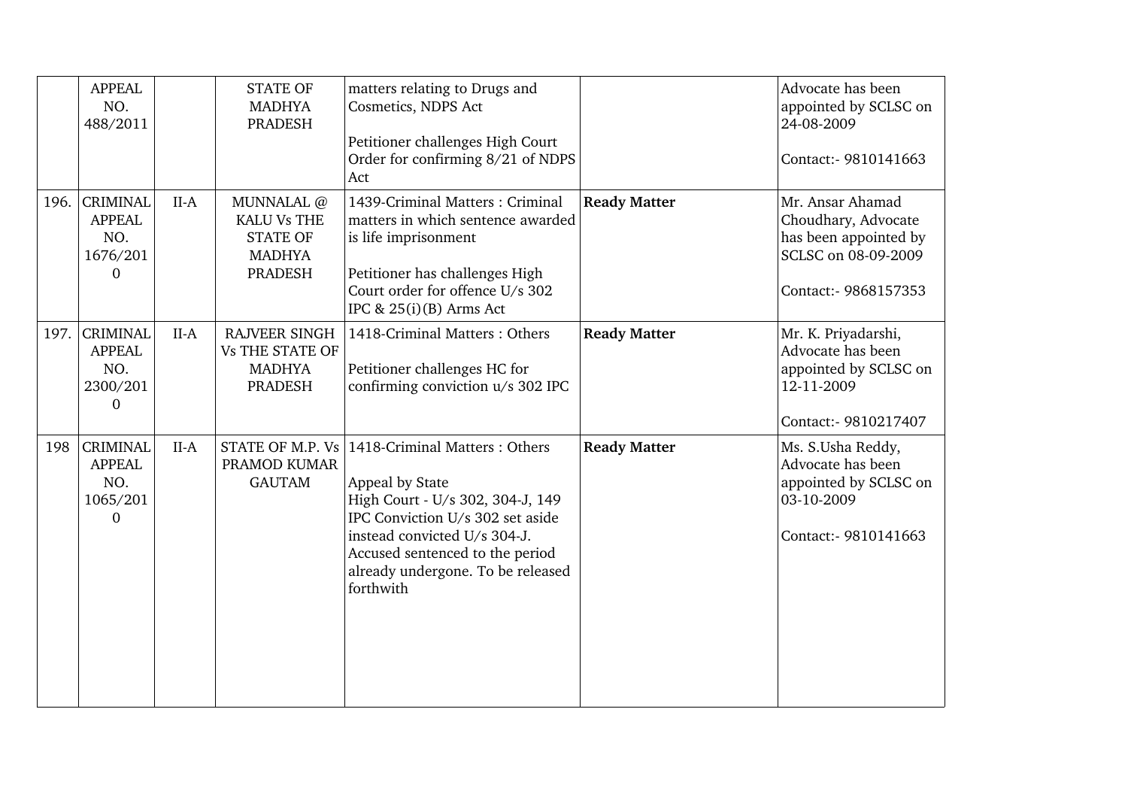|      | <b>APPEAL</b><br>NO.<br>488/2011                                |        | <b>STATE OF</b><br><b>MADHYA</b><br><b>PRADESH</b>                                     | matters relating to Drugs and<br>Cosmetics, NDPS Act<br>Petitioner challenges High Court<br>Order for confirming 8/21 of NDPS<br>Act                                                                                                          |                     | Advocate has been<br>appointed by SCLSC on<br>24-08-2009<br>Contact: - 9810141663                               |
|------|-----------------------------------------------------------------|--------|----------------------------------------------------------------------------------------|-----------------------------------------------------------------------------------------------------------------------------------------------------------------------------------------------------------------------------------------------|---------------------|-----------------------------------------------------------------------------------------------------------------|
| 196. | <b>CRIMINAL</b><br><b>APPEAL</b><br>NO.<br>1676/201<br>$\Omega$ | $II-A$ | MUNNALAL @<br><b>KALU Vs THE</b><br><b>STATE OF</b><br><b>MADHYA</b><br><b>PRADESH</b> | 1439-Criminal Matters: Criminal<br>matters in which sentence awarded<br>is life imprisonment<br>Petitioner has challenges High<br>Court order for offence U/s 302<br>IPC & 25(i)(B) Arms Act                                                  | <b>Ready Matter</b> | Mr. Ansar Ahamad<br>Choudhary, Advocate<br>has been appointed by<br>SCLSC on 08-09-2009<br>Contact:- 9868157353 |
| 197. | <b>CRIMINAL</b><br><b>APPEAL</b><br>NO.<br>2300/201<br>$\Omega$ | $II-A$ | <b>RAJVEER SINGH</b><br><b>Vs THE STATE OF</b><br><b>MADHYA</b><br><b>PRADESH</b>      | 1418-Criminal Matters: Others<br>Petitioner challenges HC for<br>confirming conviction u/s 302 IPC                                                                                                                                            | <b>Ready Matter</b> | Mr. K. Priyadarshi,<br>Advocate has been<br>appointed by SCLSC on<br>12-11-2009<br>Contact:- 9810217407         |
| 198  | <b>CRIMINAL</b><br><b>APPEAL</b><br>NO.<br>1065/201<br>$\Omega$ | $II-A$ | STATE OF M.P. Vs<br>PRAMOD KUMAR<br><b>GAUTAM</b>                                      | 1418-Criminal Matters: Others<br>Appeal by State<br>High Court - U/s 302, 304-J, 149<br>IPC Conviction U/s 302 set aside<br>instead convicted U/s 304-J.<br>Accused sentenced to the period<br>already undergone. To be released<br>forthwith | <b>Ready Matter</b> | Ms. S.Usha Reddy,<br>Advocate has been<br>appointed by SCLSC on<br>03-10-2009<br>Contact:- 9810141663           |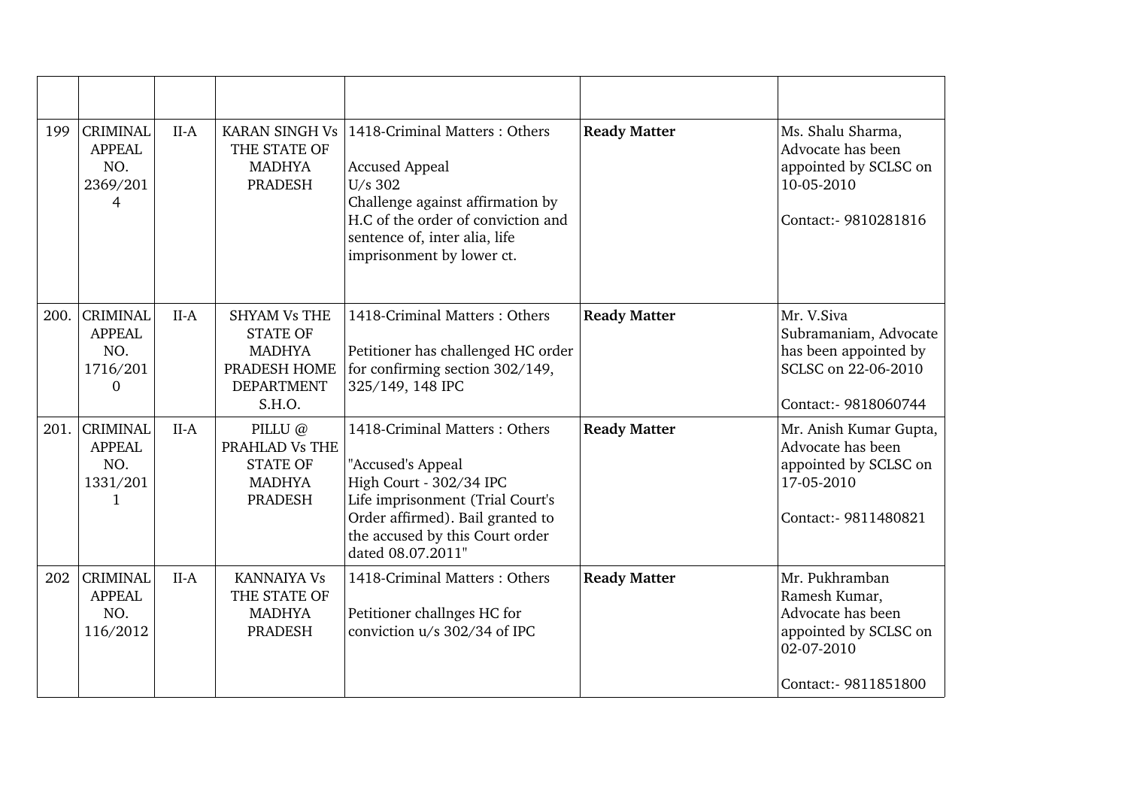| 199  | <b>CRIMINAL</b><br><b>APPEAL</b><br>NO.<br>2369/201<br>4            | $II-A$ | <b>KARAN SINGH Vs</b><br>THE STATE OF<br><b>MADHYA</b><br><b>PRADESH</b>                               | 1418-Criminal Matters: Others<br><b>Accused Appeal</b><br>U/s 302<br>Challenge against affirmation by<br>H.C of the order of conviction and<br>sentence of, inter alia, life<br>imprisonment by lower ct.     | <b>Ready Matter</b> | Ms. Shalu Sharma,<br>Advocate has been<br>appointed by SCLSC on<br>10-05-2010<br>Contact:- 9810281816               |
|------|---------------------------------------------------------------------|--------|--------------------------------------------------------------------------------------------------------|---------------------------------------------------------------------------------------------------------------------------------------------------------------------------------------------------------------|---------------------|---------------------------------------------------------------------------------------------------------------------|
|      | 200. CRIMINAL<br><b>APPEAL</b><br>NO.<br>1716/201<br>$\overline{0}$ | $II-A$ | <b>SHYAM Vs THE</b><br><b>STATE OF</b><br><b>MADHYA</b><br>PRADESH HOME<br><b>DEPARTMENT</b><br>S.H.O. | 1418-Criminal Matters: Others<br>Petitioner has challenged HC order<br>for confirming section 302/149,<br>325/149, 148 IPC                                                                                    | <b>Ready Matter</b> | Mr. V.Siva<br>Subramaniam, Advocate<br>has been appointed by<br>SCLSC on 22-06-2010<br>Contact:- 9818060744         |
| 201. | <b>CRIMINAL</b><br><b>APPEAL</b><br>NO.<br>1331/201<br>1            | $II-A$ | PILLU @<br>PRAHLAD Vs THE<br><b>STATE OF</b><br><b>MADHYA</b><br><b>PRADESH</b>                        | 1418-Criminal Matters: Others<br>"Accused's Appeal<br>High Court - 302/34 IPC<br>Life imprisonment (Trial Court's<br>Order affirmed). Bail granted to<br>the accused by this Court order<br>dated 08.07.2011" | <b>Ready Matter</b> | Mr. Anish Kumar Gupta,<br>Advocate has been<br>appointed by SCLSC on<br>17-05-2010<br>Contact:- 9811480821          |
| 202  | <b>CRIMINAL</b><br><b>APPEAL</b><br>NO.<br>116/2012                 | $II-A$ | <b>KANNAIYA Vs</b><br>THE STATE OF<br><b>MADHYA</b><br><b>PRADESH</b>                                  | 1418-Criminal Matters: Others<br>Petitioner challnges HC for<br>conviction u/s 302/34 of IPC                                                                                                                  | <b>Ready Matter</b> | Mr. Pukhramban<br>Ramesh Kumar,<br>Advocate has been<br>appointed by SCLSC on<br>02-07-2010<br>Contact:- 9811851800 |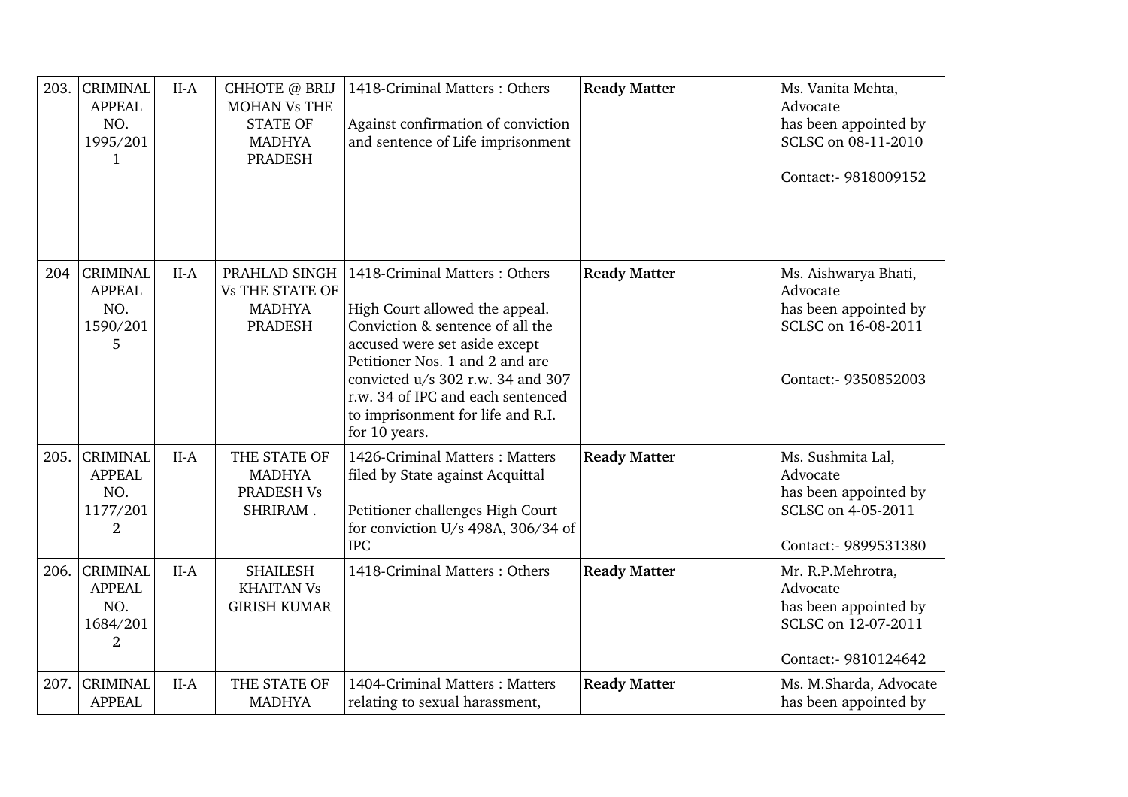| 203. | <b>CRIMINAL</b><br><b>APPEAL</b><br>NO.<br>1995/201<br>1              | $II-A$ | CHHOTE @ BRIJ<br><b>MOHAN Vs THE</b><br><b>STATE OF</b><br><b>MADHYA</b><br><b>PRADESH</b> | 1418-Criminal Matters: Others<br>Against confirmation of conviction<br>and sentence of Life imprisonment                                                                                                                                                                                                | <b>Ready Matter</b> | Ms. Vanita Mehta,<br>Advocate<br>has been appointed by<br>SCLSC on 08-11-2010<br>Contact:- 9818009152    |
|------|-----------------------------------------------------------------------|--------|--------------------------------------------------------------------------------------------|---------------------------------------------------------------------------------------------------------------------------------------------------------------------------------------------------------------------------------------------------------------------------------------------------------|---------------------|----------------------------------------------------------------------------------------------------------|
| 204  | <b>CRIMINAL</b><br><b>APPEAL</b><br>NO.<br>1590/201<br>5              | $II-A$ | PRAHLAD SINGH<br><b>Vs THE STATE OF</b><br><b>MADHYA</b><br><b>PRADESH</b>                 | 1418-Criminal Matters: Others<br>High Court allowed the appeal.<br>Conviction & sentence of all the<br>accused were set aside except<br>Petitioner Nos. 1 and 2 and are<br>convicted u/s 302 r.w. 34 and 307<br>r.w. 34 of IPC and each sentenced<br>to imprisonment for life and R.I.<br>for 10 years. | <b>Ready Matter</b> | Ms. Aishwarya Bhati,<br>Advocate<br>has been appointed by<br>SCLSC on 16-08-2011<br>Contact:- 9350852003 |
| 205. | <b>CRIMINAL</b><br><b>APPEAL</b><br>NO.<br>1177/201<br>$\overline{2}$ | $II-A$ | THE STATE OF<br><b>MADHYA</b><br>PRADESH Vs<br>SHRIRAM.                                    | 1426-Criminal Matters: Matters<br>filed by State against Acquittal<br>Petitioner challenges High Court<br>for conviction U/s 498A, 306/34 of<br><b>IPC</b>                                                                                                                                              | <b>Ready Matter</b> | Ms. Sushmita Lal,<br>Advocate<br>has been appointed by<br>SCLSC on 4-05-2011<br>Contact:- 9899531380     |
| 206. | <b>CRIMINAL</b><br><b>APPEAL</b><br>NO.<br>1684/201<br>2              | $II-A$ | <b>SHAILESH</b><br><b>KHAITAN Vs</b><br><b>GIRISH KUMAR</b>                                | 1418-Criminal Matters: Others                                                                                                                                                                                                                                                                           | <b>Ready Matter</b> | Mr. R.P.Mehrotra,<br>Advocate<br>has been appointed by<br>SCLSC on 12-07-2011<br>Contact:- 9810124642    |
| 207. | <b>CRIMINAL</b><br><b>APPEAL</b>                                      | $II-A$ | THE STATE OF<br><b>MADHYA</b>                                                              | 1404-Criminal Matters: Matters<br>relating to sexual harassment,                                                                                                                                                                                                                                        | <b>Ready Matter</b> | Ms. M.Sharda, Advocate<br>has been appointed by                                                          |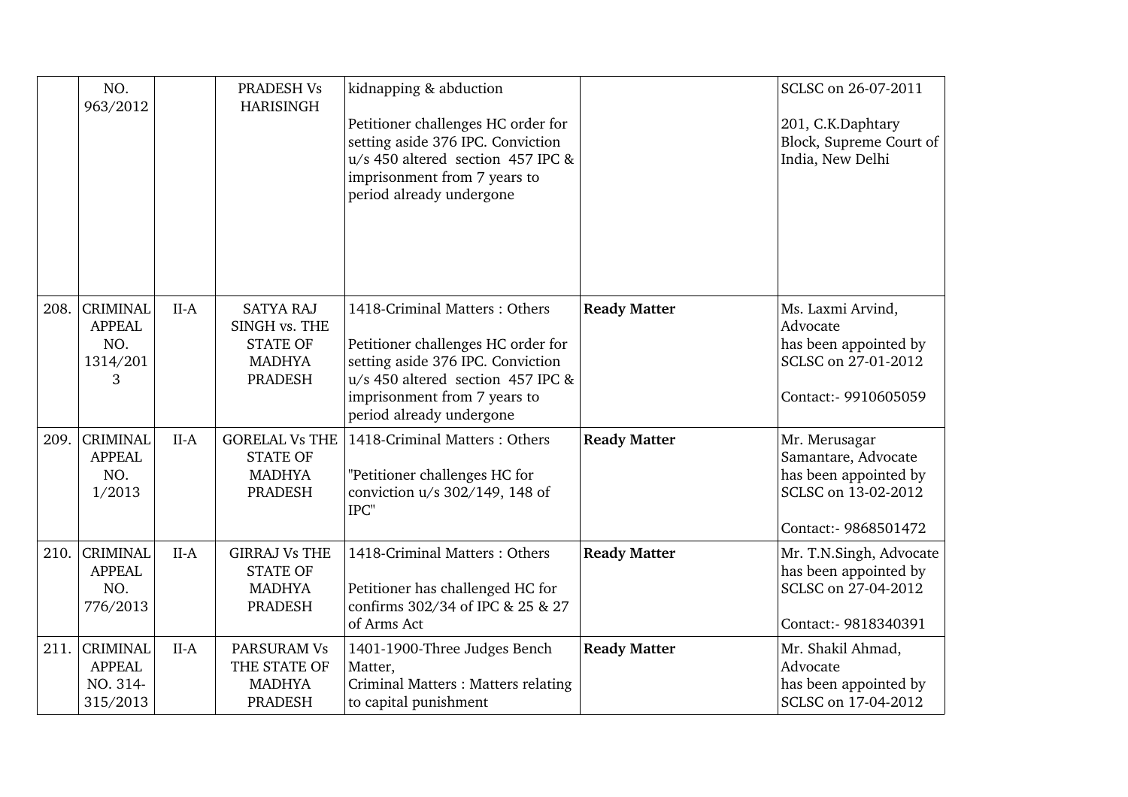|      | NO.<br>963/2012                                          |        | PRADESH Vs<br><b>HARISINGH</b>                                                          | kidnapping & abduction<br>Petitioner challenges HC order for<br>setting aside 376 IPC. Conviction<br>$u/s$ 450 altered section 457 IPC &<br>imprisonment from 7 years to<br>period already undergone      |                     | SCLSC on 26-07-2011<br>201, C.K.Daphtary<br>Block, Supreme Court of<br>India, New Delhi                      |
|------|----------------------------------------------------------|--------|-----------------------------------------------------------------------------------------|-----------------------------------------------------------------------------------------------------------------------------------------------------------------------------------------------------------|---------------------|--------------------------------------------------------------------------------------------------------------|
| 208. | <b>CRIMINAL</b><br><b>APPEAL</b><br>NO.<br>1314/201<br>3 | $II-A$ | <b>SATYA RAJ</b><br>SINGH vs. THE<br><b>STATE OF</b><br><b>MADHYA</b><br><b>PRADESH</b> | 1418-Criminal Matters: Others<br>Petitioner challenges HC order for<br>setting aside 376 IPC. Conviction<br>u/s 450 altered section 457 IPC &<br>imprisonment from 7 years to<br>period already undergone | <b>Ready Matter</b> | Ms. Laxmi Arvind,<br>Advocate<br>has been appointed by<br>SCLSC on 27-01-2012<br>Contact:- 9910605059        |
| 209. | <b>CRIMINAL</b><br><b>APPEAL</b><br>NO.<br>1/2013        | $II-A$ | <b>GORELAL Vs THE</b><br><b>STATE OF</b><br><b>MADHYA</b><br><b>PRADESH</b>             | 1418-Criminal Matters: Others<br>"Petitioner challenges HC for<br>conviction u/s 302/149, 148 of<br>IPC"                                                                                                  | <b>Ready Matter</b> | Mr. Merusagar<br>Samantare, Advocate<br>has been appointed by<br>SCLSC on 13-02-2012<br>Contact:- 9868501472 |
| 210. | <b>CRIMINAL</b><br><b>APPEAL</b><br>NO.<br>776/2013      | $II-A$ | <b>GIRRAJ Vs THE</b><br><b>STATE OF</b><br><b>MADHYA</b><br><b>PRADESH</b>              | 1418-Criminal Matters: Others<br>Petitioner has challenged HC for<br>confirms 302/34 of IPC & 25 & 27<br>of Arms Act                                                                                      | <b>Ready Matter</b> | Mr. T.N.Singh, Advocate<br>has been appointed by<br>SCLSC on 27-04-2012<br>Contact:- 9818340391              |
| 211. | <b>CRIMINAL</b><br><b>APPEAL</b><br>NO. 314-<br>315/2013 | $II-A$ | <b>PARSURAM Vs</b><br>THE STATE OF<br><b>MADHYA</b><br><b>PRADESH</b>                   | 1401-1900-Three Judges Bench<br>Matter,<br>Criminal Matters : Matters relating<br>to capital punishment                                                                                                   | <b>Ready Matter</b> | Mr. Shakil Ahmad,<br>Advocate<br>has been appointed by<br>SCLSC on 17-04-2012                                |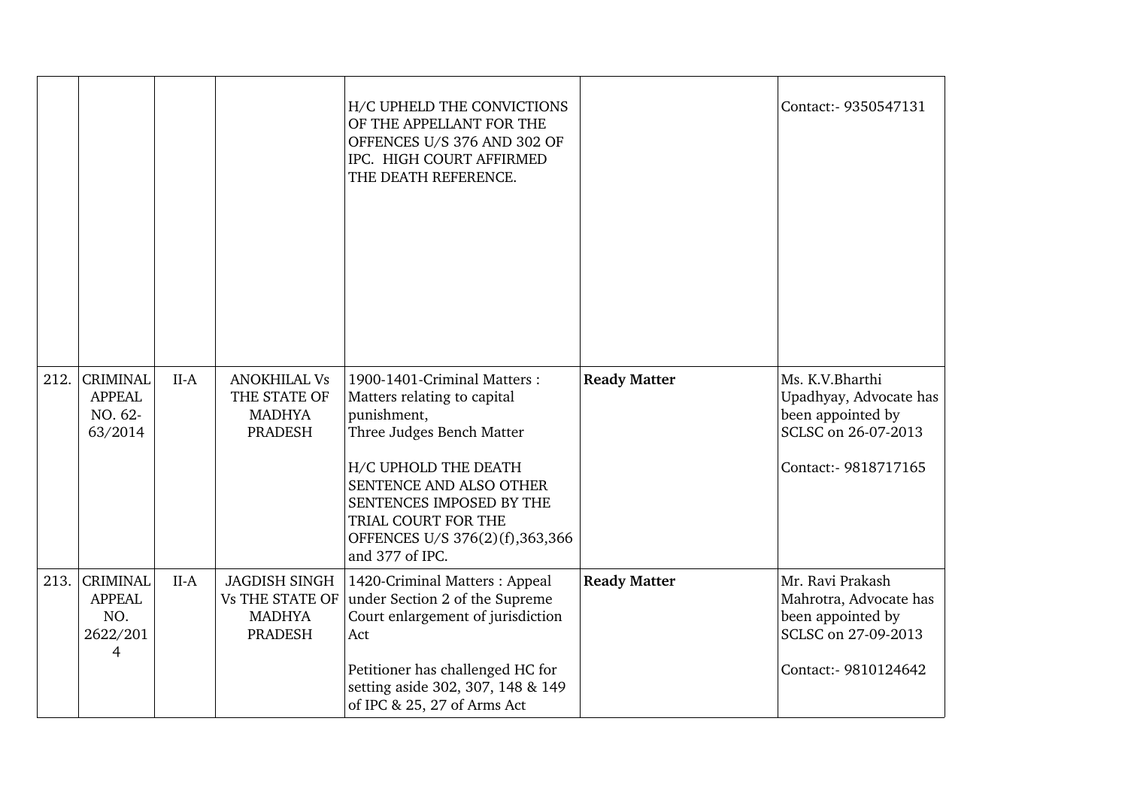|      |                                                          |        |                                                                                   | H/C UPHELD THE CONVICTIONS<br>OF THE APPELLANT FOR THE<br>OFFENCES U/S 376 AND 302 OF<br>IPC. HIGH COURT AFFIRMED<br>THE DEATH REFERENCE.                                                                                                                         |                     | Contact: - 9350547131                                                                                          |
|------|----------------------------------------------------------|--------|-----------------------------------------------------------------------------------|-------------------------------------------------------------------------------------------------------------------------------------------------------------------------------------------------------------------------------------------------------------------|---------------------|----------------------------------------------------------------------------------------------------------------|
| 212. | <b>CRIMINAL</b><br><b>APPEAL</b><br>NO. 62-<br>63/2014   | $II-A$ | <b>ANOKHILAL Vs</b><br>THE STATE OF<br><b>MADHYA</b><br>PRADESH                   | 1900-1401-Criminal Matters:<br>Matters relating to capital<br>punishment,<br>Three Judges Bench Matter<br>H/C UPHOLD THE DEATH<br>SENTENCE AND ALSO OTHER<br>SENTENCES IMPOSED BY THE<br>TRIAL COURT FOR THE<br>OFFENCES U/S 376(2)(f),363,366<br>and 377 of IPC. | <b>Ready Matter</b> | Ms. K.V.Bharthi<br>Upadhyay, Advocate has<br>been appointed by<br>SCLSC on 26-07-2013<br>Contact:- 9818717165  |
| 213. | <b>CRIMINAL</b><br><b>APPEAL</b><br>NO.<br>2622/201<br>4 | $II-A$ | <b>JAGDISH SINGH</b><br><b>Vs THE STATE OF</b><br><b>MADHYA</b><br><b>PRADESH</b> | 1420-Criminal Matters: Appeal<br>under Section 2 of the Supreme<br>Court enlargement of jurisdiction<br>Act<br>Petitioner has challenged HC for<br>setting aside 302, 307, 148 & 149<br>of IPC & 25, 27 of Arms Act                                               | <b>Ready Matter</b> | Mr. Ravi Prakash<br>Mahrotra, Advocate has<br>been appointed by<br>SCLSC on 27-09-2013<br>Contact:- 9810124642 |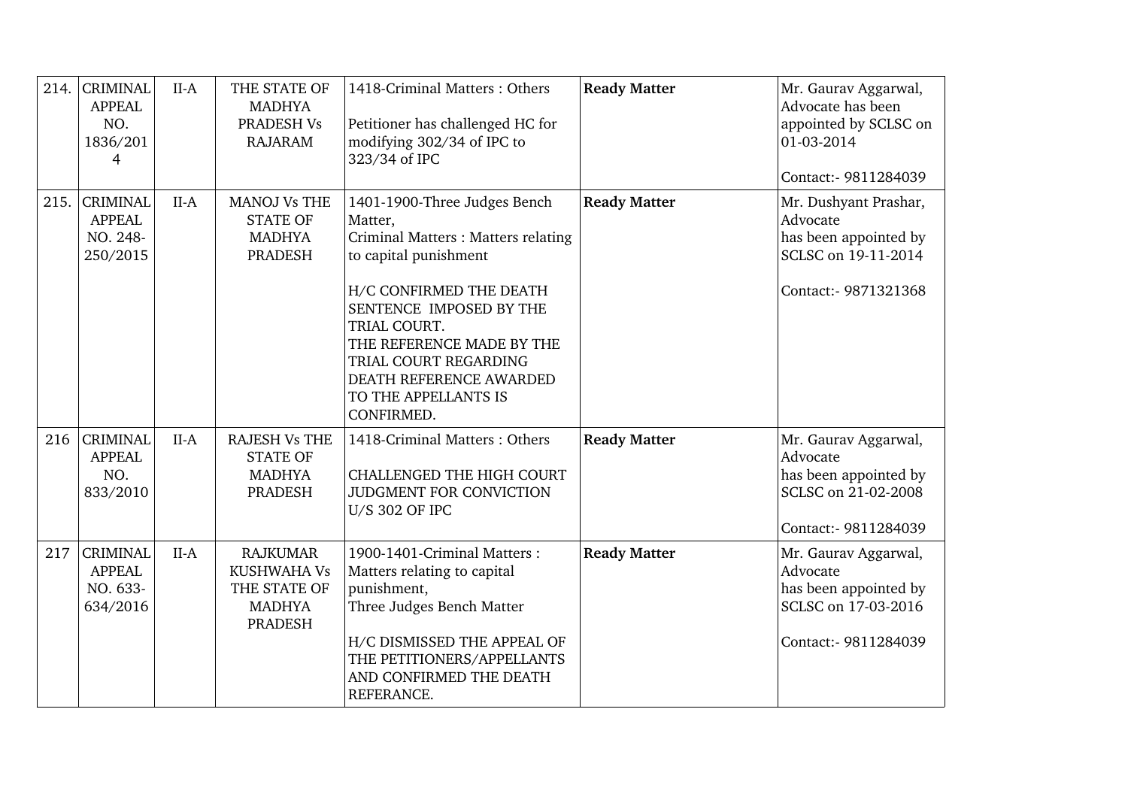| 214. | <b>CRIMINAL</b><br><b>APPEAL</b><br>NO.<br>1836/201<br>$\overline{4}$ | $II-A$ | THE STATE OF<br><b>MADHYA</b><br>PRADESH Vs<br><b>RAJARAM</b>                     | 1418-Criminal Matters: Others<br>Petitioner has challenged HC for<br>modifying 302/34 of IPC to<br>323/34 of IPC                                                                                                                                                                                     | <b>Ready Matter</b> | Mr. Gaurav Aggarwal,<br>Advocate has been<br>appointed by SCLSC on<br>01-03-2014<br>Contact:- 9811284039  |
|------|-----------------------------------------------------------------------|--------|-----------------------------------------------------------------------------------|------------------------------------------------------------------------------------------------------------------------------------------------------------------------------------------------------------------------------------------------------------------------------------------------------|---------------------|-----------------------------------------------------------------------------------------------------------|
| 215. | <b>CRIMINAL</b><br><b>APPEAL</b><br>NO. 248-<br>250/2015              | $II-A$ | <b>MANOJ Vs THE</b><br><b>STATE OF</b><br><b>MADHYA</b><br><b>PRADESH</b>         | 1401-1900-Three Judges Bench<br>Matter,<br>Criminal Matters : Matters relating<br>to capital punishment<br>H/C CONFIRMED THE DEATH<br>SENTENCE IMPOSED BY THE<br>TRIAL COURT.<br>THE REFERENCE MADE BY THE<br>TRIAL COURT REGARDING<br>DEATH REFERENCE AWARDED<br>TO THE APPELLANTS IS<br>CONFIRMED. | <b>Ready Matter</b> | Mr. Dushyant Prashar,<br>Advocate<br>has been appointed by<br>SCLSC on 19-11-2014<br>Contact:- 9871321368 |
| 216  | <b>CRIMINAL</b><br><b>APPEAL</b><br>NO.<br>833/2010                   | $II-A$ | <b>RAJESH Vs THE</b><br><b>STATE OF</b><br><b>MADHYA</b><br><b>PRADESH</b>        | 1418-Criminal Matters: Others<br><b>CHALLENGED THE HIGH COURT</b><br>JUDGMENT FOR CONVICTION<br><b>U/S 302 OF IPC</b>                                                                                                                                                                                | <b>Ready Matter</b> | Mr. Gaurav Aggarwal,<br>Advocate<br>has been appointed by<br>SCLSC on 21-02-2008<br>Contact:- 9811284039  |
| 217  | <b>CRIMINAL</b><br><b>APPEAL</b><br>NO. 633-<br>634/2016              | $II-A$ | <b>RAJKUMAR</b><br><b>KUSHWAHA Vs</b><br>THE STATE OF<br><b>MADHYA</b><br>PRADESH | 1900-1401-Criminal Matters:<br>Matters relating to capital<br>punishment,<br>Three Judges Bench Matter<br>H/C DISMISSED THE APPEAL OF<br>THE PETITIONERS/APPELLANTS<br>AND CONFIRMED THE DEATH<br>REFERANCE.                                                                                         | <b>Ready Matter</b> | Mr. Gaurav Aggarwal,<br>Advocate<br>has been appointed by<br>SCLSC on 17-03-2016<br>Contact:- 9811284039  |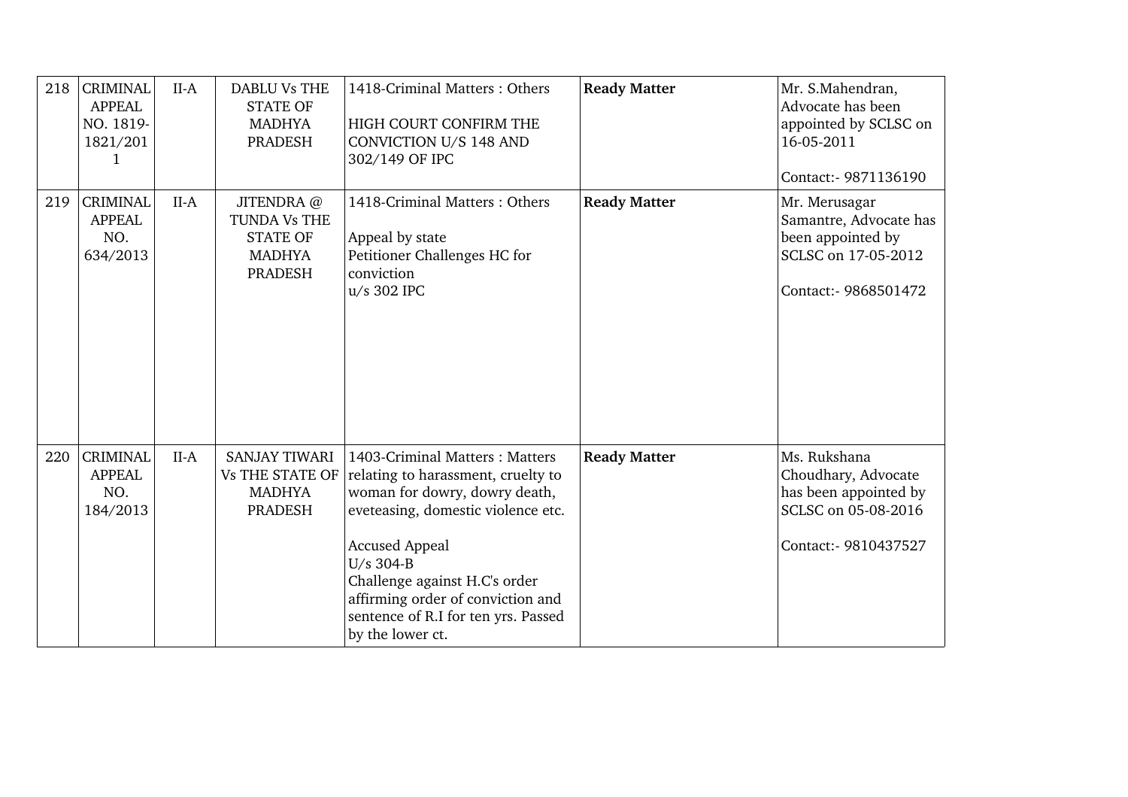| 218 | <b>CRIMINAL</b><br><b>APPEAL</b><br>NO. 1819-<br>1821/201 | $II-A$ | <b>DABLU Vs THE</b><br><b>STATE OF</b><br><b>MADHYA</b><br><b>PRADESH</b>         | 1418-Criminal Matters: Others<br>HIGH COURT CONFIRM THE<br>CONVICTION U/S 148 AND<br>302/149 OF IPC                                                                                                                                                                                                                | <b>Ready Matter</b> | Mr. S.Mahendran,<br>Advocate has been<br>appointed by SCLSC on<br>16-05-2011<br>Contact:- 9871136190        |
|-----|-----------------------------------------------------------|--------|-----------------------------------------------------------------------------------|--------------------------------------------------------------------------------------------------------------------------------------------------------------------------------------------------------------------------------------------------------------------------------------------------------------------|---------------------|-------------------------------------------------------------------------------------------------------------|
| 219 | <b>CRIMINAL</b><br><b>APPEAL</b><br>NO.<br>634/2013       | $II-A$ | JITENDRA @<br>TUNDA Vs THE<br><b>STATE OF</b><br><b>MADHYA</b><br><b>PRADESH</b>  | 1418-Criminal Matters: Others<br>Appeal by state<br>Petitioner Challenges HC for<br>conviction<br>u/s 302 IPC                                                                                                                                                                                                      | <b>Ready Matter</b> | Mr. Merusagar<br>Samantre, Advocate has<br>been appointed by<br>SCLSC on 17-05-2012<br>Contact:- 9868501472 |
| 220 | <b>CRIMINAL</b><br><b>APPEAL</b><br>NO.<br>184/2013       | $II-A$ | <b>SANJAY TIWARI</b><br><b>Vs THE STATE OF</b><br><b>MADHYA</b><br><b>PRADESH</b> | 1403-Criminal Matters: Matters<br>relating to harassment, cruelty to<br>woman for dowry, dowry death,<br>eveteasing, domestic violence etc.<br><b>Accused Appeal</b><br>U/s 304-B<br>Challenge against H.C's order<br>affirming order of conviction and<br>sentence of R.I for ten yrs. Passed<br>by the lower ct. | <b>Ready Matter</b> | Ms. Rukshana<br>Choudhary, Advocate<br>has been appointed by<br>SCLSC on 05-08-2016<br>Contact:- 9810437527 |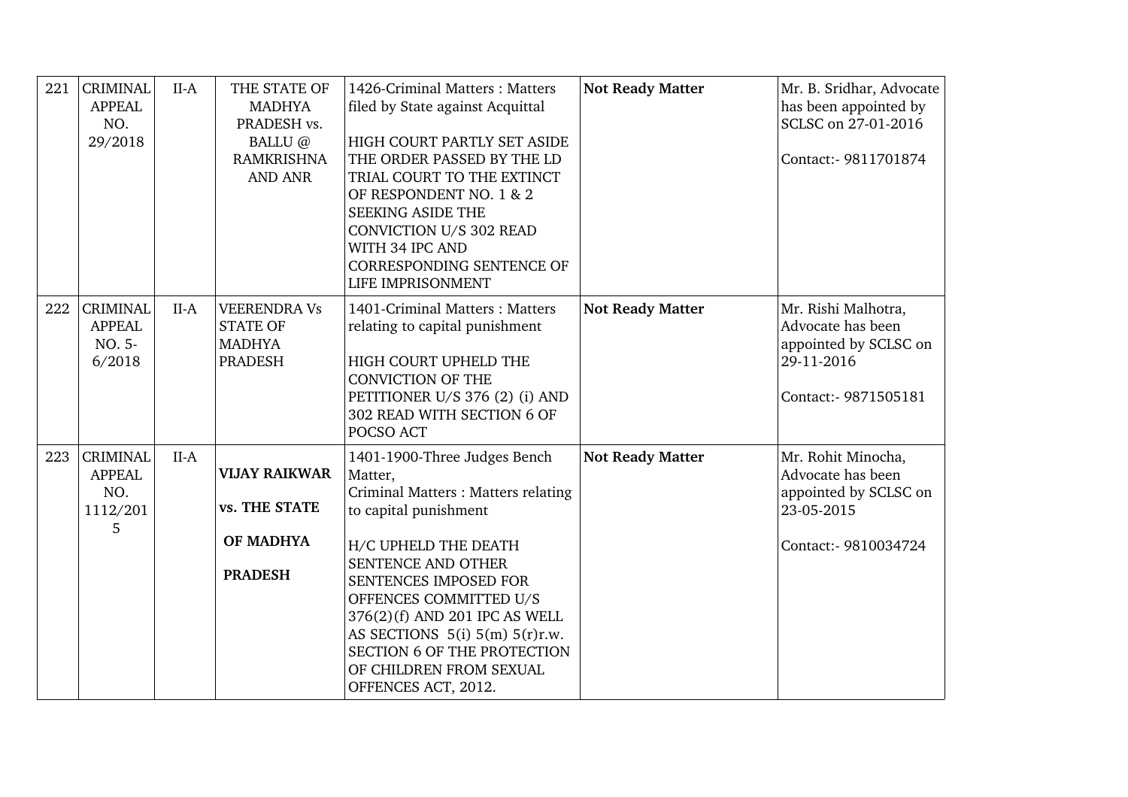| 221 | <b>CRIMINAL</b><br><b>APPEAL</b><br>NO.<br>29/2018       | $II-A$ | THE STATE OF<br><b>MADHYA</b><br>PRADESH vs.<br>BALLU@<br><b>RAMKRISHNA</b><br><b>AND ANR</b> | 1426-Criminal Matters: Matters<br>filed by State against Acquittal<br>HIGH COURT PARTLY SET ASIDE<br>THE ORDER PASSED BY THE LD<br>TRIAL COURT TO THE EXTINCT<br>OF RESPONDENT NO. 1 & 2<br><b>SEEKING ASIDE THE</b><br><b>CONVICTION U/S 302 READ</b><br>WITH 34 IPC AND<br><b>CORRESPONDING SENTENCE OF</b><br>LIFE IMPRISONMENT                                        | <b>Not Ready Matter</b> | Mr. B. Sridhar, Advocate<br>has been appointed by<br>SCLSC on 27-01-2016<br>Contact:- 9811701874        |
|-----|----------------------------------------------------------|--------|-----------------------------------------------------------------------------------------------|---------------------------------------------------------------------------------------------------------------------------------------------------------------------------------------------------------------------------------------------------------------------------------------------------------------------------------------------------------------------------|-------------------------|---------------------------------------------------------------------------------------------------------|
| 222 | <b>CRIMINAL</b><br><b>APPEAL</b><br>NO. 5-<br>6/2018     | $II-A$ | <b>VEERENDRA Vs</b><br><b>STATE OF</b><br><b>MADHYA</b><br><b>PRADESH</b>                     | 1401-Criminal Matters: Matters<br>relating to capital punishment<br>HIGH COURT UPHELD THE<br><b>CONVICTION OF THE</b><br>PETITIONER U/S 376 (2) (i) AND<br>302 READ WITH SECTION 6 OF<br>POCSO ACT                                                                                                                                                                        | <b>Not Ready Matter</b> | Mr. Rishi Malhotra,<br>Advocate has been<br>appointed by SCLSC on<br>29-11-2016<br>Contact:- 9871505181 |
| 223 | <b>CRIMINAL</b><br><b>APPEAL</b><br>NO.<br>1112/201<br>5 | $II-A$ | <b>VIJAY RAIKWAR</b><br>vs. THE STATE<br>OF MADHYA<br><b>PRADESH</b>                          | 1401-1900-Three Judges Bench<br>Matter,<br>Criminal Matters: Matters relating<br>to capital punishment<br>H/C UPHELD THE DEATH<br>SENTENCE AND OTHER<br>SENTENCES IMPOSED FOR<br>OFFENCES COMMITTED U/S<br>376(2)(f) AND 201 IPC AS WELL<br>AS SECTIONS $5(i)$ $5(m)$ $5(r)r.w$ .<br><b>SECTION 6 OF THE PROTECTION</b><br>OF CHILDREN FROM SEXUAL<br>OFFENCES ACT, 2012. | <b>Not Ready Matter</b> | Mr. Rohit Minocha,<br>Advocate has been<br>appointed by SCLSC on<br>23-05-2015<br>Contact:- 9810034724  |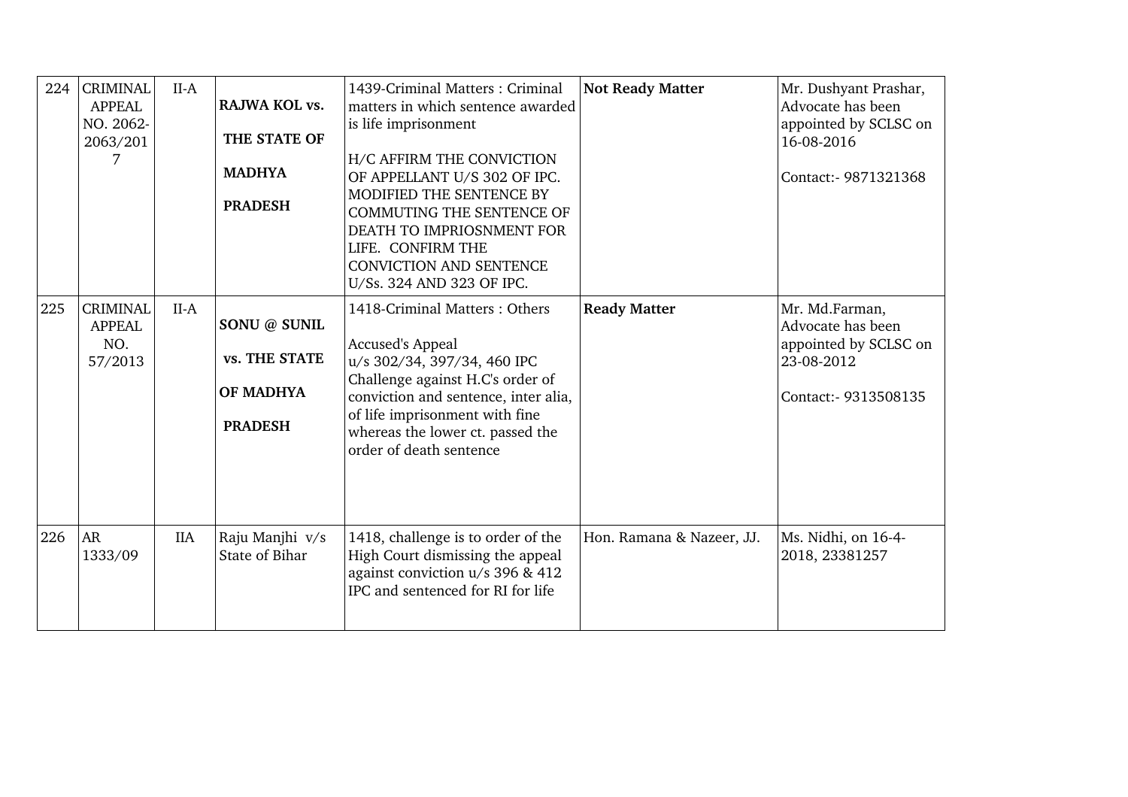| 224 | <b>CRIMINAL</b><br><b>APPEAL</b><br>NO. 2062-<br>2063/201<br>7 | $II-A$     | RAJWA KOL vs.<br>THE STATE OF<br><b>MADHYA</b><br><b>PRADESH</b> | 1439-Criminal Matters: Criminal<br>matters in which sentence awarded<br>is life imprisonment<br>H/C AFFIRM THE CONVICTION<br>OF APPELLANT U/S 302 OF IPC.<br>MODIFIED THE SENTENCE BY<br><b>COMMUTING THE SENTENCE OF</b><br>DEATH TO IMPRIOSNMENT FOR<br>LIFE. CONFIRM THE<br><b>CONVICTION AND SENTENCE</b><br>U/Ss. 324 AND 323 OF IPC. | <b>Not Ready Matter</b>   | Mr. Dushyant Prashar,<br>Advocate has been<br>appointed by SCLSC on<br>16-08-2016<br>Contact: - 9871321368 |
|-----|----------------------------------------------------------------|------------|------------------------------------------------------------------|--------------------------------------------------------------------------------------------------------------------------------------------------------------------------------------------------------------------------------------------------------------------------------------------------------------------------------------------|---------------------------|------------------------------------------------------------------------------------------------------------|
| 225 | <b>CRIMINAL</b><br><b>APPEAL</b><br>NO.<br>57/2013             | $II-A$     | SONU @ SUNIL<br>vs. THE STATE<br>OF MADHYA<br><b>PRADESH</b>     | 1418-Criminal Matters: Others<br><b>Accused's Appeal</b><br>u/s 302/34, 397/34, 460 IPC<br>Challenge against H.C's order of<br>conviction and sentence, inter alia,<br>of life imprisonment with fine<br>whereas the lower ct. passed the<br>order of death sentence                                                                       | <b>Ready Matter</b>       | Mr. Md.Farman,<br>Advocate has been<br>appointed by SCLSC on<br>23-08-2012<br>Contact: - 9313508135        |
| 226 | AR<br>1333/09                                                  | <b>IIA</b> | Raju Manjhi v/s<br>State of Bihar                                | 1418, challenge is to order of the<br>High Court dismissing the appeal<br>against conviction u/s 396 & 412<br>IPC and sentenced for RI for life                                                                                                                                                                                            | Hon. Ramana & Nazeer, JJ. | Ms. Nidhi, on 16-4-<br>2018, 23381257                                                                      |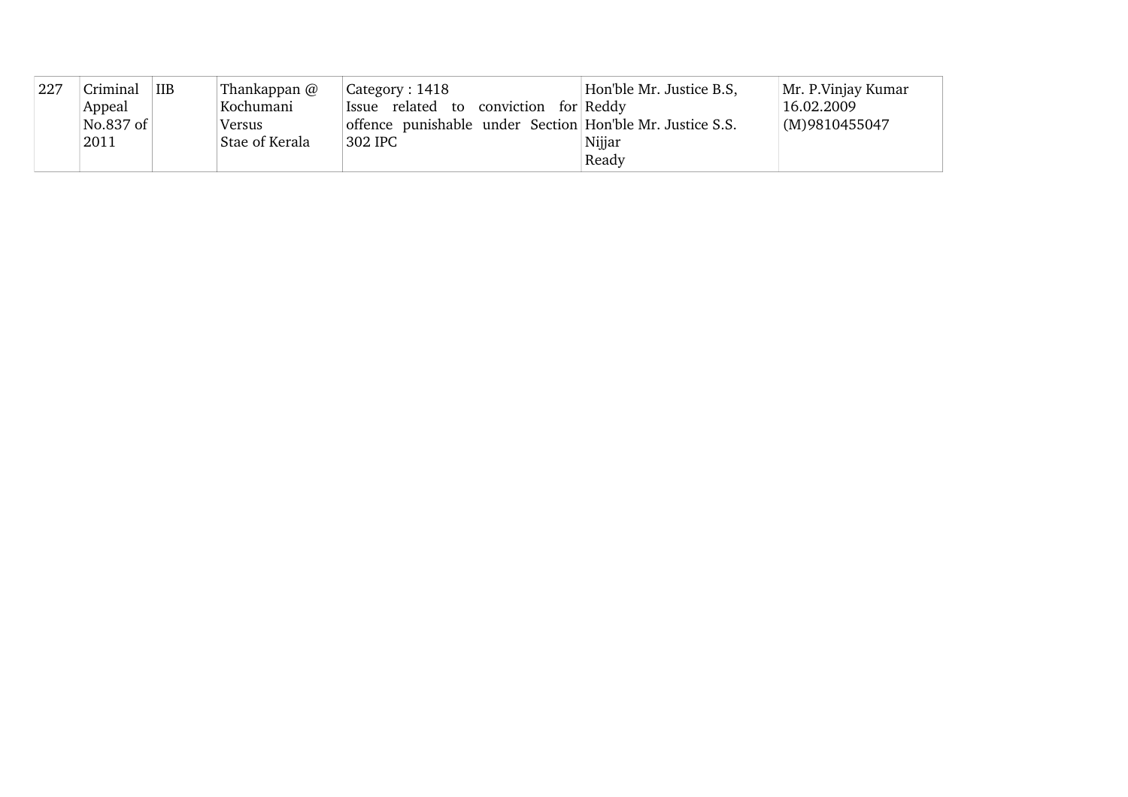| 227 | Criminal  | <b>IIB</b> | Thankappan @   | $\vert$ Category : 1418                                   | Hon'ble Mr. Justice B.S. | Mr. P. Vinjay Kumar |
|-----|-----------|------------|----------------|-----------------------------------------------------------|--------------------------|---------------------|
|     | Appeal    |            | Kochumani      | Issue related to conviction for Reddy                     |                          | 16.02.2009          |
|     | No.837 of |            | Versus         | offence punishable under Section Hon'ble Mr. Justice S.S. |                          | (M)9810455047       |
|     | 2011      |            | Stae of Kerala | 302 IPC                                                   | Nijjar                   |                     |
|     |           |            |                |                                                           | Ready                    |                     |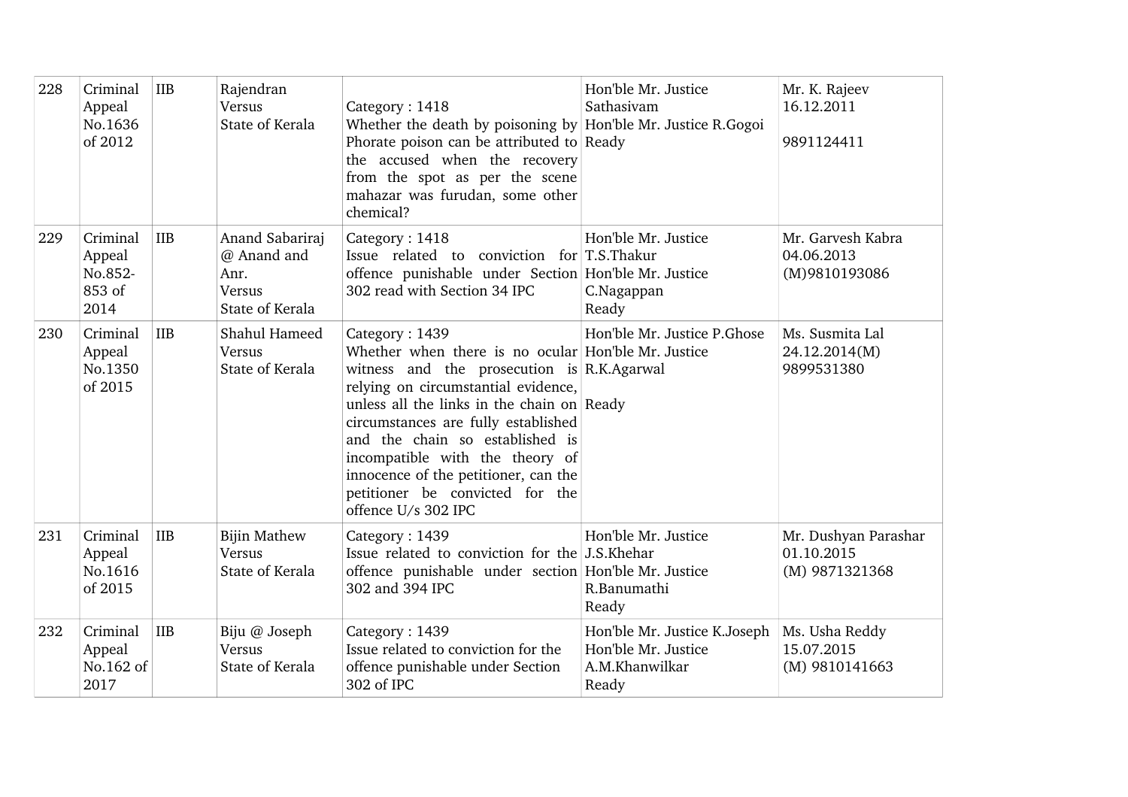| 228 | Criminal<br>Appeal<br>No.1636<br>of 2012        | IIB        | Rajendran<br>Versus<br>State of Kerala                                     | Category: 1418<br>Whether the death by poisoning by Hon'ble Mr. Justice R.Gogoi<br>Phorate poison can be attributed to Ready<br>the accused when the recovery<br>from the spot as per the scene<br>mahazar was furudan, some other<br>chemical?                                                                                                                                                                         | Hon'ble Mr. Justice<br>Sathasivam                                              | Mr. K. Rajeev<br>16.12.2011<br>9891124411            |
|-----|-------------------------------------------------|------------|----------------------------------------------------------------------------|-------------------------------------------------------------------------------------------------------------------------------------------------------------------------------------------------------------------------------------------------------------------------------------------------------------------------------------------------------------------------------------------------------------------------|--------------------------------------------------------------------------------|------------------------------------------------------|
| 229 | Criminal<br>Appeal<br>No.852-<br>853 of<br>2014 | <b>IIB</b> | Anand Sabariraj<br>@ Anand and<br>Anr.<br><b>Versus</b><br>State of Kerala | Category: 1418<br>Issue related to conviction for T.S.Thakur<br>offence punishable under Section Hon'ble Mr. Justice<br>302 read with Section 34 IPC                                                                                                                                                                                                                                                                    | Hon'ble Mr. Justice<br>C.Nagappan<br>Ready                                     | Mr. Garvesh Kabra<br>04.06.2013<br>(M)9810193086     |
| 230 | Criminal<br>Appeal<br>No.1350<br>of 2015        | <b>IIB</b> | Shahul Hameed<br>Versus<br>State of Kerala                                 | Category: 1439<br>Whether when there is no ocular Hon'ble Mr. Justice<br>witness and the prosecution is R.K.Agarwal<br>relying on circumstantial evidence,<br>unless all the links in the chain on Ready<br>circumstances are fully established<br>and the chain so established is<br>incompatible with the theory of<br>innocence of the petitioner, can the<br>petitioner be convicted for the<br>offence U/s 302 IPC | Hon'ble Mr. Justice P.Ghose                                                    | Ms. Susmita Lal<br>24.12.2014(M)<br>9899531380       |
| 231 | Criminal<br>Appeal<br>No.1616<br>of 2015        | IIB        | <b>Bijin Mathew</b><br>Versus<br>State of Kerala                           | Category: 1439<br>Issue related to conviction for the J.S.Khehar<br>offence punishable under section Hon'ble Mr. Justice<br>302 and 394 IPC                                                                                                                                                                                                                                                                             | Hon'ble Mr. Justice<br>R.Banumathi<br>Ready                                    | Mr. Dushyan Parashar<br>01.10.2015<br>(M) 9871321368 |
| 232 | Criminal<br>Appeal<br>No.162 of<br>2017         | IIB        | Biju @ Joseph<br>Versus<br>State of Kerala                                 | Category: 1439<br>Issue related to conviction for the<br>offence punishable under Section<br>302 of IPC                                                                                                                                                                                                                                                                                                                 | Hon'ble Mr. Justice K.Joseph<br>Hon'ble Mr. Justice<br>A.M.Khanwilkar<br>Ready | Ms. Usha Reddy<br>15.07.2015<br>(M) 9810141663       |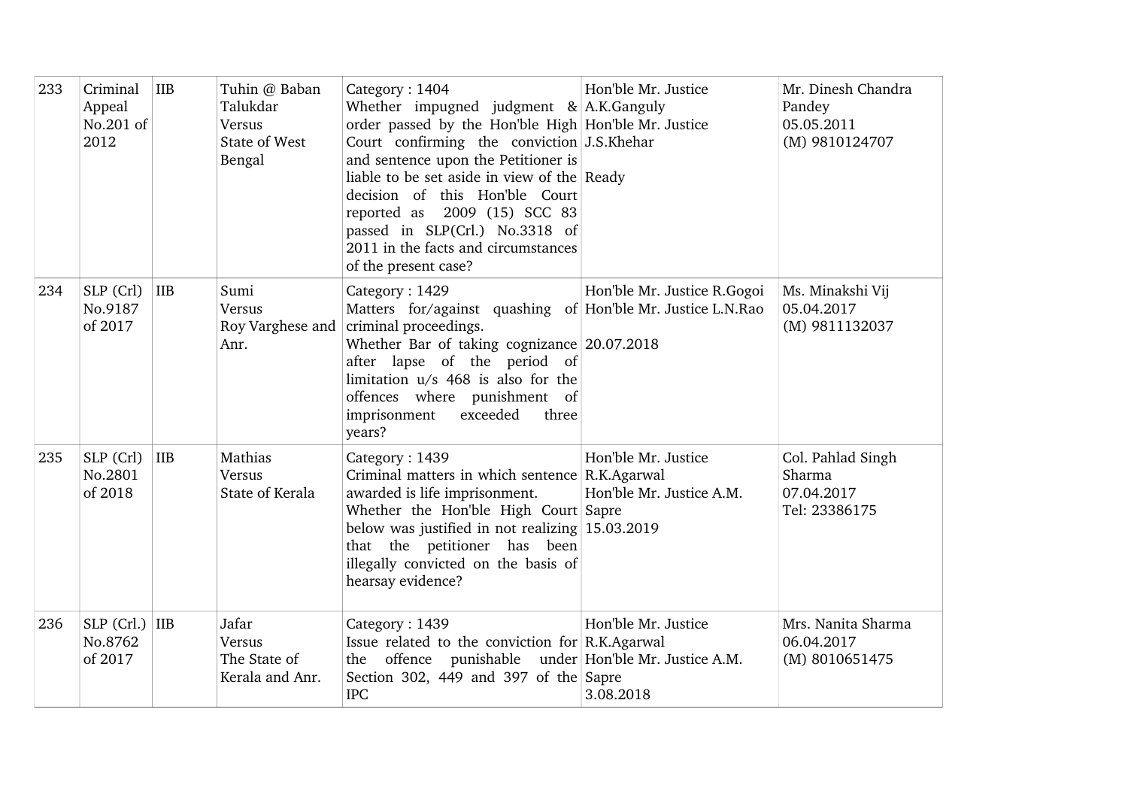| 233 | Criminal<br>Appeal<br>No.201 of<br>2012 | <b>IIB</b> | Tuhin @ Baban<br>Talukdar<br>Versus<br>State of West<br>Bengal | Category: 1404<br>Whether impugned judgment $\&$ A.K. Ganguly<br>order passed by the Hon'ble High Hon'ble Mr. Justice<br>Court confirming the conviction J.S.Khehar<br>and sentence upon the Petitioner is<br>liable to be set aside in view of the Ready<br>decision of this Hon'ble Court<br>reported as 2009 (15) SCC 83<br>passed in SLP(Crl.) No.3318 of<br>2011 in the facts and circumstances<br>of the present case? | Hon'ble Mr. Justice                                                           | Mr. Dinesh Chandra<br>Pandey<br>05.05.2011<br>(M) 9810124707 |
|-----|-----------------------------------------|------------|----------------------------------------------------------------|------------------------------------------------------------------------------------------------------------------------------------------------------------------------------------------------------------------------------------------------------------------------------------------------------------------------------------------------------------------------------------------------------------------------------|-------------------------------------------------------------------------------|--------------------------------------------------------------|
| 234 | SLP (Crl)<br>No.9187<br>of 2017         | <b>IIB</b> | Sumi<br>Versus<br>Roy Varghese and<br>Anr.                     | Category: 1429<br>Matters for/against quashing of Hon'ble Mr. Justice L.N.Rao<br>criminal proceedings.<br>Whether Bar of taking cognizance 20.07.2018<br>after lapse of the period of<br>limitation $u/s$ 468 is also for the<br>offences where punishment of<br>imprisonment<br>exceeded<br>three<br>years?                                                                                                                 | Hon'ble Mr. Justice R.Gogoi                                                   | Ms. Minakshi Vij<br>05.04.2017<br>(M) 9811132037             |
| 235 | SLP (Crl)<br>No.2801<br>of 2018         | <b>IIB</b> | Mathias<br>Versus<br>State of Kerala                           | Category: 1439<br>Criminal matters in which sentence R.K.Agarwal<br>awarded is life imprisonment.<br>Whether the Hon'ble High Court Sapre<br>below was justified in not realizing $15.03.2019$<br>that the petitioner has been<br>illegally convicted on the basis of<br>hearsay evidence?                                                                                                                                   | Hon'ble Mr. Justice<br>Hon'ble Mr. Justice A.M.                               | Col. Pahlad Singh<br>Sharma<br>07.04.2017<br>Tel: 23386175   |
| 236 | $SLP$ (Crl.) IIB<br>No.8762<br>of 2017  |            | Jafar<br>Versus<br>The State of<br>Kerala and Anr.             | Category: 1439<br>Issue related to the conviction for R.K.Agarwal<br>offence<br>the<br>Section 302, 449 and 397 of the Sapre<br><b>IPC</b>                                                                                                                                                                                                                                                                                   | Hon'ble Mr. Justice<br>punishable under Hon'ble Mr. Justice A.M.<br>3.08.2018 | Mrs. Nanita Sharma<br>06.04.2017<br>(M) 8010651475           |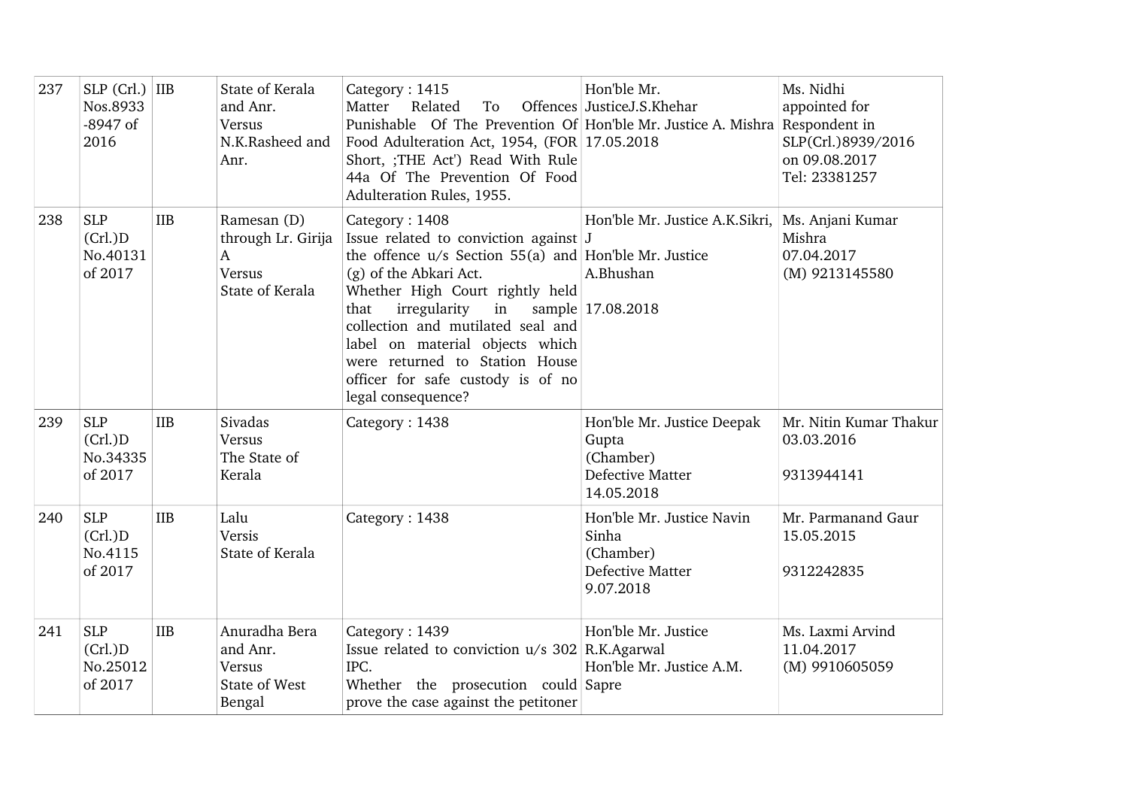| 237 | $SLP$ (Crl.) IIB<br>Nos.8933<br>$-8947$ of<br>2016 |            | State of Kerala<br>and Anr.<br>Versus<br>N.K.Rasheed and<br>Anr.               | Category: 1415<br>Related<br>Matter<br>To<br>Punishable Of The Prevention Of Hon'ble Mr. Justice A. Mishra Respondent in<br>Food Adulteration Act, 1954, (FOR 17.05.2018<br>Short, ;THE Act') Read With Rule<br>44a Of The Prevention Of Food<br>Adulteration Rules, 1955.                                                                                                         | Hon'ble Mr.<br>Offences JusticeJ.S.Khehar                                          | Ms. Nidhi<br>appointed for<br>SLP(Crl.)8939/2016<br>on 09.08.2017<br>Tel: 23381257 |
|-----|----------------------------------------------------|------------|--------------------------------------------------------------------------------|------------------------------------------------------------------------------------------------------------------------------------------------------------------------------------------------------------------------------------------------------------------------------------------------------------------------------------------------------------------------------------|------------------------------------------------------------------------------------|------------------------------------------------------------------------------------|
| 238 | <b>SLP</b><br>(Cr.)D<br>No.40131<br>of 2017        | <b>IIB</b> | Ramesan (D)<br>through Lr. Girija<br>$\mathbf{A}$<br>Versus<br>State of Kerala | Category: 1408<br>Issue related to conviction against J<br>the offence $u/s$ Section 55(a) and Hon'ble Mr. Justice<br>(g) of the Abkari Act.<br>Whether High Court rightly held<br>irregularity<br>in<br>that<br>collection and mutilated seal and<br>label on material objects which<br>were returned to Station House<br>officer for safe custody is of no<br>legal consequence? | Hon'ble Mr. Justice A.K.Sikri.<br>A.Bhushan<br>sample 17.08.2018                   | Ms. Anjani Kumar<br>Mishra<br>07.04.2017<br>(M) 9213145580                         |
| 239 | <b>SLP</b><br>(Cr.)D<br>No.34335<br>of 2017        | <b>IIB</b> | Sivadas<br>Versus<br>The State of<br>Kerala                                    | Category: 1438                                                                                                                                                                                                                                                                                                                                                                     | Hon'ble Mr. Justice Deepak<br>Gupta<br>(Chamber)<br>Defective Matter<br>14.05.2018 | Mr. Nitin Kumar Thakur<br>03.03.2016<br>9313944141                                 |
| 240 | <b>SLP</b><br>(Cr.)D<br>No.4115<br>of 2017         | <b>IIB</b> | Lalu<br>Versis<br>State of Kerala                                              | Category: 1438                                                                                                                                                                                                                                                                                                                                                                     | Hon'ble Mr. Justice Navin<br>Sinha<br>(Chamber)<br>Defective Matter<br>9.07.2018   | Mr. Parmanand Gaur<br>15.05.2015<br>9312242835                                     |
| 241 | <b>SLP</b><br>(Cr.)D<br>No.25012<br>of 2017        | <b>IIB</b> | Anuradha Bera<br>and Anr.<br>Versus<br>State of West<br>Bengal                 | Category: 1439<br>Issue related to conviction u/s 302 R.K.Agarwal<br>IPC.<br>Whether the prosecution could Sapre<br>prove the case against the petitoner                                                                                                                                                                                                                           | Hon'ble Mr. Justice<br>Hon'ble Mr. Justice A.M.                                    | Ms. Laxmi Arvind<br>11.04.2017<br>(M) 9910605059                                   |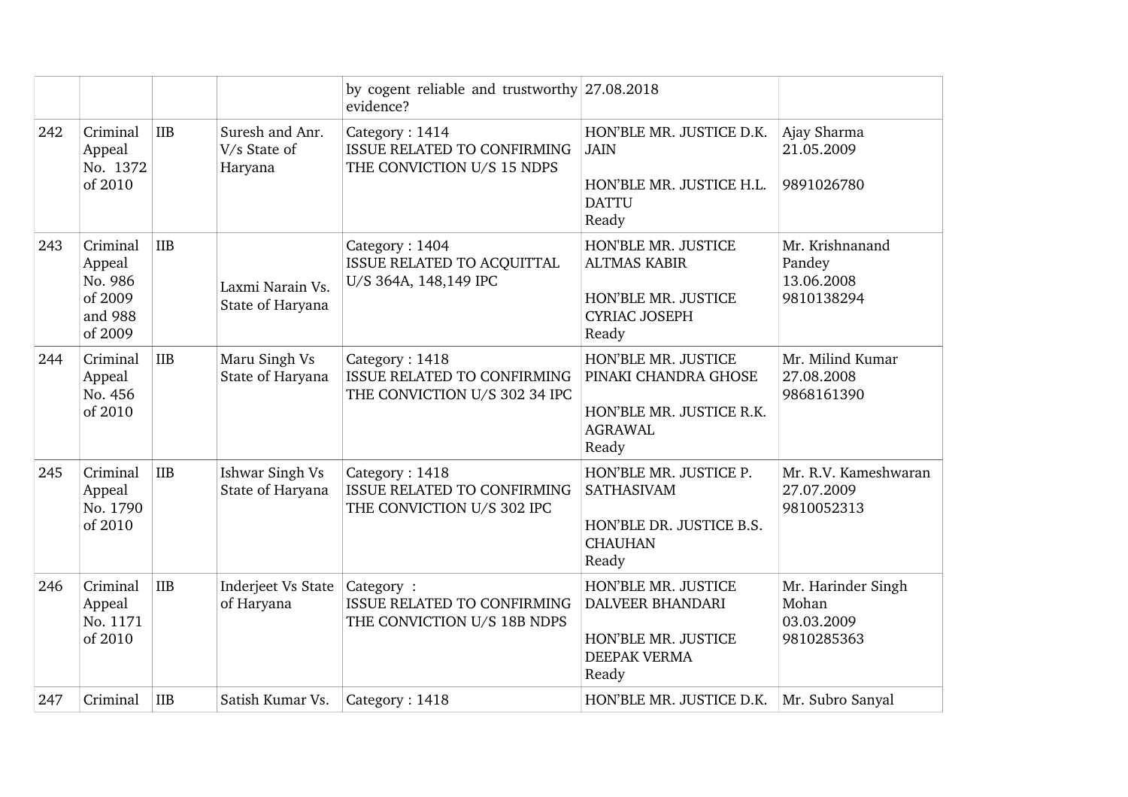|     |                                                                |            |                                            | by cogent reliable and trustworthy $27.08.2018$<br>evidence?                          |                                                                                                       |                                                         |
|-----|----------------------------------------------------------------|------------|--------------------------------------------|---------------------------------------------------------------------------------------|-------------------------------------------------------------------------------------------------------|---------------------------------------------------------|
| 242 | Criminal<br>Appeal<br>No. 1372<br>of 2010                      | <b>IIB</b> | Suresh and Anr.<br>V/s State of<br>Haryana | Category: 1414<br>ISSUE RELATED TO CONFIRMING<br>THE CONVICTION U/S 15 NDPS           | HON'BLE MR. JUSTICE D.K.<br><b>JAIN</b><br>HON'BLE MR. JUSTICE H.L.<br><b>DATTU</b><br>Ready          | Ajay Sharma<br>21.05.2009<br>9891026780                 |
| 243 | Criminal<br>Appeal<br>No. 986<br>of 2009<br>and 988<br>of 2009 | <b>IIB</b> | Laxmi Narain Vs.<br>State of Haryana       | Category: 1404<br>ISSUE RELATED TO ACQUITTAL<br>U/S 364A, 148,149 IPC                 | HON'BLE MR. JUSTICE<br><b>ALTMAS KABIR</b><br>HON'BLE MR. JUSTICE<br><b>CYRIAC JOSEPH</b><br>Ready    | Mr. Krishnanand<br>Pandey<br>13.06.2008<br>9810138294   |
| 244 | Criminal<br>Appeal<br>No. 456<br>of 2010                       | <b>IIB</b> | Maru Singh Vs<br>State of Haryana          | Category: 1418<br><b>ISSUE RELATED TO CONFIRMING</b><br>THE CONVICTION U/S 302 34 IPC | HON'BLE MR. JUSTICE<br>PINAKI CHANDRA GHOSE<br>HON'BLE MR. JUSTICE R.K.<br><b>AGRAWAL</b><br>Ready    | Mr. Milind Kumar<br>27.08.2008<br>9868161390            |
| 245 | Criminal<br>Appeal<br>No. 1790<br>of 2010                      | <b>IIB</b> | Ishwar Singh Vs<br>State of Haryana        | Category: 1418<br>ISSUE RELATED TO CONFIRMING<br>THE CONVICTION U/S 302 IPC           | HON'BLE MR. JUSTICE P.<br>SATHASIVAM<br>HON'BLE DR. JUSTICE B.S.<br><b>CHAUHAN</b><br>Ready           | Mr. R.V. Kameshwaran<br>27.07.2009<br>9810052313        |
| 246 | Criminal<br>Appeal<br>No. 1171<br>of 2010                      | IIB        | Inderjeet Vs State<br>of Haryana           | Category:<br><b>ISSUE RELATED TO CONFIRMING</b><br>THE CONVICTION U/S 18B NDPS        | HON'BLE MR. JUSTICE<br><b>DALVEER BHANDARI</b><br>HON'BLE MR. JUSTICE<br><b>DEEPAK VERMA</b><br>Ready | Mr. Harinder Singh<br>Mohan<br>03.03.2009<br>9810285363 |
| 247 | Criminal                                                       | IIB        | Satish Kumar Vs.                           | Category: 1418                                                                        | HON'BLE MR. JUSTICE D.K.                                                                              | Mr. Subro Sanyal                                        |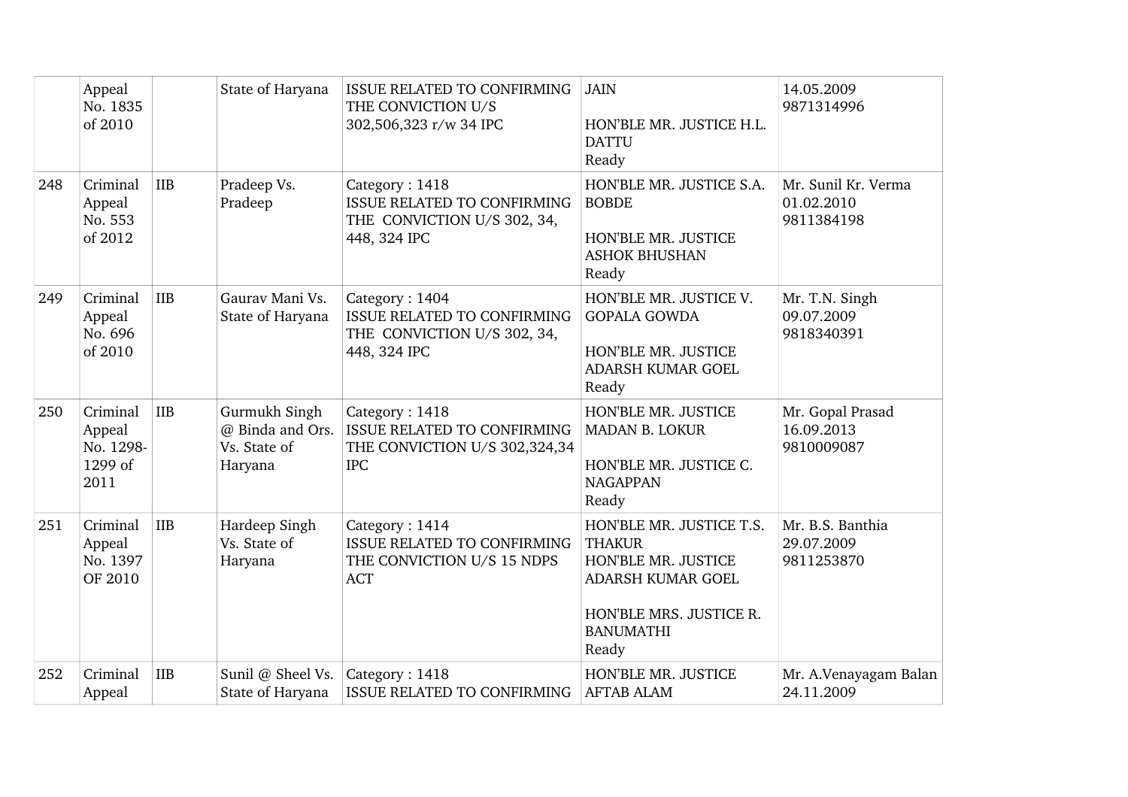|     | Appeal<br>No. 1835<br>of 2010                      |            | State of Haryana                                             | <b>ISSUE RELATED TO CONFIRMING</b><br>THE CONVICTION U/S<br>302,506,323 r/w 34 IPC                  | <b>JAIN</b><br>HON'BLE MR. JUSTICE H.L.<br><b>DATTU</b><br>Ready                                                                              | 14.05.2009<br>9871314996                        |
|-----|----------------------------------------------------|------------|--------------------------------------------------------------|-----------------------------------------------------------------------------------------------------|-----------------------------------------------------------------------------------------------------------------------------------------------|-------------------------------------------------|
| 248 | Criminal<br>Appeal<br>No. 553<br>of 2012           | <b>IIB</b> | Pradeep Vs.<br>Pradeep                                       | Category: 1418<br><b>ISSUE RELATED TO CONFIRMING</b><br>THE CONVICTION U/S 302, 34,<br>448, 324 IPC | HON'BLE MR. JUSTICE S.A.<br><b>BOBDE</b><br>HON'BLE MR. JUSTICE<br><b>ASHOK BHUSHAN</b><br>Ready                                              | Mr. Sunil Kr. Verma<br>01.02.2010<br>9811384198 |
| 249 | Criminal<br>Appeal<br>No. 696<br>of 2010           | <b>IIB</b> | Gaurav Mani Vs.<br>State of Haryana                          | Category: 1404<br>ISSUE RELATED TO CONFIRMING<br>THE CONVICTION U/S 302, 34,<br>448, 324 IPC        | HON'BLE MR. JUSTICE V.<br><b>GOPALA GOWDA</b><br>HON'BLE MR. JUSTICE<br>ADARSH KUMAR GOEL<br>Ready                                            | Mr. T.N. Singh<br>09.07.2009<br>9818340391      |
| 250 | Criminal<br>Appeal<br>No. 1298-<br>1299 of<br>2011 | IIB        | Gurmukh Singh<br>@ Binda and Ors.<br>Vs. State of<br>Haryana | Category: 1418<br><b>ISSUE RELATED TO CONFIRMING</b><br>THE CONVICTION U/S 302,324,34<br><b>IPC</b> | HON'BLE MR. JUSTICE<br><b>MADAN B. LOKUR</b><br>HON'BLE MR. JUSTICE C.<br><b>NAGAPPAN</b><br>Ready                                            | Mr. Gopal Prasad<br>16.09.2013<br>9810009087    |
| 251 | Criminal<br>Appeal<br>No. 1397<br>OF 2010          | IIB        | Hardeep Singh<br>Vs. State of<br>Haryana                     | Category: 1414<br><b>ISSUE RELATED TO CONFIRMING</b><br>THE CONVICTION U/S 15 NDPS<br><b>ACT</b>    | HON'BLE MR. JUSTICE T.S.<br><b>THAKUR</b><br>HON'BLE MR. JUSTICE<br>ADARSH KUMAR GOEL<br>HON'BLE MRS. JUSTICE R.<br><b>BANUMATHI</b><br>Ready | Mr. B.S. Banthia<br>29.07.2009<br>9811253870    |
| 252 | Criminal<br>Appeal                                 | <b>IIB</b> | Sunil @ Sheel Vs.<br>State of Haryana                        | Category: 1418<br><b>ISSUE RELATED TO CONFIRMING</b>                                                | HON'BLE MR. JUSTICE<br><b>AFTAB ALAM</b>                                                                                                      | Mr. A.Venayagam Balan<br>24.11.2009             |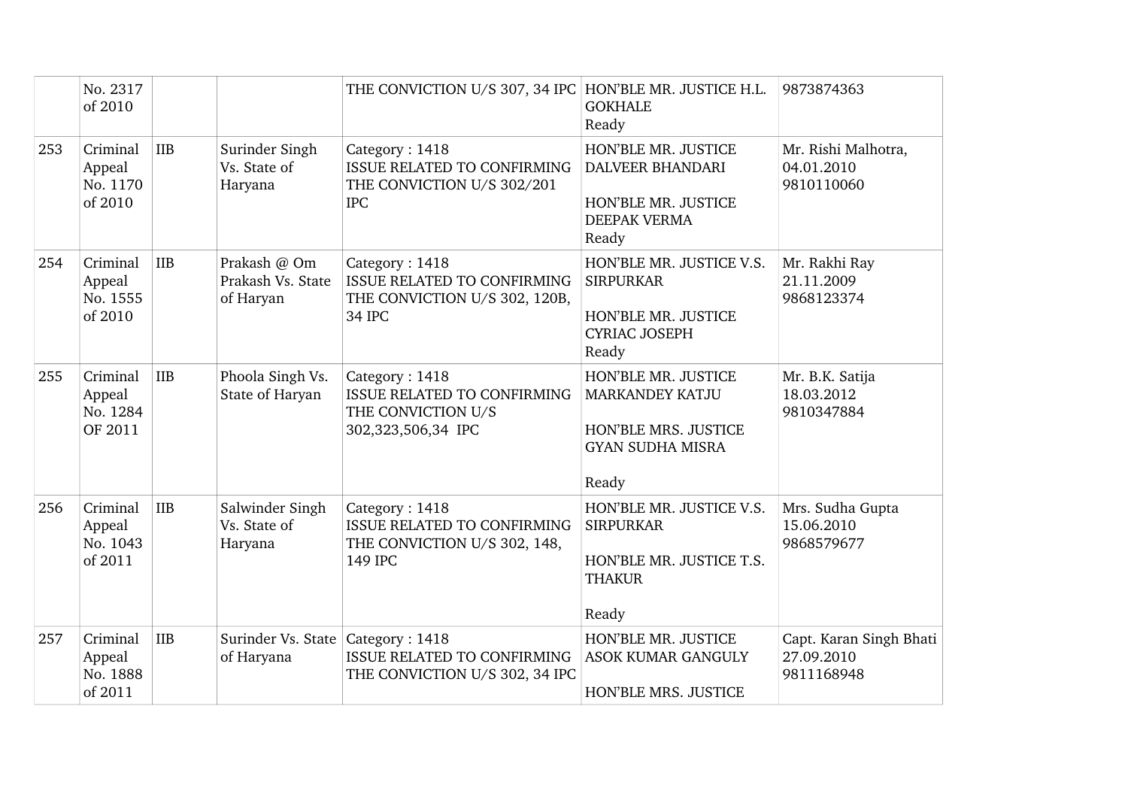|     | No. 2317<br>of 2010                       |            |                                                | THE CONVICTION U/S 307, 34 IPC HON'BLE MR. JUSTICE H.L.                                         | <b>GOKHALE</b><br>Ready                                                                                   | 9873874363                                          |
|-----|-------------------------------------------|------------|------------------------------------------------|-------------------------------------------------------------------------------------------------|-----------------------------------------------------------------------------------------------------------|-----------------------------------------------------|
| 253 | Criminal<br>Appeal<br>No. 1170<br>of 2010 | <b>IIB</b> | Surinder Singh<br>Vs. State of<br>Haryana      | Category: 1418<br>ISSUE RELATED TO CONFIRMING<br>THE CONVICTION U/S 302/201<br><b>IPC</b>       | HON'BLE MR. JUSTICE<br>DALVEER BHANDARI<br>HON'BLE MR. JUSTICE<br><b>DEEPAK VERMA</b><br>Ready            | Mr. Rishi Malhotra,<br>04.01.2010<br>9810110060     |
| 254 | Criminal<br>Appeal<br>No. 1555<br>of 2010 | <b>IIB</b> | Prakash @ Om<br>Prakash Vs. State<br>of Haryan | Category: 1418<br><b>ISSUE RELATED TO CONFIRMING</b><br>THE CONVICTION U/S 302, 120B,<br>34 IPC | HON'BLE MR. JUSTICE V.S.<br><b>SIRPURKAR</b><br>HON'BLE MR. JUSTICE<br><b>CYRIAC JOSEPH</b><br>Ready      | Mr. Rakhi Ray<br>21.11.2009<br>9868123374           |
| 255 | Criminal<br>Appeal<br>No. 1284<br>OF 2011 | IIB        | Phoola Singh Vs.<br>State of Haryan            | Category: 1418<br>ISSUE RELATED TO CONFIRMING<br>THE CONVICTION U/S<br>302,323,506,34 IPC       | HON'BLE MR. JUSTICE<br><b>MARKANDEY KATJU</b><br>HON'BLE MRS. JUSTICE<br><b>GYAN SUDHA MISRA</b><br>Ready | Mr. B.K. Satija<br>18.03.2012<br>9810347884         |
| 256 | Criminal<br>Appeal<br>No. 1043<br>of 2011 | <b>IIB</b> | Salwinder Singh<br>Vs. State of<br>Haryana     | Category: 1418<br>ISSUE RELATED TO CONFIRMING<br>THE CONVICTION U/S 302, 148,<br>149 IPC        | HON'BLE MR. JUSTICE V.S.<br><b>SIRPURKAR</b><br>HON'BLE MR. JUSTICE T.S.<br><b>THAKUR</b><br>Ready        | Mrs. Sudha Gupta<br>15.06.2010<br>9868579677        |
| 257 | Criminal<br>Appeal<br>No. 1888<br>of 2011 | <b>IIB</b> | Surinder Vs. State<br>of Haryana               | Category: 1418<br>ISSUE RELATED TO CONFIRMING<br>THE CONVICTION U/S 302, 34 IPC                 | HON'BLE MR. JUSTICE<br><b>ASOK KUMAR GANGULY</b><br><b>HON'BLE MRS. JUSTICE</b>                           | Capt. Karan Singh Bhati<br>27.09.2010<br>9811168948 |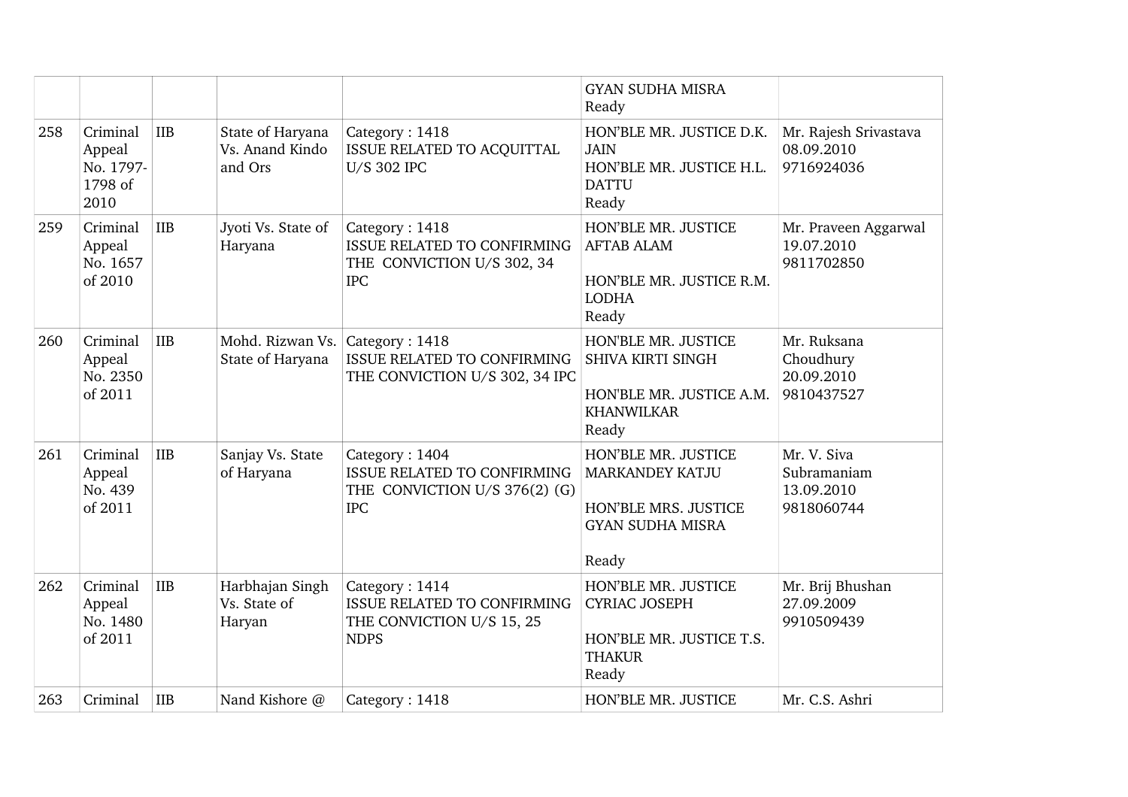|     |                                                    |            |                                                |                                                                                                     | <b>GYAN SUDHA MISRA</b><br>Ready                                                                          |                                                        |
|-----|----------------------------------------------------|------------|------------------------------------------------|-----------------------------------------------------------------------------------------------------|-----------------------------------------------------------------------------------------------------------|--------------------------------------------------------|
| 258 | Criminal<br>Appeal<br>No. 1797-<br>1798 of<br>2010 | <b>IIB</b> | State of Haryana<br>Vs. Anand Kindo<br>and Ors | Category: 1418<br>ISSUE RELATED TO ACQUITTAL<br>U/S 302 IPC                                         | HON'BLE MR. JUSTICE D.K.<br><b>JAIN</b><br>HON'BLE MR. JUSTICE H.L.<br><b>DATTU</b><br>Ready              | Mr. Rajesh Srivastava<br>08.09.2010<br>9716924036      |
| 259 | Criminal<br>Appeal<br>No. 1657<br>of 2010          | <b>IIB</b> | Jyoti Vs. State of<br>Haryana                  | Category: 1418<br>ISSUE RELATED TO CONFIRMING<br>THE CONVICTION U/S 302, 34<br><b>IPC</b>           | HON'BLE MR. JUSTICE<br><b>AFTAB ALAM</b><br>HON'BLE MR. JUSTICE R.M.<br><b>LODHA</b><br>Ready             | Mr. Praveen Aggarwal<br>19.07.2010<br>9811702850       |
| 260 | Criminal<br>Appeal<br>No. 2350<br>of 2011          | <b>IIB</b> | Mohd. Rizwan Vs.<br>State of Haryana           | Category: 1418<br><b>ISSUE RELATED TO CONFIRMING</b><br>THE CONVICTION U/S 302, 34 IPC              | HON'BLE MR. JUSTICE<br><b>SHIVA KIRTI SINGH</b><br>HON'BLE MR. JUSTICE A.M.<br><b>KHANWILKAR</b><br>Ready | Mr. Ruksana<br>Choudhury<br>20.09.2010<br>9810437527   |
| 261 | Criminal<br>Appeal<br>No. 439<br>of 2011           | IIB        | Sanjay Vs. State<br>of Haryana                 | Category: 1404<br><b>ISSUE RELATED TO CONFIRMING</b><br>THE CONVICTION U/S 376(2) (G)<br><b>IPC</b> | HON'BLE MR. JUSTICE<br><b>MARKANDEY KATJU</b><br>HON'BLE MRS. JUSTICE<br><b>GYAN SUDHA MISRA</b><br>Ready | Mr. V. Siva<br>Subramaniam<br>13.09.2010<br>9818060744 |
| 262 | Criminal<br>Appeal<br>No. 1480<br>of 2011          | IIB        | Harbhajan Singh<br>Vs. State of<br>Haryan      | Category: 1414<br><b>ISSUE RELATED TO CONFIRMING</b><br>THE CONVICTION U/S 15, 25<br><b>NDPS</b>    | HON'BLE MR. JUSTICE<br><b>CYRIAC JOSEPH</b><br>HON'BLE MR. JUSTICE T.S.<br><b>THAKUR</b><br>Ready         | Mr. Brij Bhushan<br>27.09.2009<br>9910509439           |
| 263 | Criminal                                           | <b>IIB</b> | Nand Kishore @                                 | Category: 1418                                                                                      | HON'BLE MR. JUSTICE                                                                                       | Mr. C.S. Ashri                                         |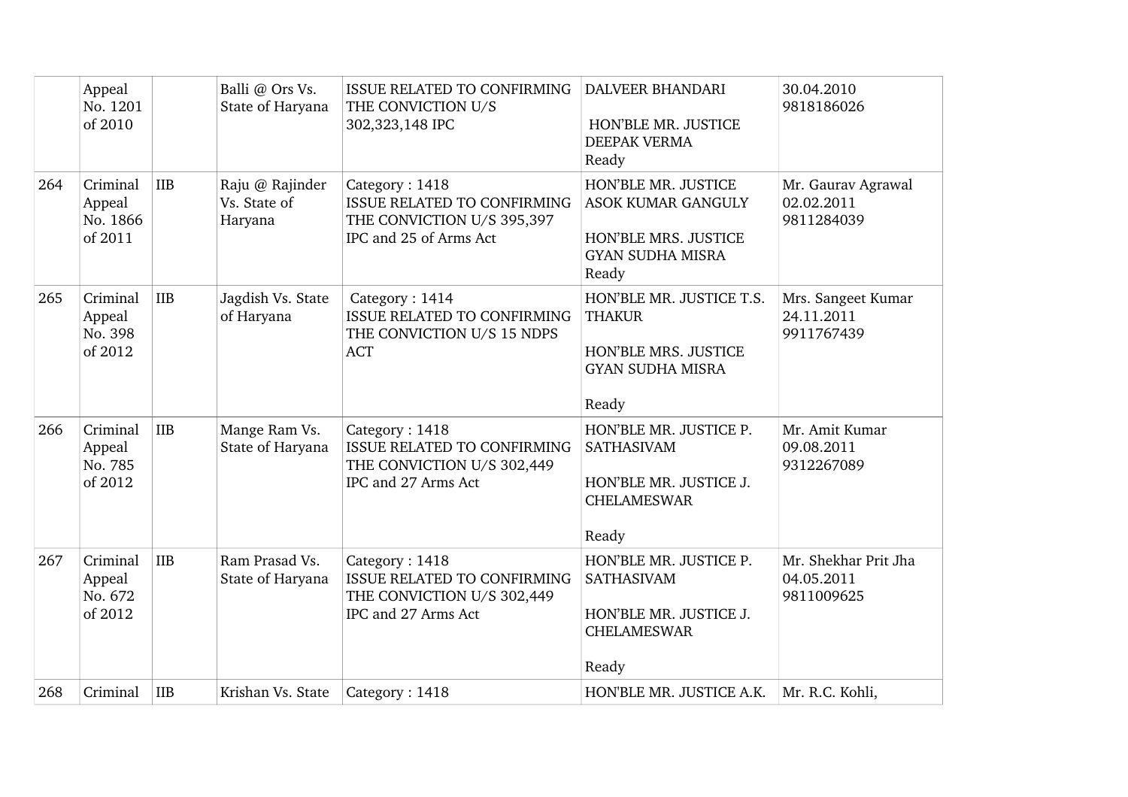|     | Appeal<br>No. 1201<br>of 2010             |            | Balli @ Ors Vs.<br>State of Haryana        | <b>ISSUE RELATED TO CONFIRMING</b><br>THE CONVICTION U/S<br>302,323,148 IPC                                  | <b>DALVEER BHANDARI</b><br>HON'BLE MR. JUSTICE<br>DEEPAK VERMA<br>Ready                                      | 30.04.2010<br>9818186026                         |
|-----|-------------------------------------------|------------|--------------------------------------------|--------------------------------------------------------------------------------------------------------------|--------------------------------------------------------------------------------------------------------------|--------------------------------------------------|
| 264 | Criminal<br>Appeal<br>No. 1866<br>of 2011 | <b>IIB</b> | Raju @ Rajinder<br>Vs. State of<br>Haryana | Category: 1418<br><b>ISSUE RELATED TO CONFIRMING</b><br>THE CONVICTION U/S 395,397<br>IPC and 25 of Arms Act | HON'BLE MR. JUSTICE<br><b>ASOK KUMAR GANGULY</b><br>HON'BLE MRS. JUSTICE<br><b>GYAN SUDHA MISRA</b><br>Ready | Mr. Gaurav Agrawal<br>02.02.2011<br>9811284039   |
| 265 | Criminal<br>Appeal<br>No. 398<br>of 2012  | <b>IIB</b> | Jagdish Vs. State<br>of Haryana            | Category: 1414<br>ISSUE RELATED TO CONFIRMING<br>THE CONVICTION U/S 15 NDPS<br><b>ACT</b>                    | HON'BLE MR. JUSTICE T.S.<br><b>THAKUR</b><br>HON'BLE MRS. JUSTICE<br><b>GYAN SUDHA MISRA</b><br>Ready        | Mrs. Sangeet Kumar<br>24.11.2011<br>9911767439   |
| 266 | Criminal<br>Appeal<br>No. 785<br>of 2012  | <b>IIB</b> | Mange Ram Vs.<br>State of Haryana          | Category: 1418<br>ISSUE RELATED TO CONFIRMING<br>THE CONVICTION U/S 302,449<br>IPC and 27 Arms Act           | HON'BLE MR. JUSTICE P.<br><b>SATHASIVAM</b><br>HON'BLE MR. JUSTICE J.<br><b>CHELAMESWAR</b><br>Ready         | Mr. Amit Kumar<br>09.08.2011<br>9312267089       |
| 267 | Criminal<br>Appeal<br>No. 672<br>of 2012  | <b>IIB</b> | Ram Prasad Vs.<br>State of Haryana         | Category: 1418<br>ISSUE RELATED TO CONFIRMING<br>THE CONVICTION U/S 302,449<br>IPC and 27 Arms Act           | HON'BLE MR. JUSTICE P.<br>SATHASIVAM<br>HON'BLE MR. JUSTICE J.<br><b>CHELAMESWAR</b><br>Ready                | Mr. Shekhar Prit Jha<br>04.05.2011<br>9811009625 |
| 268 | Criminal                                  | IIB        | Krishan Vs. State                          | Category: 1418                                                                                               | HON'BLE MR. JUSTICE A.K.                                                                                     | Mr. R.C. Kohli,                                  |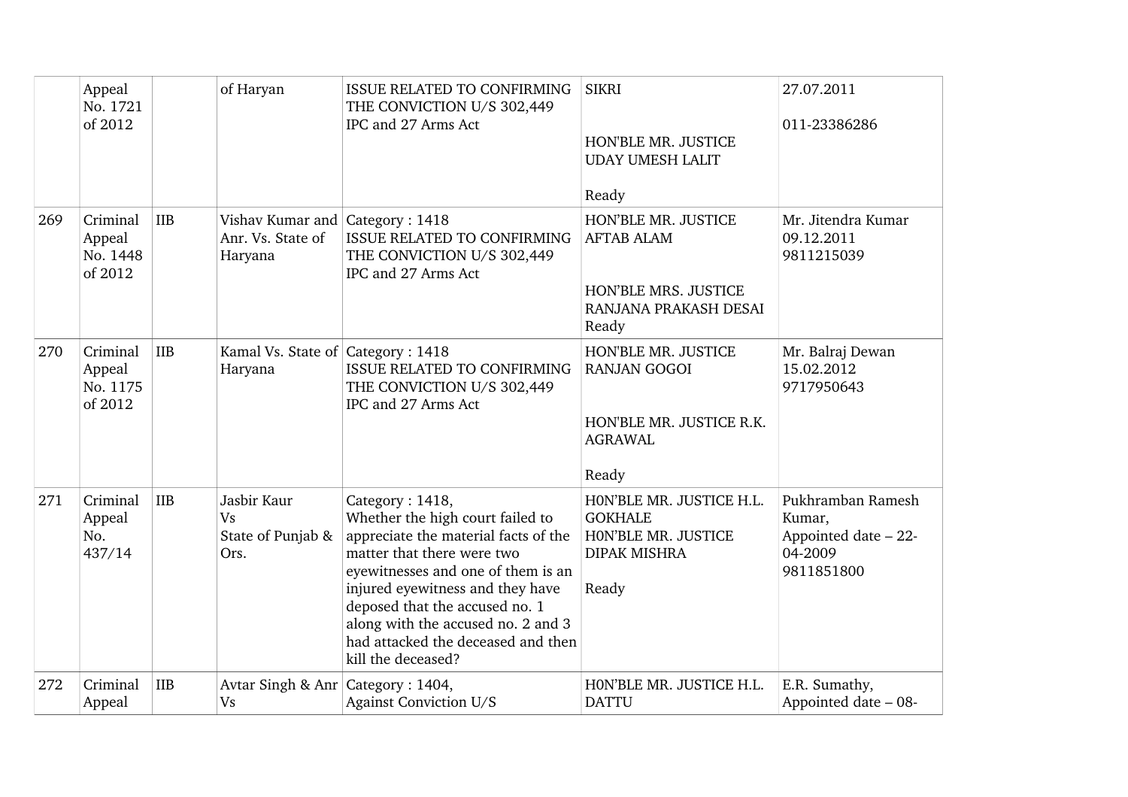|     | Appeal<br>No. 1721<br>of 2012             |            | of Haryan                                                       | ISSUE RELATED TO CONFIRMING<br>THE CONVICTION U/S 302,449<br>IPC and 27 Arms Act                                                                                                                                                                                                                                                        | <b>SIKRI</b><br>HON'BLE MR. JUSTICE<br><b>UDAY UMESH LALIT</b><br>Ready                            | 27.07.2011<br>011-23386286                                                   |
|-----|-------------------------------------------|------------|-----------------------------------------------------------------|-----------------------------------------------------------------------------------------------------------------------------------------------------------------------------------------------------------------------------------------------------------------------------------------------------------------------------------------|----------------------------------------------------------------------------------------------------|------------------------------------------------------------------------------|
| 269 | Criminal<br>Appeal<br>No. 1448<br>of 2012 | <b>IIB</b> | Vishav Kumar and Category: 1418<br>Anr. Vs. State of<br>Haryana | ISSUE RELATED TO CONFIRMING<br>THE CONVICTION U/S 302,449<br>IPC and 27 Arms Act                                                                                                                                                                                                                                                        | HON'BLE MR. JUSTICE<br><b>AFTAB ALAM</b><br>HON'BLE MRS. JUSTICE<br>RANJANA PRAKASH DESAI<br>Ready | Mr. Jitendra Kumar<br>09.12.2011<br>9811215039                               |
| 270 | Criminal<br>Appeal<br>No. 1175<br>of 2012 | <b>IIB</b> | Kamal Vs. State of Category: 1418<br>Haryana                    | <b>ISSUE RELATED TO CONFIRMING</b><br>THE CONVICTION U/S 302,449<br>IPC and 27 Arms Act                                                                                                                                                                                                                                                 | HON'BLE MR. JUSTICE<br><b>RANJAN GOGOI</b><br>HON'BLE MR. JUSTICE R.K.<br><b>AGRAWAL</b><br>Ready  | Mr. Balraj Dewan<br>15.02.2012<br>9717950643                                 |
| 271 | Criminal<br>Appeal<br>No.<br>437/14       | <b>IIB</b> | Jasbir Kaur<br><b>Vs</b><br>State of Punjab &<br>Ors.           | Category: 1418,<br>Whether the high court failed to<br>appreciate the material facts of the<br>matter that there were two<br>eyewitnesses and one of them is an<br>injured eyewitness and they have<br>deposed that the accused no. 1<br>along with the accused no. 2 and 3<br>had attacked the deceased and then<br>kill the deceased? | HON'BLE MR. JUSTICE H.L.<br><b>GOKHALE</b><br>HON'BLE MR. JUSTICE<br><b>DIPAK MISHRA</b><br>Ready  | Pukhramban Ramesh<br>Kumar,<br>Appointed date - 22-<br>04-2009<br>9811851800 |
| 272 | Criminal<br>Appeal                        | <b>IIB</b> | Avtar Singh & Anr Category: 1404,<br><b>Vs</b>                  | Against Conviction U/S                                                                                                                                                                                                                                                                                                                  | HON'BLE MR. JUSTICE H.L.<br><b>DATTU</b>                                                           | E.R. Sumathy,<br>Appointed date - 08-                                        |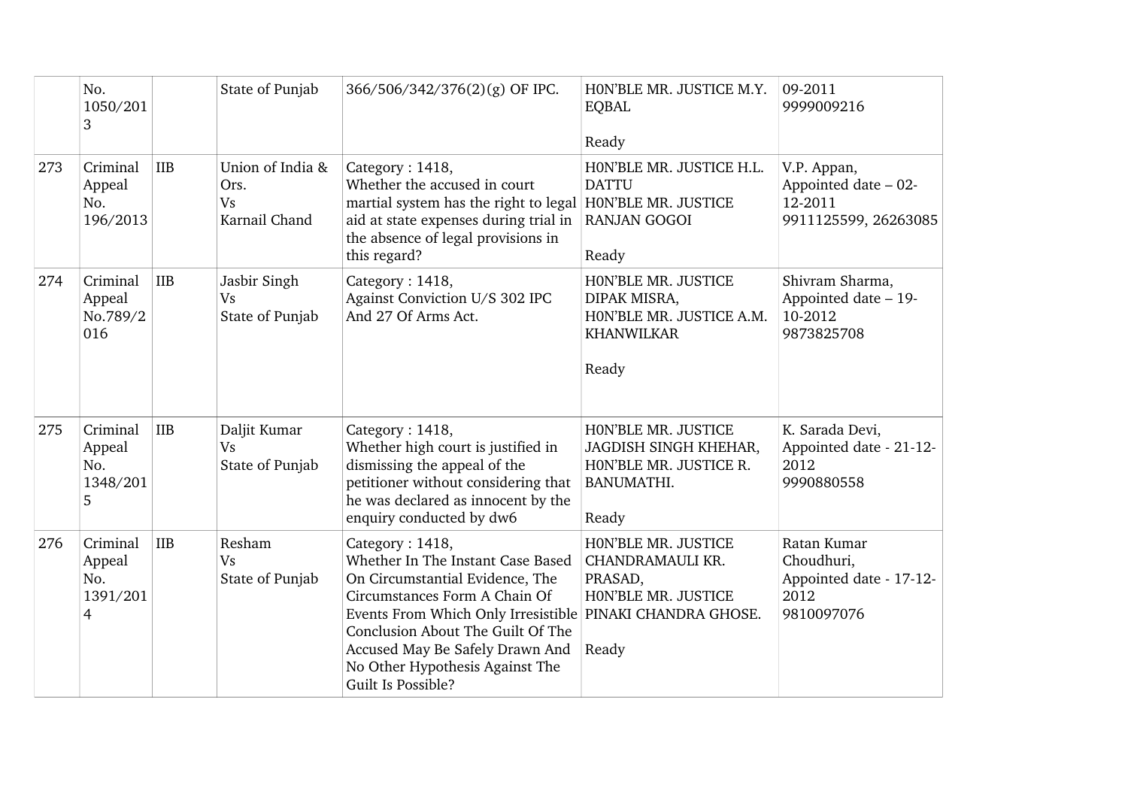|     | No.<br>1050/201<br>3                                                  | State of Punjab                                        | 366/506/342/376(2)(g) OF IPC.                                                                                                                                                                                                                                                                                          | HON'BLE MR. JUSTICE M.Y.<br><b>EQBAL</b><br>Ready                                             | 09-2011<br>9999009216                                                      |
|-----|-----------------------------------------------------------------------|--------------------------------------------------------|------------------------------------------------------------------------------------------------------------------------------------------------------------------------------------------------------------------------------------------------------------------------------------------------------------------------|-----------------------------------------------------------------------------------------------|----------------------------------------------------------------------------|
| 273 | IIB<br>Criminal<br>Appeal<br>No.<br>196/2013                          | Union of India &<br>Ors.<br><b>Vs</b><br>Karnail Chand | Category: 1418,<br>Whether the accused in court<br>martial system has the right to legal HON'BLE MR. JUSTICE<br>aid at state expenses during trial in<br>the absence of legal provisions in<br>this regard?                                                                                                            | HON'BLE MR. JUSTICE H.L.<br><b>DATTU</b><br><b>RANJAN GOGOI</b><br>Ready                      | V.P. Appan,<br>Appointed date - 02-<br>12-2011<br>9911125599, 26263085     |
| 274 | <b>IIB</b><br>Criminal<br>Appeal<br>No.789/2<br>016                   | Jasbir Singh<br><b>Vs</b><br>State of Punjab           | Category: 1418,<br>Against Conviction U/S 302 IPC<br>And 27 Of Arms Act.                                                                                                                                                                                                                                               | HON'BLE MR. JUSTICE<br>DIPAK MISRA,<br>HON'BLE MR. JUSTICE A.M.<br><b>KHANWILKAR</b><br>Ready | Shivram Sharma,<br>Appointed date - 19-<br>10-2012<br>9873825708           |
| 275 | Criminal<br><b>IIB</b><br>Appeal<br>No.<br>1348/201<br>5              | Daljit Kumar<br><b>Vs</b><br>State of Punjab           | Category: 1418,<br>Whether high court is justified in<br>dismissing the appeal of the<br>petitioner without considering that<br>he was declared as innocent by the<br>enquiry conducted by dw6                                                                                                                         | HON'BLE MR. JUSTICE<br>JAGDISH SINGH KHEHAR,<br>HON'BLE MR. JUSTICE R.<br>BANUMATHI.<br>Ready | K. Sarada Devi,<br>Appointed date - 21-12-<br>2012<br>9990880558           |
| 276 | Criminal<br><b>IIB</b><br>Appeal<br>No.<br>1391/201<br>$\overline{4}$ | Resham<br><b>Vs</b><br>State of Punjab                 | Category: 1418,<br>Whether In The Instant Case Based<br>On Circumstantial Evidence, The<br>Circumstances Form A Chain Of<br>Events From Which Only Irresistible PINAKI CHANDRA GHOSE.<br>Conclusion About The Guilt Of The<br>Accused May Be Safely Drawn And<br>No Other Hypothesis Against The<br>Guilt Is Possible? | HON'BLE MR. JUSTICE<br>CHANDRAMAULI KR.<br>PRASAD,<br>HON'BLE MR. JUSTICE<br>Ready            | Ratan Kumar<br>Choudhuri,<br>Appointed date - 17-12-<br>2012<br>9810097076 |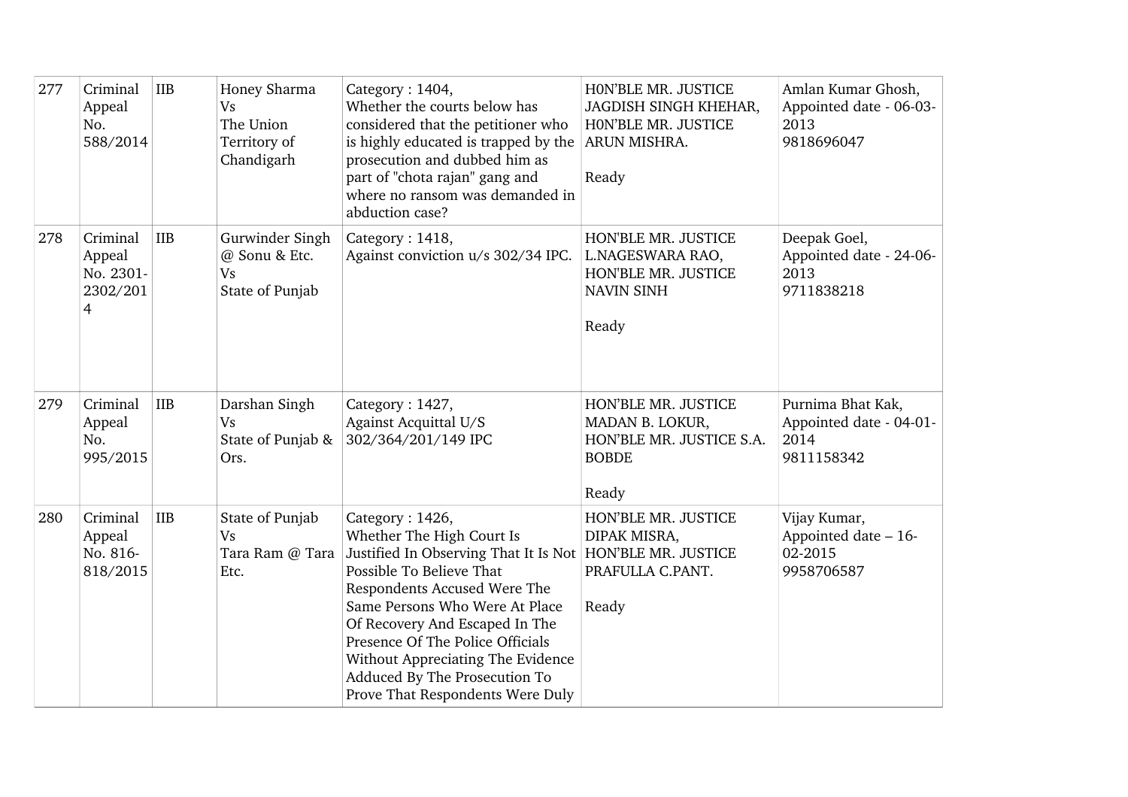| 277 | Criminal<br>Appeal<br>No.<br>588/2014                         | <b>IIB</b> | Honey Sharma<br><b>Vs</b><br>The Union<br>Territory of<br>Chandigarh | Category: 1404,<br>Whether the courts below has<br>considered that the petitioner who<br>is highly educated is trapped by the<br>prosecution and dubbed him as<br>part of "chota rajan" gang and<br>where no ransom was demanded in<br>abduction case?                                                                                                                                    | HON'BLE MR. JUSTICE<br>JAGDISH SINGH KHEHAR,<br>HON'BLE MR. JUSTICE<br>ARUN MISHRA.<br>Ready | Amlan Kumar Ghosh,<br>Appointed date - 06-03-<br>2013<br>9818696047 |
|-----|---------------------------------------------------------------|------------|----------------------------------------------------------------------|-------------------------------------------------------------------------------------------------------------------------------------------------------------------------------------------------------------------------------------------------------------------------------------------------------------------------------------------------------------------------------------------|----------------------------------------------------------------------------------------------|---------------------------------------------------------------------|
| 278 | Criminal<br>Appeal<br>No. 2301-<br>2302/201<br>$\overline{4}$ | <b>IIB</b> | Gurwinder Singh<br>@ Sonu & Etc.<br><b>Vs</b><br>State of Punjab     | Category: 1418,<br>Against conviction u/s 302/34 IPC.                                                                                                                                                                                                                                                                                                                                     | HON'BLE MR. JUSTICE<br>L.NAGESWARA RAO,<br>HON'BLE MR. JUSTICE<br><b>NAVIN SINH</b><br>Ready | Deepak Goel,<br>Appointed date - 24-06-<br>2013<br>9711838218       |
| 279 | Criminal<br>Appeal<br>No.<br>995/2015                         | <b>IIB</b> | Darshan Singh<br><b>Vs</b><br>State of Punjab &<br>Ors.              | Category: 1427,<br>Against Acquittal U/S<br>302/364/201/149 IPC                                                                                                                                                                                                                                                                                                                           | HON'BLE MR. JUSTICE<br>MADAN B. LOKUR,<br>HON'BLE MR. JUSTICE S.A.<br><b>BOBDE</b><br>Ready  | Purnima Bhat Kak,<br>Appointed date - 04-01-<br>2014<br>9811158342  |
| 280 | Criminal<br>Appeal<br>No. 816-<br>818/2015                    | <b>IIB</b> | State of Punjab<br><b>Vs</b><br>Tara Ram @ Tara<br>Etc.              | Category: 1426,<br>Whether The High Court Is<br>Justified In Observing That It Is Not   HON'BLE MR. JUSTICE<br>Possible To Believe That<br>Respondents Accused Were The<br>Same Persons Who Were At Place<br>Of Recovery And Escaped In The<br>Presence Of The Police Officials<br>Without Appreciating The Evidence<br>Adduced By The Prosecution To<br>Prove That Respondents Were Duly | HON'BLE MR. JUSTICE<br>DIPAK MISRA,<br>PRAFULLA C.PANT.<br>Ready                             | Vijay Kumar,<br>Appointed date - 16-<br>02-2015<br>9958706587       |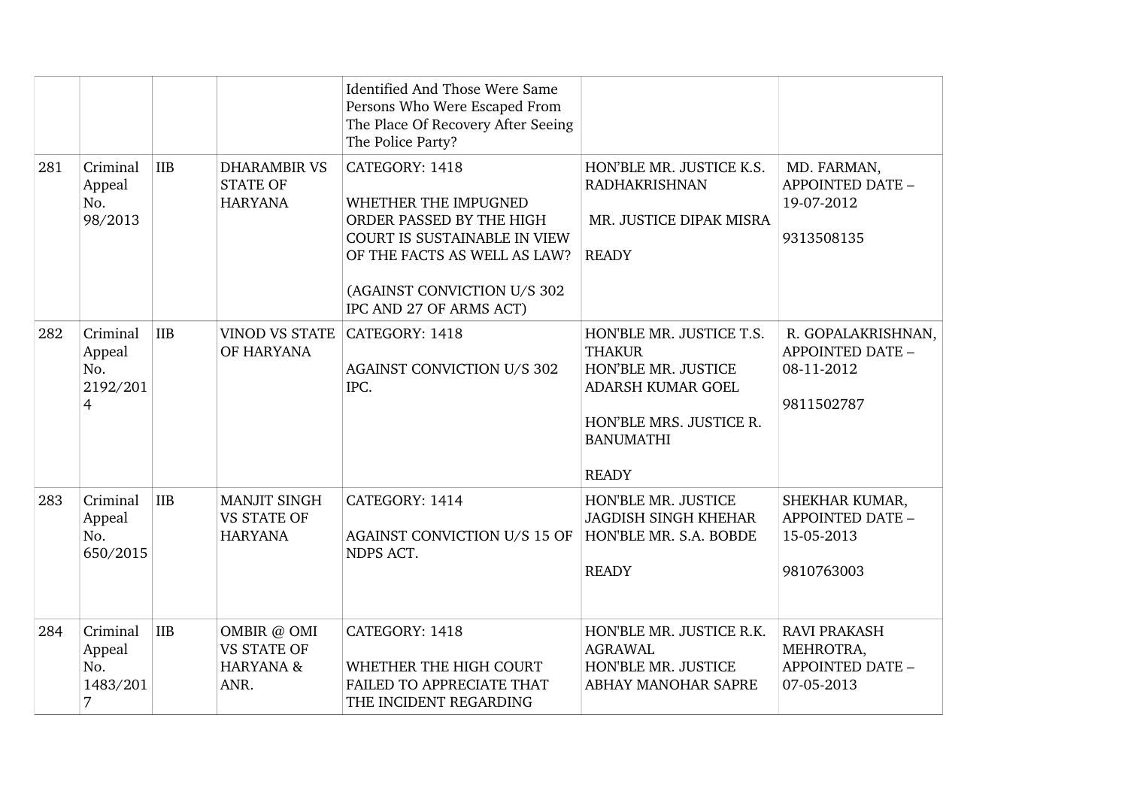|     |                                                         |            |                                                                   | Identified And Those Were Same<br>Persons Who Were Escaped From<br>The Place Of Recovery After Seeing<br>The Police Party?                                                                          |                                                                                                                                                      |                                                                           |
|-----|---------------------------------------------------------|------------|-------------------------------------------------------------------|-----------------------------------------------------------------------------------------------------------------------------------------------------------------------------------------------------|------------------------------------------------------------------------------------------------------------------------------------------------------|---------------------------------------------------------------------------|
| 281 | Criminal<br>Appeal<br>No.<br>98/2013                    | <b>IIB</b> | <b>DHARAMBIR VS</b><br><b>STATE OF</b><br><b>HARYANA</b>          | CATEGORY: 1418<br>WHETHER THE IMPUGNED<br>ORDER PASSED BY THE HIGH<br><b>COURT IS SUSTAINABLE IN VIEW</b><br>OF THE FACTS AS WELL AS LAW?<br>(AGAINST CONVICTION U/S 302<br>IPC AND 27 OF ARMS ACT) | HON'BLE MR. JUSTICE K.S.<br><b>RADHAKRISHNAN</b><br>MR. JUSTICE DIPAK MISRA<br><b>READY</b>                                                          | MD. FARMAN,<br><b>APPOINTED DATE -</b><br>19-07-2012<br>9313508135        |
| 282 | Criminal<br>Appeal<br>No.<br>2192/201<br>$\overline{4}$ | <b>IIB</b> | <b>VINOD VS STATE</b><br>OF HARYANA                               | CATEGORY: 1418<br><b>AGAINST CONVICTION U/S 302</b><br>IPC.                                                                                                                                         | HON'BLE MR. JUSTICE T.S.<br><b>THAKUR</b><br>HON'BLE MR. JUSTICE<br>ADARSH KUMAR GOEL<br>HON'BLE MRS. JUSTICE R.<br><b>BANUMATHI</b><br><b>READY</b> | R. GOPALAKRISHNAN,<br><b>APPOINTED DATE -</b><br>08-11-2012<br>9811502787 |
| 283 | Criminal<br>Appeal<br>No.<br>650/2015                   | <b>IIB</b> | <b>MANJIT SINGH</b><br><b>VS STATE OF</b><br><b>HARYANA</b>       | CATEGORY: 1414<br>AGAINST CONVICTION U/S 15 OF<br>NDPS ACT.                                                                                                                                         | HON'BLE MR. JUSTICE<br><b>JAGDISH SINGH KHEHAR</b><br>HON'BLE MR. S.A. BOBDE<br><b>READY</b>                                                         | SHEKHAR KUMAR,<br>APPOINTED DATE -<br>15-05-2013<br>9810763003            |
| 284 | Criminal<br>Appeal<br>No.<br>1483/201<br>7              | <b>IIB</b> | OMBIR @ OMI<br><b>VS STATE OF</b><br><b>HARYANA &amp;</b><br>ANR. | CATEGORY: 1418<br>WHETHER THE HIGH COURT<br>FAILED TO APPRECIATE THAT<br>THE INCIDENT REGARDING                                                                                                     | HON'BLE MR. JUSTICE R.K.<br><b>AGRAWAL</b><br>HON'BLE MR. JUSTICE<br>ABHAY MANOHAR SAPRE                                                             | <b>RAVI PRAKASH</b><br>MEHROTRA,<br><b>APPOINTED DATE -</b><br>07-05-2013 |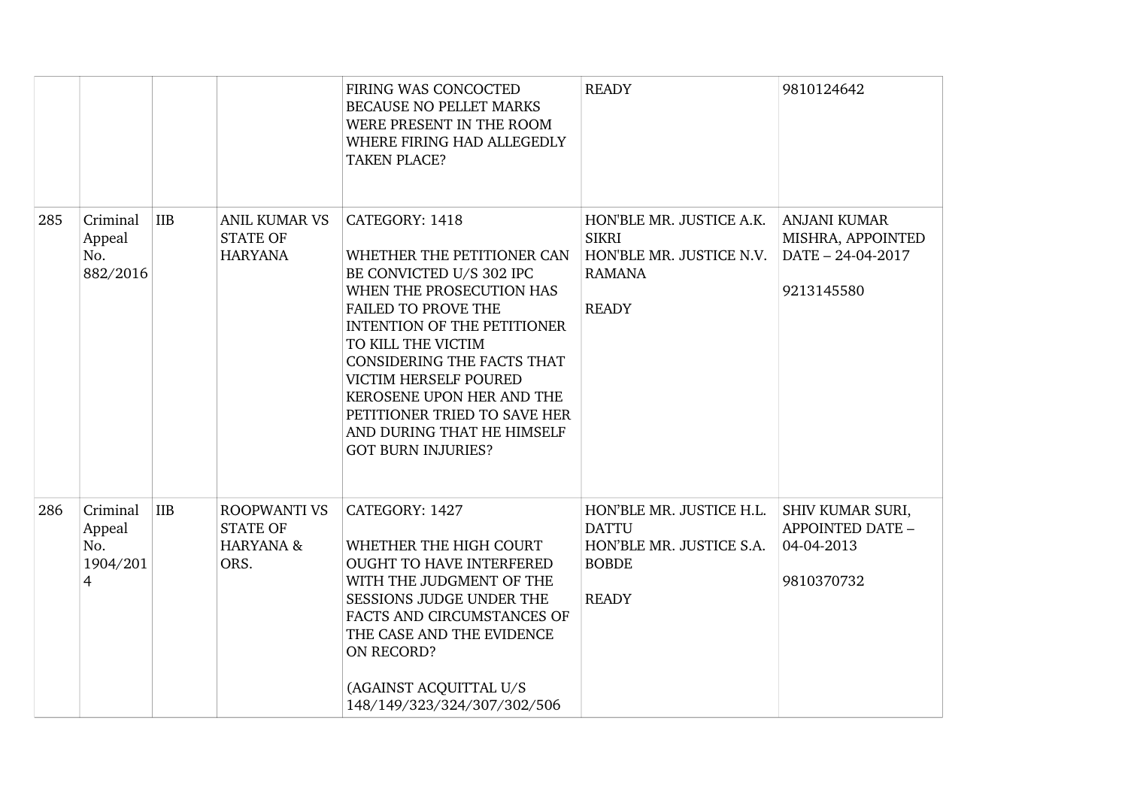|     |                                            |            |                                                                        | FIRING WAS CONCOCTED<br>BECAUSE NO PELLET MARKS<br>WERE PRESENT IN THE ROOM<br>WHERE FIRING HAD ALLEGEDLY<br><b>TAKEN PLACE?</b>                                                                                                                                                                                                                                                     | <b>READY</b>                                                                                          | 9810124642                                                                  |
|-----|--------------------------------------------|------------|------------------------------------------------------------------------|--------------------------------------------------------------------------------------------------------------------------------------------------------------------------------------------------------------------------------------------------------------------------------------------------------------------------------------------------------------------------------------|-------------------------------------------------------------------------------------------------------|-----------------------------------------------------------------------------|
| 285 | Criminal<br>Appeal<br>No.<br>882/2016      | <b>IIB</b> | <b>ANIL KUMAR VS</b><br><b>STATE OF</b><br><b>HARYANA</b>              | CATEGORY: 1418<br>WHETHER THE PETITIONER CAN<br>BE CONVICTED U/S 302 IPC<br>WHEN THE PROSECUTION HAS<br><b>FAILED TO PROVE THE</b><br><b>INTENTION OF THE PETITIONER</b><br>TO KILL THE VICTIM<br><b>CONSIDERING THE FACTS THAT</b><br>VICTIM HERSELF POURED<br>KEROSENE UPON HER AND THE<br>PETITIONER TRIED TO SAVE HER<br>AND DURING THAT HE HIMSELF<br><b>GOT BURN INJURIES?</b> | HON'BLE MR. JUSTICE A.K.<br><b>SIKRI</b><br>HON'BLE MR. JUSTICE N.V.<br><b>RAMANA</b><br><b>READY</b> | <b>ANJANI KUMAR</b><br>MISHRA, APPOINTED<br>DATE - 24-04-2017<br>9213145580 |
| 286 | Criminal<br>Appeal<br>No.<br>1904/201<br>4 | <b>IIB</b> | <b>ROOPWANTI VS</b><br><b>STATE OF</b><br><b>HARYANA &amp;</b><br>ORS. | CATEGORY: 1427<br>WHETHER THE HIGH COURT<br><b>OUGHT TO HAVE INTERFERED</b><br>WITH THE JUDGMENT OF THE<br>SESSIONS JUDGE UNDER THE<br>FACTS AND CIRCUMSTANCES OF<br>THE CASE AND THE EVIDENCE<br>ON RECORD?<br>(AGAINST ACQUITTAL U/S<br>148/149/323/324/307/302/506                                                                                                                | HON'BLE MR. JUSTICE H.L.<br><b>DATTU</b><br>HON'BLE MR. JUSTICE S.A.<br><b>BOBDE</b><br><b>READY</b>  | SHIV KUMAR SURI,<br>APPOINTED DATE -<br>04-04-2013<br>9810370732            |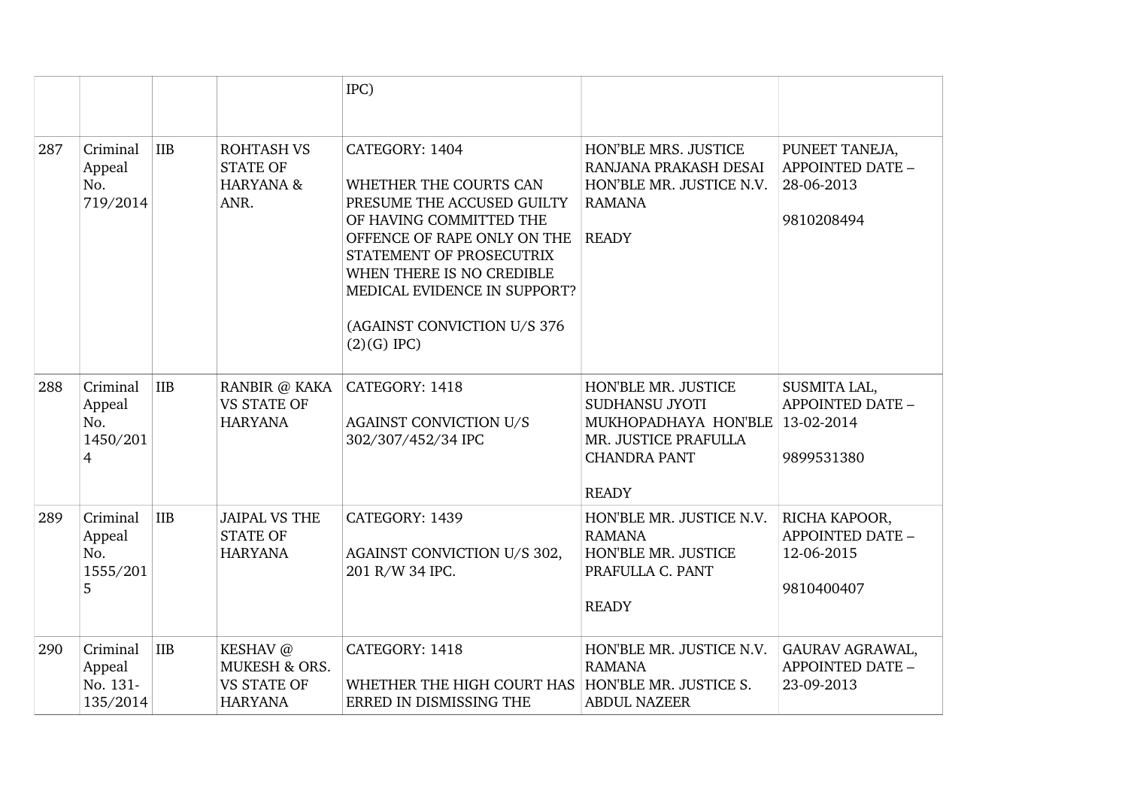|     |                                                                       |                                                                              | IPC)                                                                                                                                                                                                                                                                      |                                                                                                                              |                                                                      |
|-----|-----------------------------------------------------------------------|------------------------------------------------------------------------------|---------------------------------------------------------------------------------------------------------------------------------------------------------------------------------------------------------------------------------------------------------------------------|------------------------------------------------------------------------------------------------------------------------------|----------------------------------------------------------------------|
| 287 | Criminal<br><b>IIB</b><br>Appeal<br>No.<br>719/2014                   | <b>ROHTASH VS</b><br><b>STATE OF</b><br>HARYANA &<br>ANR.                    | CATEGORY: 1404<br>WHETHER THE COURTS CAN<br>PRESUME THE ACCUSED GUILTY<br>OF HAVING COMMITTED THE<br>OFFENCE OF RAPE ONLY ON THE<br>STATEMENT OF PROSECUTRIX<br>WHEN THERE IS NO CREDIBLE<br>MEDICAL EVIDENCE IN SUPPORT?<br>(AGAINST CONVICTION U/S 376<br>$(2)(G)$ IPC) | HON'BLE MRS. JUSTICE<br>RANJANA PRAKASH DESAI<br>HON'BLE MR. JUSTICE N.V.<br><b>RAMANA</b><br><b>READY</b>                   | PUNEET TANEJA,<br>APPOINTED DATE -<br>28-06-2013<br>9810208494       |
| 288 | Criminal<br><b>IIB</b><br>Appeal<br>No.<br>1450/201<br>$\overline{4}$ | RANBIR @ KAKA<br><b>VS STATE OF</b><br><b>HARYANA</b>                        | CATEGORY: 1418<br><b>AGAINST CONVICTION U/S</b><br>302/307/452/34 IPC                                                                                                                                                                                                     | HON'BLE MR. JUSTICE<br>SUDHANSU JYOTI<br>MUKHOPADHAYA HON'BLE<br>MR. JUSTICE PRAFULLA<br><b>CHANDRA PANT</b><br><b>READY</b> | SUSMITA LAL,<br><b>APPOINTED DATE -</b><br>13-02-2014<br>9899531380  |
| 289 | Criminal<br>IIB<br>Appeal<br>No.<br>1555/201<br>5                     | <b>JAIPAL VS THE</b><br><b>STATE OF</b><br><b>HARYANA</b>                    | CATEGORY: 1439<br>AGAINST CONVICTION U/S 302,<br>201 R/W 34 IPC.                                                                                                                                                                                                          | HON'BLE MR. JUSTICE N.V.<br><b>RAMANA</b><br>HON'BLE MR. JUSTICE<br>PRAFULLA C. PANT<br><b>READY</b>                         | RICHA KAPOOR,<br><b>APPOINTED DATE -</b><br>12-06-2015<br>9810400407 |
| 290 | Criminal<br><b>IIB</b><br>Appeal<br>No. 131-<br>135/2014              | KESHAV @<br><b>MUKESH &amp; ORS.</b><br><b>VS STATE OF</b><br><b>HARYANA</b> | CATEGORY: 1418<br>WHETHER THE HIGH COURT HAS   HON'BLE MR. JUSTICE S.<br>ERRED IN DISMISSING THE                                                                                                                                                                          | HON'BLE MR. JUSTICE N.V.<br><b>RAMANA</b><br><b>ABDUL NAZEER</b>                                                             | GAURAV AGRAWAL,<br><b>APPOINTED DATE -</b><br>23-09-2013             |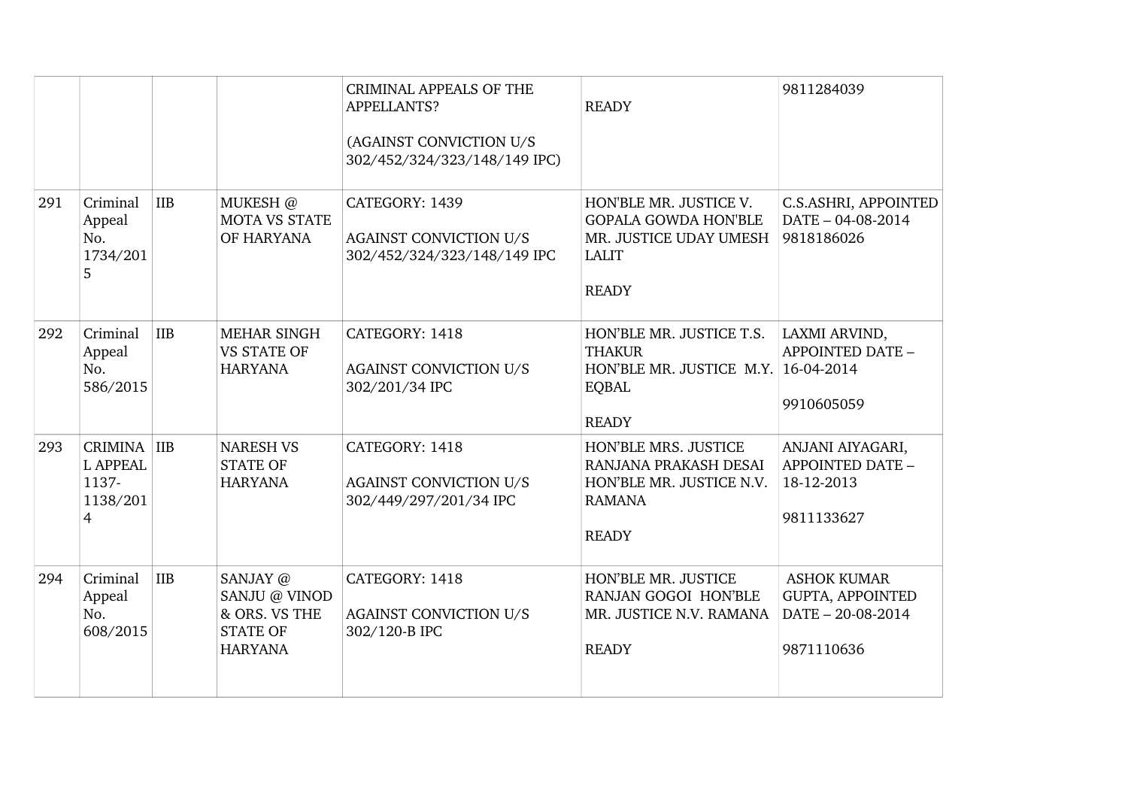|     |                                                          |            |                                                                                 | <b>CRIMINAL APPEALS OF THE</b><br>APPELLANTS?<br>(AGAINST CONVICTION U/S<br>302/452/324/323/148/149 IPC) | <b>READY</b>                                                                                                     | 9811284039                                                                |
|-----|----------------------------------------------------------|------------|---------------------------------------------------------------------------------|----------------------------------------------------------------------------------------------------------|------------------------------------------------------------------------------------------------------------------|---------------------------------------------------------------------------|
| 291 | Criminal<br>Appeal<br>No.<br>1734/201<br>5               | <b>IIB</b> | MUKESH @<br><b>MOTA VS STATE</b><br>OF HARYANA                                  | CATEGORY: 1439<br><b>AGAINST CONVICTION U/S</b><br>302/452/324/323/148/149 IPC                           | HON'BLE MR. JUSTICE V.<br><b>GOPALA GOWDA HON'BLE</b><br>MR. JUSTICE UDAY UMESH<br><b>LALIT</b><br><b>READY</b>  | C.S.ASHRI, APPOINTED<br>DATE - 04-08-2014<br>9818186026                   |
| 292 | Criminal<br>Appeal<br>No.<br>586/2015                    | <b>IIB</b> | <b>MEHAR SINGH</b><br><b>VS STATE OF</b><br><b>HARYANA</b>                      | CATEGORY: 1418<br><b>AGAINST CONVICTION U/S</b><br>302/201/34 IPC                                        | HON'BLE MR. JUSTICE T.S.<br><b>THAKUR</b><br>HON'BLE MR. JUSTICE M.Y. 16-04-2014<br><b>EQBAL</b><br><b>READY</b> | LAXMI ARVIND,<br>APPOINTED DATE -<br>9910605059                           |
| 293 | CRIMINA IIB<br><b>L APPEAL</b><br>1137-<br>1138/201<br>4 |            | NARESH VS<br><b>STATE OF</b><br><b>HARYANA</b>                                  | CATEGORY: 1418<br><b>AGAINST CONVICTION U/S</b><br>302/449/297/201/34 IPC                                | HON'BLE MRS. JUSTICE<br>RANJANA PRAKASH DESAI<br>HON'BLE MR. JUSTICE N.V.<br><b>RAMANA</b><br><b>READY</b>       | ANJANI AIYAGARI,<br>APPOINTED DATE -<br>18-12-2013<br>9811133627          |
| 294 | Criminal<br>Appeal<br>No.<br>608/2015                    | IIB        | SANJAY @<br>SANJU @ VINOD<br>& ORS. VS THE<br><b>STATE OF</b><br><b>HARYANA</b> | CATEGORY: 1418<br><b>AGAINST CONVICTION U/S</b><br>302/120-B IPC                                         | HON'BLE MR. JUSTICE<br>RANJAN GOGOI HON'BLE<br>MR. JUSTICE N.V. RAMANA<br><b>READY</b>                           | <b>ASHOK KUMAR</b><br>GUPTA, APPOINTED<br>DATE - 20-08-2014<br>9871110636 |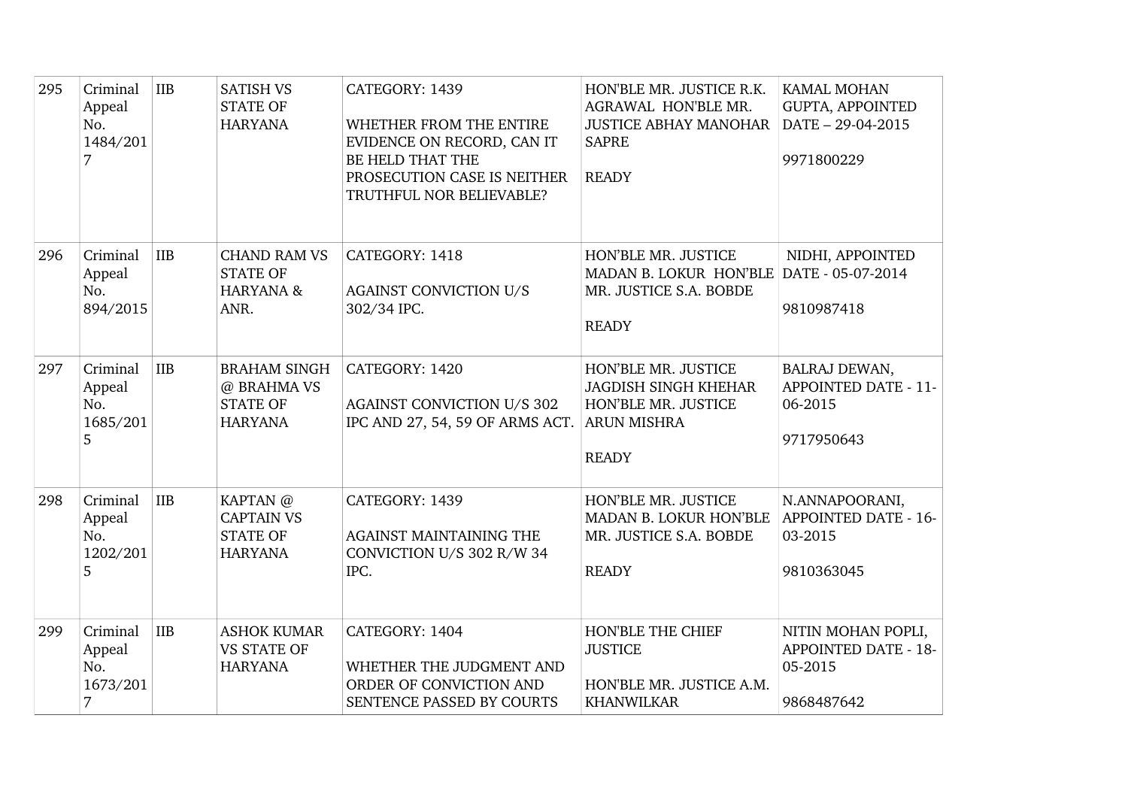| 295 | Criminal<br>Appeal<br>No.<br>1484/201<br>7 | IIB        | <b>SATISH VS</b><br><b>STATE OF</b><br><b>HARYANA</b>                   | CATEGORY: 1439<br>WHETHER FROM THE ENTIRE<br>EVIDENCE ON RECORD, CAN IT<br>BE HELD THAT THE<br>PROSECUTION CASE IS NEITHER<br>TRUTHFUL NOR BELIEVABLE? | HON'BLE MR. JUSTICE R.K.<br>AGRAWAL HON'BLE MR.<br><b>JUSTICE ABHAY MANOHAR</b><br><b>SAPRE</b><br><b>READY</b> | <b>KAMAL MOHAN</b><br><b>GUPTA, APPOINTED</b><br>DATE - 29-04-2015<br>9971800229 |
|-----|--------------------------------------------|------------|-------------------------------------------------------------------------|--------------------------------------------------------------------------------------------------------------------------------------------------------|-----------------------------------------------------------------------------------------------------------------|----------------------------------------------------------------------------------|
| 296 | Criminal<br>Appeal<br>No.<br>894/2015      | <b>IIB</b> | <b>CHAND RAM VS</b><br><b>STATE OF</b><br><b>HARYANA &amp;</b><br>ANR.  | CATEGORY: 1418<br><b>AGAINST CONVICTION U/S</b><br>302/34 IPC.                                                                                         | HON'BLE MR. JUSTICE<br>MADAN B. LOKUR HON'BLE DATE - 05-07-2014<br>MR. JUSTICE S.A. BOBDE<br><b>READY</b>       | NIDHI, APPOINTED<br>9810987418                                                   |
| 297 | Criminal<br>Appeal<br>No.<br>1685/201<br>5 | <b>IIB</b> | <b>BRAHAM SINGH</b><br>@ BRAHMA VS<br><b>STATE OF</b><br><b>HARYANA</b> | CATEGORY: 1420<br><b>AGAINST CONVICTION U/S 302</b><br>IPC AND 27, 54, 59 OF ARMS ACT.                                                                 | HON'BLE MR. JUSTICE<br><b>JAGDISH SINGH KHEHAR</b><br>HON'BLE MR. JUSTICE<br><b>ARUN MISHRA</b><br><b>READY</b> | BALRAJ DEWAN,<br><b>APPOINTED DATE - 11-</b><br>06-2015<br>9717950643            |
| 298 | Criminal<br>Appeal<br>No.<br>1202/201<br>5 | IIB        | KAPTAN @<br><b>CAPTAIN VS</b><br><b>STATE OF</b><br><b>HARYANA</b>      | CATEGORY: 1439<br><b>AGAINST MAINTAINING THE</b><br>CONVICTION U/S 302 R/W 34<br>IPC.                                                                  | HON'BLE MR. JUSTICE<br>MADAN B. LOKUR HON'BLE<br>MR. JUSTICE S.A. BOBDE<br><b>READY</b>                         | N.ANNAPOORANI,<br>APPOINTED DATE - 16-<br>03-2015<br>9810363045                  |
| 299 | Criminal<br>Appeal<br>No.<br>1673/201<br>7 | IIB        | <b>ASHOK KUMAR</b><br><b>VS STATE OF</b><br><b>HARYANA</b>              | CATEGORY: 1404<br>WHETHER THE JUDGMENT AND<br>ORDER OF CONVICTION AND<br>SENTENCE PASSED BY COURTS                                                     | HON'BLE THE CHIEF<br><b>JUSTICE</b><br>HON'BLE MR. JUSTICE A.M.<br><b>KHANWILKAR</b>                            | NITIN MOHAN POPLI,<br><b>APPOINTED DATE - 18-</b><br>05-2015<br>9868487642       |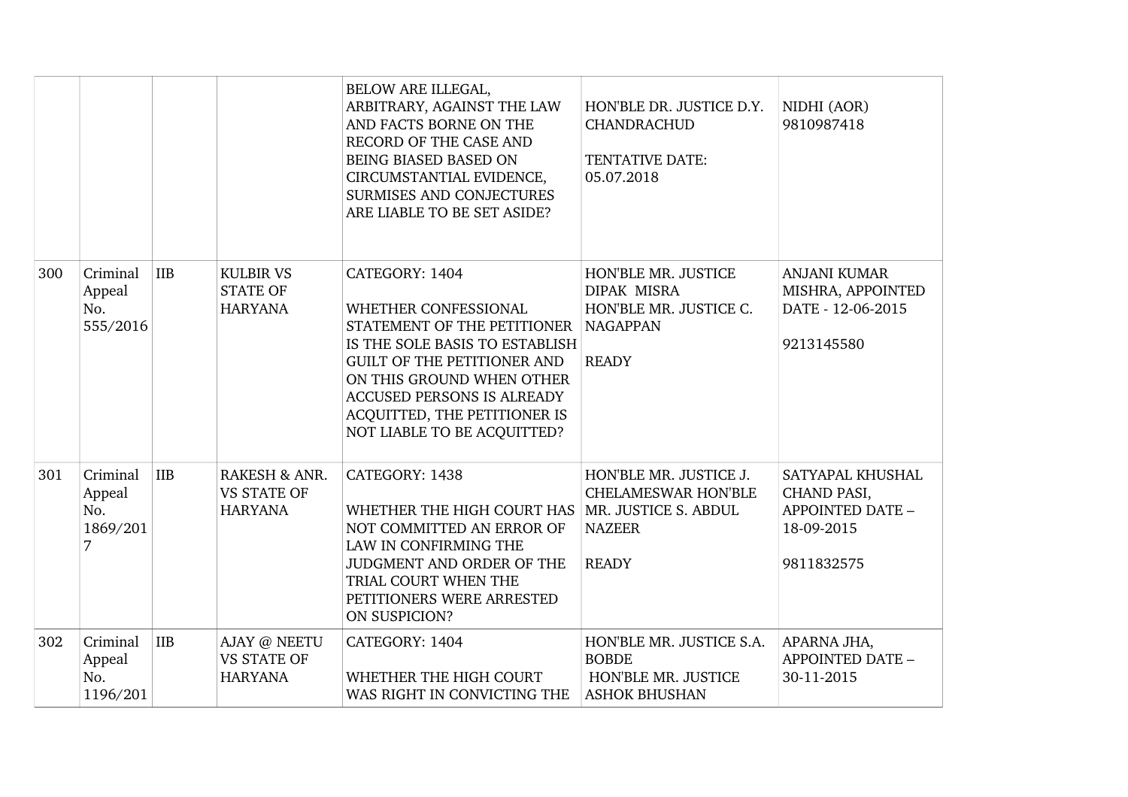|     |                                            |            |                                                       | BELOW ARE ILLEGAL,<br>ARBITRARY, AGAINST THE LAW<br>AND FACTS BORNE ON THE<br>RECORD OF THE CASE AND<br>BEING BIASED BASED ON<br>CIRCUMSTANTIAL EVIDENCE,<br>SURMISES AND CONJECTURES<br>ARE LIABLE TO BE SET ASIDE?                                                    | HON'BLE DR. JUSTICE D.Y.<br><b>CHANDRACHUD</b><br>TENTATIVE DATE:<br>05.07.2018                        | NIDHI (AOR)<br>9810987418                                                              |
|-----|--------------------------------------------|------------|-------------------------------------------------------|-------------------------------------------------------------------------------------------------------------------------------------------------------------------------------------------------------------------------------------------------------------------------|--------------------------------------------------------------------------------------------------------|----------------------------------------------------------------------------------------|
| 300 | Criminal<br>Appeal<br>No.<br>555/2016      | IIB        | <b>KULBIR VS</b><br><b>STATE OF</b><br><b>HARYANA</b> | CATEGORY: 1404<br>WHETHER CONFESSIONAL<br>STATEMENT OF THE PETITIONER<br>IS THE SOLE BASIS TO ESTABLISH<br><b>GUILT OF THE PETITIONER AND</b><br>ON THIS GROUND WHEN OTHER<br>ACCUSED PERSONS IS ALREADY<br>ACQUITTED, THE PETITIONER IS<br>NOT LIABLE TO BE ACQUITTED? | HON'BLE MR. JUSTICE<br><b>DIPAK MISRA</b><br>HON'BLE MR. JUSTICE C.<br><b>NAGAPPAN</b><br><b>READY</b> | <b>ANJANI KUMAR</b><br>MISHRA, APPOINTED<br>DATE - 12-06-2015<br>9213145580            |
| 301 | Criminal<br>Appeal<br>No.<br>1869/201<br>7 | IIB        | RAKESH & ANR.<br><b>VS STATE OF</b><br><b>HARYANA</b> | CATEGORY: 1438<br>WHETHER THE HIGH COURT HAS   MR. JUSTICE S. ABDUL<br>NOT COMMITTED AN ERROR OF<br>LAW IN CONFIRMING THE<br>JUDGMENT AND ORDER OF THE<br>TRIAL COURT WHEN THE<br>PETITIONERS WERE ARRESTED<br>ON SUSPICION?                                            | HON'BLE MR. JUSTICE J.<br><b>CHELAMESWAR HON'BLE</b><br><b>NAZEER</b><br><b>READY</b>                  | SATYAPAL KHUSHAL<br>CHAND PASI,<br><b>APPOINTED DATE -</b><br>18-09-2015<br>9811832575 |
| 302 | Criminal<br>Appeal<br>No.<br>1196/201      | <b>IIB</b> | AJAY @ NEETU<br><b>VS STATE OF</b><br><b>HARYANA</b>  | CATEGORY: 1404<br>WHETHER THE HIGH COURT<br>WAS RIGHT IN CONVICTING THE                                                                                                                                                                                                 | HON'BLE MR. JUSTICE S.A.<br><b>BOBDE</b><br>HON'BLE MR. JUSTICE<br><b>ASHOK BHUSHAN</b>                | APARNA JHA,<br>APPOINTED DATE -<br>30-11-2015                                          |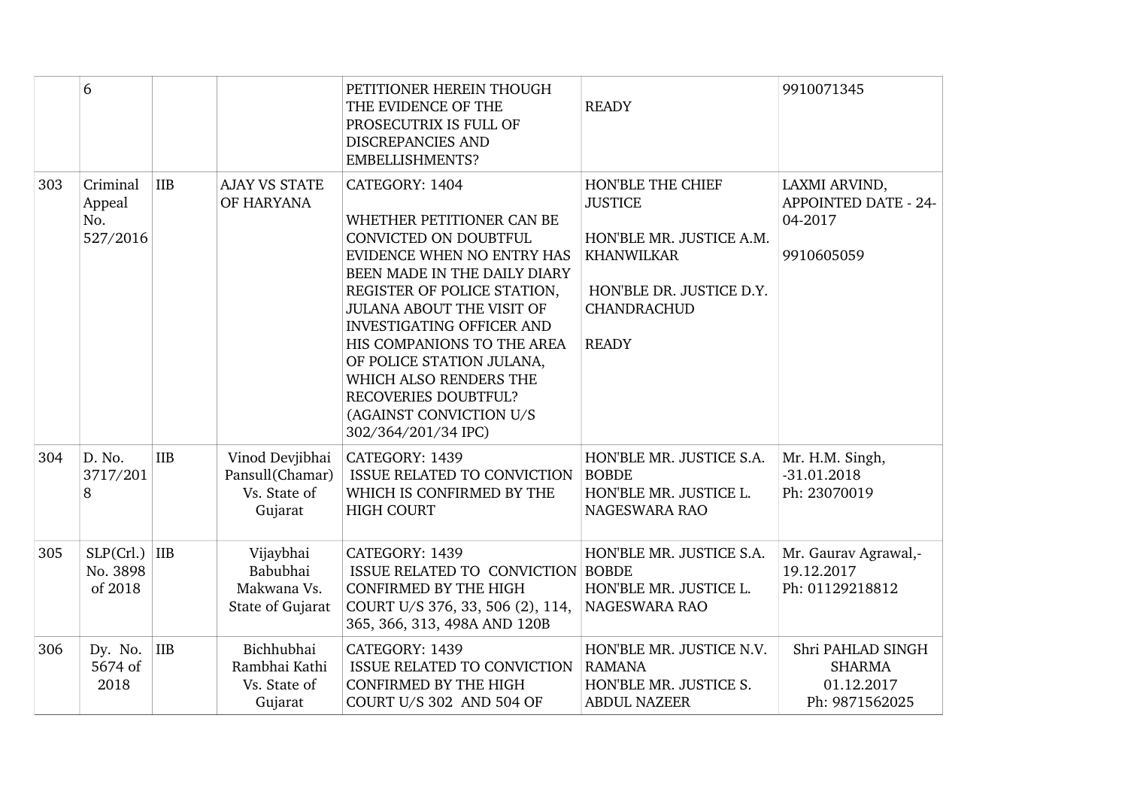|     | 6                                     |                |                                                               | PETITIONER HEREIN THOUGH<br>THE EVIDENCE OF THE<br>PROSECUTRIX IS FULL OF<br><b>DISCREPANCIES AND</b><br>EMBELLISHMENTS?                                                                                                                                                                                                                                                                          | <b>READY</b>                                                                                                                                           | 9910071345                                                            |
|-----|---------------------------------------|----------------|---------------------------------------------------------------|---------------------------------------------------------------------------------------------------------------------------------------------------------------------------------------------------------------------------------------------------------------------------------------------------------------------------------------------------------------------------------------------------|--------------------------------------------------------------------------------------------------------------------------------------------------------|-----------------------------------------------------------------------|
| 303 | Criminal<br>Appeal<br>No.<br>527/2016 | <b>IIB</b>     | <b>AJAY VS STATE</b><br>OF HARYANA                            | CATEGORY: 1404<br>WHETHER PETITIONER CAN BE<br>CONVICTED ON DOUBTFUL<br>EVIDENCE WHEN NO ENTRY HAS<br>BEEN MADE IN THE DAILY DIARY<br>REGISTER OF POLICE STATION,<br>JULANA ABOUT THE VISIT OF<br><b>INVESTIGATING OFFICER AND</b><br>HIS COMPANIONS TO THE AREA<br>OF POLICE STATION JULANA,<br>WHICH ALSO RENDERS THE<br>RECOVERIES DOUBTFUL?<br>(AGAINST CONVICTION U/S<br>302/364/201/34 IPC) | HON'BLE THE CHIEF<br><b>JUSTICE</b><br>HON'BLE MR. JUSTICE A.M.<br><b>KHANWILKAR</b><br>HON'BLE DR. JUSTICE D.Y.<br><b>CHANDRACHUD</b><br><b>READY</b> | LAXMI ARVIND,<br><b>APPOINTED DATE - 24-</b><br>04-2017<br>9910605059 |
| 304 | D. No.<br>3717/201<br>8               | <b>IIB</b>     | Vinod Devjibhai<br>Pansull(Chamar)<br>Vs. State of<br>Gujarat | CATEGORY: 1439<br>ISSUE RELATED TO CONVICTION<br>WHICH IS CONFIRMED BY THE<br><b>HIGH COURT</b>                                                                                                                                                                                                                                                                                                   | HON'BLE MR. JUSTICE S.A.<br><b>BOBDE</b><br>HON'BLE MR. JUSTICE L.<br>NAGESWARA RAO                                                                    | Mr. H.M. Singh,<br>$-31.01.2018$<br>Ph: 23070019                      |
| 305 | $SLP(Cr).$ IIB<br>No. 3898<br>of 2018 |                | Vijaybhai<br>Babubhai<br>Makwana Vs.<br>State of Gujarat      | CATEGORY: 1439<br>ISSUE RELATED TO CONVICTION BOBDE<br><b>CONFIRMED BY THE HIGH</b><br>COURT U/S 376, 33, 506 (2), 114,<br>365, 366, 313, 498A AND 120B                                                                                                                                                                                                                                           | HON'BLE MR. JUSTICE S.A.<br>HON'BLE MR. JUSTICE L.<br><b>NAGESWARA RAO</b>                                                                             | Mr. Gaurav Agrawal,-<br>19.12.2017<br>Ph: 01129218812                 |
| 306 | Dy. No.<br>5674 of<br>2018            | $\overline{I}$ | Bichhubhai<br>Rambhai Kathi<br>Vs. State of<br>Gujarat        | CATEGORY: 1439<br><b>ISSUE RELATED TO CONVICTION</b><br><b>CONFIRMED BY THE HIGH</b><br>COURT U/S 302 AND 504 OF                                                                                                                                                                                                                                                                                  | HON'BLE MR. JUSTICE N.V.<br><b>RAMANA</b><br>HON'BLE MR. JUSTICE S.<br><b>ABDUL NAZEER</b>                                                             | Shri PAHLAD SINGH<br><b>SHARMA</b><br>01.12.2017<br>Ph: 9871562025    |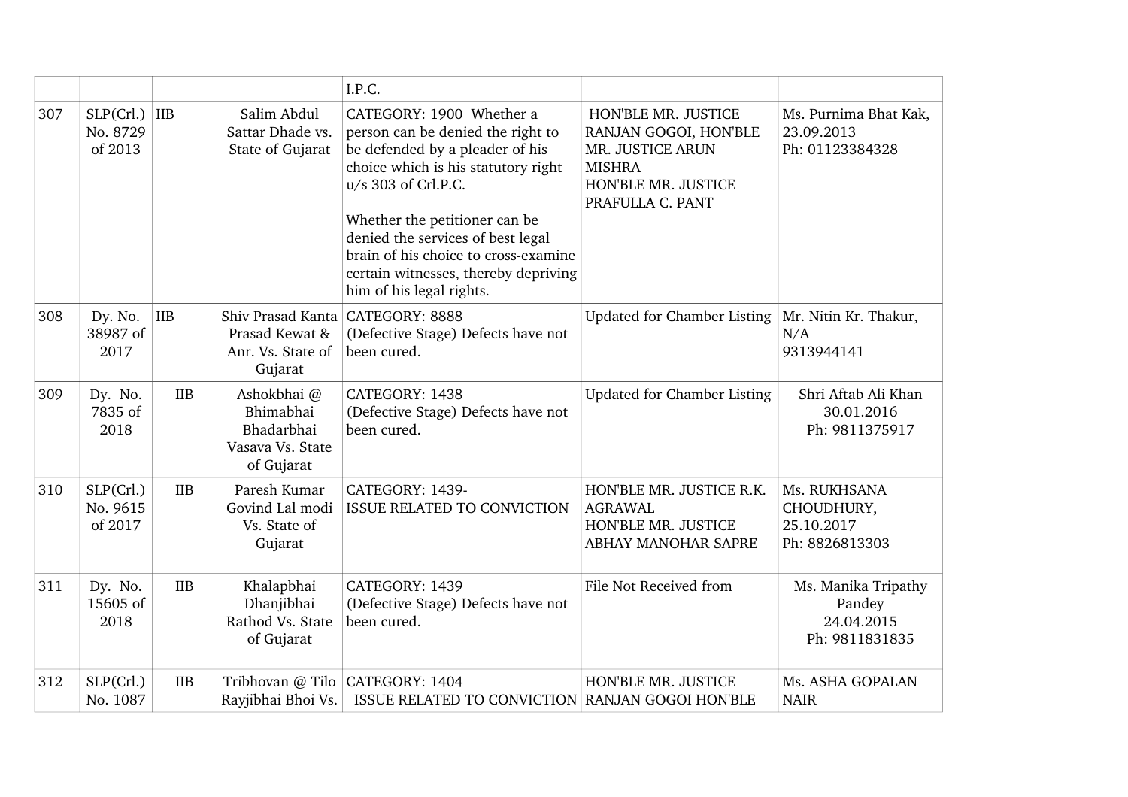|     |                                                    |                                                                          | I.P.C.                                                                                                                                                                                                                                                                                                                                           |                                                                                                                              |                                                               |
|-----|----------------------------------------------------|--------------------------------------------------------------------------|--------------------------------------------------------------------------------------------------------------------------------------------------------------------------------------------------------------------------------------------------------------------------------------------------------------------------------------------------|------------------------------------------------------------------------------------------------------------------------------|---------------------------------------------------------------|
| 307 | SLP(Crl.)<br>$\overline{I}$<br>No. 8729<br>of 2013 | Salim Abdul<br>Sattar Dhade vs.<br>State of Gujarat                      | CATEGORY: 1900 Whether a<br>person can be denied the right to<br>be defended by a pleader of his<br>choice which is his statutory right<br>u/s 303 of Crl.P.C.<br>Whether the petitioner can be<br>denied the services of best legal<br>brain of his choice to cross-examine<br>certain witnesses, thereby depriving<br>him of his legal rights. | HON'BLE MR. JUSTICE<br>RANJAN GOGOI, HON'BLE<br>MR. JUSTICE ARUN<br><b>MISHRA</b><br>HON'BLE MR. JUSTICE<br>PRAFULLA C. PANT | Ms. Purnima Bhat Kak,<br>23.09.2013<br>Ph: 01123384328        |
| 308 | <b>IIB</b><br>Dy. No.<br>38987 of<br>2017          | Prasad Kewat &<br>Anr. Vs. State of<br>Gujarat                           | Shiv Prasad Kanta CATEGORY: 8888<br>(Defective Stage) Defects have not<br>been cured.                                                                                                                                                                                                                                                            | <b>Updated for Chamber Listing</b>                                                                                           | Mr. Nitin Kr. Thakur,<br>N/A<br>9313944141                    |
| 309 | Dy. No.<br><b>IIB</b><br>7835 of<br>2018           | Ashokbhai @<br>Bhimabhai<br>Bhadarbhai<br>Vasava Vs. State<br>of Gujarat | CATEGORY: 1438<br>(Defective Stage) Defects have not<br>been cured.                                                                                                                                                                                                                                                                              | <b>Updated for Chamber Listing</b>                                                                                           | Shri Aftab Ali Khan<br>30.01.2016<br>Ph: 9811375917           |
| 310 | SLP(Crl.)<br><b>IIB</b><br>No. 9615<br>of 2017     | Paresh Kumar<br>Govind Lal modi<br>Vs. State of<br>Gujarat               | CATEGORY: 1439-<br>ISSUE RELATED TO CONVICTION                                                                                                                                                                                                                                                                                                   | HON'BLE MR. JUSTICE R.K.<br><b>AGRAWAL</b><br>HON'BLE MR. JUSTICE<br>ABHAY MANOHAR SAPRE                                     | Ms. RUKHSANA<br>CHOUDHURY,<br>25.10.2017<br>Ph: 8826813303    |
| 311 | Dy. No.<br><b>IIB</b><br>15605 of<br>2018          | Khalapbhai<br>Dhanjibhai<br>Rathod Vs. State<br>of Gujarat               | CATEGORY: 1439<br>(Defective Stage) Defects have not<br>been cured.                                                                                                                                                                                                                                                                              | File Not Received from                                                                                                       | Ms. Manika Tripathy<br>Pandey<br>24.04.2015<br>Ph: 9811831835 |
| 312 | SLP(Crl.)<br><b>IIB</b><br>No. 1087                | Rayjibhai Bhoi Vs.                                                       | Tribhovan @ Tilo CATEGORY: 1404<br>ISSUE RELATED TO CONVICTION RANJAN GOGOI HON'BLE                                                                                                                                                                                                                                                              | HON'BLE MR. JUSTICE                                                                                                          | Ms. ASHA GOPALAN<br><b>NAIR</b>                               |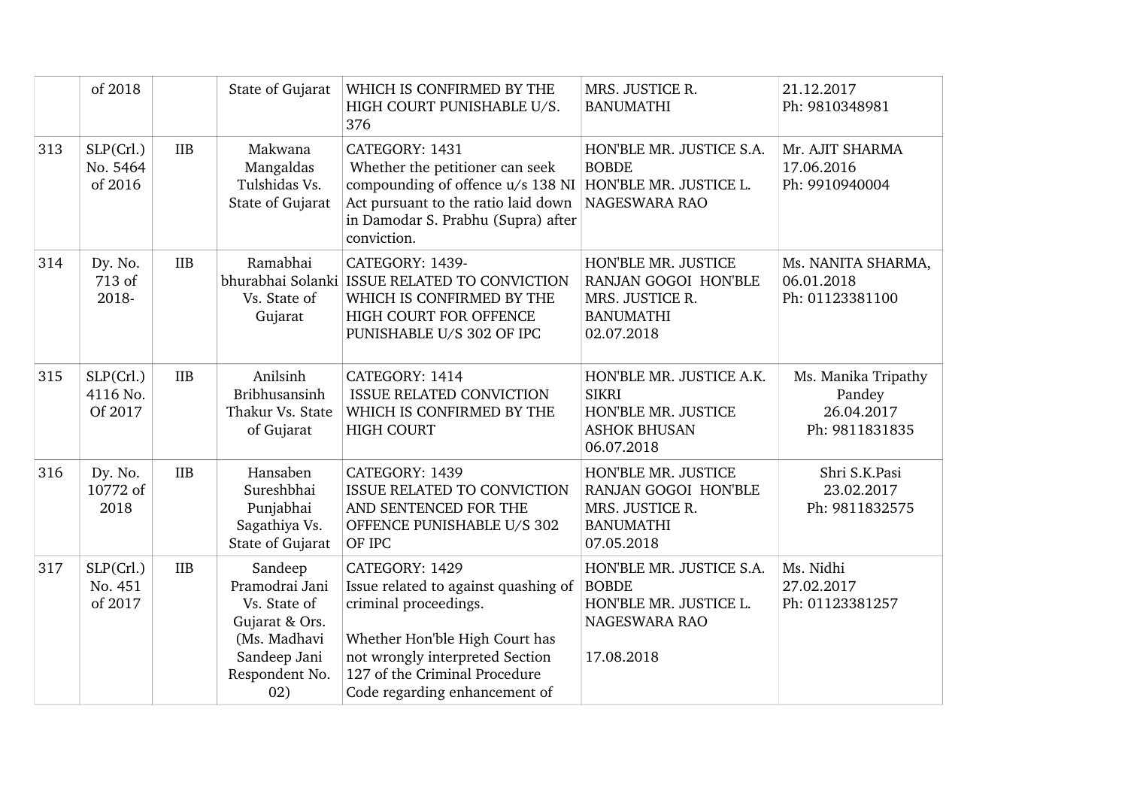|     | of 2018                          |            | State of Gujarat                                                                                                     | WHICH IS CONFIRMED BY THE<br>HIGH COURT PUNISHABLE U/S.<br>376                                                                                                                                                         | MRS. JUSTICE R.<br><b>BANUMATHI</b>                                                                  | 21.12.2017<br>Ph: 9810348981                                  |
|-----|----------------------------------|------------|----------------------------------------------------------------------------------------------------------------------|------------------------------------------------------------------------------------------------------------------------------------------------------------------------------------------------------------------------|------------------------------------------------------------------------------------------------------|---------------------------------------------------------------|
| 313 | SLP(Crl.)<br>No. 5464<br>of 2016 | <b>IIB</b> | Makwana<br>Mangaldas<br>Tulshidas Vs.<br>State of Gujarat                                                            | CATEGORY: 1431<br>Whether the petitioner can seek<br>compounding of offence u/s 138 NI<br>Act pursuant to the ratio laid down<br>in Damodar S. Prabhu (Supra) after<br>conviction.                                     | HON'BLE MR. JUSTICE S.A.<br><b>BOBDE</b><br>HON'BLE MR. JUSTICE L.<br>NAGESWARA RAO                  | Mr. AJIT SHARMA<br>17.06.2016<br>Ph: 9910940004               |
| 314 | Dy. No.<br>713 of<br>2018-       | <b>IIB</b> | Ramabhai<br>Vs. State of<br>Gujarat                                                                                  | CATEGORY: 1439-<br>bhurabhai Solanki ISSUE RELATED TO CONVICTION<br>WHICH IS CONFIRMED BY THE<br>HIGH COURT FOR OFFENCE<br>PUNISHABLE U/S 302 OF IPC                                                                   | HON'BLE MR. JUSTICE<br>RANJAN GOGOI HON'BLE<br>MRS. JUSTICE R.<br><b>BANUMATHI</b><br>02.07.2018     | Ms. NANITA SHARMA,<br>06.01.2018<br>Ph: 01123381100           |
| 315 | SLP(Crl.)<br>4116 No.<br>Of 2017 | <b>IIB</b> | Anilsinh<br><b>Bribhusansinh</b><br>Thakur Vs. State<br>of Gujarat                                                   | CATEGORY: 1414<br><b>ISSUE RELATED CONVICTION</b><br>WHICH IS CONFIRMED BY THE<br><b>HIGH COURT</b>                                                                                                                    | HON'BLE MR. JUSTICE A.K.<br><b>SIKRI</b><br>HON'BLE MR. JUSTICE<br><b>ASHOK BHUSAN</b><br>06.07.2018 | Ms. Manika Tripathy<br>Pandey<br>26.04.2017<br>Ph: 9811831835 |
| 316 | Dy. No.<br>10772 of<br>2018      | <b>IIB</b> | Hansaben<br>Sureshbhai<br>Punjabhai<br>Sagathiya Vs.<br>State of Gujarat                                             | CATEGORY: 1439<br><b>ISSUE RELATED TO CONVICTION</b><br>AND SENTENCED FOR THE<br>OFFENCE PUNISHABLE U/S 302<br>OF IPC                                                                                                  | HON'BLE MR. JUSTICE<br>RANJAN GOGOI HON'BLE<br>MRS. JUSTICE R.<br><b>BANUMATHI</b><br>07.05.2018     | Shri S.K.Pasi<br>23.02.2017<br>Ph: 9811832575                 |
| 317 | SLP(Crl.)<br>No. 451<br>of 2017  | <b>IIB</b> | Sandeep<br>Pramodrai Jani<br>Vs. State of<br>Gujarat & Ors.<br>(Ms. Madhavi<br>Sandeep Jani<br>Respondent No.<br>02) | CATEGORY: 1429<br>Issue related to against quashing of<br>criminal proceedings.<br>Whether Hon'ble High Court has<br>not wrongly interpreted Section<br>127 of the Criminal Procedure<br>Code regarding enhancement of | HON'BLE MR. JUSTICE S.A.<br><b>BOBDE</b><br>HON'BLE MR. JUSTICE L.<br>NAGESWARA RAO<br>17.08.2018    | Ms. Nidhi<br>27.02.2017<br>Ph: 01123381257                    |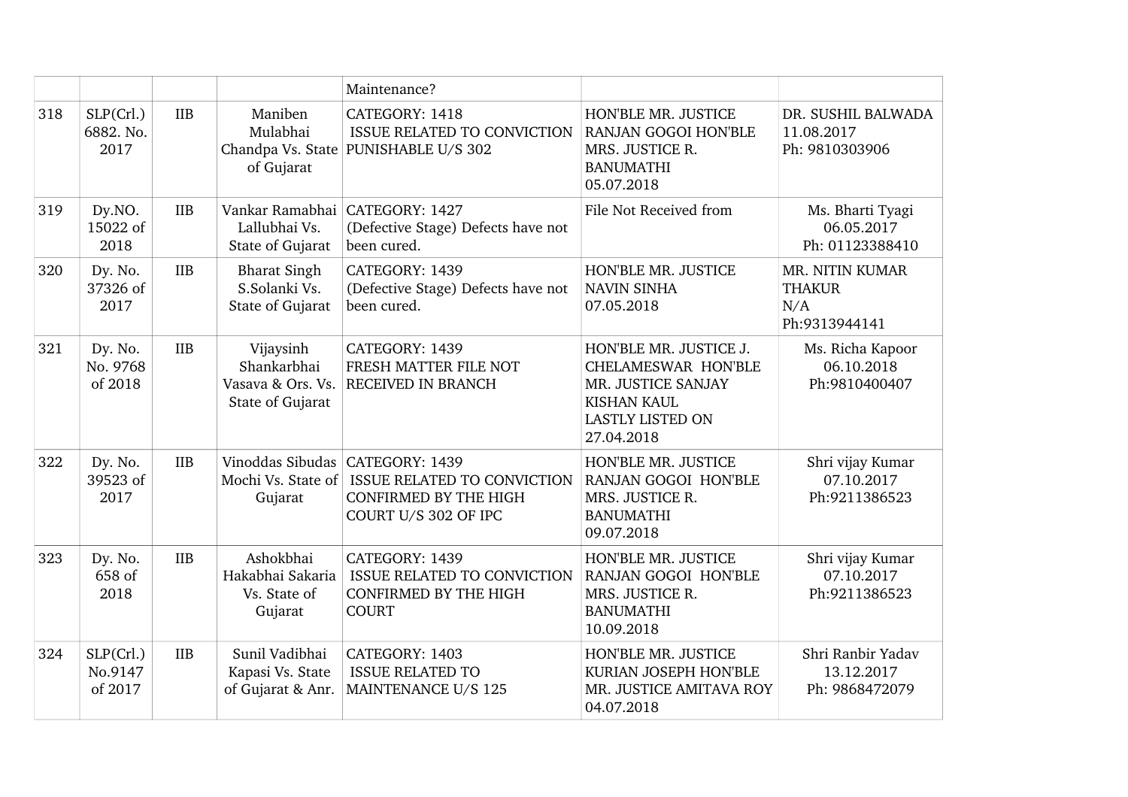|     |                                 |            |                                                                   | Maintenance?                                                                                                           |                                                                                                                                    |                                                          |
|-----|---------------------------------|------------|-------------------------------------------------------------------|------------------------------------------------------------------------------------------------------------------------|------------------------------------------------------------------------------------------------------------------------------------|----------------------------------------------------------|
| 318 | SLP(Crl.)<br>6882. No.<br>2017  | <b>IIB</b> | Maniben<br>Mulabhai<br>of Gujarat                                 | CATEGORY: 1418<br>ISSUE RELATED TO CONVICTION<br>Chandpa Vs. State PUNISHABLE U/S 302                                  | HON'BLE MR. JUSTICE<br><b>RANJAN GOGOI HON'BLE</b><br>MRS. JUSTICE R.<br><b>BANUMATHI</b><br>05.07.2018                            | DR. SUSHIL BALWADA<br>11.08.2017<br>Ph: 9810303906       |
| 319 | Dy.NO.<br>15022 of<br>2018      | IIB        | Lallubhai Vs.<br>State of Gujarat                                 | Vankar Ramabhai CATEGORY: 1427<br>(Defective Stage) Defects have not<br>been cured.                                    | File Not Received from                                                                                                             | Ms. Bharti Tyagi<br>06.05.2017<br>Ph: 01123388410        |
| 320 | Dy. No.<br>37326 of<br>2017     | <b>IIB</b> | <b>Bharat Singh</b><br>S.Solanki Vs.<br>State of Gujarat          | CATEGORY: 1439<br>(Defective Stage) Defects have not<br>been cured.                                                    | HON'BLE MR. JUSTICE<br><b>NAVIN SINHA</b><br>07.05.2018                                                                            | MR. NITIN KUMAR<br><b>THAKUR</b><br>N/A<br>Ph:9313944141 |
| 321 | Dy. No.<br>No. 9768<br>of 2018  | <b>IIB</b> | Vijaysinh<br>Shankarbhai<br>Vasava & Ors. Vs.<br>State of Gujarat | CATEGORY: 1439<br>FRESH MATTER FILE NOT<br>RECEIVED IN BRANCH                                                          | HON'BLE MR. JUSTICE J.<br>CHELAMESWAR HON'BLE<br>MR. JUSTICE SANJAY<br><b>KISHAN KAUL</b><br><b>LASTLY LISTED ON</b><br>27.04.2018 | Ms. Richa Kapoor<br>06.10.2018<br>Ph:9810400407          |
| 322 | Dy. No.<br>39523 of<br>2017     | <b>IIB</b> | Mochi Vs. State of<br>Gujarat                                     | Vinoddas Sibudas CATEGORY: 1439<br>ISSUE RELATED TO CONVICTION<br><b>CONFIRMED BY THE HIGH</b><br>COURT U/S 302 OF IPC | HON'BLE MR. JUSTICE<br>RANJAN GOGOI HON'BLE<br>MRS. JUSTICE R.<br><b>BANUMATHI</b><br>09.07.2018                                   | Shri vijay Kumar<br>07.10.2017<br>Ph:9211386523          |
| 323 | Dy. No.<br>658 of<br>2018       | <b>IIB</b> | Ashokbhai<br>Hakabhai Sakaria<br>Vs. State of<br>Gujarat          | CATEGORY: 1439<br><b>ISSUE RELATED TO CONVICTION</b><br><b>CONFIRMED BY THE HIGH</b><br><b>COURT</b>                   | HON'BLE MR. JUSTICE<br>RANJAN GOGOI HON'BLE<br>MRS. JUSTICE R.<br><b>BANUMATHI</b><br>10.09.2018                                   | Shri vijay Kumar<br>07.10.2017<br>Ph:9211386523          |
| 324 | SLP(Crl.)<br>No.9147<br>of 2017 | <b>IIB</b> | Sunil Vadibhai<br>Kapasi Vs. State<br>of Gujarat & Anr.           | CATEGORY: 1403<br><b>ISSUE RELATED TO</b><br>MAINTENANCE U/S 125                                                       | HON'BLE MR. JUSTICE<br>KURIAN JOSEPH HON'BLE<br>MR. JUSTICE AMITAVA ROY<br>04.07.2018                                              | Shri Ranbir Yadav<br>13.12.2017<br>Ph: 9868472079        |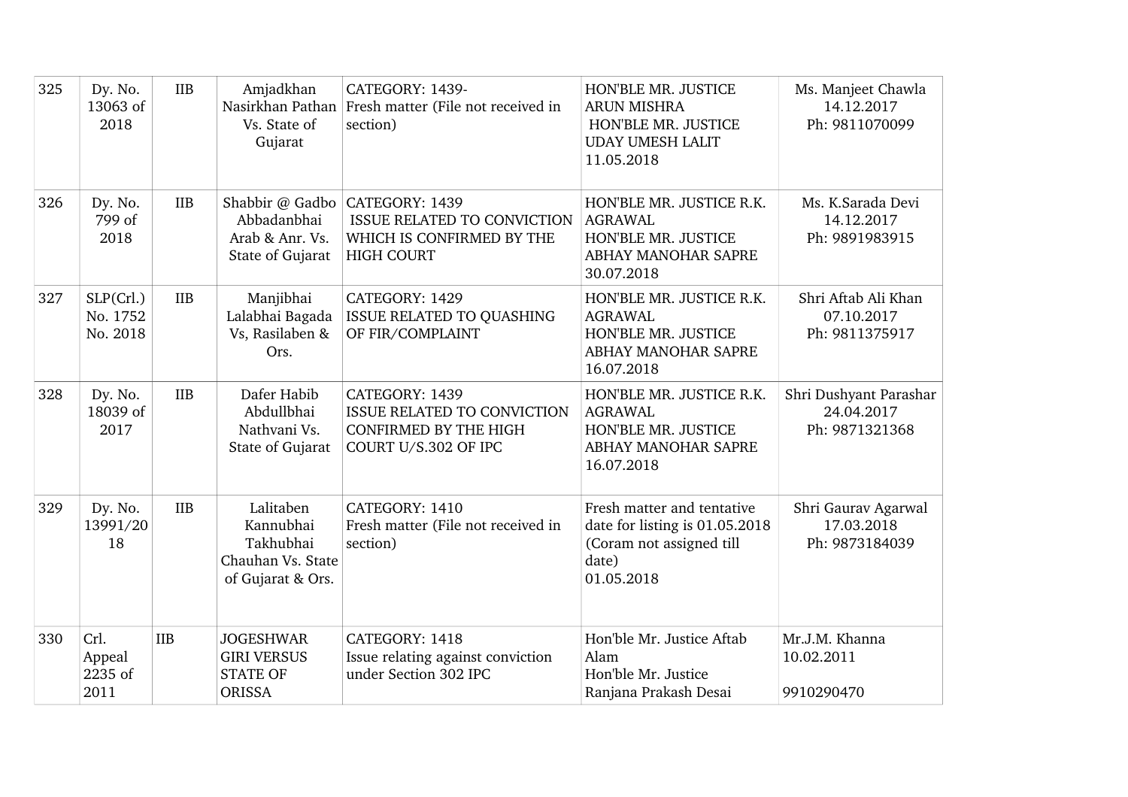| 325 | Dy. No.<br>13063 of<br>2018       | IIB        | Amjadkhan<br>Nasirkhan Pathan<br>Vs. State of<br>Gujarat                      | CATEGORY: 1439-<br>Fresh matter (File not received in<br>section)                                                      | HON'BLE MR. JUSTICE<br><b>ARUN MISHRA</b><br>HON'BLE MR. JUSTICE<br><b>UDAY UMESH LALIT</b><br>11.05.2018       | Ms. Manjeet Chawla<br>14.12.2017<br>Ph: 9811070099     |
|-----|-----------------------------------|------------|-------------------------------------------------------------------------------|------------------------------------------------------------------------------------------------------------------------|-----------------------------------------------------------------------------------------------------------------|--------------------------------------------------------|
| 326 | Dy. No.<br>799 of<br>2018         | <b>IIB</b> | Abbadanbhai<br>Arab & Anr. Vs.<br>State of Gujarat                            | Shabbir @ Gadbo CATEGORY: 1439<br><b>ISSUE RELATED TO CONVICTION</b><br>WHICH IS CONFIRMED BY THE<br><b>HIGH COURT</b> | HON'BLE MR. JUSTICE R.K.<br><b>AGRAWAL</b><br>HON'BLE MR. JUSTICE<br>ABHAY MANOHAR SAPRE<br>30.07.2018          | Ms. K.Sarada Devi<br>14.12.2017<br>Ph: 9891983915      |
| 327 | SLP(Crl.)<br>No. 1752<br>No. 2018 | <b>IIB</b> | Manjibhai<br>Lalabhai Bagada<br>Vs, Rasilaben &<br>Ors.                       | CATEGORY: 1429<br>ISSUE RELATED TO QUASHING<br>OF FIR/COMPLAINT                                                        | HON'BLE MR. JUSTICE R.K.<br><b>AGRAWAL</b><br>HON'BLE MR. JUSTICE<br>ABHAY MANOHAR SAPRE<br>16.07.2018          | Shri Aftab Ali Khan<br>07.10.2017<br>Ph: 9811375917    |
| 328 | Dy. No.<br>18039 of<br>2017       | <b>IIB</b> | Dafer Habib<br>Abdullbhai<br>Nathvani Vs.<br>State of Gujarat                 | CATEGORY: 1439<br>ISSUE RELATED TO CONVICTION<br><b>CONFIRMED BY THE HIGH</b><br>COURT U/S.302 OF IPC                  | HON'BLE MR. JUSTICE R.K.<br><b>AGRAWAL</b><br>HON'BLE MR. JUSTICE<br>ABHAY MANOHAR SAPRE<br>16.07.2018          | Shri Dushyant Parashar<br>24.04.2017<br>Ph: 9871321368 |
| 329 | Dy. No.<br>13991/20<br>18         | <b>IIB</b> | Lalitaben<br>Kannubhai<br>Takhubhai<br>Chauhan Vs. State<br>of Gujarat & Ors. | CATEGORY: 1410<br>Fresh matter (File not received in<br>section)                                                       | Fresh matter and tentative<br>date for listing is 01.05.2018<br>(Coram not assigned till<br>date)<br>01.05.2018 | Shri Gaurav Agarwal<br>17.03.2018<br>Ph: 9873184039    |
| 330 | Crl.<br>Appeal<br>2235 of<br>2011 | IIB        | <b>JOGESHWAR</b><br><b>GIRI VERSUS</b><br><b>STATE OF</b><br><b>ORISSA</b>    | CATEGORY: 1418<br>Issue relating against conviction<br>under Section 302 IPC                                           | Hon'ble Mr. Justice Aftab<br>Alam<br>Hon'ble Mr. Justice<br>Ranjana Prakash Desai                               | Mr.J.M. Khanna<br>10.02.2011<br>9910290470             |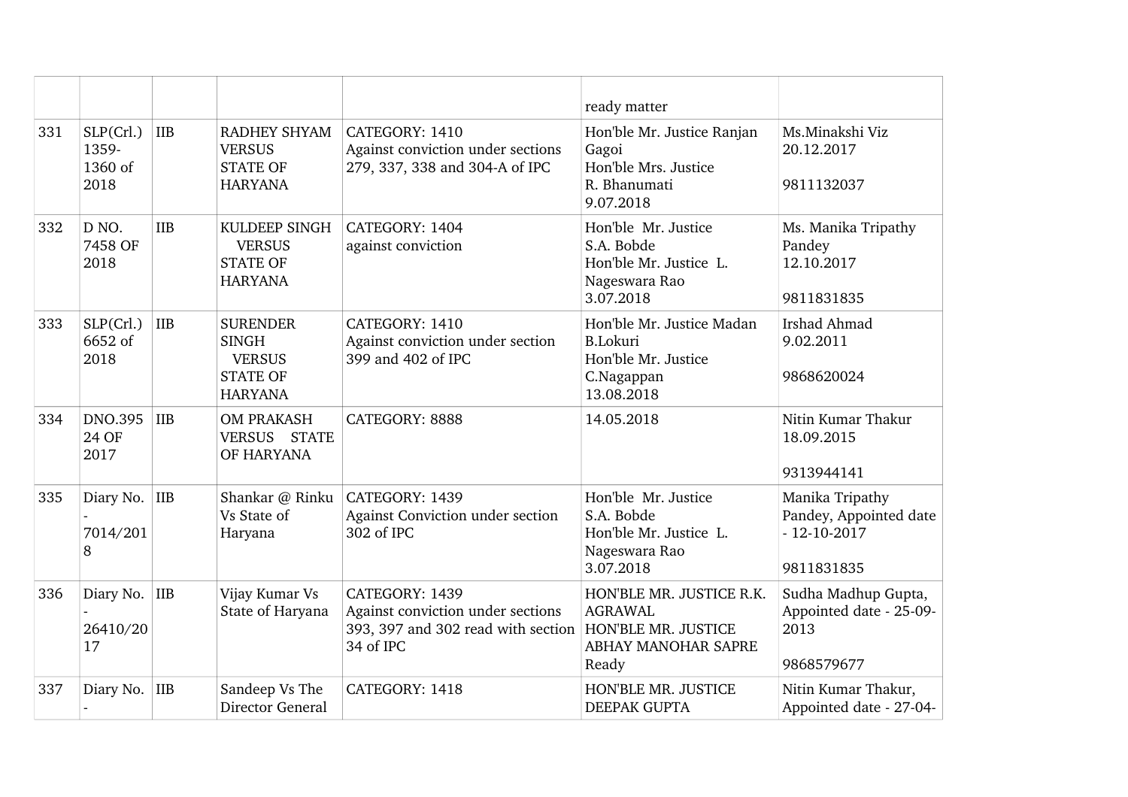|     |                                       |            |                                                                                       |                                                                                                                            | ready matter                                                                                    |                                                                              |
|-----|---------------------------------------|------------|---------------------------------------------------------------------------------------|----------------------------------------------------------------------------------------------------------------------------|-------------------------------------------------------------------------------------------------|------------------------------------------------------------------------------|
| 331 | SLP(Crl.)<br>1359-<br>1360 of<br>2018 | IIB        | RADHEY SHYAM<br><b>VERSUS</b><br><b>STATE OF</b><br><b>HARYANA</b>                    | CATEGORY: 1410<br>Against conviction under sections<br>279, 337, 338 and 304-A of IPC                                      | Hon'ble Mr. Justice Ranjan<br>Gagoi<br>Hon'ble Mrs. Justice<br>R. Bhanumati<br>9.07.2018        | Ms.Minakshi Viz<br>20.12.2017<br>9811132037                                  |
| 332 | D <sub>NO</sub> .<br>7458 OF<br>2018  | <b>IIB</b> | KULDEEP SINGH<br><b>VERSUS</b><br><b>STATE OF</b><br><b>HARYANA</b>                   | CATEGORY: 1404<br>against conviction                                                                                       | Hon'ble Mr. Justice<br>S.A. Bobde<br>Hon'ble Mr. Justice L.<br>Nageswara Rao<br>3.07.2018       | Ms. Manika Tripathy<br>Pandey<br>12.10.2017<br>9811831835                    |
| 333 | SLP(Crl.)<br>6652 of<br>2018          | IIB        | <b>SURENDER</b><br><b>SINGH</b><br><b>VERSUS</b><br><b>STATE OF</b><br><b>HARYANA</b> | CATEGORY: 1410<br>Against conviction under section<br>399 and 402 of IPC                                                   | Hon'ble Mr. Justice Madan<br><b>B.Lokuri</b><br>Hon'ble Mr. Justice<br>C.Nagappan<br>13.08.2018 | <b>Irshad Ahmad</b><br>9.02.2011<br>9868620024                               |
| 334 | <b>DNO.395</b><br>24 OF<br>2017       | IIB        | <b>OM PRAKASH</b><br>VERSUS STATE<br>OF HARYANA                                       | CATEGORY: 8888                                                                                                             | 14.05.2018                                                                                      | Nitin Kumar Thakur<br>18.09.2015<br>9313944141                               |
| 335 | Diary No. IIB<br>7014/201<br>8        |            | Shankar @ Rinku<br>Vs State of<br>Haryana                                             | CATEGORY: 1439<br>Against Conviction under section<br>302 of IPC                                                           | Hon'ble Mr. Justice<br>S.A. Bobde<br>Hon'ble Mr. Justice L.<br>Nageswara Rao<br>3.07.2018       | Manika Tripathy<br>Pandey, Appointed date<br>$-12 - 10 - 2017$<br>9811831835 |
| 336 | Diary No. IIB<br>26410/20<br>17       |            | Vijay Kumar Vs<br>State of Haryana                                                    | CATEGORY: 1439<br>Against conviction under sections<br>393, 397 and 302 read with section HON'BLE MR. JUSTICE<br>34 of IPC | HON'BLE MR. JUSTICE R.K.<br><b>AGRAWAL</b><br>ABHAY MANOHAR SAPRE<br>Ready                      | Sudha Madhup Gupta,<br>Appointed date - 25-09-<br>2013<br>9868579677         |
| 337 | Diary No.                             | IIB        | Sandeep Vs The<br>Director General                                                    | CATEGORY: 1418                                                                                                             | HON'BLE MR. JUSTICE<br><b>DEEPAK GUPTA</b>                                                      | Nitin Kumar Thakur,<br>Appointed date - 27-04-                               |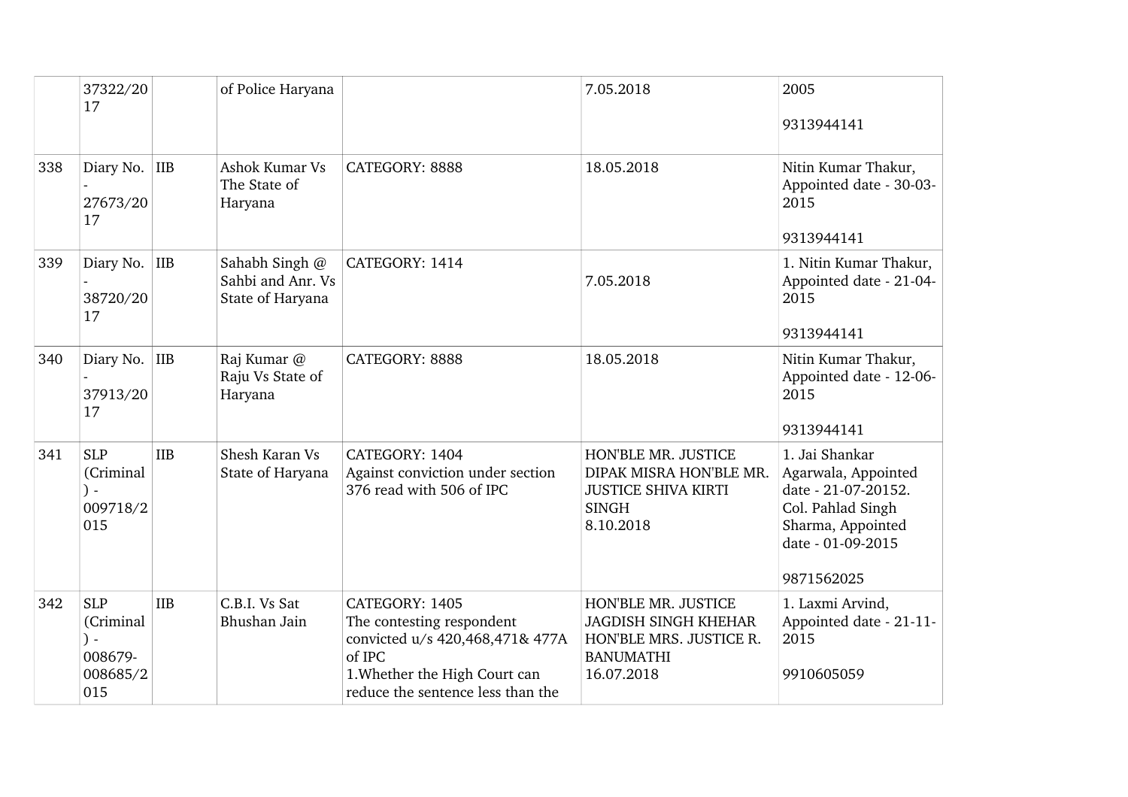|     | 37322/20                                              |            | of Police Haryana                                       |                                                                                                                                                                | 7.05.2018                                                                                                       | 2005                                                                                                                                      |
|-----|-------------------------------------------------------|------------|---------------------------------------------------------|----------------------------------------------------------------------------------------------------------------------------------------------------------------|-----------------------------------------------------------------------------------------------------------------|-------------------------------------------------------------------------------------------------------------------------------------------|
|     | 17                                                    |            |                                                         |                                                                                                                                                                |                                                                                                                 | 9313944141                                                                                                                                |
| 338 | Diary No. IIB<br>27673/20<br>17                       |            | Ashok Kumar Vs<br>The State of<br>Haryana               | CATEGORY: 8888                                                                                                                                                 | 18.05.2018                                                                                                      | Nitin Kumar Thakur,<br>Appointed date - 30-03-<br>2015<br>9313944141                                                                      |
| 339 | Diary No. IIB<br>38720/20<br>17                       |            | Sahabh Singh @<br>Sahbi and Anr. Vs<br>State of Haryana | CATEGORY: 1414                                                                                                                                                 | 7.05.2018                                                                                                       | 1. Nitin Kumar Thakur,<br>Appointed date - 21-04-<br>2015<br>9313944141                                                                   |
| 340 | Diary No. IIB<br>37913/20<br>17                       |            | Raj Kumar @<br>Raju Vs State of<br>Haryana              | CATEGORY: 8888                                                                                                                                                 | 18.05.2018                                                                                                      | Nitin Kumar Thakur,<br>Appointed date - 12-06-<br>2015<br>9313944141                                                                      |
| 341 | <b>SLP</b><br>(Criminal<br>009718/2<br>015            | <b>IIB</b> | Shesh Karan Vs<br>State of Haryana                      | CATEGORY: 1404<br>Against conviction under section<br>376 read with 506 of IPC                                                                                 | HON'BLE MR. JUSTICE<br>DIPAK MISRA HON'BLE MR.<br><b>JUSTICE SHIVA KIRTI</b><br><b>SINGH</b><br>8.10.2018       | 1. Jai Shankar<br>Agarwala, Appointed<br>date - 21-07-20152.<br>Col. Pahlad Singh<br>Sharma, Appointed<br>date - 01-09-2015<br>9871562025 |
| 342 | <b>SLP</b><br>(Criminal<br>008679-<br>008685/2<br>015 | <b>IIB</b> | C.B.I. Vs Sat<br>Bhushan Jain                           | CATEGORY: 1405<br>The contesting respondent<br>convicted u/s 420,468,471& 477A<br>of IPC<br>1. Whether the High Court can<br>reduce the sentence less than the | HON'BLE MR. JUSTICE<br><b>JAGDISH SINGH KHEHAR</b><br>HON'BLE MRS. JUSTICE R.<br><b>BANUMATHI</b><br>16.07.2018 | 1. Laxmi Arvind,<br>Appointed date - 21-11-<br>2015<br>9910605059                                                                         |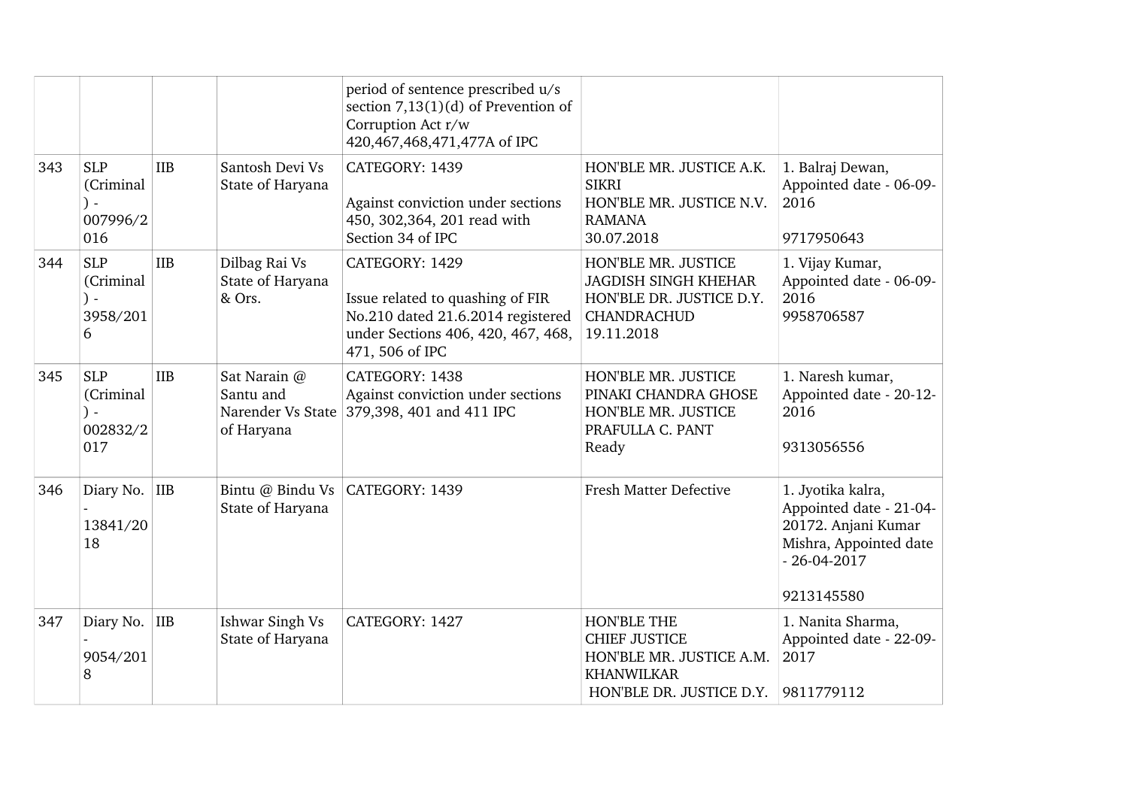|     |                                                           |            |                                             | period of sentence prescribed u/s<br>section $7,13(1)(d)$ of Prevention of<br>Corruption Act r/w<br>420,467,468,471,477A of IPC                  |                                                                                                                    |                                                                                                                                  |
|-----|-----------------------------------------------------------|------------|---------------------------------------------|--------------------------------------------------------------------------------------------------------------------------------------------------|--------------------------------------------------------------------------------------------------------------------|----------------------------------------------------------------------------------------------------------------------------------|
| 343 | <b>SLP</b><br>(Criminal<br>) -<br>007996/2<br>016         | <b>IIB</b> | Santosh Devi Vs<br>State of Haryana         | CATEGORY: 1439<br>Against conviction under sections<br>450, 302, 364, 201 read with<br>Section 34 of IPC                                         | HON'BLE MR. JUSTICE A.K.<br><b>SIKRI</b><br>HON'BLE MR. JUSTICE N.V.<br><b>RAMANA</b><br>30.07.2018                | 1. Balraj Dewan,<br>Appointed date - 06-09-<br>2016<br>9717950643                                                                |
| 344 | <b>SLP</b><br>(Criminal<br>$\mathcal{L}$<br>3958/201<br>6 | <b>IIB</b> | Dilbag Rai Vs<br>State of Haryana<br>& Ors. | CATEGORY: 1429<br>Issue related to quashing of FIR<br>No.210 dated 21.6.2014 registered<br>under Sections 406, 420, 467, 468,<br>471, 506 of IPC | HON'BLE MR. JUSTICE<br><b>JAGDISH SINGH KHEHAR</b><br>HON'BLE DR. JUSTICE D.Y.<br><b>CHANDRACHUD</b><br>19.11.2018 | 1. Vijay Kumar,<br>Appointed date - 06-09-<br>2016<br>9958706587                                                                 |
| 345 | <b>SLP</b><br>(Criminal<br>002832/2<br>017                | <b>IIB</b> | Sat Narain @<br>Santu and<br>of Haryana     | CATEGORY: 1438<br>Against conviction under sections<br>Narender Vs State 379,398, 401 and 411 IPC                                                | HON'BLE MR. JUSTICE<br>PINAKI CHANDRA GHOSE<br>HON'BLE MR. JUSTICE<br>PRAFULLA C. PANT<br>Ready                    | 1. Naresh kumar,<br>Appointed date - 20-12-<br>2016<br>9313056556                                                                |
| 346 | Diary No.<br>13841/20<br>18                               | IIB        | State of Haryana                            | Bintu @ Bindu Vs   CATEGORY: 1439                                                                                                                | <b>Fresh Matter Defective</b>                                                                                      | 1. Jyotika kalra,<br>Appointed date - 21-04-<br>20172. Anjani Kumar<br>Mishra, Appointed date<br>$-26 - 04 - 2017$<br>9213145580 |
| 347 | Diary No. IIB<br>9054/201<br>8                            |            | Ishwar Singh Vs<br>State of Haryana         | CATEGORY: 1427                                                                                                                                   | HON'BLE THE<br><b>CHIEF JUSTICE</b><br>HON'BLE MR. JUSTICE A.M.<br><b>KHANWILKAR</b><br>HON'BLE DR. JUSTICE D.Y.   | 1. Nanita Sharma,<br>Appointed date - 22-09-<br>2017<br>9811779112                                                               |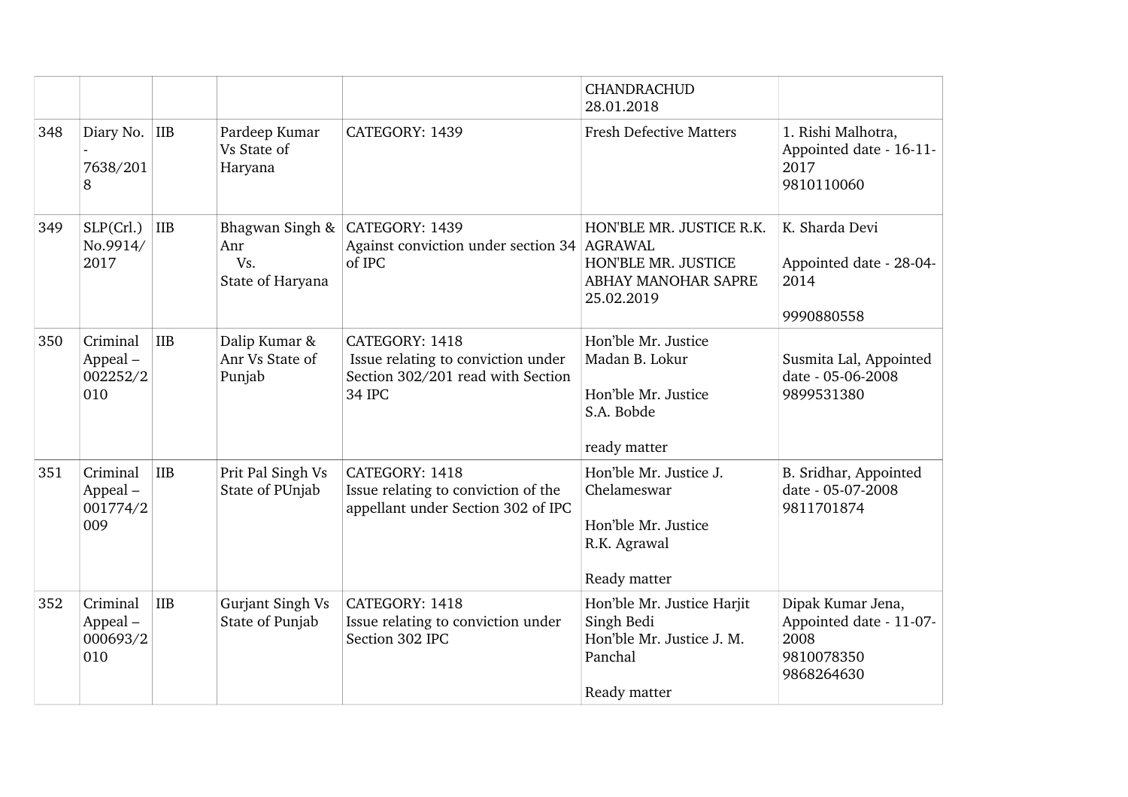|     |                                        |            |                                                   |                                                                                                            | <b>CHANDRACHUD</b><br>28.01.2018                                                                 |                                                                                  |
|-----|----------------------------------------|------------|---------------------------------------------------|------------------------------------------------------------------------------------------------------------|--------------------------------------------------------------------------------------------------|----------------------------------------------------------------------------------|
| 348 | Diary No. IIB<br>7638/201<br>8         |            | Pardeep Kumar<br>Vs State of<br>Haryana           | CATEGORY: 1439                                                                                             | <b>Fresh Defective Matters</b>                                                                   | 1. Rishi Malhotra,<br>Appointed date - 16-11-<br>2017<br>9810110060              |
| 349 | SLP(Crl.)<br>No.9914/<br>2017          | <b>IIB</b> | Bhagwan Singh &<br>Anr<br>Vs.<br>State of Haryana | CATEGORY: 1439<br>Against conviction under section 34 AGRAWAL<br>of IPC                                    | HON'BLE MR. JUSTICE R.K.<br>HON'BLE MR. JUSTICE<br>ABHAY MANOHAR SAPRE<br>25.02.2019             | K. Sharda Devi<br>Appointed date - 28-04-<br>2014<br>9990880558                  |
| 350 | Criminal<br>Appeal-<br>002252/2<br>010 | <b>IIB</b> | Dalip Kumar &<br>Anr Vs State of<br>Punjab        | CATEGORY: 1418<br>Issue relating to conviction under<br>Section 302/201 read with Section<br><b>34 IPC</b> | Hon'ble Mr. Justice<br>Madan B. Lokur<br>Hon'ble Mr. Justice<br>S.A. Bobde<br>ready matter       | Susmita Lal, Appointed<br>date - 05-06-2008<br>9899531380                        |
| 351 | Criminal<br>Appeal-<br>001774/2<br>009 | IIB        | Prit Pal Singh Vs<br>State of PUnjab              | CATEGORY: 1418<br>Issue relating to conviction of the<br>appellant under Section 302 of IPC                | Hon'ble Mr. Justice J.<br>Chelameswar<br>Hon'ble Mr. Justice<br>R.K. Agrawal<br>Ready matter     | B. Sridhar, Appointed<br>date - 05-07-2008<br>9811701874                         |
| 352 | Criminal<br>Appeal-<br>000693/2<br>010 | <b>IIB</b> | Gurjant Singh Vs<br>State of Punjab               | CATEGORY: 1418<br>Issue relating to conviction under<br>Section 302 IPC                                    | Hon'ble Mr. Justice Harjit<br>Singh Bedi<br>Hon'ble Mr. Justice J. M.<br>Panchal<br>Ready matter | Dipak Kumar Jena,<br>Appointed date - 11-07-<br>2008<br>9810078350<br>9868264630 |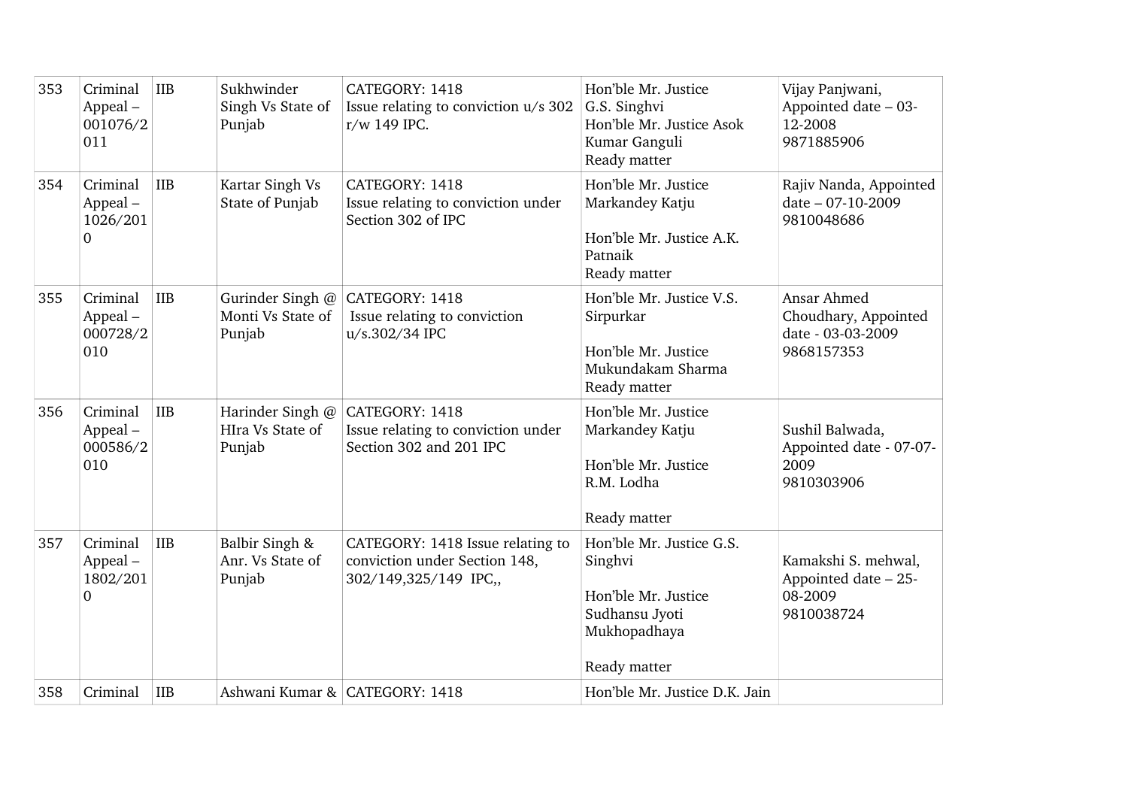| 353 | Criminal<br>Appeal-<br>001076/2<br>011  | IIB        | Sukhwinder<br>Singh Vs State of<br>Punjab       | CATEGORY: 1418<br>Issue relating to conviction u/s 302<br>r/w 149 IPC.                     | Hon'ble Mr. Justice<br>G.S. Singhvi<br>Hon'ble Mr. Justice Asok<br>Kumar Ganguli<br>Ready matter             | Vijay Panjwani,<br>Appointed date - 03-<br>12-2008<br>9871885906       |
|-----|-----------------------------------------|------------|-------------------------------------------------|--------------------------------------------------------------------------------------------|--------------------------------------------------------------------------------------------------------------|------------------------------------------------------------------------|
| 354 | Criminal<br>$Append -$<br>1026/201<br>0 | <b>IIB</b> | Kartar Singh Vs<br>State of Punjab              | CATEGORY: 1418<br>Issue relating to conviction under<br>Section 302 of IPC                 | Hon'ble Mr. Justice<br>Markandey Katju<br>Hon'ble Mr. Justice A.K.<br>Patnaik<br>Ready matter                | Rajiv Nanda, Appointed<br>date - 07-10-2009<br>9810048686              |
| 355 | Criminal<br>Appeal-<br>000728/2<br>010  | <b>IIB</b> | Gurinder Singh @<br>Monti Vs State of<br>Punjab | CATEGORY: 1418<br>Issue relating to conviction<br>u/s.302/34 IPC                           | Hon'ble Mr. Justice V.S.<br>Sirpurkar<br>Hon'ble Mr. Justice<br>Mukundakam Sharma<br>Ready matter            | Ansar Ahmed<br>Choudhary, Appointed<br>date - 03-03-2009<br>9868157353 |
| 356 | Criminal<br>Appeal-<br>000586/2<br>010  | <b>IIB</b> | Harinder Singh @<br>HIra Vs State of<br>Punjab  | CATEGORY: 1418<br>Issue relating to conviction under<br>Section 302 and 201 IPC            | Hon'ble Mr. Justice<br>Markandey Katju<br>Hon'ble Mr. Justice<br>R.M. Lodha<br>Ready matter                  | Sushil Balwada,<br>Appointed date - 07-07-<br>2009<br>9810303906       |
| 357 | Criminal<br>Appeal-<br>1802/201<br>0    | <b>IIB</b> | Balbir Singh &<br>Anr. Vs State of<br>Punjab    | CATEGORY: 1418 Issue relating to<br>conviction under Section 148,<br>302/149,325/149 IPC,, | Hon'ble Mr. Justice G.S.<br>Singhvi<br>Hon'ble Mr. Justice<br>Sudhansu Jyoti<br>Mukhopadhaya<br>Ready matter | Kamakshi S. mehwal,<br>Appointed date - 25-<br>08-2009<br>9810038724   |
| 358 | Criminal                                | <b>IIB</b> |                                                 | Ashwani Kumar & CATEGORY: 1418                                                             | Hon'ble Mr. Justice D.K. Jain                                                                                |                                                                        |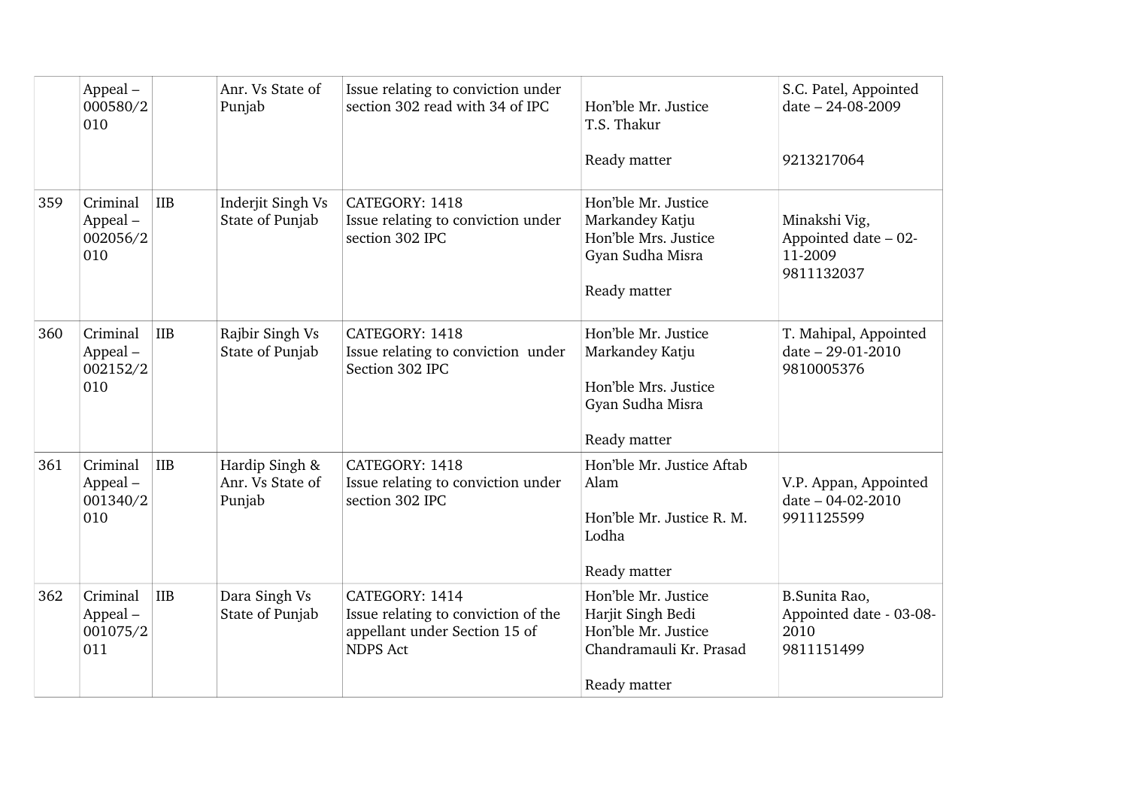|     | Appeal-<br>000580/2<br>010             |            | Anr. Vs State of<br>Punjab                   | Issue relating to conviction under<br>section 302 read with 34 of IPC                                     | Hon'ble Mr. Justice<br>T.S. Thakur<br>Ready matter                                                         | S.C. Patel, Appointed<br>date - 24-08-2009<br>9213217064       |
|-----|----------------------------------------|------------|----------------------------------------------|-----------------------------------------------------------------------------------------------------------|------------------------------------------------------------------------------------------------------------|----------------------------------------------------------------|
|     |                                        |            |                                              |                                                                                                           |                                                                                                            |                                                                |
| 359 | Criminal<br>Appeal-<br>002056/2<br>010 | <b>IIB</b> | Inderjit Singh Vs<br>State of Punjab         | CATEGORY: 1418<br>Issue relating to conviction under<br>section 302 IPC                                   | Hon'ble Mr. Justice<br>Markandey Katju<br>Hon'ble Mrs. Justice<br>Gyan Sudha Misra<br>Ready matter         | Minakshi Vig,<br>Appointed date - 02-<br>11-2009<br>9811132037 |
| 360 | Criminal<br>Appeal-<br>002152/2<br>010 | <b>IIB</b> | Rajbir Singh Vs<br>State of Punjab           | CATEGORY: 1418<br>Issue relating to conviction under<br>Section 302 IPC                                   | Hon'ble Mr. Justice<br>Markandey Katju<br>Hon'ble Mrs. Justice<br>Gyan Sudha Misra<br>Ready matter         | T. Mahipal, Appointed<br>date - 29-01-2010<br>9810005376       |
| 361 | Criminal<br>Appeal-<br>001340/2<br>010 | IIB        | Hardip Singh &<br>Anr. Vs State of<br>Punjab | CATEGORY: 1418<br>Issue relating to conviction under<br>section 302 IPC                                   | Hon'ble Mr. Justice Aftab<br>Alam<br>Hon'ble Mr. Justice R. M.<br>Lodha<br>Ready matter                    | V.P. Appan, Appointed<br>date - 04-02-2010<br>9911125599       |
| 362 | Criminal<br>Appeal-<br>001075/2<br>011 | <b>IIB</b> | Dara Singh Vs<br>State of Punjab             | CATEGORY: 1414<br>Issue relating to conviction of the<br>appellant under Section 15 of<br><b>NDPS Act</b> | Hon'ble Mr. Justice<br>Harjit Singh Bedi<br>Hon'ble Mr. Justice<br>Chandramauli Kr. Prasad<br>Ready matter | B.Sunita Rao,<br>Appointed date - 03-08-<br>2010<br>9811151499 |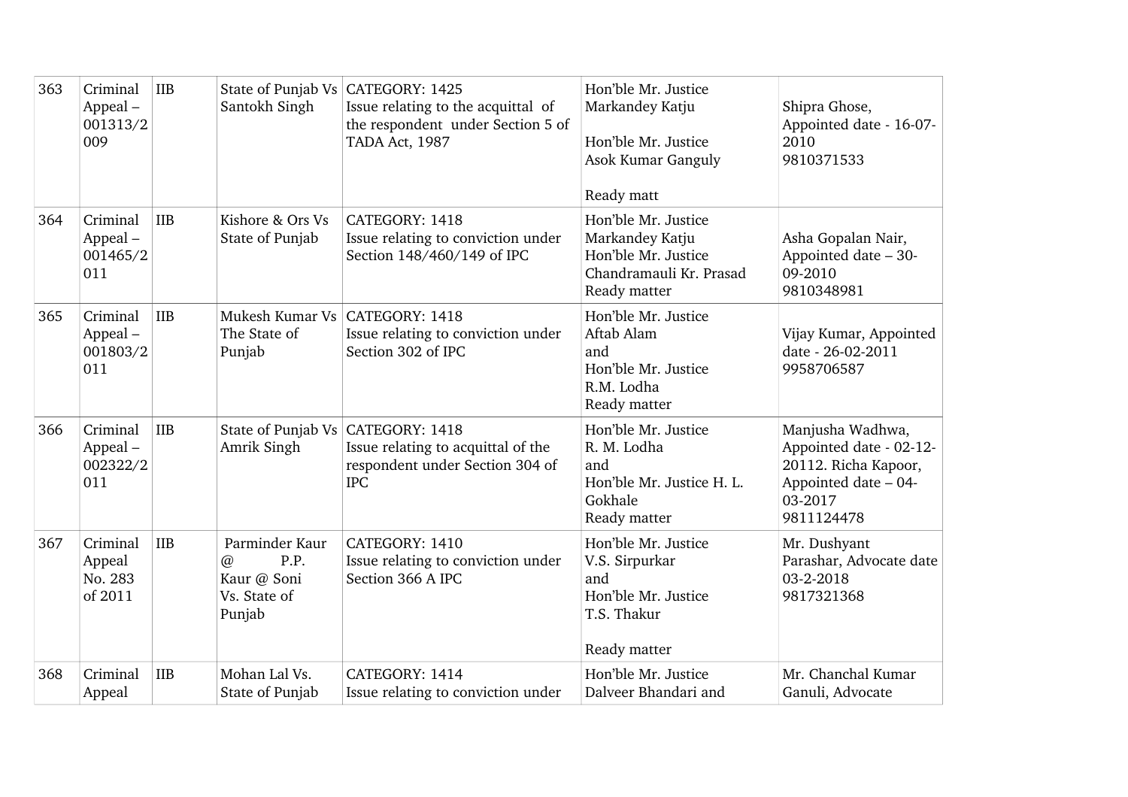| 363 | Criminal<br>Appeal-<br>001313/2<br>009   | <b>IIB</b> | Santokh Singh                                                               | State of Punjab Vs CATEGORY: 1425<br>Issue relating to the acquittal of<br>the respondent under Section 5 of<br>TADA Act, 1987 | Hon'ble Mr. Justice<br>Markandey Katju<br>Hon'ble Mr. Justice<br>Asok Kumar Ganguly<br>Ready matt        | Shipra Ghose,<br>Appointed date - 16-07-<br>2010<br>9810371533                                                       |
|-----|------------------------------------------|------------|-----------------------------------------------------------------------------|--------------------------------------------------------------------------------------------------------------------------------|----------------------------------------------------------------------------------------------------------|----------------------------------------------------------------------------------------------------------------------|
| 364 | Criminal<br>Appeal-<br>001465/2<br>011   | IIB        | Kishore & Ors Vs<br>State of Punjab                                         | CATEGORY: 1418<br>Issue relating to conviction under<br>Section 148/460/149 of IPC                                             | Hon'ble Mr. Justice<br>Markandey Katju<br>Hon'ble Mr. Justice<br>Chandramauli Kr. Prasad<br>Ready matter | Asha Gopalan Nair,<br>Appointed date - 30-<br>09-2010<br>9810348981                                                  |
| 365 | Criminal<br>Appeal-<br>001803/2<br>011   | IIB        | The State of<br>Punjab                                                      | Mukesh Kumar Vs   CATEGORY: 1418<br>Issue relating to conviction under<br>Section 302 of IPC                                   | Hon'ble Mr. Justice<br>Aftab Alam<br>and<br>Hon'ble Mr. Justice<br>R.M. Lodha<br>Ready matter            | Vijay Kumar, Appointed<br>date - 26-02-2011<br>9958706587                                                            |
| 366 | Criminal<br>Appeal-<br>002322/2<br>011   | IIB        | Amrik Singh                                                                 | State of Punjab Vs CATEGORY: 1418<br>Issue relating to acquittal of the<br>respondent under Section 304 of<br><b>IPC</b>       | Hon'ble Mr. Justice<br>R. M. Lodha<br>and<br>Hon'ble Mr. Justice H. L.<br>Gokhale<br>Ready matter        | Manjusha Wadhwa,<br>Appointed date - 02-12-<br>20112. Richa Kapoor,<br>Appointed date - 04-<br>03-2017<br>9811124478 |
| 367 | Criminal<br>Appeal<br>No. 283<br>of 2011 | <b>IIB</b> | Parminder Kaur<br>P.P.<br>$\omega$<br>Kaur @ Soni<br>Vs. State of<br>Punjab | CATEGORY: 1410<br>Issue relating to conviction under<br>Section 366 A IPC                                                      | Hon'ble Mr. Justice<br>V.S. Sirpurkar<br>and<br>Hon'ble Mr. Justice<br>T.S. Thakur<br>Ready matter       | Mr. Dushyant<br>Parashar, Advocate date<br>03-2-2018<br>9817321368                                                   |
| 368 | Criminal<br>Appeal                       | IIB        | Mohan Lal Vs.<br>State of Punjab                                            | CATEGORY: 1414<br>Issue relating to conviction under                                                                           | Hon'ble Mr. Justice<br>Dalveer Bhandari and                                                              | Mr. Chanchal Kumar<br>Ganuli, Advocate                                                                               |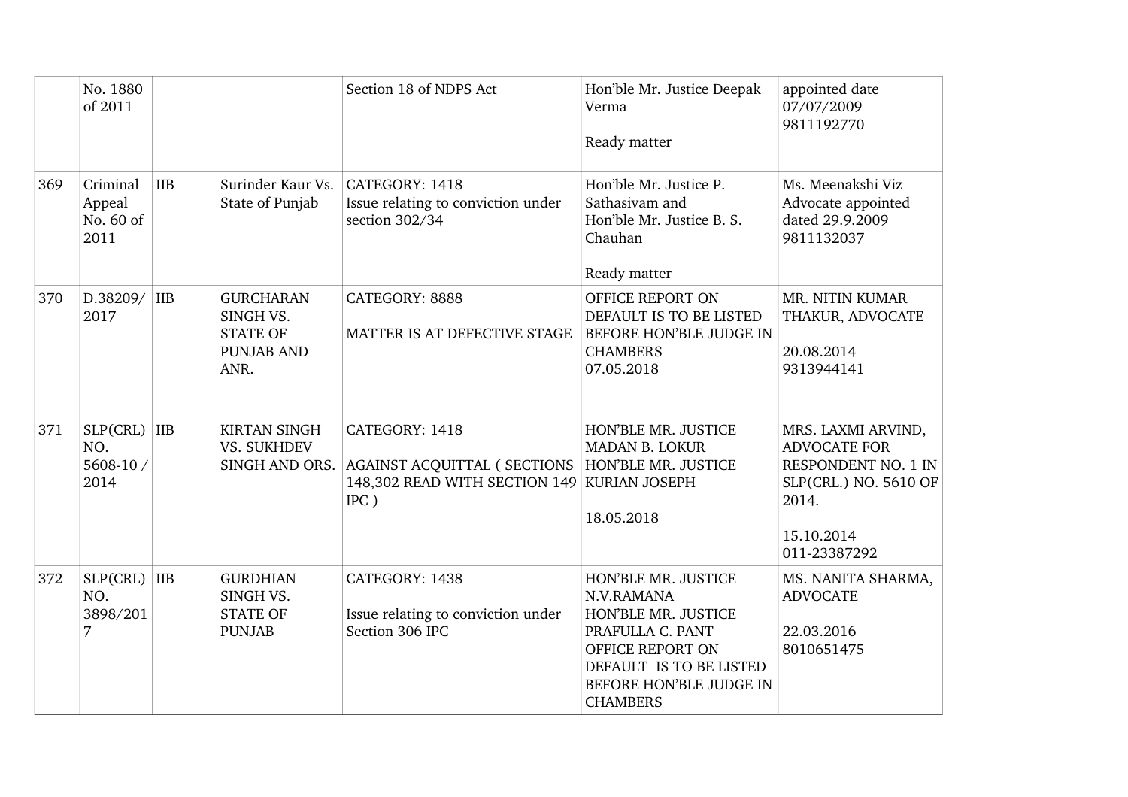|     | No. 1880<br>of 2011                                   |                                                                               | Section 18 of NDPS Act                                                                                                                     | Hon'ble Mr. Justice Deepak<br>Verma<br>Ready matter                                                                                                                       | appointed date<br>07/07/2009<br>9811192770                                                                                       |
|-----|-------------------------------------------------------|-------------------------------------------------------------------------------|--------------------------------------------------------------------------------------------------------------------------------------------|---------------------------------------------------------------------------------------------------------------------------------------------------------------------------|----------------------------------------------------------------------------------------------------------------------------------|
| 369 | Criminal<br><b>IIB</b><br>Appeal<br>No. 60 of<br>2011 | Surinder Kaur Vs.<br>State of Punjab                                          | CATEGORY: 1418<br>Issue relating to conviction under<br>section 302/34                                                                     | Hon'ble Mr. Justice P.<br>Sathasivam and<br>Hon'ble Mr. Justice B. S.<br>Chauhan<br>Ready matter                                                                          | Ms. Meenakshi Viz<br>Advocate appointed<br>dated 29.9.2009<br>9811132037                                                         |
| 370 | D.38209/ IIB<br>2017                                  | <b>GURCHARAN</b><br>SINGH VS.<br><b>STATE OF</b><br><b>PUNJAB AND</b><br>ANR. | CATEGORY: 8888<br>MATTER IS AT DEFECTIVE STAGE                                                                                             | OFFICE REPORT ON<br>DEFAULT IS TO BE LISTED<br>BEFORE HON'BLE JUDGE IN<br><b>CHAMBERS</b><br>07.05.2018                                                                   | MR. NITIN KUMAR<br>THAKUR, ADVOCATE<br>20.08.2014<br>9313944141                                                                  |
| 371 | $SLP(CHL)$ IIB<br>NO.<br>5608-10 /<br>2014            | <b>KIRTAN SINGH</b><br>VS. SUKHDEV                                            | CATEGORY: 1418<br>SINGH AND ORS. AGAINST ACQUITTAL ( SECTIONS   HON'BLE MR. JUSTICE<br>148,302 READ WITH SECTION 149 KURIAN JOSEPH<br>IPC) | HON'BLE MR. JUSTICE<br><b>MADAN B. LOKUR</b><br>18.05.2018                                                                                                                | MRS. LAXMI ARVIND,<br><b>ADVOCATE FOR</b><br>RESPONDENT NO. 1 IN<br>SLP(CRL.) NO. 5610 OF<br>2014.<br>15.10.2014<br>011-23387292 |
| 372 | $SLP(CHL)$ IIB<br>NO.<br>3898/201<br>7                | <b>GURDHIAN</b><br>SINGH VS.<br><b>STATE OF</b><br><b>PUNJAB</b>              | CATEGORY: 1438<br>Issue relating to conviction under<br>Section 306 IPC                                                                    | HON'BLE MR. JUSTICE<br>N.V.RAMANA<br>HON'BLE MR. JUSTICE<br>PRAFULLA C. PANT<br>OFFICE REPORT ON<br>DEFAULT IS TO BE LISTED<br>BEFORE HON'BLE JUDGE IN<br><b>CHAMBERS</b> | MS. NANITA SHARMA,<br><b>ADVOCATE</b><br>22.03.2016<br>8010651475                                                                |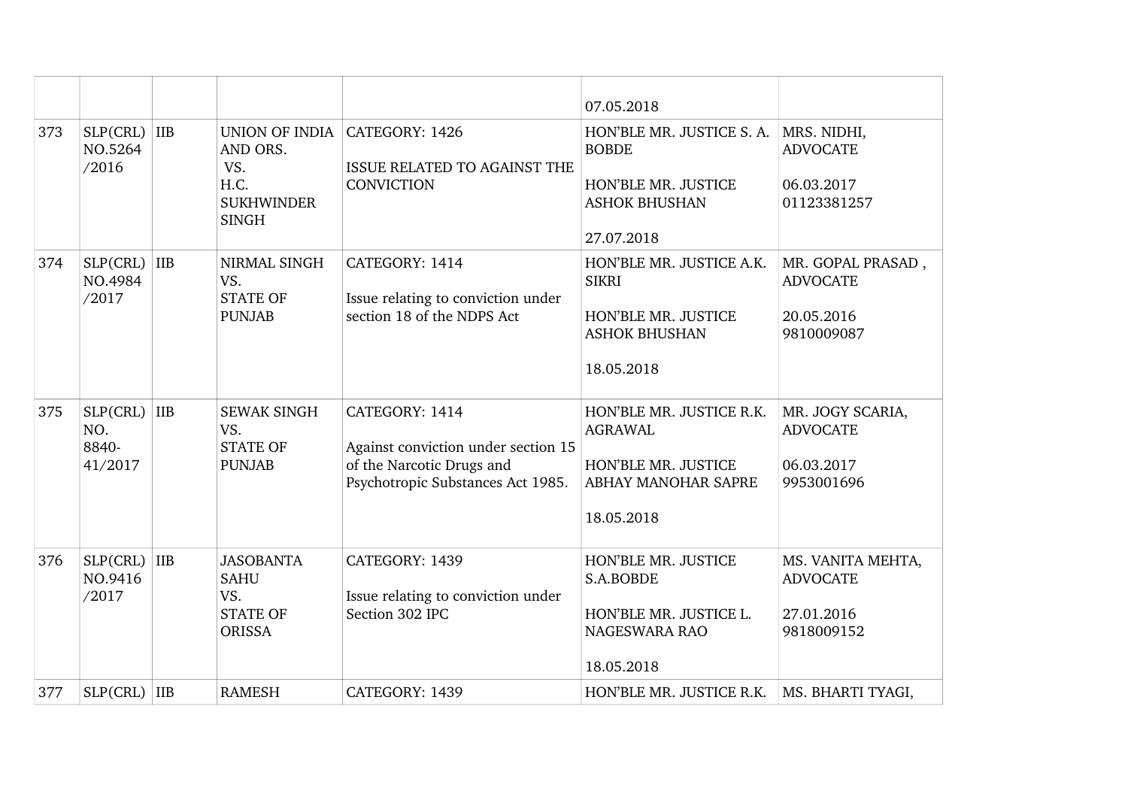|     |                                     |                |                                                                                |                                                                                                                         | 07.05.2018                                                                                             |                                                                  |
|-----|-------------------------------------|----------------|--------------------------------------------------------------------------------|-------------------------------------------------------------------------------------------------------------------------|--------------------------------------------------------------------------------------------------------|------------------------------------------------------------------|
| 373 | SLP(CRL)<br>NO.5264<br>/2016        | <b>IIB</b>     | UNION OF INDIA<br>AND ORS.<br>VS.<br>H.C.<br><b>SUKHWINDER</b><br><b>SINGH</b> | CATEGORY: 1426<br>ISSUE RELATED TO AGAINST THE<br><b>CONVICTION</b>                                                     | HON'BLE MR. JUSTICE S. A.<br><b>BOBDE</b><br>HON'BLE MR. JUSTICE<br><b>ASHOK BHUSHAN</b><br>27.07.2018 | MRS. NIDHI,<br><b>ADVOCATE</b><br>06.03.2017<br>01123381257      |
| 374 | SLP(CRL)<br>NO.4984<br>/2017        | <b>IIB</b>     | NIRMAL SINGH<br>VS.<br><b>STATE OF</b><br><b>PUNJAB</b>                        | CATEGORY: 1414<br>Issue relating to conviction under<br>section 18 of the NDPS Act                                      | HON'BLE MR. JUSTICE A.K.<br><b>SIKRI</b><br>HON'BLE MR. JUSTICE<br><b>ASHOK BHUSHAN</b><br>18.05.2018  | MR. GOPAL PRASAD,<br><b>ADVOCATE</b><br>20.05.2016<br>9810009087 |
| 375 | SLP(CRL)<br>NO.<br>8840-<br>41/2017 | <b>IIB</b>     | <b>SEWAK SINGH</b><br>VS.<br><b>STATE OF</b><br><b>PUNJAB</b>                  | CATEGORY: 1414<br>Against conviction under section 15<br>of the Narcotic Drugs and<br>Psychotropic Substances Act 1985. | HON'BLE MR. JUSTICE R.K.<br><b>AGRAWAL</b><br>HON'BLE MR. JUSTICE<br>ABHAY MANOHAR SAPRE<br>18.05.2018 | MR. JOGY SCARIA,<br><b>ADVOCATE</b><br>06.03.2017<br>9953001696  |
| 376 | SLP(CHL)<br>NO.9416<br>/2017        | IIB            | <b>JASOBANTA</b><br><b>SAHU</b><br>VS.<br><b>STATE OF</b><br><b>ORISSA</b>     | CATEGORY: 1439<br>Issue relating to conviction under<br>Section 302 IPC                                                 | HON'BLE MR. JUSTICE<br>S.A.BOBDE<br>HON'BLE MR. JUSTICE L.<br><b>NAGESWARA RAO</b><br>18.05.2018       | MS. VANITA MEHTA,<br><b>ADVOCATE</b><br>27.01.2016<br>9818009152 |
| 377 | SLP(CRL)                            | $\overline{I}$ | <b>RAMESH</b>                                                                  | CATEGORY: 1439                                                                                                          | HON'BLE MR. JUSTICE R.K.                                                                               | MS. BHARTI TYAGI,                                                |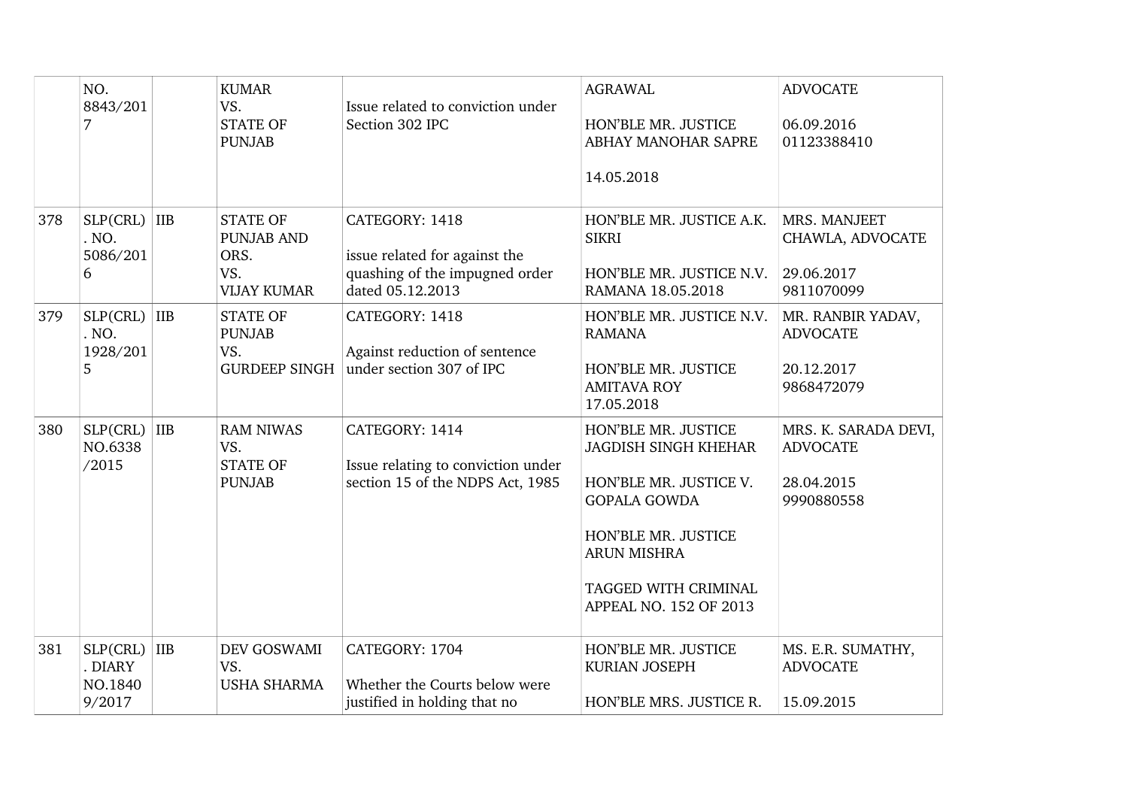|     | NO.<br>8843/201<br>7                           |            | <b>KUMAR</b><br>VS.<br><b>STATE OF</b><br><b>PUNJAB</b>                   | Issue related to conviction under<br>Section 302 IPC                                                  | <b>AGRAWAL</b><br>HON'BLE MR. JUSTICE<br>ABHAY MANOHAR SAPRE<br>14.05.2018                                                                                                                         | <b>ADVOCATE</b><br>06.09.2016<br>01123388410                        |
|-----|------------------------------------------------|------------|---------------------------------------------------------------------------|-------------------------------------------------------------------------------------------------------|----------------------------------------------------------------------------------------------------------------------------------------------------------------------------------------------------|---------------------------------------------------------------------|
| 378 | $SLP(CHL)$ IIB<br>. NO.<br>5086/201<br>6       |            | <b>STATE OF</b><br><b>PUNJAB AND</b><br>ORS.<br>VS.<br><b>VIJAY KUMAR</b> | CATEGORY: 1418<br>issue related for against the<br>quashing of the impugned order<br>dated 05.12.2013 | HON'BLE MR. JUSTICE A.K.<br><b>SIKRI</b><br>HON'BLE MR. JUSTICE N.V.<br>RAMANA 18.05.2018                                                                                                          | MRS. MANJEET<br>CHAWLA, ADVOCATE<br>29.06.2017<br>9811070099        |
| 379 | SLP(CHL)<br>. NO.<br>1928/201<br>5             | <b>IIB</b> | <b>STATE OF</b><br><b>PUNJAB</b><br>VS.<br><b>GURDEEP SINGH</b>           | CATEGORY: 1418<br>Against reduction of sentence<br>under section 307 of IPC                           | HON'BLE MR. JUSTICE N.V.<br><b>RAMANA</b><br>HON'BLE MR. JUSTICE<br><b>AMITAVA ROY</b><br>17.05.2018                                                                                               | MR. RANBIR YADAV,<br><b>ADVOCATE</b><br>20.12.2017<br>9868472079    |
| 380 | SLP(CRL)<br>NO.6338<br>/2015                   | IIB        | <b>RAM NIWAS</b><br>VS.<br><b>STATE OF</b><br><b>PUNJAB</b>               | CATEGORY: 1414<br>Issue relating to conviction under<br>section 15 of the NDPS Act, 1985              | HON'BLE MR. JUSTICE<br><b>JAGDISH SINGH KHEHAR</b><br>HON'BLE MR. JUSTICE V.<br><b>GOPALA GOWDA</b><br>HON'BLE MR. JUSTICE<br><b>ARUN MISHRA</b><br>TAGGED WITH CRIMINAL<br>APPEAL NO. 152 OF 2013 | MRS. K. SARADA DEVI,<br><b>ADVOCATE</b><br>28.04.2015<br>9990880558 |
| 381 | $SLP(CHL)$ IIB<br>. DIARY<br>NO.1840<br>9/2017 |            | DEV GOSWAMI<br>VS.<br><b>USHA SHARMA</b>                                  | CATEGORY: 1704<br>Whether the Courts below were<br>justified in holding that no                       | HON'BLE MR. JUSTICE<br><b>KURIAN JOSEPH</b><br>HON'BLE MRS. JUSTICE R.                                                                                                                             | MS. E.R. SUMATHY,<br><b>ADVOCATE</b><br>15.09.2015                  |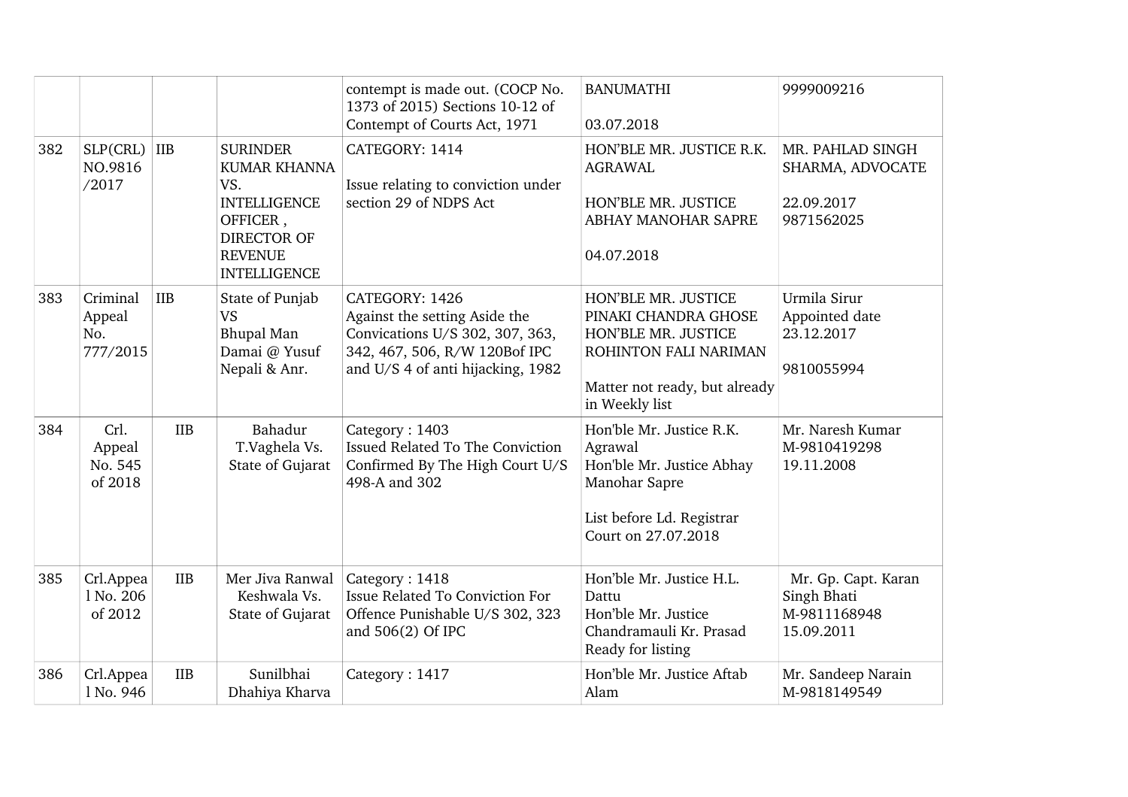|     |                                       |            |                                                                                                                                          | contempt is made out. (COCP No.<br>1373 of 2015) Sections 10-12 of<br>Contempt of Courts Act, 1971                                                       | <b>BANUMATHI</b><br>03.07.2018                                                                                                                 | 9999009216                                                       |
|-----|---------------------------------------|------------|------------------------------------------------------------------------------------------------------------------------------------------|----------------------------------------------------------------------------------------------------------------------------------------------------------|------------------------------------------------------------------------------------------------------------------------------------------------|------------------------------------------------------------------|
| 382 | SLP(CHL)<br>NO.9816<br>/2017          | IIB        | <b>SURINDER</b><br><b>KUMAR KHANNA</b><br>VS.<br><b>INTELLIGENCE</b><br>OFFICER,<br>DIRECTOR OF<br><b>REVENUE</b><br><b>INTELLIGENCE</b> | CATEGORY: 1414<br>Issue relating to conviction under<br>section 29 of NDPS Act                                                                           | HON'BLE MR. JUSTICE R.K.<br><b>AGRAWAL</b><br>HON'BLE MR. JUSTICE<br>ABHAY MANOHAR SAPRE<br>04.07.2018                                         | MR. PAHLAD SINGH<br>SHARMA, ADVOCATE<br>22.09.2017<br>9871562025 |
| 383 | Criminal<br>Appeal<br>No.<br>777/2015 | <b>IIB</b> | State of Punjab<br><b>VS</b><br><b>Bhupal Man</b><br>Damai @ Yusuf<br>Nepali & Anr.                                                      | CATEGORY: 1426<br>Against the setting Aside the<br>Convications U/S 302, 307, 363,<br>342, 467, 506, R/W 120Bof IPC<br>and U/S 4 of anti hijacking, 1982 | HON'BLE MR. JUSTICE<br>PINAKI CHANDRA GHOSE<br>HON'BLE MR. JUSTICE<br>ROHINTON FALI NARIMAN<br>Matter not ready, but already<br>in Weekly list | Urmila Sirur<br>Appointed date<br>23.12.2017<br>9810055994       |
| 384 | Crl.<br>Appeal<br>No. 545<br>of 2018  | <b>IIB</b> | Bahadur<br>T.Vaghela Vs.<br>State of Gujarat                                                                                             | Category: 1403<br>Issued Related To The Conviction<br>Confirmed By The High Court U/S<br>498-A and 302                                                   | Hon'ble Mr. Justice R.K.<br>Agrawal<br>Hon'ble Mr. Justice Abhay<br>Manohar Sapre<br>List before Ld. Registrar<br>Court on 27.07.2018          | Mr. Naresh Kumar<br>M-9810419298<br>19.11.2008                   |
| 385 | Crl.Appea<br>1 No. 206<br>of 2012     | <b>IIB</b> | Mer Jiva Ranwal<br>Keshwala Vs.<br>State of Gujarat                                                                                      | Category: 1418<br><b>Issue Related To Conviction For</b><br>Offence Punishable U/S 302, 323<br>and 506(2) Of IPC                                         | Hon'ble Mr. Justice H.L.<br>Dattu<br>Hon'ble Mr. Justice<br>Chandramauli Kr. Prasad<br>Ready for listing                                       | Mr. Gp. Capt. Karan<br>Singh Bhati<br>M-9811168948<br>15.09.2011 |
| 386 | Crl.Appea<br>1 No. 946                | <b>IIB</b> | Sunilbhai<br>Dhahiya Kharva                                                                                                              | Category: 1417                                                                                                                                           | Hon'ble Mr. Justice Aftab<br>Alam                                                                                                              | Mr. Sandeep Narain<br>M-9818149549                               |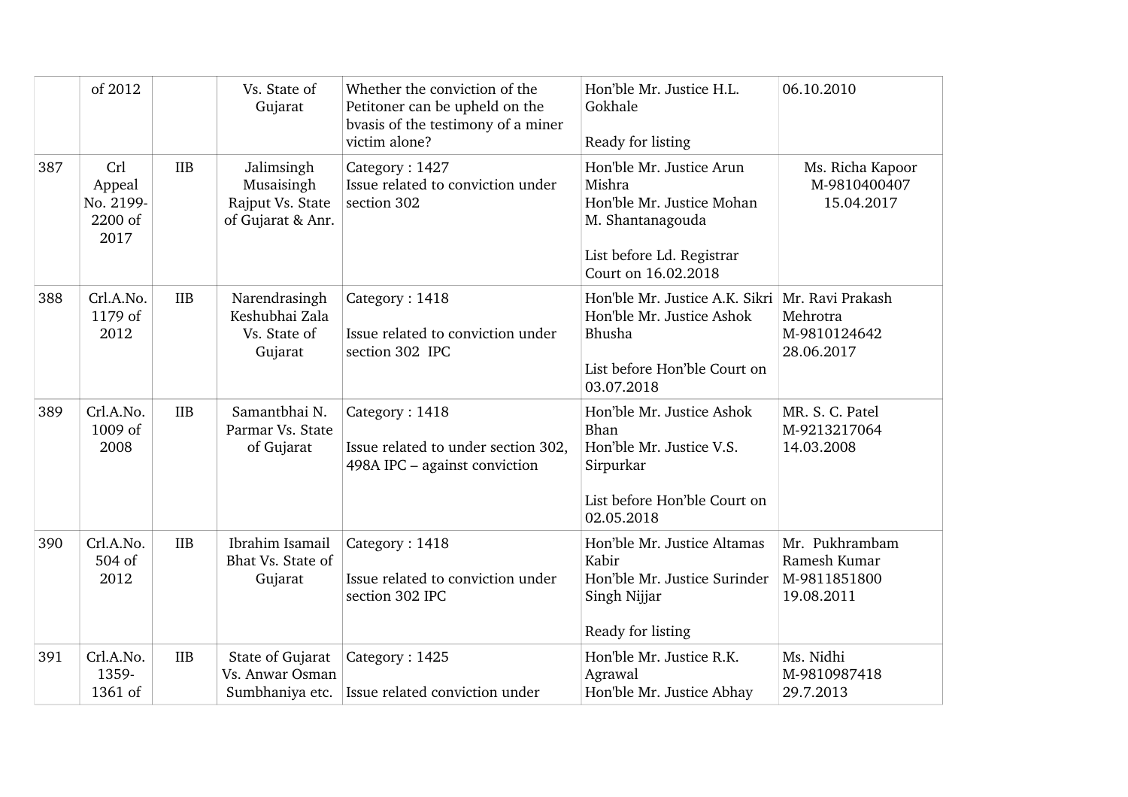|     | of 2012                                         |            | Vs. State of<br>Gujarat                                           | Whether the conviction of the<br>Petitoner can be upheld on the<br>bvasis of the testimony of a miner<br>victim alone? | Hon'ble Mr. Justice H.L.<br>Gokhale<br>Ready for listing                                                                                | 06.10.2010                                                   |
|-----|-------------------------------------------------|------------|-------------------------------------------------------------------|------------------------------------------------------------------------------------------------------------------------|-----------------------------------------------------------------------------------------------------------------------------------------|--------------------------------------------------------------|
| 387 | Crl<br>Appeal<br>No. 2199-<br>$2200$ of<br>2017 | <b>IIB</b> | Jalimsingh<br>Musaisingh<br>Rajput Vs. State<br>of Gujarat & Anr. | Category: 1427<br>Issue related to conviction under<br>section 302                                                     | Hon'ble Mr. Justice Arun<br>Mishra<br>Hon'ble Mr. Justice Mohan<br>M. Shantanagouda<br>List before Ld. Registrar<br>Court on 16.02.2018 | Ms. Richa Kapoor<br>M-9810400407<br>15.04.2017               |
| 388 | Crl.A.No.<br>1179 of<br>2012                    | <b>IIB</b> | Narendrasingh<br>Keshubhai Zala<br>Vs. State of<br>Gujarat        | Category: 1418<br>Issue related to conviction under<br>section 302 IPC                                                 | Hon'ble Mr. Justice A.K. Sikri   Mr. Ravi Prakash<br>Hon'ble Mr. Justice Ashok<br>Bhusha<br>List before Hon'ble Court on<br>03.07.2018  | Mehrotra<br>M-9810124642<br>28.06.2017                       |
| 389 | Crl.A.No.<br>1009 of<br>2008                    | <b>IIB</b> | Samantbhai N.<br>Parmar Vs. State<br>of Gujarat                   | Category: 1418<br>Issue related to under section 302,<br>498A IPC - against conviction                                 | Hon'ble Mr. Justice Ashok<br>Bhan<br>Hon'ble Mr. Justice V.S.<br>Sirpurkar<br>List before Hon'ble Court on<br>02.05.2018                | MR. S. C. Patel<br>M-9213217064<br>14.03.2008                |
| 390 | Crl.A.No.<br>504 of<br>2012                     | <b>IIB</b> | Ibrahim Isamail<br>Bhat Vs. State of<br>Gujarat                   | Category: 1418<br>Issue related to conviction under<br>section 302 IPC                                                 | Hon'ble Mr. Justice Altamas<br>Kabir<br>Hon'ble Mr. Justice Surinder<br>Singh Nijjar<br>Ready for listing                               | Mr. Pukhrambam<br>Ramesh Kumar<br>M-9811851800<br>19.08.2011 |
| 391 | Crl.A.No.<br>1359-<br>1361 of                   | <b>IIB</b> | State of Gujarat<br>Vs. Anwar Osman                               | Category: 1425<br>Sumbhaniya etc.   Issue related conviction under                                                     | Hon'ble Mr. Justice R.K.<br>Agrawal<br>Hon'ble Mr. Justice Abhay                                                                        | Ms. Nidhi<br>M-9810987418<br>29.7.2013                       |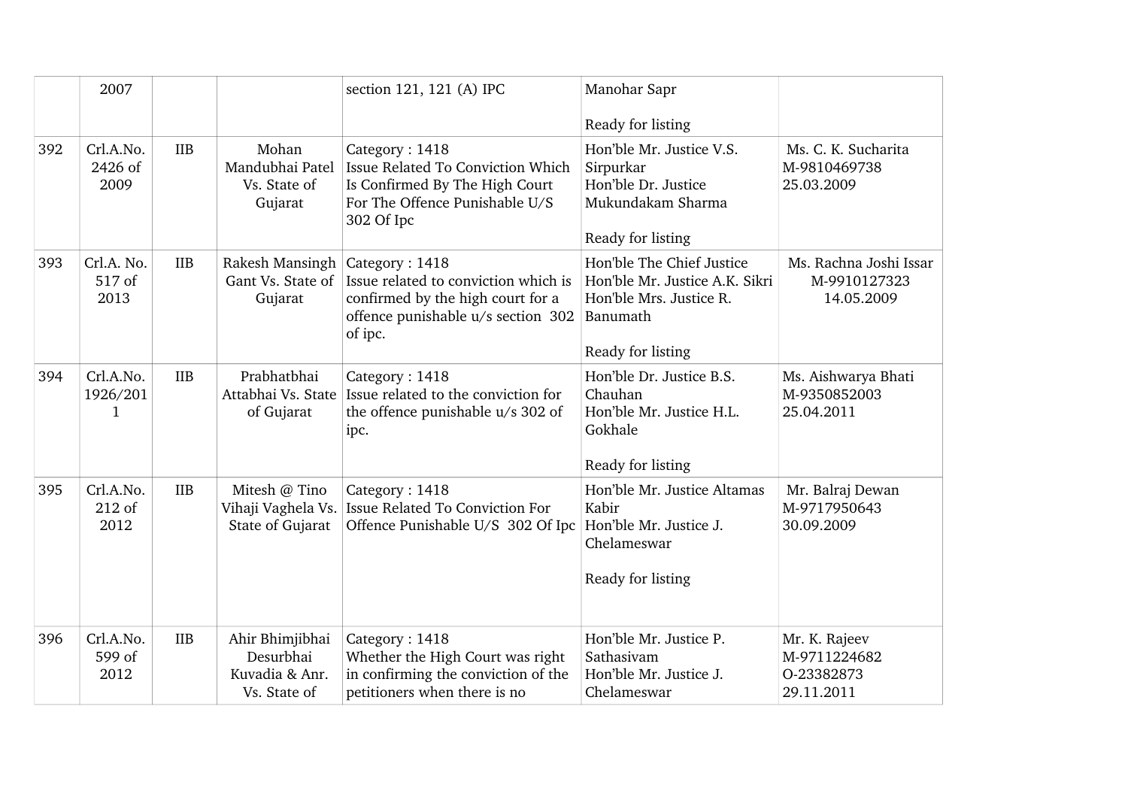|     | 2007                         |            |                                                                | section 121, 121 (A) IPC                                                                                                                     | Manohar Sapr<br>Ready for listing                                                                                       |                                                           |
|-----|------------------------------|------------|----------------------------------------------------------------|----------------------------------------------------------------------------------------------------------------------------------------------|-------------------------------------------------------------------------------------------------------------------------|-----------------------------------------------------------|
| 392 | Crl.A.No.<br>2426 of<br>2009 | <b>IIB</b> | Mohan<br>Mandubhai Patel<br>Vs. State of<br>Gujarat            | Category: 1418<br>Issue Related To Conviction Which<br>Is Confirmed By The High Court<br>For The Offence Punishable U/S<br>302 Of Ipc        | Hon'ble Mr. Justice V.S.<br>Sirpurkar<br>Hon'ble Dr. Justice<br>Mukundakam Sharma<br>Ready for listing                  | Ms. C. K. Sucharita<br>M-9810469738<br>25.03.2009         |
| 393 | Crl.A. No.<br>517 of<br>2013 | <b>IIB</b> | Rakesh Mansingh<br>Gant Vs. State of<br>Gujarat                | Category: 1418<br>Issue related to conviction which is<br>confirmed by the high court for a<br>offence punishable u/s section 302<br>of ipc. | Hon'ble The Chief Justice<br>Hon'ble Mr. Justice A.K. Sikri<br>Hon'ble Mrs. Justice R.<br>Banumath<br>Ready for listing | Ms. Rachna Joshi Issar<br>M-9910127323<br>14.05.2009      |
| 394 | Crl.A.No.<br>1926/201<br>1   | <b>IIB</b> | Prabhatbhai<br>Attabhai Vs. State<br>of Gujarat                | Category: 1418<br>Issue related to the conviction for<br>the offence punishable u/s 302 of<br>ipc.                                           | Hon'ble Dr. Justice B.S.<br>Chauhan<br>Hon'ble Mr. Justice H.L.<br>Gokhale<br>Ready for listing                         | Ms. Aishwarya Bhati<br>M-9350852003<br>25.04.2011         |
| 395 | Crl.A.No.<br>212 of<br>2012  | <b>IIB</b> | Mitesh @ Tino<br>Vihaji Vaghela Vs.<br>State of Gujarat        | Category: 1418<br>Issue Related To Conviction For<br>Offence Punishable U/S 302 Of Ipc                                                       | Hon'ble Mr. Justice Altamas<br>Kabir<br>Hon'ble Mr. Justice J.<br>Chelameswar<br>Ready for listing                      | Mr. Balraj Dewan<br>M-9717950643<br>30.09.2009            |
| 396 | Crl.A.No.<br>599 of<br>2012  | <b>IIB</b> | Ahir Bhimjibhai<br>Desurbhai<br>Kuvadia & Anr.<br>Vs. State of | Category: 1418<br>Whether the High Court was right<br>in confirming the conviction of the<br>petitioners when there is no                    | Hon'ble Mr. Justice P.<br>Sathasivam<br>Hon'ble Mr. Justice J.<br>Chelameswar                                           | Mr. K. Rajeev<br>M-9711224682<br>0-23382873<br>29.11.2011 |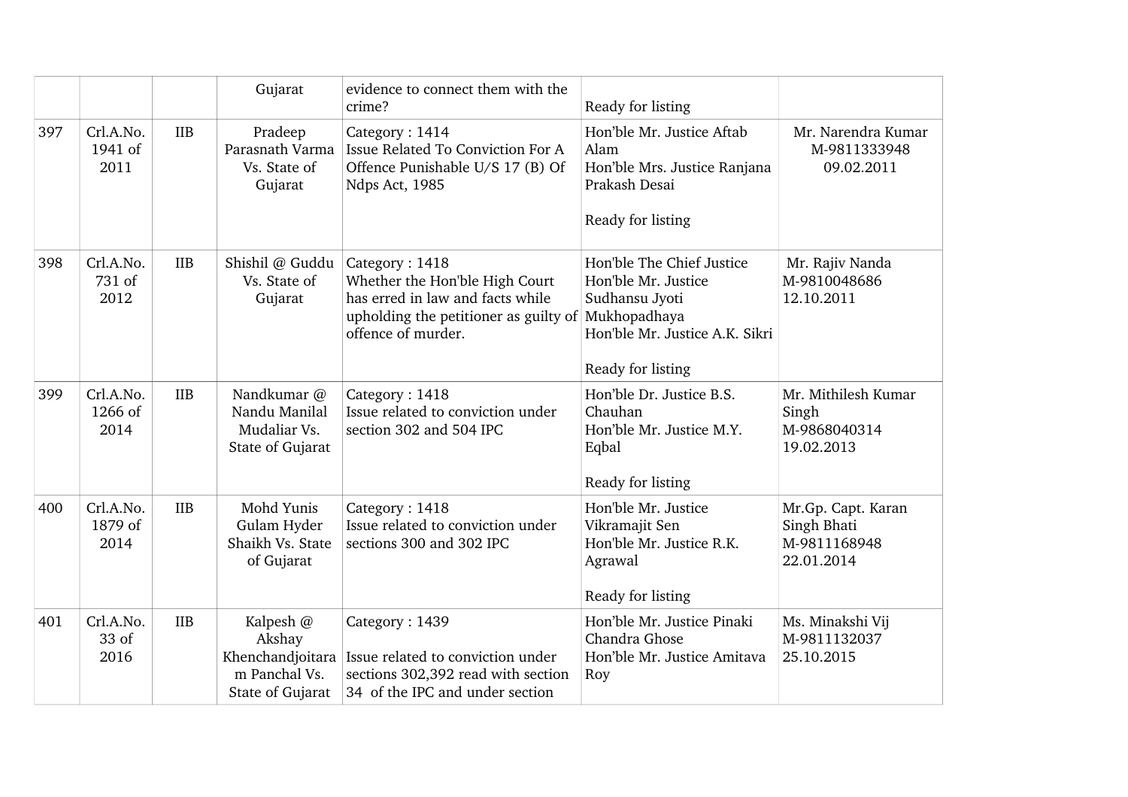|     |                              |            | Gujarat                                                                      | evidence to connect them with the<br>crime?                                                                                                                      | Ready for listing                                                                                                         |                                                                 |
|-----|------------------------------|------------|------------------------------------------------------------------------------|------------------------------------------------------------------------------------------------------------------------------------------------------------------|---------------------------------------------------------------------------------------------------------------------------|-----------------------------------------------------------------|
| 397 | Crl.A.No.<br>1941 of<br>2011 | <b>IIB</b> | Pradeep<br>Parasnath Varma<br>Vs. State of<br>Gujarat                        | Category: 1414<br>Issue Related To Conviction For A<br>Offence Punishable U/S 17 (B) Of<br>Ndps Act, 1985                                                        | Hon'ble Mr. Justice Aftab<br>Alam<br>Hon'ble Mrs. Justice Ranjana<br>Prakash Desai<br>Ready for listing                   | Mr. Narendra Kumar<br>M-9811333948<br>09.02.2011                |
| 398 | Crl.A.No.<br>731 of<br>2012  | <b>IIB</b> | Shishil @ Guddu<br>Vs. State of<br>Gujarat                                   | Category: 1418<br>Whether the Hon'ble High Court<br>has erred in law and facts while<br>upholding the petitioner as guilty of Mukhopadhaya<br>offence of murder. | Hon'ble The Chief Justice<br>Hon'ble Mr. Justice<br>Sudhansu Jyoti<br>Hon'ble Mr. Justice A.K. Sikri<br>Ready for listing | Mr. Rajiv Nanda<br>M-9810048686<br>12.10.2011                   |
| 399 | Crl.A.No.<br>1266 of<br>2014 | <b>IIB</b> | Nandkumar @<br>Nandu Manilal<br>Mudaliar Vs.<br>State of Gujarat             | Category: 1418<br>Issue related to conviction under<br>section 302 and 504 IPC                                                                                   | Hon'ble Dr. Justice B.S.<br>Chauhan<br>Hon'ble Mr. Justice M.Y.<br>Eqbal<br>Ready for listing                             | Mr. Mithilesh Kumar<br>Singh<br>M-9868040314<br>19.02.2013      |
| 400 | Crl.A.No.<br>1879 of<br>2014 | <b>IIB</b> | Mohd Yunis<br>Gulam Hyder<br>Shaikh Vs. State<br>of Gujarat                  | Category: 1418<br>Issue related to conviction under<br>sections 300 and 302 IPC                                                                                  | Hon'ble Mr. Justice<br>Vikramajit Sen<br>Hon'ble Mr. Justice R.K.<br>Agrawal<br>Ready for listing                         | Mr.Gp. Capt. Karan<br>Singh Bhati<br>M-9811168948<br>22.01.2014 |
| 401 | Crl.A.No.<br>33 of<br>2016   | <b>IIB</b> | Kalpesh @<br>Akshay<br>Khenchandjoitara<br>m Panchal Vs.<br>State of Gujarat | Category: 1439<br>Issue related to conviction under<br>sections 302,392 read with section<br>34 of the IPC and under section                                     | Hon'ble Mr. Justice Pinaki<br>Chandra Ghose<br>Hon'ble Mr. Justice Amitava<br>Roy                                         | Ms. Minakshi Vij<br>M-9811132037<br>25.10.2015                  |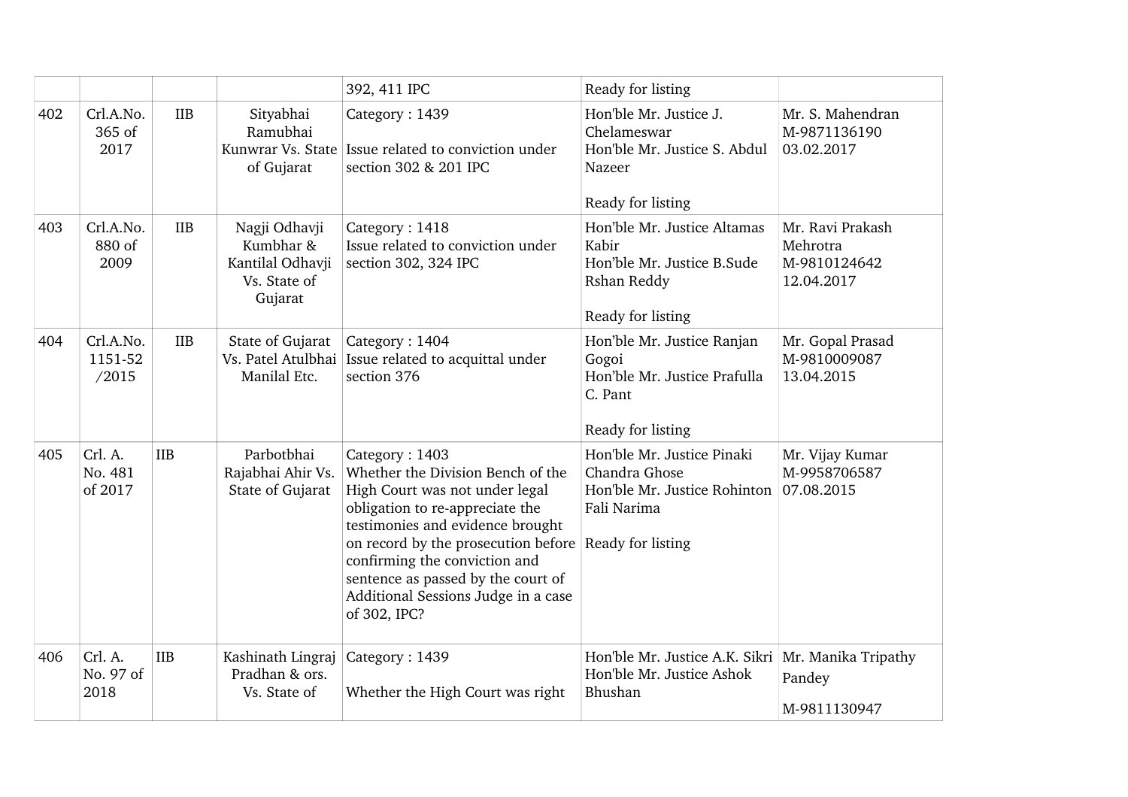|     |                               |            |                                                                           | 392, 411 IPC                                                                                                                                                                                                                                                                                                                                        | Ready for listing                                                                                      |                                                            |
|-----|-------------------------------|------------|---------------------------------------------------------------------------|-----------------------------------------------------------------------------------------------------------------------------------------------------------------------------------------------------------------------------------------------------------------------------------------------------------------------------------------------------|--------------------------------------------------------------------------------------------------------|------------------------------------------------------------|
| 402 | Crl.A.No.<br>365 of<br>2017   | <b>IIB</b> | Sityabhai<br>Ramubhai<br>of Gujarat                                       | Category: 1439<br>Kunwrar Vs. State Issue related to conviction under<br>section 302 & 201 IPC                                                                                                                                                                                                                                                      | Hon'ble Mr. Justice J.<br>Chelameswar<br>Hon'ble Mr. Justice S. Abdul<br>Nazeer<br>Ready for listing   | Mr. S. Mahendran<br>M-9871136190<br>03.02.2017             |
| 403 | Crl.A.No.<br>880 of<br>2009   | <b>IIB</b> | Nagji Odhavji<br>Kumbhar &<br>Kantilal Odhavji<br>Vs. State of<br>Gujarat | Category: 1418<br>Issue related to conviction under<br>section 302, 324 IPC                                                                                                                                                                                                                                                                         | Hon'ble Mr. Justice Altamas<br>Kabir<br>Hon'ble Mr. Justice B.Sude<br>Rshan Reddy<br>Ready for listing | Mr. Ravi Prakash<br>Mehrotra<br>M-9810124642<br>12.04.2017 |
| 404 | Crl.A.No.<br>1151-52<br>/2015 | <b>IIB</b> | State of Gujarat<br>Manilal Etc.                                          | Category: 1404<br>Vs. Patel Atulbhai   Issue related to acquittal under<br>section 376                                                                                                                                                                                                                                                              | Hon'ble Mr. Justice Ranjan<br>Gogoi<br>Hon'ble Mr. Justice Prafulla<br>C. Pant<br>Ready for listing    | Mr. Gopal Prasad<br>M-9810009087<br>13.04.2015             |
| 405 | Crl. A.<br>No. 481<br>of 2017 | <b>IIB</b> | Parbotbhai<br>Rajabhai Ahir Vs.<br>State of Gujarat                       | Category: 1403<br>Whether the Division Bench of the<br>High Court was not under legal<br>obligation to re-appreciate the<br>testimonies and evidence brought<br>on record by the prosecution before Ready for listing<br>confirming the conviction and<br>sentence as passed by the court of<br>Additional Sessions Judge in a case<br>of 302, IPC? | Hon'ble Mr. Justice Pinaki<br>Chandra Ghose<br>Hon'ble Mr. Justice Rohinton<br>Fali Narima             | Mr. Vijay Kumar<br>M-9958706587<br>07.08.2015              |
| 406 | Crl. A.<br>No. 97 of<br>2018  | <b>IIB</b> | Kashinath Lingraj<br>Pradhan & ors.<br>Vs. State of                       | Category: 1439<br>Whether the High Court was right                                                                                                                                                                                                                                                                                                  | Hon'ble Mr. Justice A.K. Sikri<br>Hon'ble Mr. Justice Ashok<br>Bhushan                                 | Mr. Manika Tripathy<br>Pandey<br>M-9811130947              |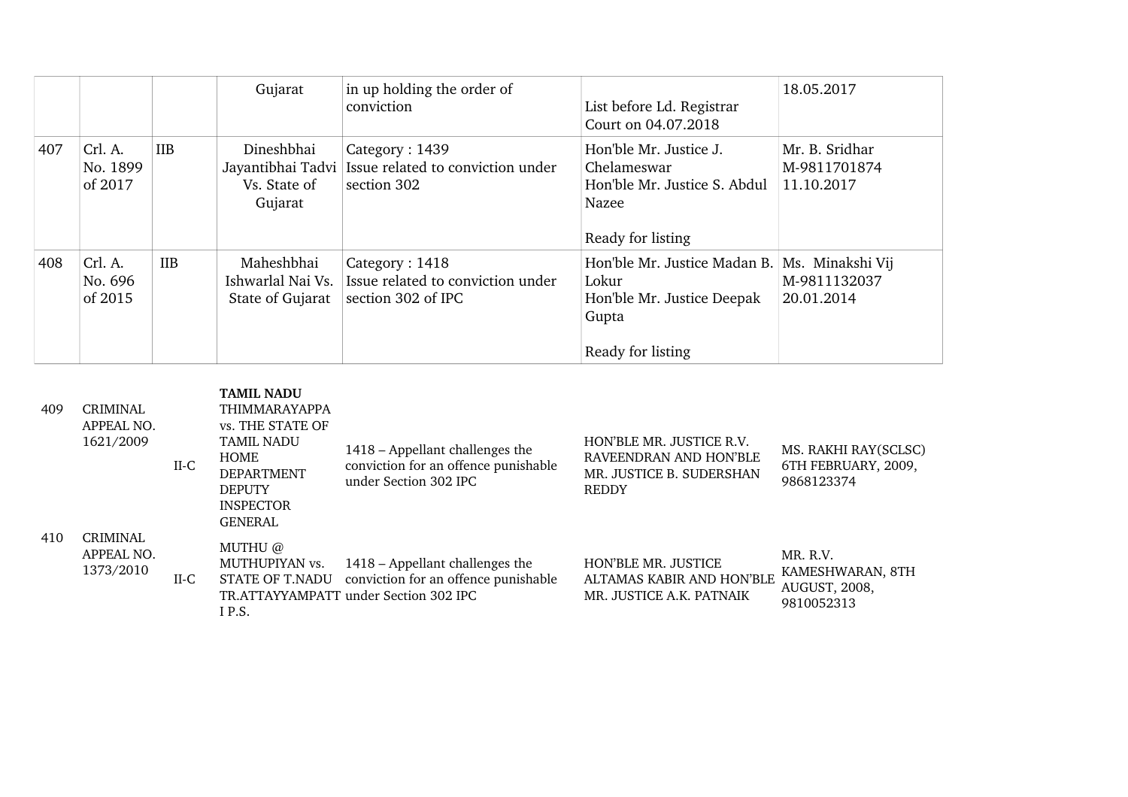|     |                                |            | Gujarat                                                    | in up holding the order of<br>conviction                                  | List before Ld. Registrar<br>Court on 04.07.2018                                                                   | 18.05.2017                                   |
|-----|--------------------------------|------------|------------------------------------------------------------|---------------------------------------------------------------------------|--------------------------------------------------------------------------------------------------------------------|----------------------------------------------|
| 407 | Crl. A.<br>No. 1899<br>of 2017 | <b>IIB</b> | Dineshbhai<br>Jayantibhai Tadvi<br>Vs. State of<br>Gujarat | Category: 1439<br>Issue related to conviction under<br>section 302        | Hon'ble Mr. Justice J.<br>Chelameswar<br>Hon'ble Mr. Justice S. Abdul<br>Nazee<br>Ready for listing                | Mr. B. Sridhar<br>M-9811701874<br>11.10.2017 |
| 408 | Crl. A.<br>No. 696<br>of 2015  | <b>IIB</b> | Maheshbhai<br>Ishwarlal Nai Vs.<br>State of Gujarat        | Category: 1418<br>Issue related to conviction under<br>section 302 of IPC | Hon'ble Mr. Justice Madan B. Ms. Minakshi Vij<br>Lokur<br>Hon'ble Mr. Justice Deepak<br>Gupta<br>Ready for listing | M-9811132037<br>20.01.2014                   |

| 409 | <b>CRIMINAL</b><br>APPEAL NO.<br>1621/2009 | II-C   | <b>TAMIL NADU</b><br><b>THIMMARAYAPPA</b><br>vs. THE STATE OF<br><b>TAMIL NADU</b><br><b>HOME</b><br><b>DEPARTMENT</b><br><b>DEPUTY</b><br><b>INSPECTOR</b><br><b>GENERAL</b> | 1418 – Appellant challenges the<br>conviction for an offence punishable<br>under Section 302 IPC                 | HON'BLE MR. JUSTICE R.V.<br>RAVEENDRAN AND HON'BLE<br>MR. JUSTICE B. SUDERSHAN<br><b>REDDY</b> | MS. RAKHI RAY(SCLSC)<br>6TH FEBRUARY, 2009,<br>9868123374   |
|-----|--------------------------------------------|--------|-------------------------------------------------------------------------------------------------------------------------------------------------------------------------------|------------------------------------------------------------------------------------------------------------------|------------------------------------------------------------------------------------------------|-------------------------------------------------------------|
| 410 | <b>CRIMINAL</b><br>APPEAL NO.<br>1373/2010 | $II-C$ | MUTHU @<br>MUTHUPIYAN vs.<br>STATE OF T.NADU<br>IP.S.                                                                                                                         | 1418 – Appellant challenges the<br>conviction for an offence punishable<br>TR.ATTAYYAMPATT under Section 302 IPC | <b>HON'BLE MR. JUSTICE</b><br>ALTAMAS KABIR AND HON'BLE<br>MR. JUSTICE A.K. PATNAIK            | MR. R.V.<br>KAMESHWARAN, 8TH<br>AUGUST, 2008,<br>9810052313 |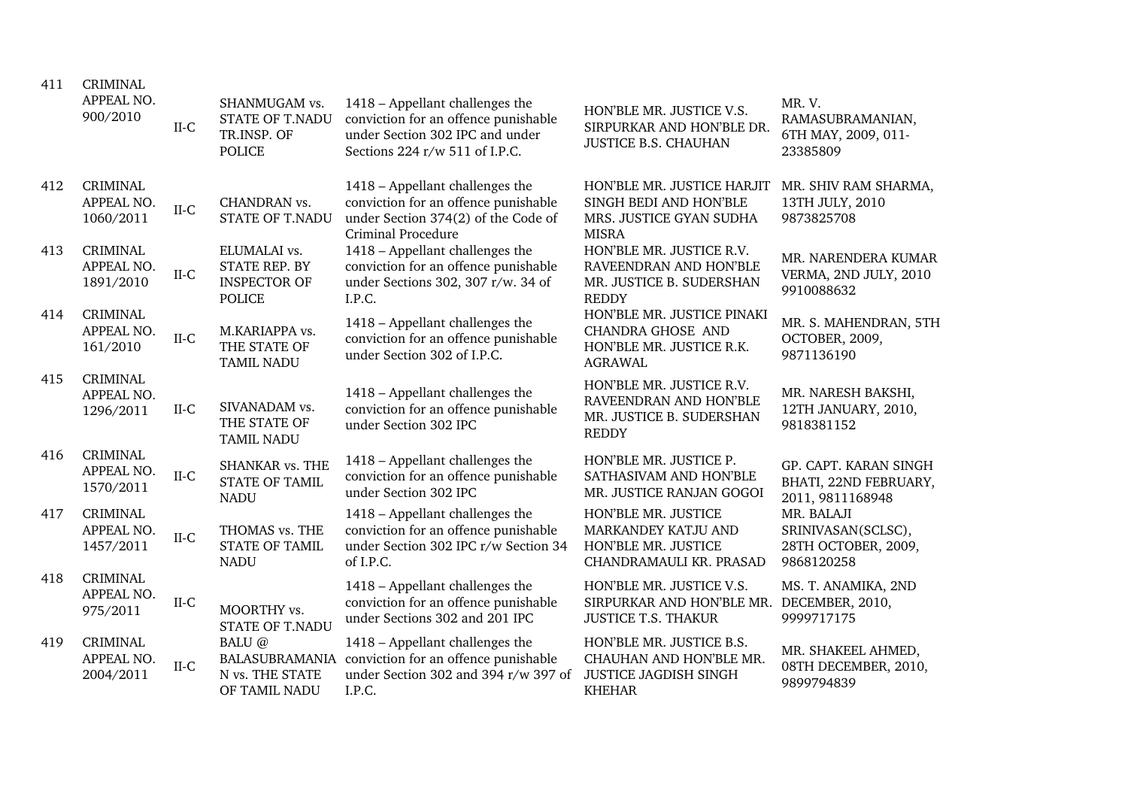| 411 | <b>CRIMINAL</b><br>APPEAL NO.<br>900/2010  | $II-C$               | SHANMUGAM vs.<br><b>STATE OF T.NADU</b><br>TR.INSP. OF<br><b>POLICE</b> | 1418 - Appellant challenges the<br>conviction for an offence punishable<br>under Section 302 IPC and under<br>Sections 224 r/w 511 of I.P.C. | HON'BLE MR. JUSTICE V.S.<br>SIRPURKAR AND HON'BLE DR.<br><b>JUSTICE B.S. CHAUHAN</b>                 | MR.V.<br>RAMASUBRAMANIAN,<br>6TH MAY, 2009, 011-<br>23385809          |
|-----|--------------------------------------------|----------------------|-------------------------------------------------------------------------|----------------------------------------------------------------------------------------------------------------------------------------------|------------------------------------------------------------------------------------------------------|-----------------------------------------------------------------------|
| 412 | <b>CRIMINAL</b><br>APPEAL NO.<br>1060/2011 | $II-C$               | CHANDRAN vs.<br><b>STATE OF T.NADU</b>                                  | 1418 - Appellant challenges the<br>conviction for an offence punishable<br>under Section 374(2) of the Code of<br><b>Criminal Procedure</b>  | HON'BLE MR. JUSTICE HARJIT<br>SINGH BEDI AND HON'BLE<br>MRS. JUSTICE GYAN SUDHA<br><b>MISRA</b>      | MR. SHIV RAM SHARMA,<br>13TH JULY, 2010<br>9873825708                 |
| 413 | <b>CRIMINAL</b><br>APPEAL NO.<br>1891/2010 | $II-C$               | ELUMALAI vs.<br>STATE REP. BY<br><b>INSPECTOR OF</b><br><b>POLICE</b>   | 1418 - Appellant challenges the<br>conviction for an offence punishable<br>under Sections 302, 307 r/w. 34 of<br>I.P.C.                      | HON'BLE MR. JUSTICE R.V.<br>RAVEENDRAN AND HON'BLE<br>MR. JUSTICE B. SUDERSHAN<br><b>REDDY</b>       | MR. NARENDERA KUMAR<br>VERMA, 2ND JULY, 2010<br>9910088632            |
| 414 | <b>CRIMINAL</b><br>APPEAL NO.<br>161/2010  | $_{\rm II\text{-}C}$ | M.KARIAPPA vs.<br>THE STATE OF<br><b>TAMIL NADU</b>                     | 1418 - Appellant challenges the<br>conviction for an offence punishable<br>under Section 302 of I.P.C.                                       | HON'BLE MR. JUSTICE PINAKI<br><b>CHANDRA GHOSE AND</b><br>HON'BLE MR. JUSTICE R.K.<br><b>AGRAWAL</b> | MR. S. MAHENDRAN, 5TH<br>OCTOBER, 2009,<br>9871136190                 |
| 415 | <b>CRIMINAL</b><br>APPEAL NO.<br>1296/2011 | $II-C$               | SIVANADAM vs.<br>THE STATE OF<br><b>TAMIL NADU</b>                      | 1418 - Appellant challenges the<br>conviction for an offence punishable<br>under Section 302 IPC                                             | HON'BLE MR. JUSTICE R.V.<br>RAVEENDRAN AND HON'BLE<br>MR. JUSTICE B. SUDERSHAN<br><b>REDDY</b>       | MR. NARESH BAKSHI,<br>12TH JANUARY, 2010,<br>9818381152               |
| 416 | <b>CRIMINAL</b><br>APPEAL NO.<br>1570/2011 | $II-C$               | <b>SHANKAR vs. THE</b><br><b>STATE OF TAMIL</b><br><b>NADU</b>          | 1418 - Appellant challenges the<br>conviction for an offence punishable<br>under Section 302 IPC                                             | HON'BLE MR. JUSTICE P.<br>SATHASIVAM AND HON'BLE<br>MR. JUSTICE RANJAN GOGOI                         | GP. CAPT. KARAN SINGH<br>BHATI, 22ND FEBRUARY,<br>2011, 9811168948    |
| 417 | <b>CRIMINAL</b><br>APPEAL NO.<br>1457/2011 | $II-C$               | THOMAS vs. THE<br><b>STATE OF TAMIL</b><br><b>NADU</b>                  | 1418 – Appellant challenges the<br>conviction for an offence punishable<br>under Section 302 IPC r/w Section 34<br>of I.P.C.                 | HON'BLE MR. JUSTICE<br>MARKANDEY KATJU AND<br>HON'BLE MR. JUSTICE<br>CHANDRAMAULI KR. PRASAD         | MR. BALAJI<br>SRINIVASAN(SCLSC),<br>28TH OCTOBER, 2009,<br>9868120258 |
| 418 | <b>CRIMINAL</b><br>APPEAL NO.<br>975/2011  | II-C                 | MOORTHY vs.<br><b>STATE OF T.NADU</b>                                   | 1418 - Appellant challenges the<br>conviction for an offence punishable<br>under Sections 302 and 201 IPC                                    | HON'BLE MR. JUSTICE V.S.<br>SIRPURKAR AND HON'BLE MR. DECEMBER, 2010,<br><b>JUSTICE T.S. THAKUR</b>  | MS. T. ANAMIKA, 2ND<br>9999717175                                     |
| 419 | <b>CRIMINAL</b><br>APPEAL NO.<br>2004/2011 | $II-C$               | BALU @<br>N vs. THE STATE<br>OF TAMIL NADU                              | 1418 - Appellant challenges the<br>BALASUBRAMANIA conviction for an offence punishable<br>under Section 302 and 394 r/w 397 of<br>I.P.C.     | HON'BLE MR. JUSTICE B.S.<br>CHAUHAN AND HON'BLE MR.<br><b>JUSTICE JAGDISH SINGH</b><br><b>KHEHAR</b> | MR. SHAKEEL AHMED,<br>08TH DECEMBER, 2010,<br>9899794839              |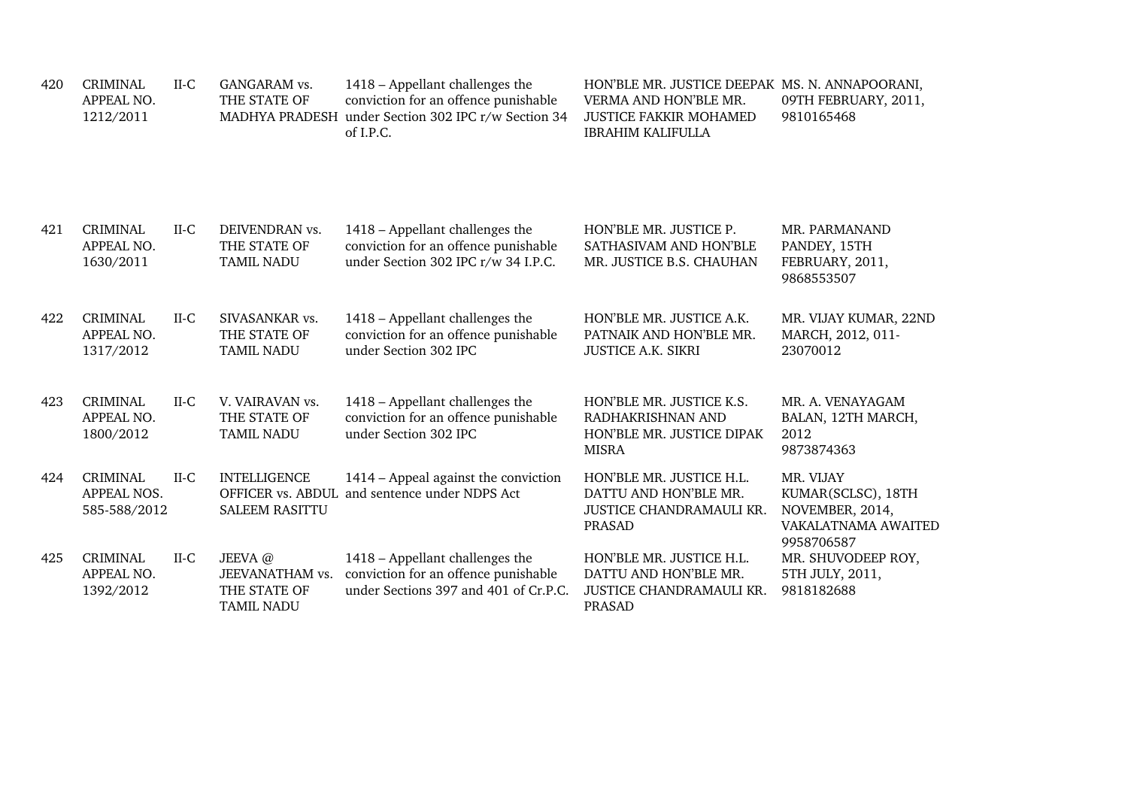| 420 | <b>CRIMINAL</b><br>APPEAL NO.<br>1212/2011     | $II-C$ | GANGARAM vs.<br>THE STATE OF                                   | 1418 - Appellant challenges the<br>conviction for an offence punishable<br>MADHYA PRADESH under Section 302 IPC r/w Section 34<br>of I.P.C. | HON'BLE MR. JUSTICE DEEPAK MS. N. ANNAPOORANI,<br>VERMA AND HON'BLE MR.<br><b>JUSTICE FAKKIR MOHAMED</b><br><b>IBRAHIM KALIFULLA</b> | 09TH FEBRUARY, 2011,<br>9810165468                                                      |
|-----|------------------------------------------------|--------|----------------------------------------------------------------|---------------------------------------------------------------------------------------------------------------------------------------------|--------------------------------------------------------------------------------------------------------------------------------------|-----------------------------------------------------------------------------------------|
| 421 | <b>CRIMINAL</b><br>APPEAL NO.<br>1630/2011     | $II-C$ | DEIVENDRAN vs.<br>THE STATE OF<br><b>TAMIL NADU</b>            | 1418 - Appellant challenges the<br>conviction for an offence punishable<br>under Section 302 IPC r/w 34 I.P.C.                              | HON'BLE MR. JUSTICE P.<br>SATHASIVAM AND HON'BLE<br>MR. JUSTICE B.S. CHAUHAN                                                         | MR. PARMANAND<br>PANDEY, 15TH<br>FEBRUARY, 2011,<br>9868553507                          |
| 422 | <b>CRIMINAL</b><br>APPEAL NO.<br>1317/2012     | $II-C$ | SIVASANKAR vs.<br>THE STATE OF<br><b>TAMIL NADU</b>            | 1418 – Appellant challenges the<br>conviction for an offence punishable<br>under Section 302 IPC                                            | HON'BLE MR. JUSTICE A.K.<br>PATNAIK AND HON'BLE MR.<br><b>JUSTICE A.K. SIKRI</b>                                                     | MR. VIJAY KUMAR, 22ND<br>MARCH, 2012, 011-<br>23070012                                  |
| 423 | <b>CRIMINAL</b><br>APPEAL NO.<br>1800/2012     | $II-C$ | V. VAIRAVAN vs.<br>THE STATE OF<br><b>TAMIL NADU</b>           | 1418 – Appellant challenges the<br>conviction for an offence punishable<br>under Section 302 IPC                                            | HON'BLE MR. JUSTICE K.S.<br>RADHAKRISHNAN AND<br>HON'BLE MR. JUSTICE DIPAK<br><b>MISRA</b>                                           | MR. A. VENAYAGAM<br>BALAN, 12TH MARCH,<br>2012<br>9873874363                            |
| 424 | <b>CRIMINAL</b><br>APPEAL NOS.<br>585-588/2012 | $II-C$ | <b>INTELLIGENCE</b><br><b>SALEEM RASITTU</b>                   | 1414 – Appeal against the conviction<br>OFFICER vs. ABDUL and sentence under NDPS Act                                                       | HON'BLE MR. JUSTICE H.L.<br>DATTU AND HON'BLE MR.<br>JUSTICE CHANDRAMAULI KR.<br><b>PRASAD</b>                                       | MR. VIJAY<br>KUMAR(SCLSC), 18TH<br>NOVEMBER, 2014,<br>VAKALATNAMA AWAITED<br>9958706587 |
| 425 | <b>CRIMINAL</b><br>APPEAL NO.<br>1392/2012     | $II-C$ | JEEVA@<br>JEEVANATHAM vs.<br>THE STATE OF<br><b>TAMIL NADU</b> | 1418 - Appellant challenges the<br>conviction for an offence punishable<br>under Sections 397 and 401 of Cr.P.C.                            | HON'BLE MR. JUSTICE H.L.<br>DATTU AND HON'BLE MR.<br>JUSTICE CHANDRAMAULI KR.<br><b>PRASAD</b>                                       | MR. SHUVODEEP ROY,<br>5TH JULY, 2011,<br>9818182688                                     |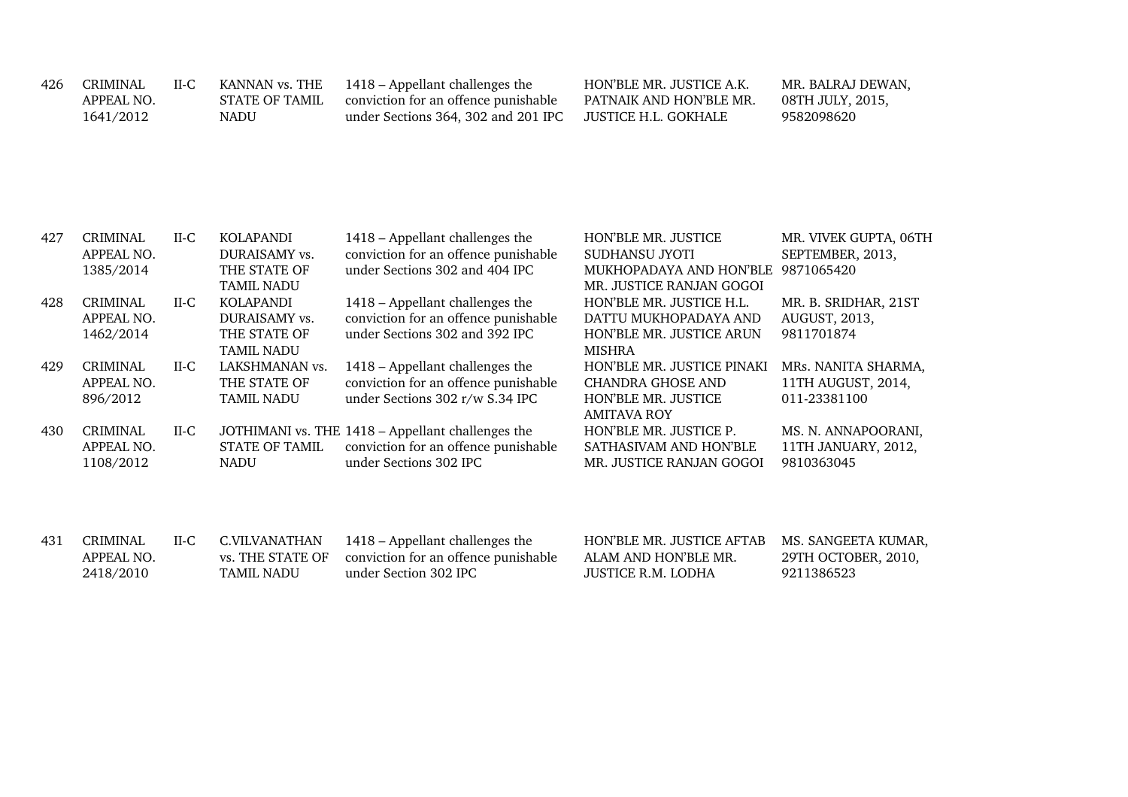| 426 CRIMINAL | II-C | KANNAN vs. THE | 1418 – Appellant challenges the      | HON'BLE MR. JUSTICE A.K. | MR. BALRAJ DEWAN, |
|--------------|------|----------------|--------------------------------------|--------------------------|-------------------|
| APPEAL NO.   |      | STATE OF TAMIL | conviction for an offence punishable | PATNAIK AND HON'BLE MR.  | 08TH JULY, 2015,  |
| 1641/2012    |      | NADU           | under Sections 364, 302 and 201 IPC  | . JUSTICE H.L. GOKHALE   | 9582098620        |

| 427 | <b>CRIMINAL</b> | $II-C$ | KOLAPANDI             | 1418 – Appellant challenges the                   | HON'BLE MR. JUSTICE        | MR. VIVEK GUPTA, 06TH |
|-----|-----------------|--------|-----------------------|---------------------------------------------------|----------------------------|-----------------------|
|     | APPEAL NO.      |        | DURAISAMY vs.         | conviction for an offence punishable              | SUDHANSU JYOTI             | SEPTEMBER, 2013,      |
|     | 1385/2014       |        | THE STATE OF          | under Sections 302 and 404 IPC                    | MUKHOPADAYA AND HON'BLE    | 9871065420            |
|     |                 |        | <b>TAMIL NADU</b>     |                                                   | MR. JUSTICE RANJAN GOGOI   |                       |
| 428 | <b>CRIMINAL</b> | $II-C$ | KOLAPANDI             | 1418 – Appellant challenges the                   | HON'BLE MR. JUSTICE H.L.   | MR. B. SRIDHAR, 21ST  |
|     | APPEAL NO.      |        | DURAISAMY vs.         | conviction for an offence punishable              | DATTU MUKHOPADAYA AND      | AUGUST, 2013,         |
|     | 1462/2014       |        | THE STATE OF          | under Sections 302 and 392 IPC                    | HON'BLE MR. JUSTICE ARUN   | 9811701874            |
|     |                 |        | <b>TAMIL NADU</b>     |                                                   | MISHRA                     |                       |
| 429 | <b>CRIMINAL</b> | $II-C$ | LAKSHMANAN vs.        | 1418 – Appellant challenges the                   | HON'BLE MR. JUSTICE PINAKI | MRs. NANITA SHARMA,   |
|     | APPEAL NO.      |        | THE STATE OF          | conviction for an offence punishable              | CHANDRA GHOSE AND          | 11TH AUGUST, 2014,    |
|     | 896/2012        |        | <b>TAMIL NADU</b>     | under Sections 302 r/w S.34 IPC                   | HON'BLE MR. JUSTICE        | 011-23381100          |
|     |                 |        |                       |                                                   | <b>AMITAVA ROY</b>         |                       |
| 430 | <b>CRIMINAL</b> | $II-C$ |                       | JOTHIMANI vs. THE 1418 - Appellant challenges the | HON'BLE MR. JUSTICE P.     | MS. N. ANNAPOORANI,   |
|     | APPEAL NO.      |        | <b>STATE OF TAMIL</b> | conviction for an offence punishable              | SATHASIVAM AND HON'BLE     | 11TH JANUARY, 2012,   |
|     | 1108/2012       |        | <b>NADU</b>           | under Sections 302 IPC                            | MR. JUSTICE RANJAN GOGOI   | 9810363045            |
|     |                 |        |                       |                                                   |                            |                       |
|     |                 |        |                       |                                                   |                            |                       |

| 431 | CRIMINAL.  | $II-C$ | C.VILVANATHAN     | 1418 – Appellant challenges the                       | HON'BLE MR. JUSTICE AFTAB MS. SANGEETA KUMAR, |                     |
|-----|------------|--------|-------------------|-------------------------------------------------------|-----------------------------------------------|---------------------|
|     | APPEAL NO. |        |                   | vs. THE STATE OF conviction for an offence punishable | ALAM AND HON'BLE MR.                          | 29TH OCTOBER, 2010, |
|     | 2418/2010  |        | <b>TAMIL NADU</b> | under Section 302 IPC                                 | JUSTICE R.M. LODHA                            | 9211386523          |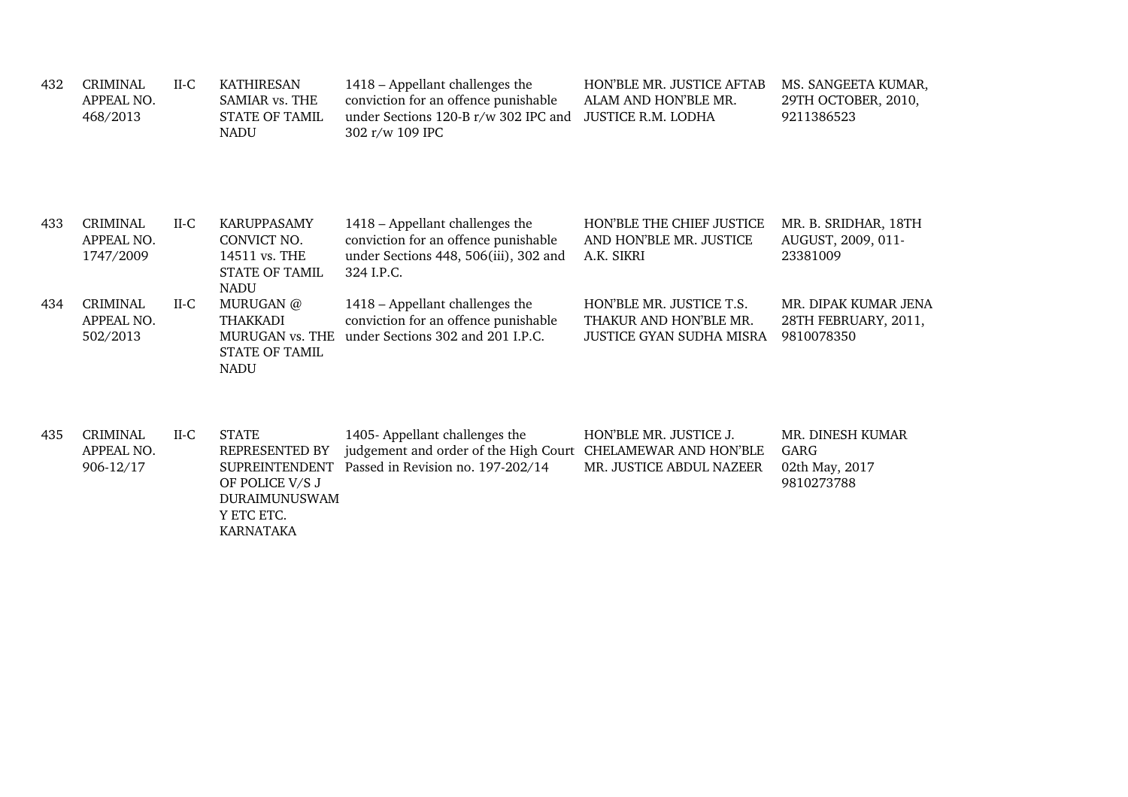| 432 | <b>CRIMINAL</b><br>APPEAL NO.<br>468/2013  | $II-C$ | <b>KATHIRESAN</b><br>SAMIAR vs. THE<br><b>STATE OF TAMIL</b><br><b>NADU</b>                        | 1418 - Appellant challenges the<br>conviction for an offence punishable<br>under Sections 120-B r/w 302 IPC and<br>302 r/w 109 IPC  | <b>HON'BLE MR. JUSTICE AFTAB</b><br>ALAM AND HON'BLE MR.<br><b>JUSTICE R.M. LODHA</b> | MS. SANGEETA KUMAR,<br>29TH OCTOBER, 2010,<br>9211386523   |
|-----|--------------------------------------------|--------|----------------------------------------------------------------------------------------------------|-------------------------------------------------------------------------------------------------------------------------------------|---------------------------------------------------------------------------------------|------------------------------------------------------------|
| 433 | <b>CRIMINAL</b><br>APPEAL NO.<br>1747/2009 | $II-C$ | <b>KARUPPASAMY</b><br>CONVICT NO.<br>14511 vs. THE<br><b>STATE OF TAMIL</b><br><b>NADU</b>         | 1418 – Appellant challenges the<br>conviction for an offence punishable<br>under Sections 448, 506(iii), 302 and<br>324 I.P.C.      | <b>HON'BLE THE CHIEF JUSTICE</b><br>AND HON'BLE MR. JUSTICE<br>A.K. SIKRI             | MR. B. SRIDHAR, 18TH<br>AUGUST, 2009, 011-<br>23381009     |
| 434 | <b>CRIMINAL</b><br>APPEAL NO.<br>502/2013  | $II-C$ | MURUGAN @<br><b>THAKKADI</b><br>MURUGAN vs. THE<br><b>STATE OF TAMIL</b><br><b>NADU</b>            | 1418 – Appellant challenges the<br>conviction for an offence punishable<br>under Sections 302 and 201 I.P.C.                        | HON'BLE MR. JUSTICE T.S.<br>THAKUR AND HON'BLE MR.<br>JUSTICE GYAN SUDHA MISRA        | MR. DIPAK KUMAR JENA<br>28TH FEBRUARY, 2011,<br>9810078350 |
| 435 | <b>CRIMINAL</b><br>APPEAL NO.<br>906-12/17 | $II-C$ | <b>STATE</b><br>REPRESENTED BY<br><b>SUPREINTENDENT</b><br>OF POLICE V/S J<br><b>DURAIMUNUSWAM</b> | 1405- Appellant challenges the<br>judgement and order of the High Court CHELAMEWAR AND HON'BLE<br>Passed in Revision no. 197-202/14 | HON'BLE MR. JUSTICE J.<br>MR. JUSTICE ABDUL NAZEER                                    | MR. DINESH KUMAR<br>GARG<br>02th May, 2017<br>9810273788   |

Y ETC ETC.

KARNATAKA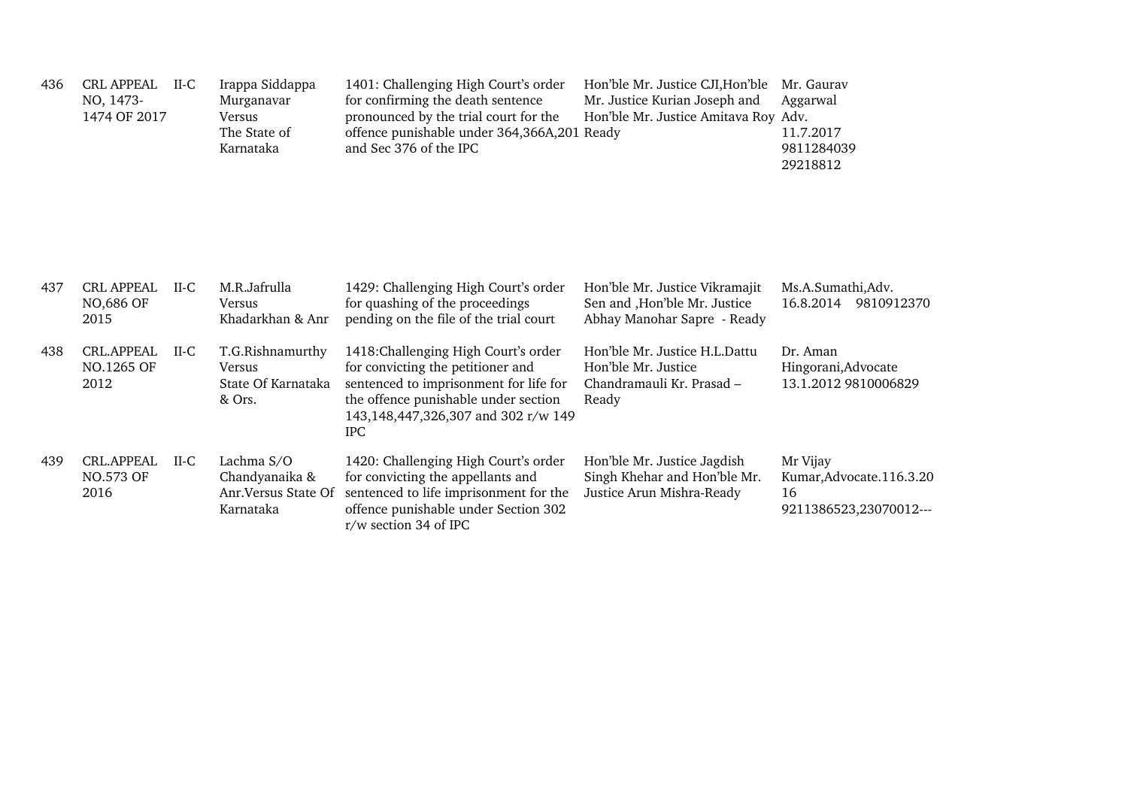| 436 | <b>CRL APPEAL</b><br>NO, 1473-<br>1474 OF 2017 | $II-C$ | Irappa Siddappa<br>Murganavar<br>Versus<br>The State of<br>Karnataka | 1401: Challenging High Court's order<br>for confirming the death sentence<br>pronounced by the trial court for the<br>offence punishable under 364,366A,201 Ready<br>and Sec 376 of the IPC                      | Hon'ble Mr. Justice CJI, Hon'ble<br>Mr. Justice Kurian Joseph and<br>Hon'ble Mr. Justice Amitava Roy Adv. | Mr. Gauray<br>Aggarwal<br>11.7.2017<br>9811284039<br>29218812         |
|-----|------------------------------------------------|--------|----------------------------------------------------------------------|------------------------------------------------------------------------------------------------------------------------------------------------------------------------------------------------------------------|-----------------------------------------------------------------------------------------------------------|-----------------------------------------------------------------------|
| 437 | <b>CRL APPEAL</b><br>NO,686 OF<br>2015         | $II-C$ | M.R.Jafrulla<br><b>Versus</b><br>Khadarkhan & Anr                    | 1429: Challenging High Court's order<br>for quashing of the proceedings<br>pending on the file of the trial court                                                                                                | Hon'ble Mr. Justice Vikramajit<br>Sen and , Hon'ble Mr. Justice<br>Abhay Manohar Sapre - Ready            | Ms.A.Sumathi, Adv.<br>16.8.2014 9810912370                            |
| 438 | <b>CRL.APPEAL</b><br>NO.1265 OF<br>2012        | $II-C$ | T.G.Rishnamurthy<br>Versus<br>State Of Karnataka<br>& Ors.           | 1418: Challenging High Court's order<br>for convicting the petitioner and<br>sentenced to imprisonment for life for<br>the offence punishable under section<br>143,148,447,326,307 and 302 r/w 149<br><b>IPC</b> | Hon'ble Mr. Justice H.L.Dattu<br>Hon'ble Mr. Justice<br>Chandramauli Kr. Prasad -<br>Ready                | Dr. Aman<br>Hingorani, Advocate<br>13.1.2012 9810006829               |
| 439 | <b>CRL.APPEAL</b><br>NO.573 OF<br>2016         | $II-C$ | Lachma S/O<br>Chandyanaika &<br>Anr. Versus State Of<br>Karnataka    | 1420: Challenging High Court's order<br>for convicting the appellants and<br>sentenced to life imprisonment for the<br>offence punishable under Section 302<br>r/w section 34 of IPC                             | Hon'ble Mr. Justice Jagdish<br>Singh Khehar and Hon'ble Mr.<br>Justice Arun Mishra-Ready                  | Mr Vijay<br>Kumar, Advocate. 116.3.20<br>16<br>9211386523,23070012--- |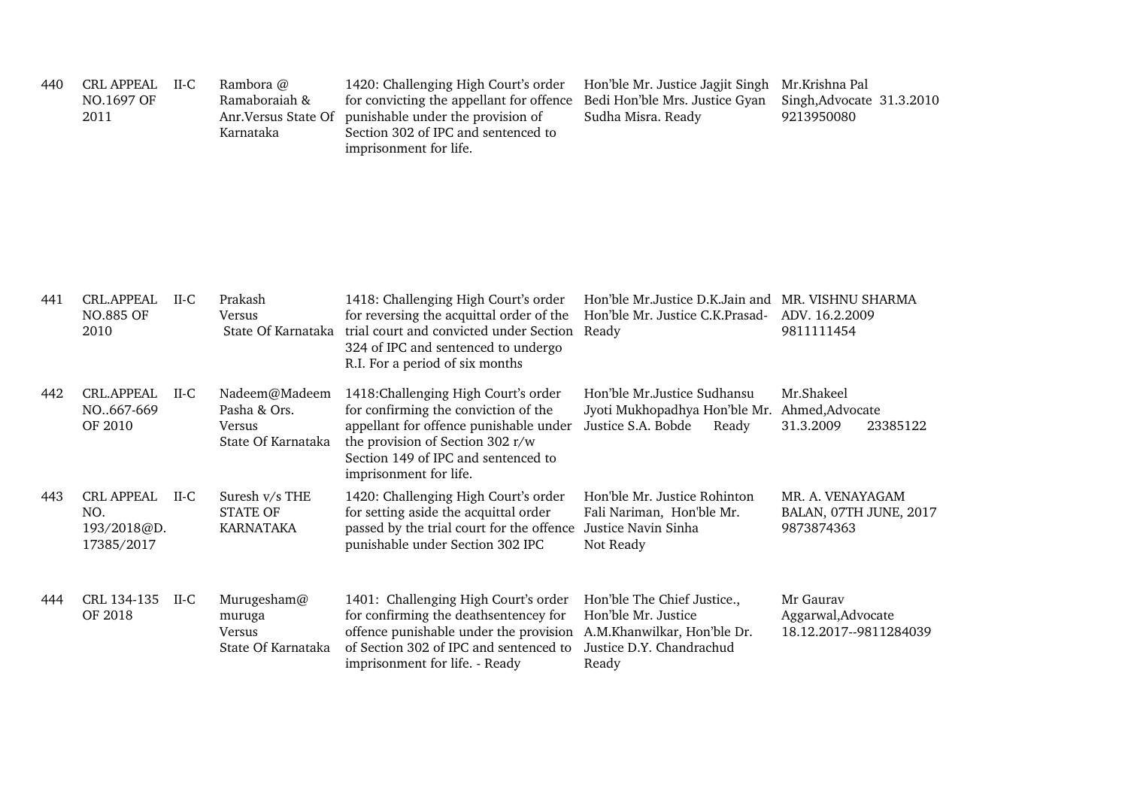| 440 | <b>CRL APPEAL</b><br>NO.1697 OF<br>2011               | $II-C$ | Rambora @<br>Ramaboraiah &<br>Anr. Versus State Of<br>Karnataka | 1420: Challenging High Court's order<br>for convicting the appellant for offence<br>punishable under the provision of<br>Section 302 of IPC and sentenced to<br>imprisonment for life.                                      | Hon'ble Mr. Justice Jagjit Singh<br>Bedi Hon'ble Mrs. Justice Gyan<br>Sudha Misra. Ready                               | Mr.Krishna Pal<br>Singh, Advocate 31.3.2010<br>9213950080 |
|-----|-------------------------------------------------------|--------|-----------------------------------------------------------------|-----------------------------------------------------------------------------------------------------------------------------------------------------------------------------------------------------------------------------|------------------------------------------------------------------------------------------------------------------------|-----------------------------------------------------------|
| 441 | <b>CRL.APPEAL</b><br><b>NO.885 OF</b><br>2010         | $II-C$ | Prakash<br><b>Versus</b><br>State Of Karnataka                  | 1418: Challenging High Court's order<br>for reversing the acquittal order of the<br>trial court and convicted under Section Ready<br>324 of IPC and sentenced to undergo<br>R.I. For a period of six months                 | Hon'ble Mr.Justice D.K.Jain and MR. VISHNU SHARMA<br>Hon'ble Mr. Justice C.K. Prasad- ADV. 16.2.2009                   | 9811111454                                                |
| 442 | <b>CRL.APPEAL</b><br>NO667-669<br>OF 2010             | $II-C$ | Nadeem@Madeem<br>Pasha & Ors.<br>Versus<br>State Of Karnataka   | 1418: Challenging High Court's order<br>for confirming the conviction of the<br>appellant for offence punishable under<br>the provision of Section 302 r/w<br>Section 149 of IPC and sentenced to<br>imprisonment for life. | Hon'ble Mr. Justice Sudhansu<br>Jyoti Mukhopadhya Hon'ble Mr. Ahmed, Advocate<br>Justice S.A. Bobde<br>Ready           | Mr.Shakeel<br>31.3.2009<br>23385122                       |
| 443 | <b>CRL APPEAL</b><br>NO.<br>193/2018@D.<br>17385/2017 | $II-C$ | Suresh v/s THE<br><b>STATE OF</b><br><b>KARNATAKA</b>           | 1420: Challenging High Court's order<br>for setting aside the acquittal order<br>passed by the trial court for the offence<br>punishable under Section 302 IPC                                                              | Hon'ble Mr. Justice Rohinton<br>Fali Nariman, Hon'ble Mr.<br>Justice Navin Sinha<br>Not Ready                          | MR. A. VENAYAGAM<br>BALAN, 07TH JUNE, 2017<br>9873874363  |
| 444 | CRL 134-135<br>OF 2018                                | $II-C$ | Murugesham@<br>muruga<br>Versus<br>State Of Karnataka           | 1401: Challenging High Court's order<br>for confirming the deathsentencey for<br>offence punishable under the provision<br>of Section 302 of IPC and sentenced to<br>imprisonment for life. - Ready                         | Hon'ble The Chief Justice.,<br>Hon'ble Mr. Justice<br>A.M.Khanwilkar, Hon'ble Dr.<br>Justice D.Y. Chandrachud<br>Ready | Mr Gaurav<br>Aggarwal, Advocate<br>18.12.2017--9811284039 |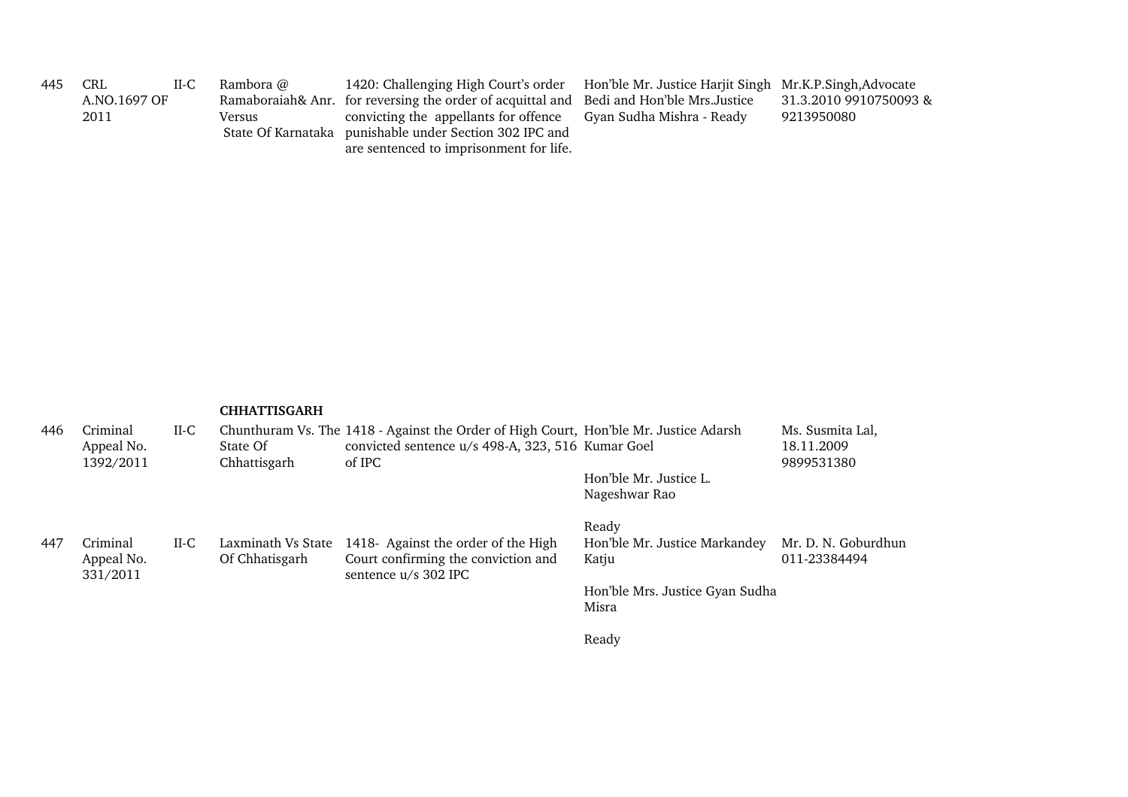| 445 | CRL          | $II-C$ | Rambora @ | 1420: Challenging High Court's order                                                                                                        | Hon'ble Mr. Justice Harjit Singh Mr.K.P.Singh, Advocate |                        |
|-----|--------------|--------|-----------|---------------------------------------------------------------------------------------------------------------------------------------------|---------------------------------------------------------|------------------------|
|     | A.NO.1697 OF |        |           | Ramaboraiah& Anr. for reversing the order of acquittal and                                                                                  | Bedi and Hon'ble Mrs.Justice                            | 31.3.2010 9910750093 & |
|     | 2011         |        | Versus    | convicting the appellants for offence<br>State Of Karnataka punishable under Section 302 IPC and<br>are sentenced to imprisonment for life. | Gyan Sudha Mishra - Ready                               | 9213950080             |

| 446 | Criminal<br>Appeal No.<br>1392/2011 | $II-C$ | State Of<br>Chhattisgarh             | Chunthuram Vs. The 1418 - Against the Order of High Court, Hon'ble Mr. Justice Adarsh<br>convicted sentence u/s 498-A, 323, 516 Kumar Goel<br>of IPC |                                          | Ms. Susmita Lal,<br>18.11.2009<br>9899531380 |
|-----|-------------------------------------|--------|--------------------------------------|------------------------------------------------------------------------------------------------------------------------------------------------------|------------------------------------------|----------------------------------------------|
|     |                                     |        |                                      |                                                                                                                                                      | Hon'ble Mr. Justice L.<br>Nageshwar Rao  |                                              |
|     |                                     |        |                                      |                                                                                                                                                      | Ready                                    |                                              |
| 447 | Criminal<br>Appeal No.<br>331/2011  | $II-C$ | Laxminath Vs State<br>Of Chhatisgarh | 1418- Against the order of the High<br>Court confirming the conviction and<br>sentence u/s 302 IPC                                                   | Hon'ble Mr. Justice Markandey<br>Katju   | Mr. D. N. Goburdhun<br>011-23384494          |
|     |                                     |        |                                      |                                                                                                                                                      | Hon'ble Mrs. Justice Gyan Sudha<br>Misra |                                              |
|     |                                     |        |                                      |                                                                                                                                                      | Ready                                    |                                              |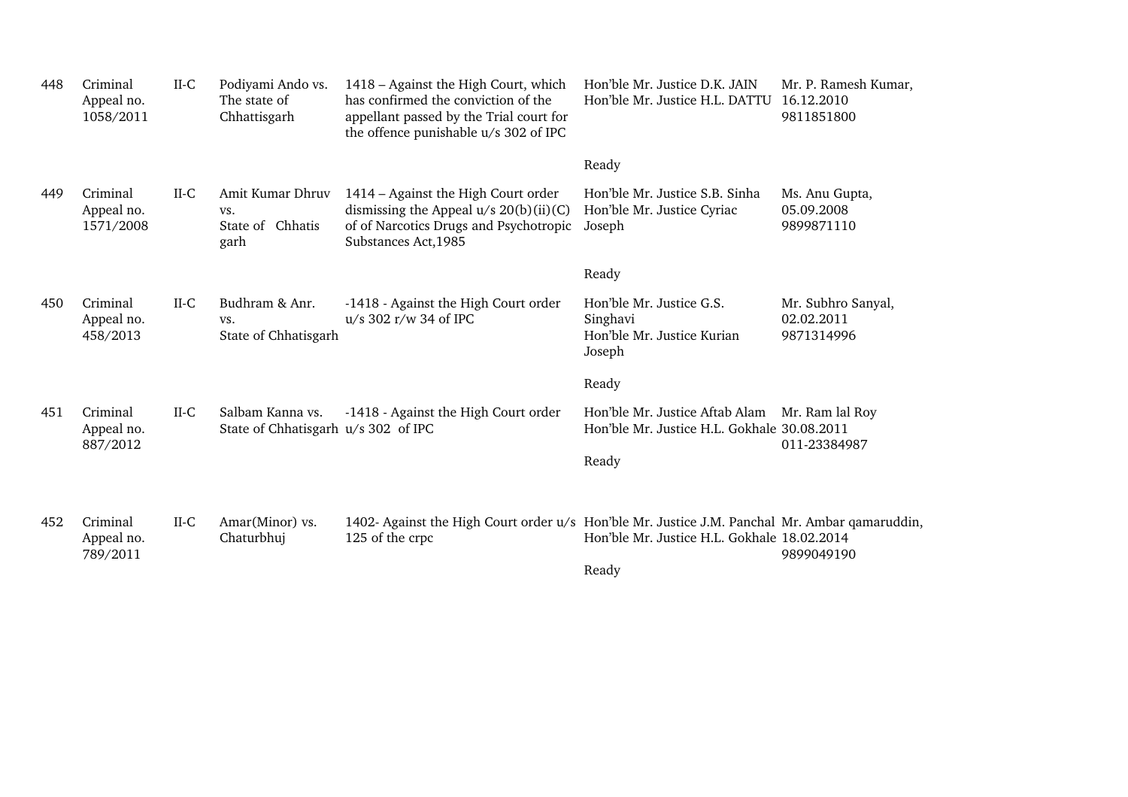| 448 | Criminal<br>Appeal no.<br>1058/2011 | $II-C$ | Podiyami Ando vs.<br>The state of<br>Chhattisgarh       | 1418 – Against the High Court, which<br>has confirmed the conviction of the<br>appellant passed by the Trial court for<br>the offence punishable u/s 302 of IPC | Hon'ble Mr. Justice D.K. JAIN<br>Hon'ble Mr. Justice H.L. DATTU                               | Mr. P. Ramesh Kumar,<br>16.12.2010<br>9811851800 |
|-----|-------------------------------------|--------|---------------------------------------------------------|-----------------------------------------------------------------------------------------------------------------------------------------------------------------|-----------------------------------------------------------------------------------------------|--------------------------------------------------|
|     |                                     |        |                                                         |                                                                                                                                                                 | Ready                                                                                         |                                                  |
| 449 | Criminal<br>Appeal no.<br>1571/2008 | $II-C$ | Amit Kumar Dhruv<br>VS.<br>State of Chhatis<br>garh     | 1414 – Against the High Court order<br>dismissing the Appeal $u/s$ 20(b)(ii)(C)<br>of of Narcotics Drugs and Psychotropic<br>Substances Act, 1985               | Hon'ble Mr. Justice S.B. Sinha<br>Hon'ble Mr. Justice Cyriac<br>Joseph                        | Ms. Anu Gupta,<br>05.09.2008<br>9899871110       |
|     |                                     |        |                                                         |                                                                                                                                                                 | Ready                                                                                         |                                                  |
| 450 | Criminal<br>Appeal no.<br>458/2013  | $II-C$ | Budhram & Anr.<br>VS.<br>State of Chhatisgarh           | -1418 - Against the High Court order<br>u/s 302 r/w 34 of IPC                                                                                                   | Hon'ble Mr. Justice G.S.<br>Singhavi<br>Hon'ble Mr. Justice Kurian<br>Joseph                  | Mr. Subhro Sanyal,<br>02.02.2011<br>9871314996   |
|     |                                     |        |                                                         |                                                                                                                                                                 | Ready                                                                                         |                                                  |
| 451 | Criminal<br>Appeal no.<br>887/2012  | $II-C$ | Salbam Kanna vs.<br>State of Chhatisgarh u/s 302 of IPC | -1418 - Against the High Court order                                                                                                                            | Hon'ble Mr. Justice Aftab Alam Mr. Ram lal Roy<br>Hon'ble Mr. Justice H.L. Gokhale 30.08.2011 | 011-23384987                                     |
|     |                                     |        |                                                         |                                                                                                                                                                 | Ready                                                                                         |                                                  |
| 452 | Criminal<br>Appeal no.<br>789/2011  | $II-C$ | Amar(Minor) vs.<br>Chaturbhuj                           | 1402- Against the High Court order u/s Hon'ble Mr. Justice J.M. Panchal Mr. Ambar qamaruddin,<br>125 of the crpc                                                | Hon'ble Mr. Justice H.L. Gokhale 18.02.2014                                                   | 9899049190                                       |
|     |                                     |        |                                                         |                                                                                                                                                                 | Ready                                                                                         |                                                  |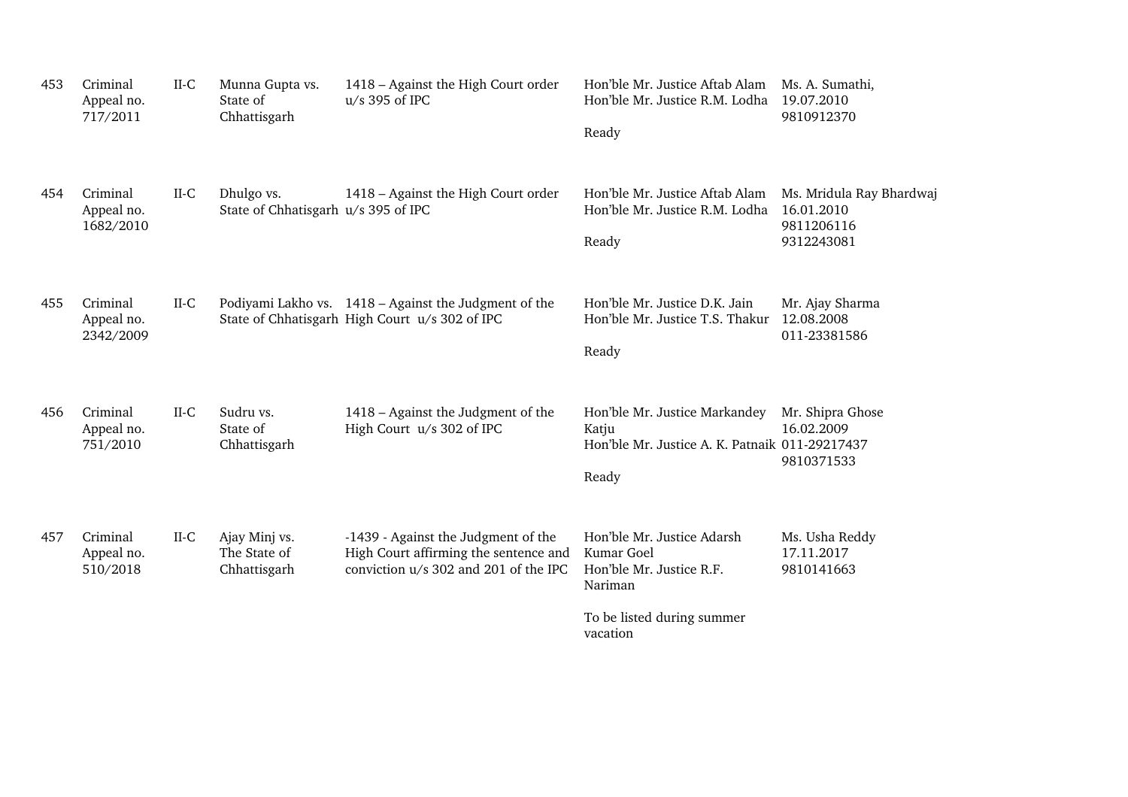| 453 | Criminal<br>Appeal no.<br>717/2011  | $II-C$ | Munna Gupta vs.<br>State of<br>Chhattisgarh       | 1418 – Against the High Court order<br>$u/s$ 395 of IPC                                                               | Hon'ble Mr. Justice Aftab Alam<br>Hon'ble Mr. Justice R.M. Lodha<br>Ready                                                 | Ms. A. Sumathi,<br>19.07.2010<br>9810912370                        |
|-----|-------------------------------------|--------|---------------------------------------------------|-----------------------------------------------------------------------------------------------------------------------|---------------------------------------------------------------------------------------------------------------------------|--------------------------------------------------------------------|
| 454 | Criminal<br>Appeal no.<br>1682/2010 | $II-C$ | Dhulgo vs.<br>State of Chhatisgarh u/s 395 of IPC | 1418 – Against the High Court order                                                                                   | Hon'ble Mr. Justice Aftab Alam<br>Hon'ble Mr. Justice R.M. Lodha<br>Ready                                                 | Ms. Mridula Ray Bhardwaj<br>16.01.2010<br>9811206116<br>9312243081 |
| 455 | Criminal<br>Appeal no.<br>2342/2009 | $II-C$ |                                                   | Podiyami Lakho vs. 1418 – Against the Judgment of the<br>State of Chhatisgarh High Court u/s 302 of IPC               | Hon'ble Mr. Justice D.K. Jain<br>Hon'ble Mr. Justice T.S. Thakur<br>Ready                                                 | Mr. Ajay Sharma<br>12.08.2008<br>011-23381586                      |
| 456 | Criminal<br>Appeal no.<br>751/2010  | $II-C$ | Sudru vs.<br>State of<br>Chhattisgarh             | 1418 – Against the Judgment of the<br>High Court u/s 302 of IPC                                                       | Hon'ble Mr. Justice Markandey<br>Katju<br>Hon'ble Mr. Justice A. K. Patnaik 011-29217437<br>Ready                         | Mr. Shipra Ghose<br>16.02.2009<br>9810371533                       |
| 457 | Criminal<br>Appeal no.<br>510/2018  | $II-C$ | Ajay Minj vs.<br>The State of<br>Chhattisgarh     | -1439 - Against the Judgment of the<br>High Court affirming the sentence and<br>conviction u/s 302 and 201 of the IPC | Hon'ble Mr. Justice Adarsh<br>Kumar Goel<br>Hon'ble Mr. Justice R.F.<br>Nariman<br>To be listed during summer<br>vacation | Ms. Usha Reddy<br>17.11.2017<br>9810141663                         |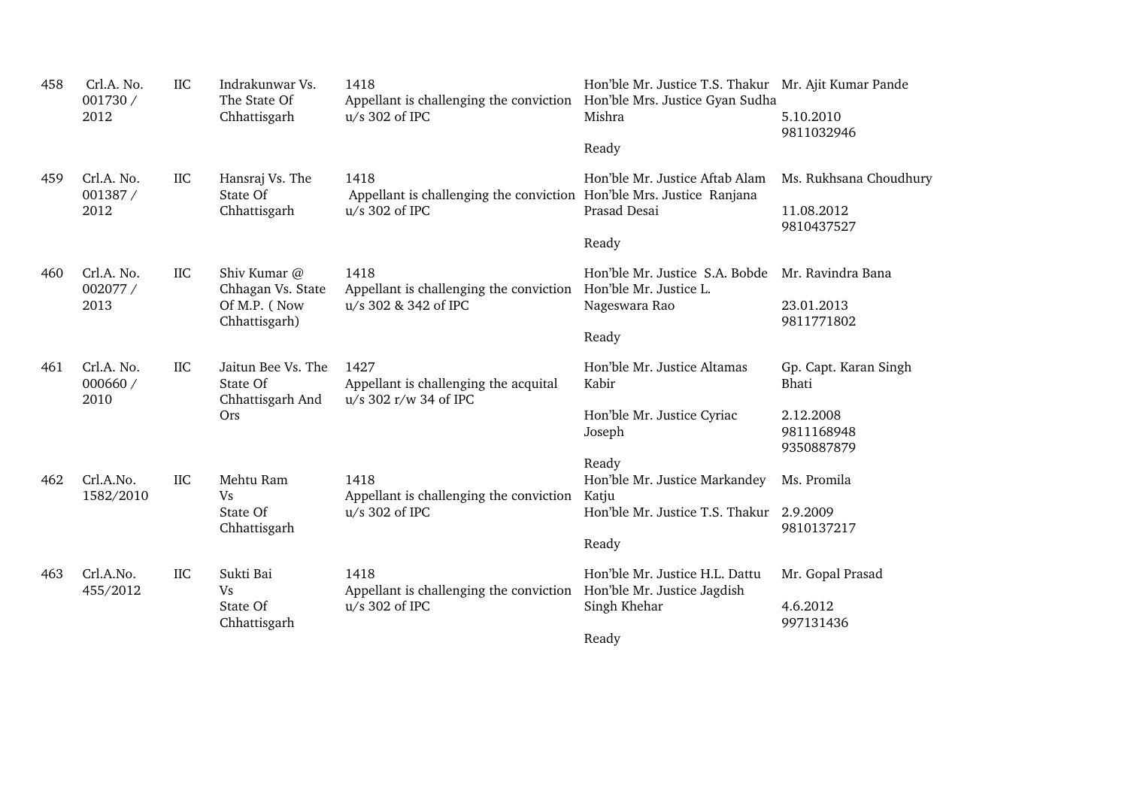| 458 | Crl.A. No.<br>001730 /<br>2012 | <b>IIC</b> | Indrakunwar Vs.<br>The State Of<br>Chhattisgarh                    | 1418<br>Appellant is challenging the conviction Hon'ble Mrs. Justice Gyan Sudha<br>$u/s$ 302 of IPC | Hon'ble Mr. Justice T.S. Thakur Mr. Ajit Kumar Pande<br>Mishra<br>Ready                              | 5.10.2010<br>9811032946                                                 |
|-----|--------------------------------|------------|--------------------------------------------------------------------|-----------------------------------------------------------------------------------------------------|------------------------------------------------------------------------------------------------------|-------------------------------------------------------------------------|
| 459 | Crl.A. No.<br>001387/<br>2012  | IIC        | Hansraj Vs. The<br>State Of<br>Chhattisgarh                        | 1418<br>Appellant is challenging the conviction Hon'ble Mrs. Justice Ranjana<br>$u/s$ 302 of IPC    | Hon'ble Mr. Justice Aftab Alam<br>Prasad Desai<br>Ready                                              | Ms. Rukhsana Choudhury<br>11.08.2012<br>9810437527                      |
| 460 | Crl.A. No.<br>002077 /<br>2013 | IIC        | Shiv Kumar @<br>Chhagan Vs. State<br>Of M.P. (Now<br>Chhattisgarh) | 1418<br>Appellant is challenging the conviction<br>u/s 302 & 342 of IPC                             | Hon'ble Mr. Justice S.A. Bobde Mr. Ravindra Bana<br>Hon'ble Mr. Justice L.<br>Nageswara Rao<br>Ready | 23.01.2013<br>9811771802                                                |
| 461 | Crl.A. No.<br>000660 /<br>2010 | IIC        | Jaitun Bee Vs. The<br>State Of<br>Chhattisgarh And<br><b>Ors</b>   | 1427<br>Appellant is challenging the acquital<br>u/s 302 r/w 34 of IPC                              | Hon'ble Mr. Justice Altamas<br>Kabir<br>Hon'ble Mr. Justice Cyriac<br>Joseph                         | Gp. Capt. Karan Singh<br>Bhati<br>2.12.2008<br>9811168948<br>9350887879 |
| 462 | Crl.A.No.<br>1582/2010         | IIC        | Mehtu Ram<br>Vs<br>State Of<br>Chhattisgarh                        | 1418<br>Appellant is challenging the conviction<br>$u/s$ 302 of IPC                                 | Ready<br>Hon'ble Mr. Justice Markandey<br>Katju<br>Hon'ble Mr. Justice T.S. Thakur<br>Ready          | Ms. Promila<br>2.9.2009<br>9810137217                                   |
| 463 | Crl.A.No.<br>455/2012          | IIC        | Sukti Bai<br>Vs<br>State Of<br>Chhattisgarh                        | 1418<br>Appellant is challenging the conviction<br>$u/s$ 302 of IPC                                 | Hon'ble Mr. Justice H.L. Dattu<br>Hon'ble Mr. Justice Jagdish<br>Singh Khehar<br>Ready               | Mr. Gopal Prasad<br>4.6.2012<br>997131436                               |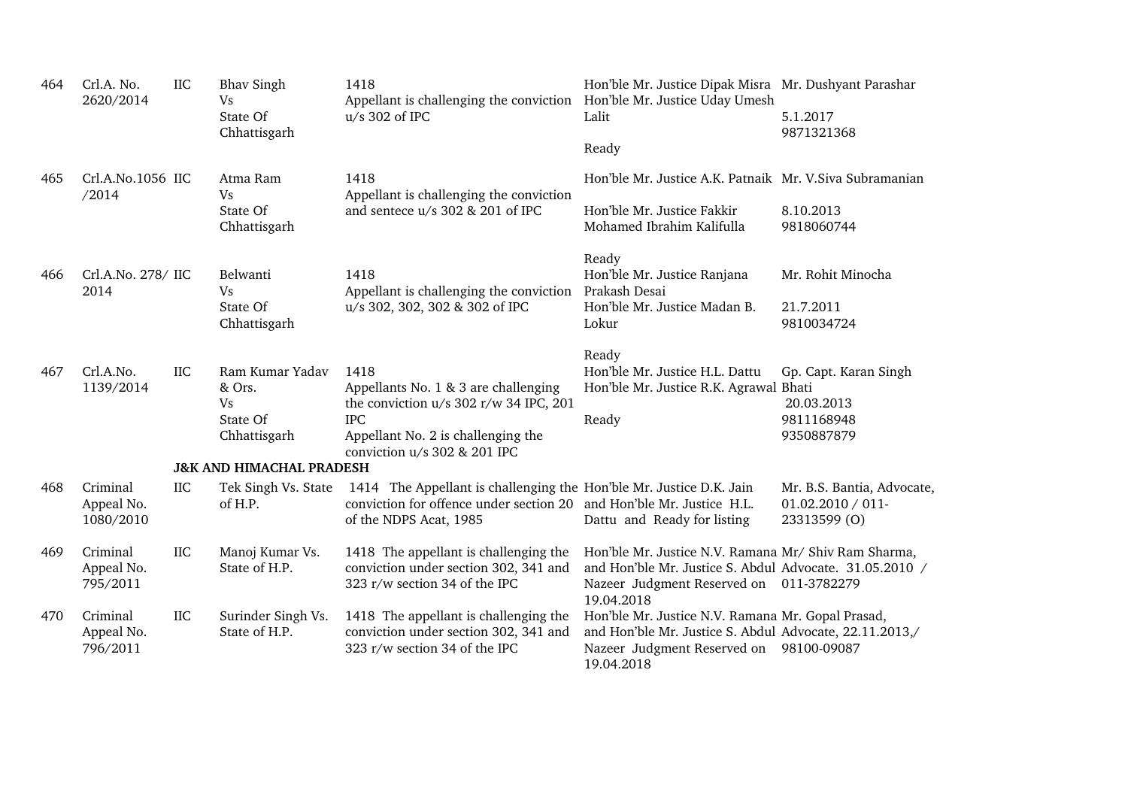| 464 | Crl.A. No.<br>2620/2014             | <b>IIC</b> | <b>Bhav Singh</b><br>Vs<br>State Of<br>Chhattisgarh         | 1418<br>Appellant is challenging the conviction Hon'ble Mr. Justice Uday Umesh<br>$u/s$ 302 of IPC                                                                         | Hon'ble Mr. Justice Dipak Misra Mr. Dushyant Parashar<br>Lalit<br>Ready                                                                                                  | 5.1.2017<br>9871321368                                             |
|-----|-------------------------------------|------------|-------------------------------------------------------------|----------------------------------------------------------------------------------------------------------------------------------------------------------------------------|--------------------------------------------------------------------------------------------------------------------------------------------------------------------------|--------------------------------------------------------------------|
| 465 | Crl.A.No.1056 IIC<br>/2014          |            | Atma Ram<br>Vs                                              | 1418<br>Appellant is challenging the conviction                                                                                                                            | Hon'ble Mr. Justice A.K. Patnaik Mr. V.Siva Subramanian                                                                                                                  |                                                                    |
|     |                                     |            | State Of<br>Chhattisgarh                                    | and sentece u/s 302 & 201 of IPC                                                                                                                                           | Hon'ble Mr. Justice Fakkir<br>Mohamed Ibrahim Kalifulla                                                                                                                  | 8.10.2013<br>9818060744                                            |
| 466 | Crl.A.No. 278/ IIC<br>2014          |            | Belwanti<br>Vs                                              | 1418<br>Appellant is challenging the conviction                                                                                                                            | Ready<br>Hon'ble Mr. Justice Ranjana<br>Prakash Desai                                                                                                                    | Mr. Rohit Minocha                                                  |
|     |                                     |            | State Of<br>Chhattisgarh                                    | u/s 302, 302, 302 & 302 of IPC                                                                                                                                             | Hon'ble Mr. Justice Madan B.<br>Lokur                                                                                                                                    | 21.7.2011<br>9810034724                                            |
| 467 | Crl.A.No.<br>1139/2014              | <b>IIC</b> | Ram Kumar Yadav<br>& Ors.<br>Vs<br>State Of<br>Chhattisgarh | 1418<br>Appellants No. 1 & 3 are challenging<br>the conviction u/s 302 r/w 34 IPC, 201<br><b>IPC</b><br>Appellant No. 2 is challenging the<br>conviction u/s 302 & 201 IPC | Ready<br>Hon'ble Mr. Justice H.L. Dattu<br>Hon'ble Mr. Justice R.K. Agrawal Bhati<br>Ready                                                                               | Gp. Capt. Karan Singh<br>20.03.2013<br>9811168948<br>9350887879    |
|     |                                     |            | <b>J&amp;K AND HIMACHAL PRADESH</b>                         |                                                                                                                                                                            |                                                                                                                                                                          |                                                                    |
| 468 | Criminal<br>Appeal No.<br>1080/2010 | <b>IIC</b> | Tek Singh Vs. State<br>of H.P.                              | 1414 The Appellant is challenging the Hon'ble Mr. Justice D.K. Jain<br>conviction for offence under section 20 and Hon'ble Mr. Justice H.L.<br>of the NDPS Acat, 1985      | Dattu and Ready for listing                                                                                                                                              | Mr. B.S. Bantia, Advocate,<br>$01.02.2010 / 011$ -<br>23313599 (O) |
| 469 | Criminal<br>Appeal No.<br>795/2011  | <b>IIC</b> | Manoj Kumar Vs.<br>State of H.P.                            | 1418 The appellant is challenging the<br>conviction under section 302, 341 and<br>323 r/w section 34 of the IPC                                                            | Hon'ble Mr. Justice N.V. Ramana Mr/ Shiv Ram Sharma,<br>and Hon'ble Mr. Justice S. Abdul Advocate. 31.05.2010 /<br>Nazeer Judgment Reserved on 011-3782279<br>19.04.2018 |                                                                    |
| 470 | Criminal<br>Appeal No.<br>796/2011  | IIC        | Surinder Singh Vs.<br>State of H.P.                         | 1418 The appellant is challenging the<br>conviction under section 302, 341 and<br>323 r/w section 34 of the IPC                                                            | Hon'ble Mr. Justice N.V. Ramana Mr. Gopal Prasad,<br>and Hon'ble Mr. Justice S. Abdul Advocate, 22.11.2013,/<br>Nazeer Judgment Reserved on<br>19.04.2018                | 98100-09087                                                        |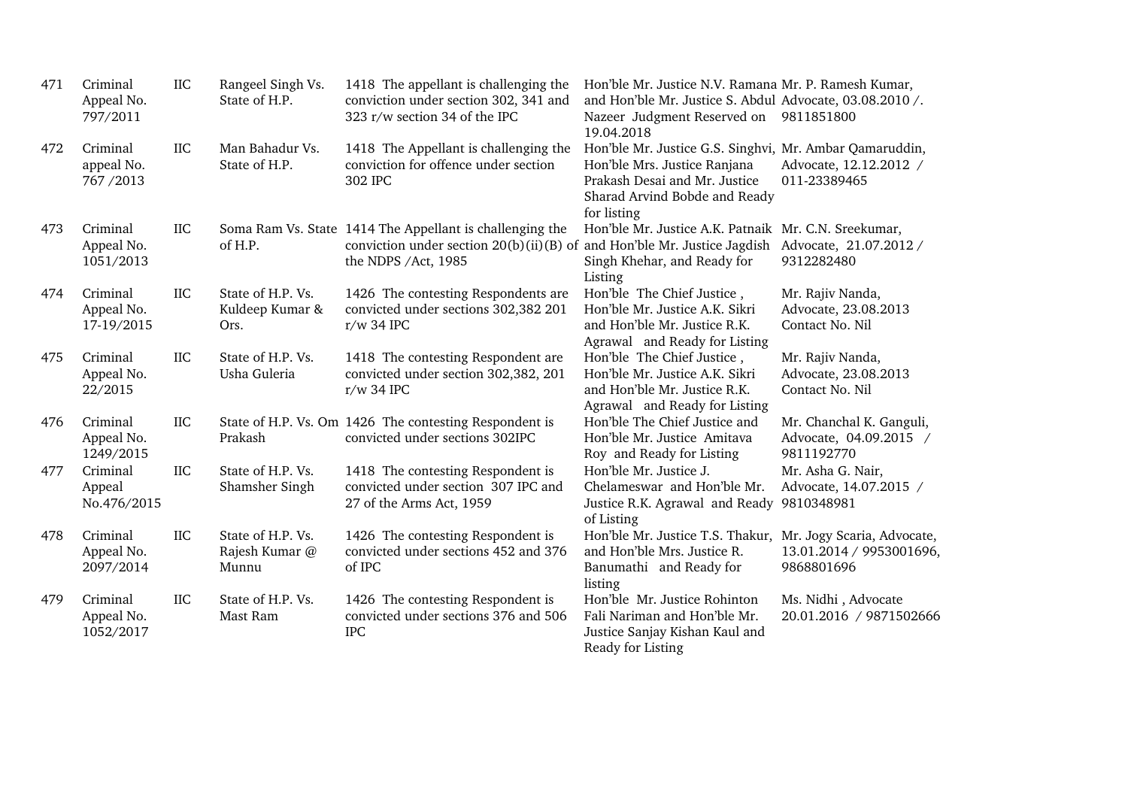| 471 | Criminal<br>Appeal No.<br>797/2011   | <b>IIC</b> | Rangeel Singh Vs.<br>State of H.P.           | 1418 The appellant is challenging the<br>conviction under section 302, 341 and<br>323 r/w section 34 of the IPC                                                                      | Hon'ble Mr. Justice N.V. Ramana Mr. P. Ramesh Kumar,<br>and Hon'ble Mr. Justice S. Abdul Advocate, 03.08.2010 /.<br>Nazeer Judgment Reserved on 9811851800<br>19.04.2018 |                                                                  |
|-----|--------------------------------------|------------|----------------------------------------------|--------------------------------------------------------------------------------------------------------------------------------------------------------------------------------------|--------------------------------------------------------------------------------------------------------------------------------------------------------------------------|------------------------------------------------------------------|
| 472 | Criminal<br>appeal No.<br>767/2013   | <b>IIC</b> | Man Bahadur Vs.<br>State of H.P.             | 1418 The Appellant is challenging the<br>conviction for offence under section<br>302 IPC                                                                                             | Hon'ble Mr. Justice G.S. Singhvi, Mr. Ambar Qamaruddin,<br>Hon'ble Mrs. Justice Ranjana<br>Prakash Desai and Mr. Justice<br>Sharad Arvind Bobde and Ready<br>for listing | Advocate, 12.12.2012 /<br>011-23389465                           |
| 473 | Criminal<br>Appeal No.<br>1051/2013  | IIC        | of H.P.                                      | Soma Ram Vs. State 1414 The Appellant is challenging the<br>conviction under section 20(b)(ii)(B) of and Hon'ble Mr. Justice Jagdish Advocate, $21.07.2012 /$<br>the NDPS /Act, 1985 | Hon'ble Mr. Justice A.K. Patnaik Mr. C.N. Sreekumar,<br>Singh Khehar, and Ready for<br>Listing                                                                           | 9312282480                                                       |
| 474 | Criminal<br>Appeal No.<br>17-19/2015 | <b>IIC</b> | State of H.P. Vs.<br>Kuldeep Kumar &<br>Ors. | 1426 The contesting Respondents are<br>convicted under sections 302,382 201<br>r/w 34 IPC                                                                                            | Hon'ble The Chief Justice,<br>Hon'ble Mr. Justice A.K. Sikri<br>and Hon'ble Mr. Justice R.K.<br>Agrawal and Ready for Listing                                            | Mr. Rajiv Nanda,<br>Advocate, 23.08.2013<br>Contact No. Nil      |
| 475 | Criminal<br>Appeal No.<br>22/2015    | <b>IIC</b> | State of H.P. Vs.<br>Usha Guleria            | 1418 The contesting Respondent are<br>convicted under section 302,382, 201<br>$r/w$ 34 IPC                                                                                           | Hon'ble The Chief Justice,<br>Hon'ble Mr. Justice A.K. Sikri<br>and Hon'ble Mr. Justice R.K.<br>Agrawal and Ready for Listing                                            | Mr. Rajiv Nanda,<br>Advocate, 23.08.2013<br>Contact No. Nil      |
| 476 | Criminal<br>Appeal No.<br>1249/2015  | <b>IIC</b> | Prakash                                      | State of H.P. Vs. Om 1426 The contesting Respondent is<br>convicted under sections 302IPC                                                                                            | Hon'ble The Chief Justice and<br>Hon'ble Mr. Justice Amitava<br>Roy and Ready for Listing                                                                                | Mr. Chanchal K. Ganguli,<br>Advocate, 04.09.2015 /<br>9811192770 |
| 477 | Criminal<br>Appeal<br>No.476/2015    | IIC        | State of H.P. Vs.<br>Shamsher Singh          | 1418 The contesting Respondent is<br>convicted under section 307 IPC and<br>27 of the Arms Act, 1959                                                                                 | Hon'ble Mr. Justice J.<br>Chelameswar and Hon'ble Mr.<br>Justice R.K. Agrawal and Ready 9810348981<br>of Listing                                                         | Mr. Asha G. Nair,<br>Advocate, 14.07.2015 /                      |
| 478 | Criminal<br>Appeal No.<br>2097/2014  | <b>IIC</b> | State of H.P. Vs.<br>Rajesh Kumar @<br>Munnu | 1426 The contesting Respondent is<br>convicted under sections 452 and 376<br>of IPC                                                                                                  | Hon'ble Mr. Justice T.S. Thakur, Mr. Jogy Scaria, Advocate,<br>and Hon'ble Mrs. Justice R.<br>Banumathi and Ready for<br>listing                                         | 13.01.2014 / 9953001696,<br>9868801696                           |
| 479 | Criminal<br>Appeal No.<br>1052/2017  | <b>IIC</b> | State of H.P. Vs.<br>Mast Ram                | 1426 The contesting Respondent is<br>convicted under sections 376 and 506<br><b>IPC</b>                                                                                              | Hon'ble Mr. Justice Rohinton<br>Fali Nariman and Hon'ble Mr.<br>Justice Sanjay Kishan Kaul and<br>Ready for Listing                                                      | Ms. Nidhi, Advocate<br>20.01.2016 / 9871502666                   |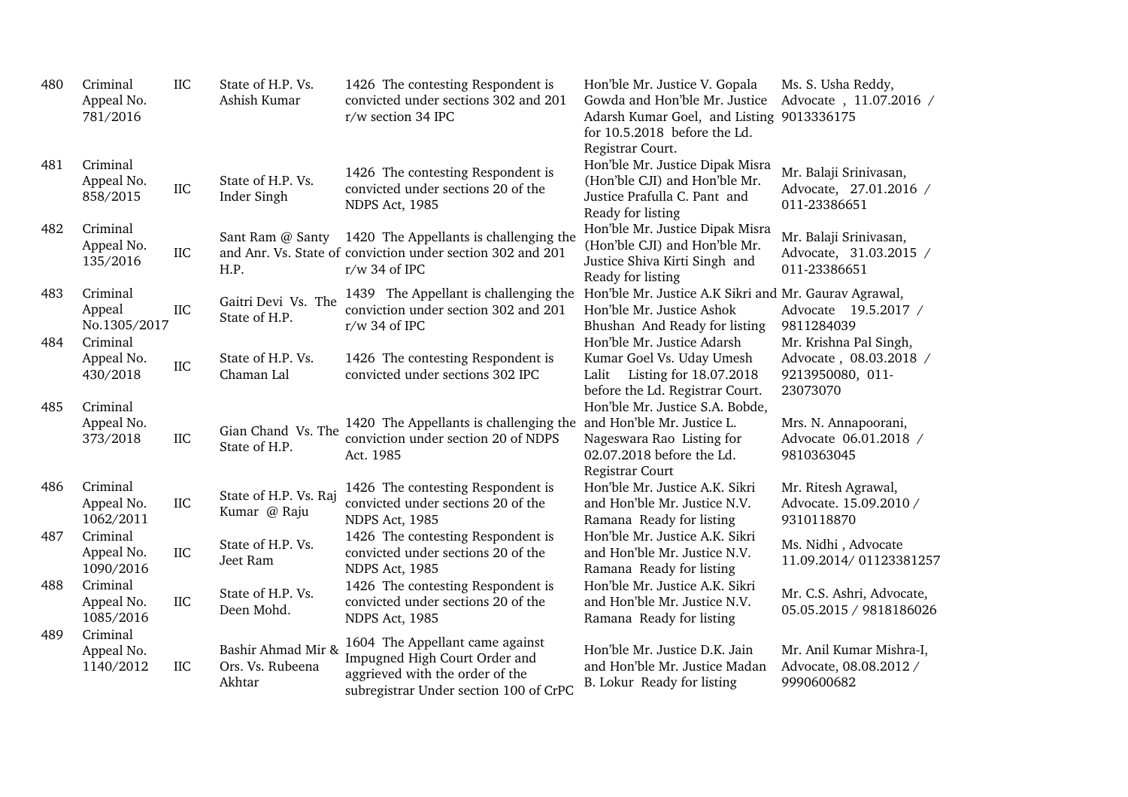| 480        | Criminal<br>Appeal No.<br>781/2016             | IIC        | State of H.P. Vs.<br>Ashish Kumar                | 1426 The contesting Respondent is<br>convicted under sections 302 and 201<br>r/w section 34 IPC                                               | Hon'ble Mr. Justice V. Gopala<br>Gowda and Hon'ble Mr. Justice<br>Adarsh Kumar Goel, and Listing 9013336175<br>for 10.5.2018 before the Ld.<br>Registrar Court. | Ms. S. Usha Reddy,<br>Advocate, 11.07.2016 /                     |
|------------|------------------------------------------------|------------|--------------------------------------------------|-----------------------------------------------------------------------------------------------------------------------------------------------|-----------------------------------------------------------------------------------------------------------------------------------------------------------------|------------------------------------------------------------------|
| 481        | Criminal<br>Appeal No.<br>858/2015             | <b>IIC</b> | State of H.P. Vs.<br>Inder Singh                 | 1426 The contesting Respondent is<br>convicted under sections 20 of the<br>NDPS Act, 1985                                                     | Hon'ble Mr. Justice Dipak Misra<br>(Hon'ble CJI) and Hon'ble Mr.<br>Justice Prafulla C. Pant and<br>Ready for listing                                           | Mr. Balaji Srinivasan,<br>Advocate, 27.01.2016 /<br>011-23386651 |
| 482        | Criminal<br>Appeal No.<br>135/2016             | <b>IIC</b> | Sant Ram @ Santy<br>H.P.                         | 1420 The Appellants is challenging the<br>and Anr. Vs. State of conviction under section 302 and 201<br>$r/w$ 34 of IPC                       | Hon'ble Mr. Justice Dipak Misra<br>(Hon'ble CJI) and Hon'ble Mr.<br>Justice Shiva Kirti Singh and<br>Ready for listing                                          | Mr. Balaji Srinivasan,<br>Advocate, 31.03.2015 /<br>011-23386651 |
| 483<br>484 | Criminal<br>Appeal<br>No.1305/2017<br>Criminal | IIC        | Gaitri Devi Vs. The<br>State of H.P.             | 1439 The Appellant is challenging the<br>conviction under section 302 and 201<br>$r/w$ 34 of IPC                                              | Hon'ble Mr. Justice A.K Sikri and Mr. Gaurav Agrawal,<br>Hon'ble Mr. Justice Ashok<br>Bhushan And Ready for listing<br>Hon'ble Mr. Justice Adarsh               | Advocate 19.5.2017 /<br>9811284039<br>Mr. Krishna Pal Singh,     |
|            | Appeal No.<br>430/2018                         | <b>IIC</b> | State of H.P. Vs.<br>Chaman Lal                  | 1426 The contesting Respondent is<br>convicted under sections 302 IPC                                                                         | Kumar Goel Vs. Uday Umesh<br>Listing for 18.07.2018<br>Lalit<br>before the Ld. Registrar Court.                                                                 | Advocate, 08.03.2018 /<br>9213950080, 011-<br>23073070           |
| 485        | Criminal<br>Appeal No.<br>373/2018             | <b>IIC</b> | Gian Chand Vs. The<br>State of H.P.              | 1420 The Appellants is challenging the<br>conviction under section 20 of NDPS<br>Act. 1985                                                    | Hon'ble Mr. Justice S.A. Bobde,<br>and Hon'ble Mr. Justice L.<br>Nageswara Rao Listing for<br>02.07.2018 before the Ld.<br>Registrar Court                      | Mrs. N. Annapoorani,<br>Advocate 06.01.2018 /<br>9810363045      |
| 486        | Criminal<br>Appeal No.<br>1062/2011            | IIC        | State of H.P. Vs. Raj<br>Kumar @ Raju            | 1426 The contesting Respondent is<br>convicted under sections 20 of the<br>NDPS Act, 1985                                                     | Hon'ble Mr. Justice A.K. Sikri<br>and Hon'ble Mr. Justice N.V.<br>Ramana Ready for listing                                                                      | Mr. Ritesh Agrawal,<br>Advocate. 15.09.2010 /<br>9310118870      |
| 487        | Criminal<br>Appeal No.<br>1090/2016            | <b>IIC</b> | State of H.P. Vs.<br>Jeet Ram                    | 1426 The contesting Respondent is<br>convicted under sections 20 of the<br>NDPS Act, 1985                                                     | Hon'ble Mr. Justice A.K. Sikri<br>and Hon'ble Mr. Justice N.V.<br>Ramana Ready for listing                                                                      | Ms. Nidhi, Advocate<br>11.09.2014/01123381257                    |
| 488        | Criminal<br>Appeal No.<br>1085/2016            | <b>IIC</b> | State of H.P. Vs.<br>Deen Mohd.                  | 1426 The contesting Respondent is<br>convicted under sections 20 of the<br>NDPS Act, 1985                                                     | Hon'ble Mr. Justice A.K. Sikri<br>and Hon'ble Mr. Justice N.V.<br>Ramana Ready for listing                                                                      | Mr. C.S. Ashri, Advocate,<br>05.05.2015 / 9818186026             |
| 489        | Criminal<br>Appeal No.<br>1140/2012            | IIC        | Bashir Ahmad Mir &<br>Ors. Vs. Rubeena<br>Akhtar | 1604 The Appellant came against<br>Impugned High Court Order and<br>aggrieved with the order of the<br>subregistrar Under section 100 of CrPC | Hon'ble Mr. Justice D.K. Jain<br>and Hon'ble Mr. Justice Madan<br>B. Lokur Ready for listing                                                                    | Mr. Anil Kumar Mishra-I,<br>Advocate, 08.08.2012 /<br>9990600682 |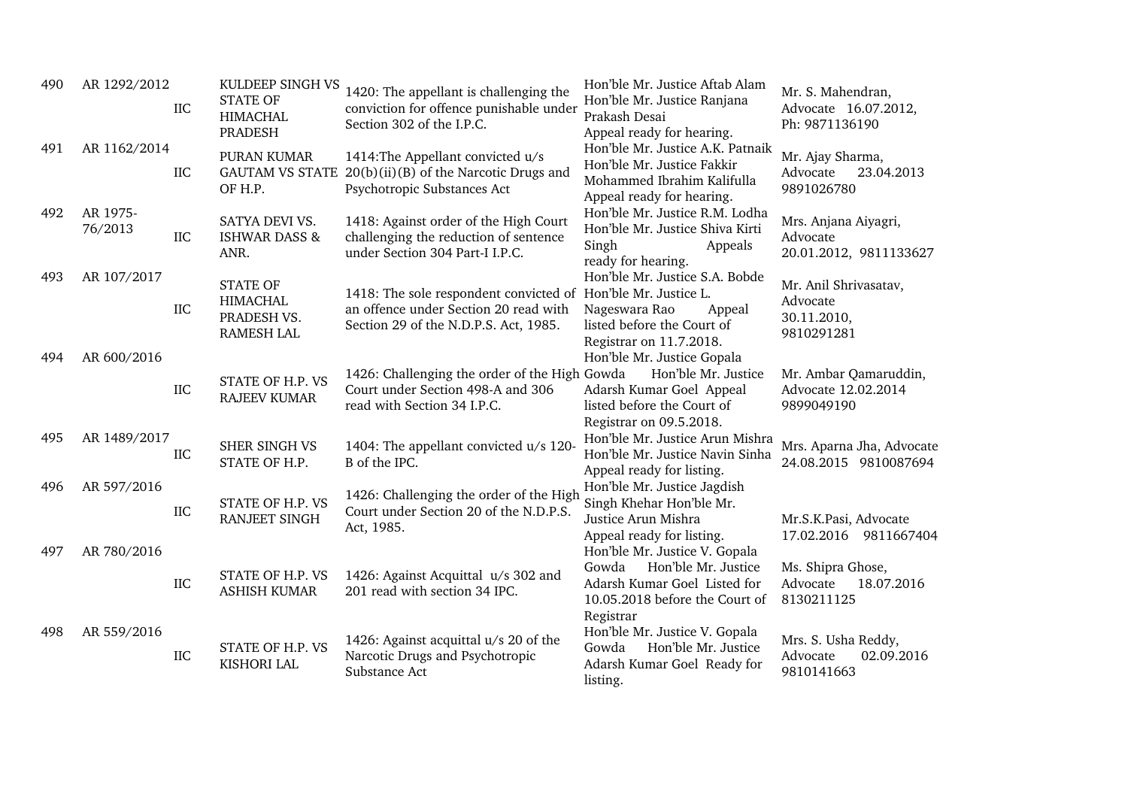| 490 | AR 1292/2012        | <b>IIC</b> | KULDEEP SINGH VS<br><b>STATE OF</b><br><b>HIMACHAL</b><br><b>PRADESH</b> | 1420: The appellant is challenging the<br>conviction for offence punishable under<br>Section 302 of the I.P.C.                                  | Hon'ble Mr. Justice Aftab Alam<br>Hon'ble Mr. Justice Ranjana<br>Prakash Desai<br>Appeal ready for hearing.                                  | Mr. S. Mahendran,<br>Advocate 16.07.2012,<br>Ph: 9871136190    |
|-----|---------------------|------------|--------------------------------------------------------------------------|-------------------------------------------------------------------------------------------------------------------------------------------------|----------------------------------------------------------------------------------------------------------------------------------------------|----------------------------------------------------------------|
| 491 | AR 1162/2014        | IIC        | PURAN KUMAR<br><b>GAUTAM VS STATE</b><br>OF H.P.                         | 1414: The Appellant convicted u/s<br>$20(b)(ii)(B)$ of the Narcotic Drugs and<br>Psychotropic Substances Act                                    | Hon'ble Mr. Justice A.K. Patnaik<br>Hon'ble Mr. Justice Fakkir<br>Mohammed Ibrahim Kalifulla<br>Appeal ready for hearing.                    | Mr. Ajay Sharma,<br>23.04.2013<br>Advocate<br>9891026780       |
| 492 | AR 1975-<br>76/2013 | IIC        | SATYA DEVI VS.<br><b>ISHWAR DASS &amp;</b><br>ANR.                       | 1418: Against order of the High Court<br>challenging the reduction of sentence<br>under Section 304 Part-I I.P.C.                               | Hon'ble Mr. Justice R.M. Lodha<br>Hon'ble Mr. Justice Shiva Kirti<br>Singh<br>Appeals<br>ready for hearing.                                  | Mrs. Anjana Aiyagri,<br>Advocate<br>20.01.2012, 9811133627     |
| 493 | AR 107/2017         | <b>IIC</b> | <b>STATE OF</b><br><b>HIMACHAL</b><br>PRADESH VS.<br><b>RAMESH LAL</b>   | 1418: The sole respondent convicted of Hon'ble Mr. Justice L.<br>an offence under Section 20 read with<br>Section 29 of the N.D.P.S. Act, 1985. | Hon'ble Mr. Justice S.A. Bobde<br>Nageswara Rao<br>Appeal<br>listed before the Court of<br>Registrar on 11.7.2018.                           | Mr. Anil Shrivasatav,<br>Advocate<br>30.11.2010,<br>9810291281 |
| 494 | AR 600/2016         | <b>IIC</b> | STATE OF H.P. VS<br><b>RAJEEV KUMAR</b>                                  | 1426: Challenging the order of the High Gowda<br>Court under Section 498-A and 306<br>read with Section 34 I.P.C.                               | Hon'ble Mr. Justice Gopala<br>Hon'ble Mr. Justice<br>Adarsh Kumar Goel Appeal<br>listed before the Court of<br>Registrar on 09.5.2018.       | Mr. Ambar Qamaruddin,<br>Advocate 12.02.2014<br>9899049190     |
| 495 | AR 1489/2017        | IIC        | SHER SINGH VS<br>STATE OF H.P.                                           | 1404: The appellant convicted u/s 120-<br>B of the IPC.                                                                                         | Hon'ble Mr. Justice Arun Mishra<br>Hon'ble Mr. Justice Navin Sinha<br>Appeal ready for listing.                                              | Mrs. Aparna Jha, Advocate<br>24.08.2015 9810087694             |
| 496 | AR 597/2016         | <b>IIC</b> | STATE OF H.P. VS<br>RANJEET SINGH                                        | 1426: Challenging the order of the High<br>Court under Section 20 of the N.D.P.S.<br>Act, 1985.                                                 | Hon'ble Mr. Justice Jagdish<br>Singh Khehar Hon'ble Mr.<br>Justice Arun Mishra<br>Appeal ready for listing.                                  | Mr.S.K.Pasi, Advocate<br>17.02.2016<br>9811667404              |
| 497 | AR 780/2016         | <b>IIC</b> | STATE OF H.P. VS<br><b>ASHISH KUMAR</b>                                  | 1426: Against Acquittal u/s 302 and<br>201 read with section 34 IPC.                                                                            | Hon'ble Mr. Justice V. Gopala<br>Hon'ble Mr. Justice<br>Gowda<br>Adarsh Kumar Goel Listed for<br>10.05.2018 before the Court of<br>Registrar | Ms. Shipra Ghose,<br>Advocate<br>18.07.2016<br>8130211125      |
| 498 | AR 559/2016         | IIC        | STATE OF H.P. VS<br>KISHORI LAL                                          | 1426: Against acquittal u/s 20 of the<br>Narcotic Drugs and Psychotropic<br>Substance Act                                                       | Hon'ble Mr. Justice V. Gopala<br>Hon'ble Mr. Justice<br>Gowda<br>Adarsh Kumar Goel Ready for<br>listing.                                     | Mrs. S. Usha Reddy,<br>Advocate<br>02.09.2016<br>9810141663    |
|     |                     |            |                                                                          |                                                                                                                                                 |                                                                                                                                              |                                                                |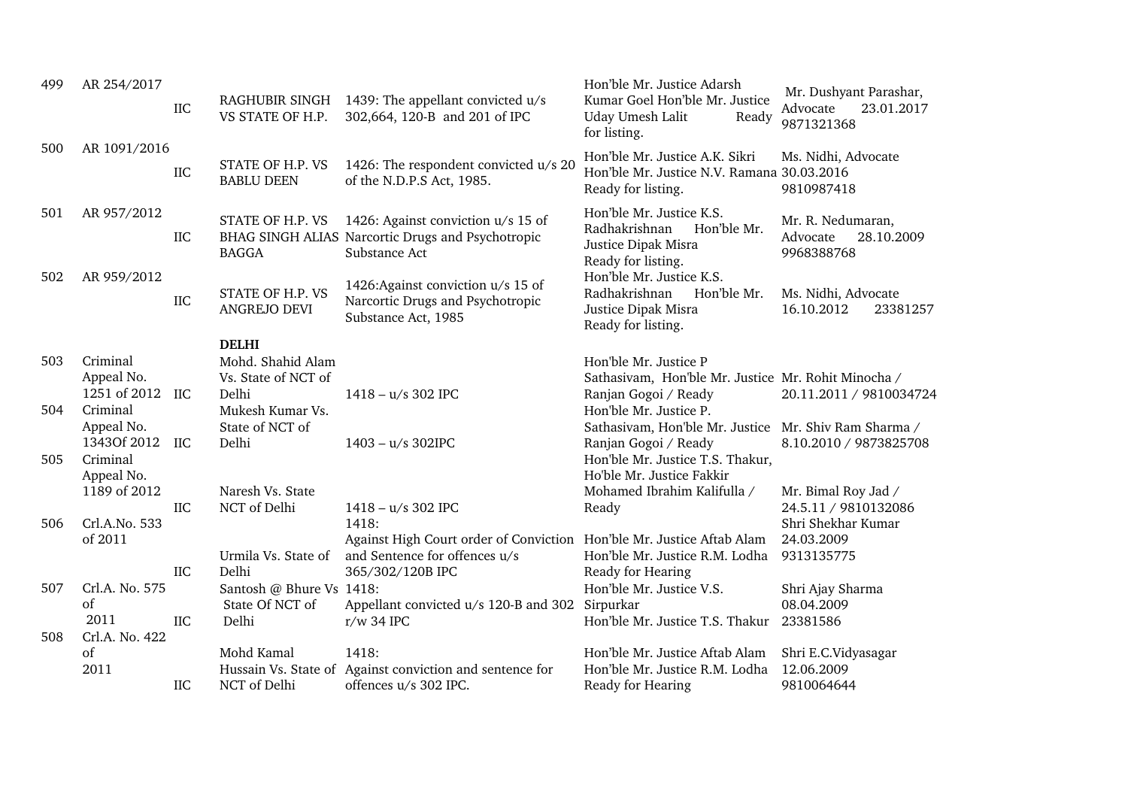| 499 | AR 254/2017                | <b>IIC</b> | RAGHUBIR SINGH<br>VS STATE OF H.P.    | 1439: The appellant convicted u/s<br>302,664, 120-B and 201 of IPC                                       | Hon'ble Mr. Justice Adarsh<br>Kumar Goel Hon'ble Mr. Justice<br>Uday Umesh Lalit<br>Ready<br>for listing. | Mr. Dushyant Parashar,<br>23.01.2017<br>Advocate<br>9871321368 |
|-----|----------------------------|------------|---------------------------------------|----------------------------------------------------------------------------------------------------------|-----------------------------------------------------------------------------------------------------------|----------------------------------------------------------------|
| 500 | AR 1091/2016               | <b>IIC</b> | STATE OF H.P. VS<br><b>BABLU DEEN</b> | 1426: The respondent convicted u/s 20<br>of the N.D.P.S Act, 1985.                                       | Hon'ble Mr. Justice A.K. Sikri<br>Hon'ble Mr. Justice N.V. Ramana 30.03.2016<br>Ready for listing.        | Ms. Nidhi, Advocate<br>9810987418                              |
| 501 | AR 957/2012                | IIC        | STATE OF H.P. VS<br><b>BAGGA</b>      | 1426: Against conviction u/s 15 of<br>BHAG SINGH ALIAS Narcortic Drugs and Psychotropic<br>Substance Act | Hon'ble Mr. Justice K.S.<br>Radhakrishnan<br>Hon'ble Mr.<br>Justice Dipak Misra<br>Ready for listing.     | Mr. R. Nedumaran,<br>28.10.2009<br>Advocate<br>9968388768      |
| 502 | AR 959/2012                | IIC        | STATE OF H.P. VS<br>ANGREJO DEVI      | 1426: Against conviction u/s 15 of<br>Narcortic Drugs and Psychotropic<br>Substance Act, 1985            | Hon'ble Mr. Justice K.S.<br>Radhakrishnan<br>Hon'ble Mr.<br>Justice Dipak Misra<br>Ready for listing.     | Ms. Nidhi, Advocate<br>16.10.2012<br>23381257                  |
|     |                            |            | <b>DELHI</b>                          |                                                                                                          |                                                                                                           |                                                                |
| 503 | Criminal                   |            | Mohd. Shahid Alam                     |                                                                                                          | Hon'ble Mr. Justice P                                                                                     |                                                                |
|     | Appeal No.<br>1251 of 2012 |            | Vs. State of NCT of                   |                                                                                                          | Sathasivam, Hon'ble Mr. Justice Mr. Rohit Minocha /                                                       |                                                                |
| 504 | Criminal                   | IIC        | Delhi<br>Mukesh Kumar Vs.             | $1418 - u/s$ 302 IPC                                                                                     | Ranjan Gogoi / Ready<br>Hon'ble Mr. Justice P.                                                            | 20.11.2011 / 9810034724                                        |
|     | Appeal No.                 |            | State of NCT of                       |                                                                                                          | Sathasivam, Hon'ble Mr. Justice Mr. Shiv Ram Sharma /                                                     |                                                                |
|     | 1343Of 2012                | <b>IIC</b> | Delhi                                 | $1403 - u/s$ 302IPC                                                                                      | Ranjan Gogoi / Ready                                                                                      | 8.10.2010 / 9873825708                                         |
| 505 | Criminal                   |            |                                       |                                                                                                          | Hon'ble Mr. Justice T.S. Thakur,                                                                          |                                                                |
|     | Appeal No.                 |            |                                       |                                                                                                          | Ho'ble Mr. Justice Fakkir                                                                                 |                                                                |
|     | 1189 of 2012               |            | Naresh Vs. State                      |                                                                                                          | Mohamed Ibrahim Kalifulla /                                                                               | Mr. Bimal Roy Jad /                                            |
|     |                            | IIC        | NCT of Delhi                          | $1418 - u/s$ 302 IPC                                                                                     | Ready                                                                                                     | 24.5.11 / 9810132086                                           |
| 506 | Crl.A.No. 533              |            |                                       | 1418:                                                                                                    |                                                                                                           | Shri Shekhar Kumar                                             |
|     | of 2011                    |            |                                       | Against High Court order of Conviction Hon'ble Mr. Justice Aftab Alam                                    |                                                                                                           | 24.03.2009                                                     |
|     |                            |            | Urmila Vs. State of                   | and Sentence for offences u/s                                                                            | Hon'ble Mr. Justice R.M. Lodha                                                                            | 9313135775                                                     |
|     |                            | <b>IIC</b> | Delhi                                 | 365/302/120B IPC                                                                                         | Ready for Hearing                                                                                         |                                                                |
| 507 | Crl.A. No. 575             |            | Santosh @ Bhure Vs 1418:              |                                                                                                          | Hon'ble Mr. Justice V.S.                                                                                  | Shri Ajay Sharma                                               |
|     | of                         |            | State Of NCT of                       | Appellant convicted u/s 120-B and 302                                                                    | Sirpurkar                                                                                                 | 08.04.2009                                                     |
| 508 | 2011<br>Crl.A. No. 422     | <b>IIC</b> | Delhi                                 | $r/w$ 34 IPC                                                                                             | Hon'ble Mr. Justice T.S. Thakur                                                                           | 23381586                                                       |
|     | of                         |            | Mohd Kamal                            | 1418:                                                                                                    | Hon'ble Mr. Justice Aftab Alam                                                                            | Shri E.C.Vidyasagar                                            |
|     | 2011                       |            |                                       | Hussain Vs. State of Against conviction and sentence for                                                 | Hon'ble Mr. Justice R.M. Lodha                                                                            | 12.06.2009                                                     |
|     |                            | <b>IIC</b> | NCT of Delhi                          | offences u/s 302 IPC.                                                                                    | Ready for Hearing                                                                                         | 9810064644                                                     |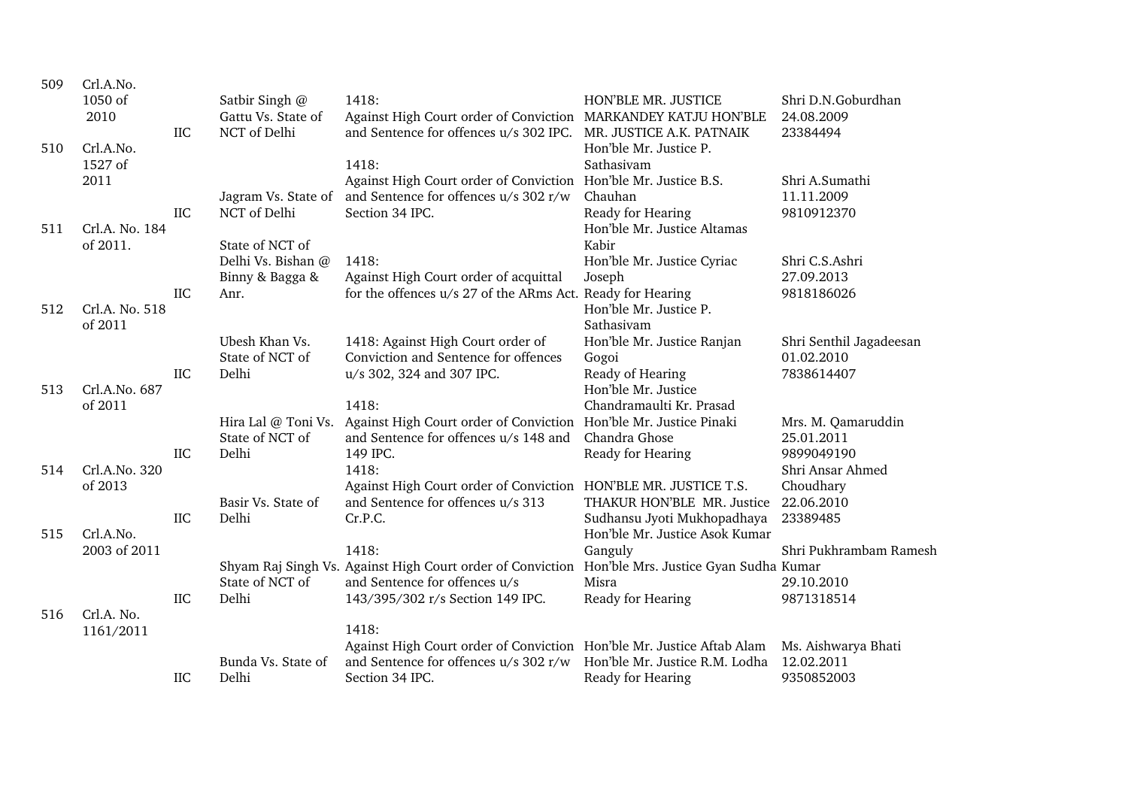| 509 | Crl.A.No.<br>1050 of |            | Satbir Singh @      | 1418:                                                                 | HON'BLE MR. JUSTICE                     | Shri D.N.Goburdhan      |
|-----|----------------------|------------|---------------------|-----------------------------------------------------------------------|-----------------------------------------|-------------------------|
|     | 2010                 |            | Gattu Vs. State of  | Against High Court order of Conviction MARKANDEY KATJU HON'BLE        |                                         | 24.08.2009              |
|     |                      | <b>IIC</b> | NCT of Delhi        | and Sentence for offences u/s 302 IPC.                                | MR. JUSTICE A.K. PATNAIK                | 23384494                |
| 510 | Crl.A.No.            |            |                     |                                                                       | Hon'ble Mr. Justice P.                  |                         |
|     | 1527 of              |            |                     | 1418:                                                                 | Sathasivam                              |                         |
|     | 2011                 |            |                     | Against High Court order of Conviction Hon'ble Mr. Justice B.S.       |                                         | Shri A.Sumathi          |
|     |                      |            | Jagram Vs. State of | and Sentence for offences u/s 302 r/w                                 | Chauhan                                 | 11.11.2009              |
|     |                      | IIC        | NCT of Delhi        | Section 34 IPC.                                                       | Ready for Hearing                       | 9810912370              |
| 511 | Crl.A. No. 184       |            |                     |                                                                       | Hon'ble Mr. Justice Altamas             |                         |
|     | of 2011.             |            | State of NCT of     |                                                                       | Kabir                                   |                         |
|     |                      |            | Delhi Vs. Bishan @  | 1418:                                                                 | Hon'ble Mr. Justice Cyriac              | Shri C.S.Ashri          |
|     |                      |            | Binny & Bagga &     | Against High Court order of acquittal                                 | Joseph                                  | 27.09.2013              |
|     |                      | <b>IIC</b> | Anr.                | for the offences u/s 27 of the ARms Act. Ready for Hearing            |                                         | 9818186026              |
| 512 | Crl.A. No. 518       |            |                     |                                                                       | Hon'ble Mr. Justice P.                  |                         |
|     | of 2011              |            |                     |                                                                       | Sathasivam                              |                         |
|     |                      |            | Ubesh Khan Vs.      | 1418: Against High Court order of                                     | Hon'ble Mr. Justice Ranjan              | Shri Senthil Jagadeesan |
|     |                      |            | State of NCT of     | Conviction and Sentence for offences                                  | Gogoi                                   | 01.02.2010              |
|     | Crl.A.No. 687        | IIC        | Delhi               | u/s 302, 324 and 307 IPC.                                             | Ready of Hearing<br>Hon'ble Mr. Justice | 7838614407              |
| 513 | of 2011              |            |                     | 1418:                                                                 | Chandramaulti Kr. Prasad                |                         |
|     |                      |            |                     | Hira Lal @ Toni Vs. Against High Court order of Conviction            | Hon'ble Mr. Justice Pinaki              | Mrs. M. Qamaruddin      |
|     |                      |            | State of NCT of     | and Sentence for offences u/s 148 and                                 | Chandra Ghose                           | 25.01.2011              |
|     |                      | <b>IIC</b> | Delhi               | 149 IPC.                                                              | Ready for Hearing                       | 9899049190              |
| 514 | Crl.A.No. 320        |            |                     | 1418:                                                                 |                                         | Shri Ansar Ahmed        |
|     | of 2013              |            |                     | Against High Court order of Conviction HON'BLE MR. JUSTICE T.S.       |                                         | Choudhary               |
|     |                      |            | Basir Vs. State of  | and Sentence for offences u/s 313                                     | THAKUR HON'BLE MR. Justice              | 22.06.2010              |
|     |                      | IIC        | Delhi               | Cr.P.C.                                                               | Sudhansu Jyoti Mukhopadhaya             | 23389485                |
| 515 | Crl.A.No.            |            |                     |                                                                       | Hon'ble Mr. Justice Asok Kumar          |                         |
|     | 2003 of 2011         |            |                     | 1418:                                                                 | Ganguly                                 | Shri Pukhrambam Ramesh  |
|     |                      |            |                     | Shyam Raj Singh Vs. Against High Court order of Conviction            | Hon'ble Mrs. Justice Gyan Sudha Kumar   |                         |
|     |                      |            | State of NCT of     | and Sentence for offences u/s                                         | Misra                                   | 29.10.2010              |
|     |                      | <b>IIC</b> | Delhi               | 143/395/302 r/s Section 149 IPC.                                      | Ready for Hearing                       | 9871318514              |
| 516 | Crl.A. No.           |            |                     |                                                                       |                                         |                         |
|     | 1161/2011            |            |                     | 1418:                                                                 |                                         |                         |
|     |                      |            |                     | Against High Court order of Conviction Hon'ble Mr. Justice Aftab Alam |                                         | Ms. Aishwarya Bhati     |
|     |                      |            | Bunda Vs. State of  | and Sentence for offences u/s 302 r/w                                 | Hon'ble Mr. Justice R.M. Lodha          | 12.02.2011              |
|     |                      | IIC        | Delhi               | Section 34 IPC.                                                       | Ready for Hearing                       | 9350852003              |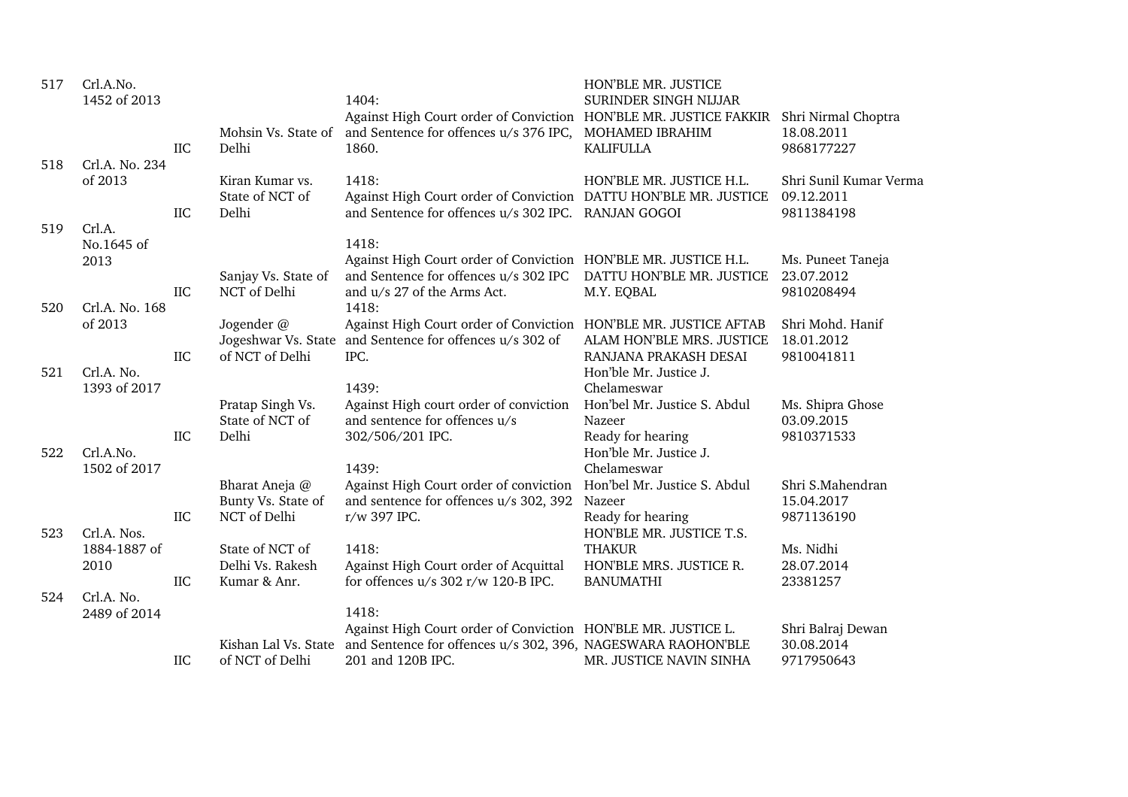| 517 | Crl.A.No.<br>1452 of 2013 |            |                     | 1404:                                                                             | HON'BLE MR. JUSTICE<br>SURINDER SINGH NIJJAR       |                                |
|-----|---------------------------|------------|---------------------|-----------------------------------------------------------------------------------|----------------------------------------------------|--------------------------------|
|     |                           |            |                     | Against High Court order of Conviction HON'BLE MR. JUSTICE FAKKIR                 |                                                    | Shri Nirmal Choptra            |
|     |                           |            | Mohsin Vs. State of | and Sentence for offences u/s 376 IPC, MOHAMED IBRAHIM                            |                                                    | 18.08.2011                     |
|     |                           | IIC        | Delhi               | 1860.                                                                             | <b>KALIFULLA</b>                                   | 9868177227                     |
| 518 | Crl.A. No. 234            |            |                     |                                                                                   |                                                    |                                |
|     | of 2013                   |            | Kiran Kumar vs.     | 1418:                                                                             | HON'BLE MR. JUSTICE H.L.                           | Shri Sunil Kumar Verma         |
|     |                           |            | State of NCT of     | Against High Court order of Conviction DATTU HON'BLE MR. JUSTICE                  |                                                    | 09.12.2011                     |
|     |                           | IIC        | Delhi               | and Sentence for offences u/s 302 IPC. RANJAN GOGOI                               |                                                    | 9811384198                     |
| 519 | Crl.A.                    |            |                     |                                                                                   |                                                    |                                |
|     | No.1645 of                |            |                     | 1418:                                                                             |                                                    |                                |
|     | 2013                      |            |                     | Against High Court order of Conviction HON'BLE MR. JUSTICE H.L.                   |                                                    | Ms. Puneet Taneja              |
|     |                           |            | Sanjay Vs. State of | and Sentence for offences u/s 302 IPC                                             | DATTU HON'BLE MR. JUSTICE                          | 23.07.2012                     |
|     |                           | IIC        | NCT of Delhi        | and $u/s$ 27 of the Arms Act.                                                     | M.Y. EQBAL                                         | 9810208494                     |
| 520 | Crl.A. No. 168            |            |                     | 1418:                                                                             |                                                    |                                |
|     | of 2013                   |            | Jogender @          | Against High Court order of Conviction HON'BLE MR. JUSTICE AFTAB                  |                                                    | Shri Mohd. Hanif<br>18.01.2012 |
|     |                           | IIC        | of NCT of Delhi     | Jogeshwar Vs. State and Sentence for offences u/s 302 of<br>IPC.                  | ALAM HON'BLE MRS. JUSTICE<br>RANJANA PRAKASH DESAI | 9810041811                     |
| 521 | Crl.A. No.                |            |                     |                                                                                   | Hon'ble Mr. Justice J.                             |                                |
|     | 1393 of 2017              |            |                     | 1439:                                                                             | Chelameswar                                        |                                |
|     |                           |            | Pratap Singh Vs.    | Against High court order of conviction                                            | Hon'bel Mr. Justice S. Abdul                       | Ms. Shipra Ghose               |
|     |                           |            | State of NCT of     | and sentence for offences u/s                                                     | Nazeer                                             | 03.09.2015                     |
|     |                           | IIC        | Delhi               | 302/506/201 IPC.                                                                  | Ready for hearing                                  | 9810371533                     |
| 522 | Crl.A.No.                 |            |                     |                                                                                   | Hon'ble Mr. Justice J.                             |                                |
|     | 1502 of 2017              |            |                     | 1439:                                                                             | Chelameswar                                        |                                |
|     |                           |            | Bharat Aneja @      | Against High Court order of conviction                                            | Hon'bel Mr. Justice S. Abdul                       | Shri S.Mahendran               |
|     |                           |            | Bunty Vs. State of  | and sentence for offences u/s 302, 392                                            | Nazeer                                             | 15.04.2017                     |
|     |                           | $\rm IIC$  | NCT of Delhi        | r/w 397 IPC.                                                                      | Ready for hearing                                  | 9871136190                     |
| 523 | Crl.A. Nos.               |            |                     |                                                                                   | HON'BLE MR. JUSTICE T.S.                           |                                |
|     | 1884-1887 of              |            | State of NCT of     | 1418:                                                                             | <b>THAKUR</b>                                      | Ms. Nidhi                      |
|     | 2010                      |            | Delhi Vs. Rakesh    | Against High Court order of Acquittal                                             | HON'BLE MRS. JUSTICE R.                            | 28.07.2014                     |
|     |                           | IIC        | Kumar & Anr.        | for offences $u/s$ 302 r/w 120-B IPC.                                             | <b>BANUMATHI</b>                                   | 23381257                       |
| 524 | Crl.A. No.                |            |                     |                                                                                   |                                                    |                                |
|     | 2489 of 2014              |            |                     | 1418:                                                                             |                                                    |                                |
|     |                           |            |                     | Against High Court order of Conviction HON'BLE MR. JUSTICE L.                     |                                                    | Shri Balraj Dewan              |
|     |                           |            |                     | Kishan Lal Vs. State and Sentence for offences u/s 302, 396, NAGESWARA RAOHON'BLE |                                                    | 30.08.2014                     |
|     |                           | <b>IIC</b> | of NCT of Delhi     | 201 and 120B IPC.                                                                 | MR. JUSTICE NAVIN SINHA                            | 9717950643                     |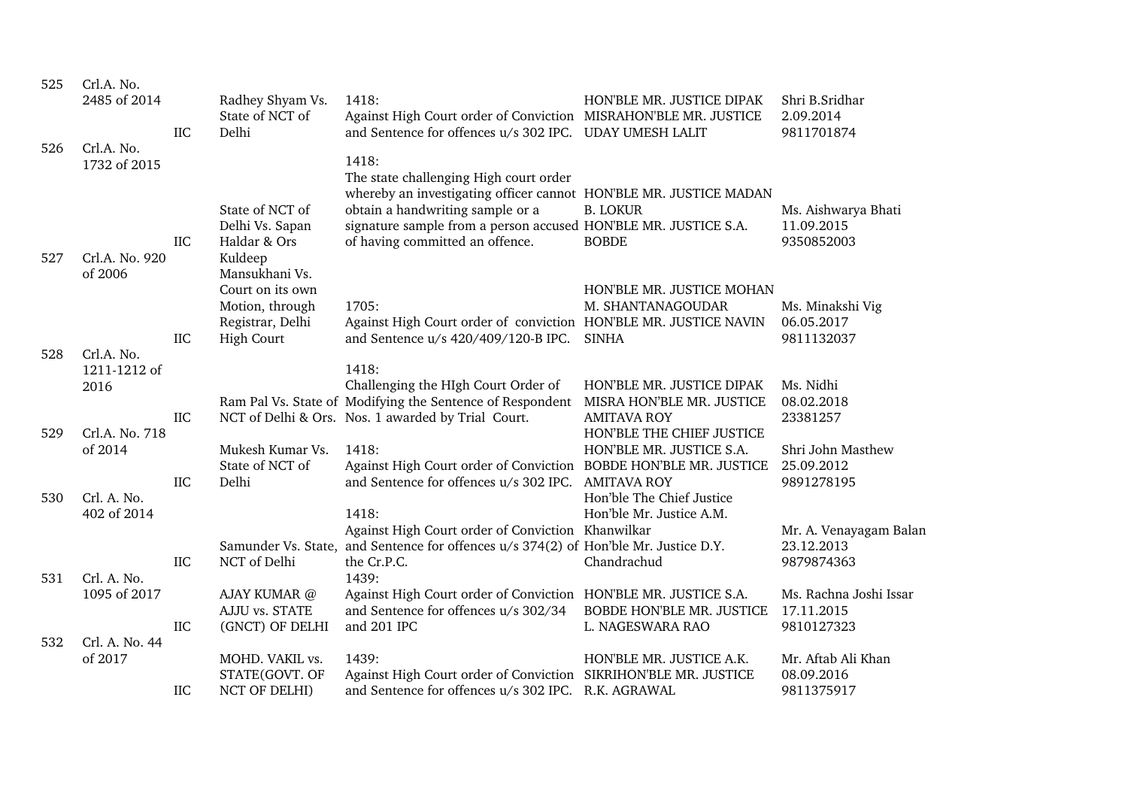| 525 | Crl.A. No.<br>2485 of 2014<br>Crl.A. No. | <b>IIC</b> | Radhey Shyam Vs.<br>State of NCT of<br>Delhi                                 | 1418:<br>Against High Court order of Conviction MISRAHON'BLE MR. JUSTICE<br>and Sentence for offences u/s 302 IPC. UDAY UMESH LALIT                                                                                         | HON'BLE MR. JUSTICE DIPAK                                                    | Shri B.Sridhar<br>2.09.2014<br>9811701874          |
|-----|------------------------------------------|------------|------------------------------------------------------------------------------|-----------------------------------------------------------------------------------------------------------------------------------------------------------------------------------------------------------------------------|------------------------------------------------------------------------------|----------------------------------------------------|
| 526 | 1732 of 2015                             |            | State of NCT of<br>Delhi Vs. Sapan                                           | 1418:<br>The state challenging High court order<br>whereby an investigating officer cannot HON'BLE MR. JUSTICE MADAN<br>obtain a handwriting sample or a<br>signature sample from a person accused HON'BLE MR. JUSTICE S.A. | <b>B. LOKUR</b>                                                              | Ms. Aishwarya Bhati<br>11.09.2015                  |
| 527 | Crl.A. No. 920<br>of 2006                | IIC        | Haldar & Ors<br>Kuldeep<br>Mansukhani Vs.                                    | of having committed an offence.                                                                                                                                                                                             | <b>BOBDE</b>                                                                 | 9350852003                                         |
|     |                                          | IIC        | Court on its own<br>Motion, through<br>Registrar, Delhi<br><b>High Court</b> | 1705:<br>Against High Court order of conviction HON'BLE MR. JUSTICE NAVIN<br>and Sentence u/s 420/409/120-B IPC.                                                                                                            | HON'BLE MR. JUSTICE MOHAN<br>M. SHANTANAGOUDAR<br><b>SINHA</b>               | Ms. Minakshi Vig<br>06.05.2017<br>9811132037       |
| 528 | Crl.A. No.<br>1211-1212 of<br>2016       |            |                                                                              | 1418:<br>Challenging the HIgh Court Order of                                                                                                                                                                                | HON'BLE MR. JUSTICE DIPAK                                                    | Ms. Nidhi                                          |
| 529 | Crl.A. No. 718                           | <b>IIC</b> |                                                                              | Ram Pal Vs. State of Modifying the Sentence of Respondent<br>NCT of Delhi & Ors. Nos. 1 awarded by Trial Court.                                                                                                             | MISRA HON'BLE MR. JUSTICE<br><b>AMITAVA ROY</b><br>HON'BLE THE CHIEF JUSTICE | 08.02.2018<br>23381257                             |
| 530 | of 2014<br>Crl. A. No.                   | <b>IIC</b> | Mukesh Kumar Vs.<br>State of NCT of<br>Delhi                                 | 1418:<br>Against High Court order of Conviction BOBDE HON'BLE MR. JUSTICE<br>and Sentence for offences u/s 302 IPC.                                                                                                         | HON'BLE MR. JUSTICE S.A.<br><b>AMITAVA ROY</b><br>Hon'ble The Chief Justice  | Shri John Masthew<br>25.09.2012<br>9891278195      |
|     | 402 of 2014                              |            |                                                                              | 1418:<br>Against High Court order of Conviction Khanwilkar<br>Samunder Vs. State, and Sentence for offences u/s 374(2) of Hon'ble Mr. Justice D.Y.                                                                          | Hon'ble Mr. Justice A.M.                                                     | Mr. A. Venayagam Balan<br>23.12.2013               |
| 531 | Crl. A. No.                              | IIC        | NCT of Delhi                                                                 | the Cr.P.C.<br>1439:                                                                                                                                                                                                        | Chandrachud                                                                  | 9879874363                                         |
|     | 1095 of 2017                             | IIC        | AJAY KUMAR @<br>AJJU vs. STATE<br>(GNCT) OF DELHI                            | Against High Court order of Conviction HON'BLE MR. JUSTICE S.A.<br>and Sentence for offences u/s 302/34<br>and 201 IPC                                                                                                      | BOBDE HON'BLE MR. JUSTICE<br>L. NAGESWARA RAO                                | Ms. Rachna Joshi Issar<br>17.11.2015<br>9810127323 |
| 532 | Crl. A. No. 44<br>of 2017                |            | MOHD. VAKIL vs.<br>STATE(GOVT. OF                                            | 1439:<br>Against High Court order of Conviction SIKRIHON'BLE MR. JUSTICE                                                                                                                                                    | HON'BLE MR. JUSTICE A.K.                                                     | Mr. Aftab Ali Khan<br>08.09.2016                   |
|     |                                          | IIC        | <b>NCT OF DELHI)</b>                                                         | and Sentence for offences u/s 302 IPC. R.K. AGRAWAL                                                                                                                                                                         |                                                                              | 9811375917                                         |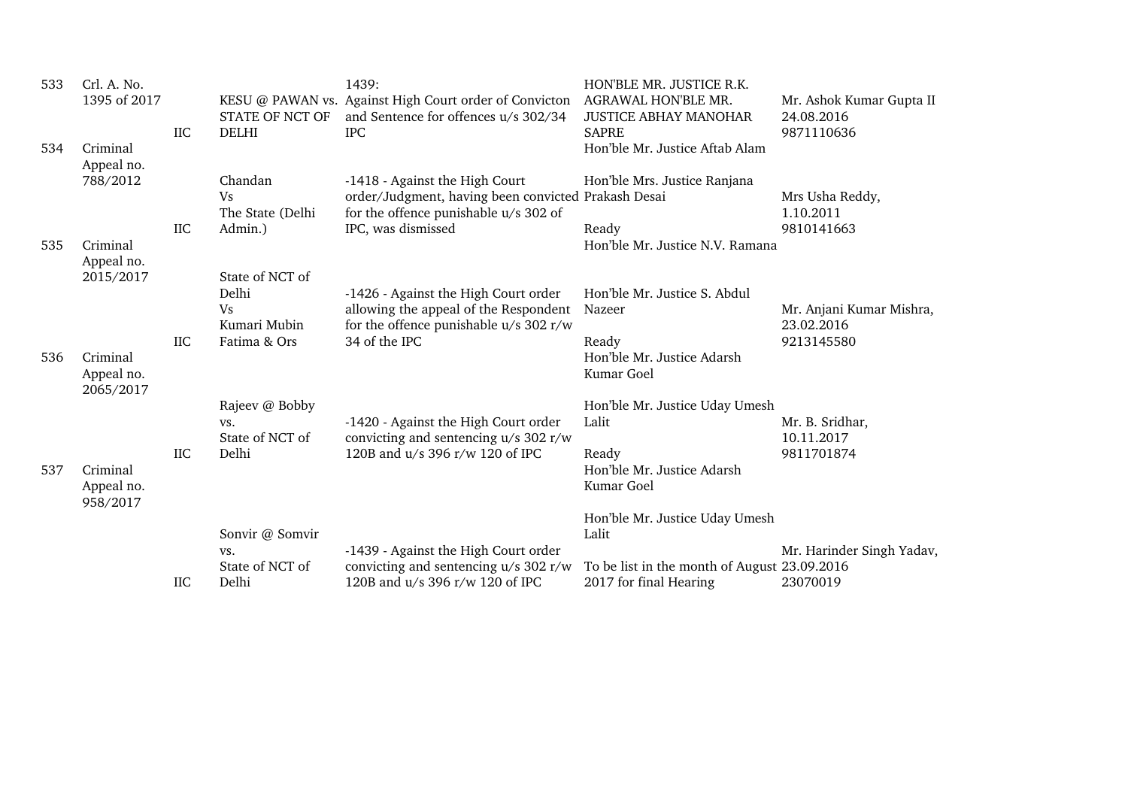| 533 | Crl. A. No.<br>1395 of 2017         | IIC | STATE OF NCT OF<br><b>DELHI</b> | 1439:<br>KESU @ PAWAN vs. Against High Court order of Convicton<br>and Sentence for offences u/s 302/34<br><b>IPC</b> | HON'BLE MR. JUSTICE R.K.<br>AGRAWAL HON'BLE MR.<br><b>JUSTICE ABHAY MANOHAR</b><br><b>SAPRE</b> | Mr. Ashok Kumar Gupta II<br>24.08.2016<br>9871110636 |
|-----|-------------------------------------|-----|---------------------------------|-----------------------------------------------------------------------------------------------------------------------|-------------------------------------------------------------------------------------------------|------------------------------------------------------|
| 534 | Criminal<br>Appeal no.              |     |                                 |                                                                                                                       | Hon'ble Mr. Justice Aftab Alam                                                                  |                                                      |
|     | 788/2012                            |     | Chandan<br><b>Vs</b>            | -1418 - Against the High Court<br>order/Judgment, having been convicted Prakash Desai                                 | Hon'ble Mrs. Justice Ranjana                                                                    | Mrs Usha Reddy,                                      |
| 535 | Criminal                            | IIC | The State (Delhi<br>Admin.)     | for the offence punishable $\rm u/s$ 302 of<br>IPC, was dismissed                                                     | Ready<br>Hon'ble Mr. Justice N.V. Ramana                                                        | 1.10.2011<br>9810141663                              |
|     | Appeal no.<br>2015/2017             |     | State of NCT of<br>Delhi        | -1426 - Against the High Court order                                                                                  | Hon'ble Mr. Justice S. Abdul                                                                    |                                                      |
|     |                                     |     | <b>Vs</b><br>Kumari Mubin       | allowing the appeal of the Respondent<br>for the offence punishable $u/s$ 302 r/w                                     | Nazeer                                                                                          | Mr. Anjani Kumar Mishra,<br>23.02.2016               |
| 536 | Criminal<br>Appeal no.<br>2065/2017 | IIC | Fatima & Ors                    | 34 of the IPC                                                                                                         | Ready<br>Hon'ble Mr. Justice Adarsh<br>Kumar Goel                                               | 9213145580                                           |
|     |                                     |     | Rajeev @ Bobby<br>VS.           | -1420 - Against the High Court order                                                                                  | Hon'ble Mr. Justice Uday Umesh<br>Lalit                                                         | Mr. B. Sridhar,                                      |
| 537 | Criminal<br>Appeal no.<br>958/2017  | IIC | State of NCT of<br>Delhi        | convicting and sentencing u/s 302 r/w<br>120B and u/s 396 r/w 120 of IPC                                              | Ready<br>Hon'ble Mr. Justice Adarsh<br>Kumar Goel                                               | 10.11.2017<br>9811701874                             |
|     |                                     |     | Sonvir @ Somvir<br>VS.          | -1439 - Against the High Court order                                                                                  | Hon'ble Mr. Justice Uday Umesh<br>Lalit                                                         | Mr. Harinder Singh Yadav,                            |
|     |                                     | IIC | State of NCT of<br>Delhi        | convicting and sentencing $u/s$ 302 r/w<br>120B and u/s 396 r/w 120 of IPC                                            | To be list in the month of August 23.09.2016<br>2017 for final Hearing                          | 23070019                                             |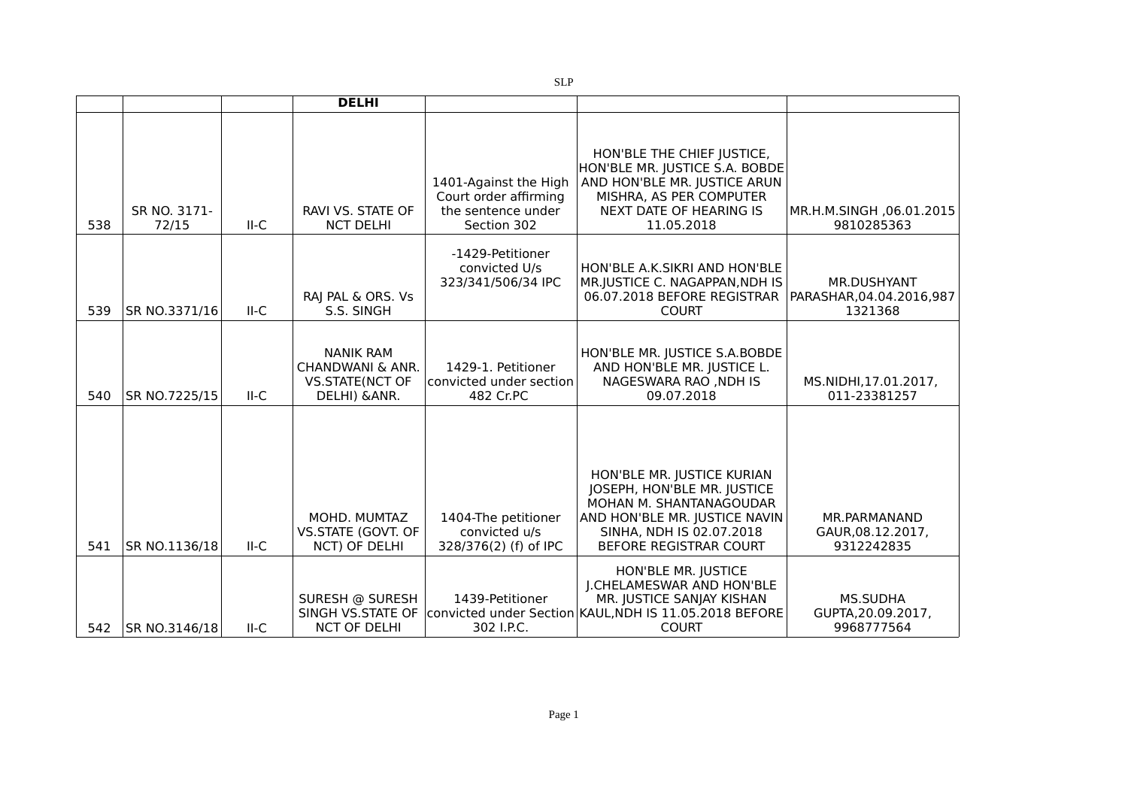|     |                       |        | <b>DELHI</b>                                                                    |                                                                                     |                                                                                                                                                                             |                                                            |
|-----|-----------------------|--------|---------------------------------------------------------------------------------|-------------------------------------------------------------------------------------|-----------------------------------------------------------------------------------------------------------------------------------------------------------------------------|------------------------------------------------------------|
| 538 | SR NO. 3171-<br>72/15 | $II-C$ | RAVI VS. STATE OF<br><b>NCT DELHI</b>                                           | 1401-Against the High<br>Court order affirming<br>the sentence under<br>Section 302 | HON'BLE THE CHIEF JUSTICE,<br>HON'BLE MR. JUSTICE S.A. BOBDE<br>AND HON'BLE MR. JUSTICE ARUN<br>MISHRA, AS PER COMPUTER<br>NEXT DATE OF HEARING IS<br>11.05.2018            | MR.H.M.SINGH, 06.01.2015<br>9810285363                     |
| 539 | SR NO.3371/16         | $II-C$ | RAJ PAL & ORS. Vs<br>S.S. SINGH                                                 | -1429-Petitioner<br>convicted U/s<br>323/341/506/34 IPC                             | HON'BLE A.K.SIKRI AND HON'BLE<br>MR.JUSTICE C. NAGAPPAN, NDH IS<br>06.07.2018 BEFORE REGISTRAR<br><b>COURT</b>                                                              | <b>MR.DUSHYANT</b><br>PARASHAR, 04.04.2016, 987<br>1321368 |
| 540 | SR NO.7225/15         | $II-C$ | <b>NANIK RAM</b><br>CHANDWANI & ANR.<br><b>VS.STATE(NCT OF</b><br>DELHI) & ANR. | 1429-1. Petitioner<br>convicted under section<br>482 Cr.PC                          | HON'BLE MR. JUSTICE S.A.BOBDE<br>AND HON'BLE MR. JUSTICE L.<br>NAGESWARA RAO, NDH IS<br>09.07.2018                                                                          | MS.NIDHI,17.01.2017,<br>011-23381257                       |
| 541 | SR NO.1136/18         | $II-C$ | MOHD. MUMTAZ<br>VS.STATE (GOVT. OF<br>NCT) OF DELHI                             | 1404-The petitioner<br>convicted u/s<br>328/376(2) (f) of IPC                       | HON'BLE MR. JUSTICE KURIAN<br>JOSEPH, HON'BLE MR. JUSTICE<br>MOHAN M. SHANTANAGOUDAR<br>AND HON'BLE MR. JUSTICE NAVIN<br>SINHA, NDH IS 02.07.2018<br>BEFORE REGISTRAR COURT | MR.PARMANAND<br>GAUR, 08.12.2017,<br>9312242835            |
| 542 | SR NO.3146/18         | $II-C$ | SURESH @ SURESH<br>SINGH VS.STATE OF<br><b>NCT OF DELHI</b>                     | 1439-Petitioner<br>302 I.P.C.                                                       | HON'BLE MR. JUSTICE<br>J.CHELAMESWAR AND HON'BLE<br>MR. JUSTICE SANJAY KISHAN<br>convicted under Section KAUL, NDH IS 11.05.2018 BEFORE<br><b>COURT</b>                     | <b>MS.SUDHA</b><br>GUPTA, 20.09.2017,<br>9968777564        |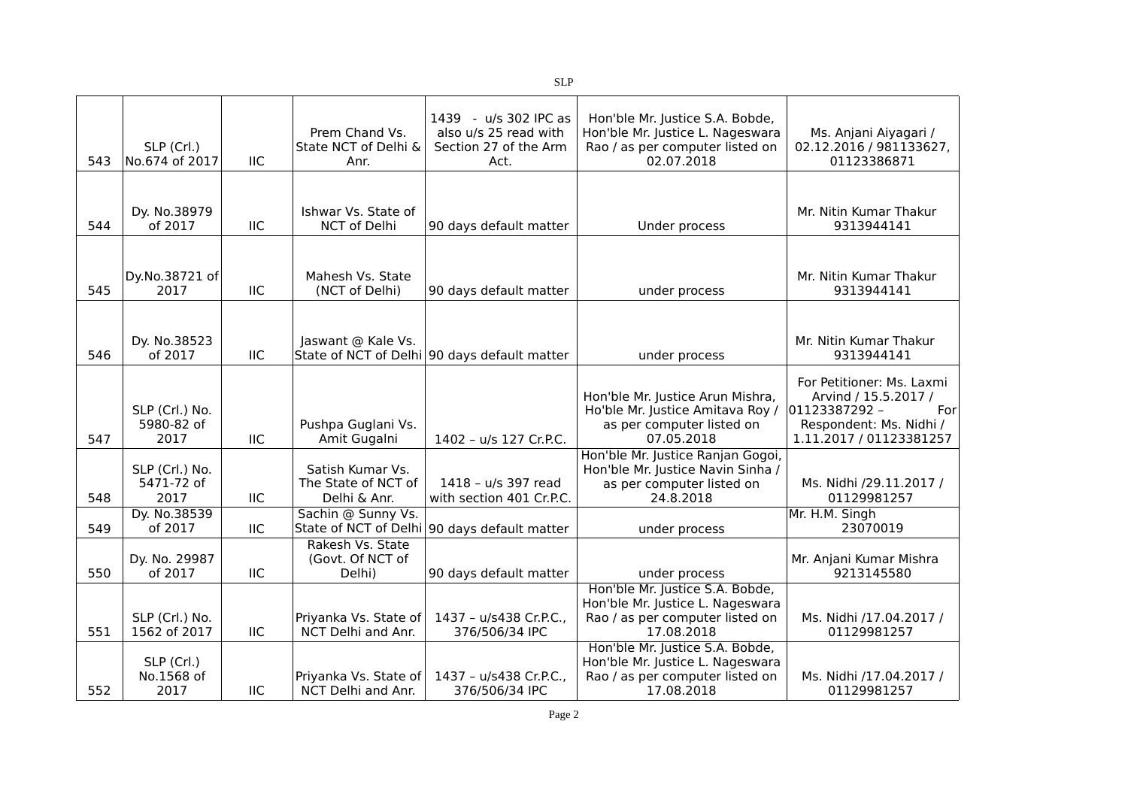| 543 | SLP (Crl.)<br>No.674 of 2017         | <b>IIC</b> | Prem Chand Vs.<br>State NCT of Delhi &<br>Anr.          | 1439 - u/s 302 IPC as<br>also u/s 25 read with<br>Section 27 of the Arm<br>Act. | Hon'ble Mr. Justice S.A. Bobde,<br>Hon'ble Mr. Justice L. Nageswara<br>Rao / as per computer listed on<br>02.07.2018 | Ms. Anjani Aiyagari /<br>02.12.2016 / 981133627,<br>01123386871                                                                 |
|-----|--------------------------------------|------------|---------------------------------------------------------|---------------------------------------------------------------------------------|----------------------------------------------------------------------------------------------------------------------|---------------------------------------------------------------------------------------------------------------------------------|
|     |                                      |            |                                                         |                                                                                 |                                                                                                                      |                                                                                                                                 |
| 544 | Dy. No.38979<br>of 2017              | IIC        | Ishwar Vs. State of<br>NCT of Delhi                     | 90 days default matter                                                          | Under process                                                                                                        | Mr. Nitin Kumar Thakur<br>9313944141                                                                                            |
|     |                                      |            |                                                         |                                                                                 |                                                                                                                      |                                                                                                                                 |
| 545 | Dy.No.38721 of<br>2017               | <b>IIC</b> | Mahesh Vs. State<br>(NCT of Delhi)                      | 90 days default matter                                                          | under process                                                                                                        | Mr. Nitin Kumar Thakur<br>9313944141                                                                                            |
|     |                                      |            |                                                         |                                                                                 |                                                                                                                      |                                                                                                                                 |
| 546 | Dy. No.38523<br>of 2017              | IIC        | Jaswant @ Kale Vs.                                      | State of NCT of Delhi 90 days default matter                                    | under process                                                                                                        | Mr. Nitin Kumar Thakur<br>9313944141                                                                                            |
| 547 | SLP (Crl.) No.<br>5980-82 of<br>2017 | <b>IIC</b> | Pushpa Guglani Vs.<br>Amit Gugalni                      | 1402 - u/s 127 Cr.P.C.                                                          | Hon'ble Mr. Justice Arun Mishra,<br>Ho'ble Mr. Justice Amitava Roy /<br>as per computer listed on<br>07.05.2018      | For Petitioner: Ms. Laxmi<br>Arvind / 15.5.2017 /<br>01123387292 -<br>For<br>Respondent: Ms. Nidhi /<br>1.11.2017 / 01123381257 |
| 548 | SLP (Crl.) No.<br>5471-72 of<br>2017 | <b>IIC</b> | Satish Kumar Vs.<br>The State of NCT of<br>Delhi & Anr. | 1418 - u/s 397 read<br>with section 401 Cr.P.C.                                 | Hon'ble Mr. Justice Ranjan Gogoi,<br>Hon'ble Mr. Justice Navin Sinha /<br>as per computer listed on<br>24.8.2018     | Ms. Nidhi /29.11.2017 /<br>01129981257                                                                                          |
| 549 | Dy. No.38539<br>of 2017              | <b>IIC</b> | Sachin @ Sunny Vs.                                      | State of NCT of Delhi 90 days default matter                                    | under process                                                                                                        | Mr. H.M. Singh<br>23070019                                                                                                      |
| 550 | Dy. No. 29987<br>of 2017             | IIC        | Rakesh Vs. State<br>(Govt. Of NCT of<br>Delhi)          | 90 days default matter                                                          | under process                                                                                                        | Mr. Anjani Kumar Mishra<br>9213145580                                                                                           |
| 551 | SLP (Crl.) No.<br>1562 of 2017       | <b>IIC</b> | Priyanka Vs. State of<br>NCT Delhi and Anr.             | 1437 - u/s438 Cr.P.C.,<br>376/506/34 IPC                                        | Hon'ble Mr. Justice S.A. Bobde,<br>Hon'ble Mr. Justice L. Nageswara<br>Rao / as per computer listed on<br>17.08.2018 | Ms. Nidhi /17.04.2017 /<br>01129981257                                                                                          |
| 552 | SLP (Crl.)<br>No.1568 of<br>2017     | <b>IIC</b> | Priyanka Vs. State of<br>NCT Delhi and Anr.             | 1437 - u/s438 Cr.P.C.,<br>376/506/34 IPC                                        | Hon'ble Mr. Justice S.A. Bobde,<br>Hon'ble Mr. Justice L. Nageswara<br>Rao / as per computer listed on<br>17.08.2018 | Ms. Nidhi /17.04.2017 /<br>01129981257                                                                                          |

SLP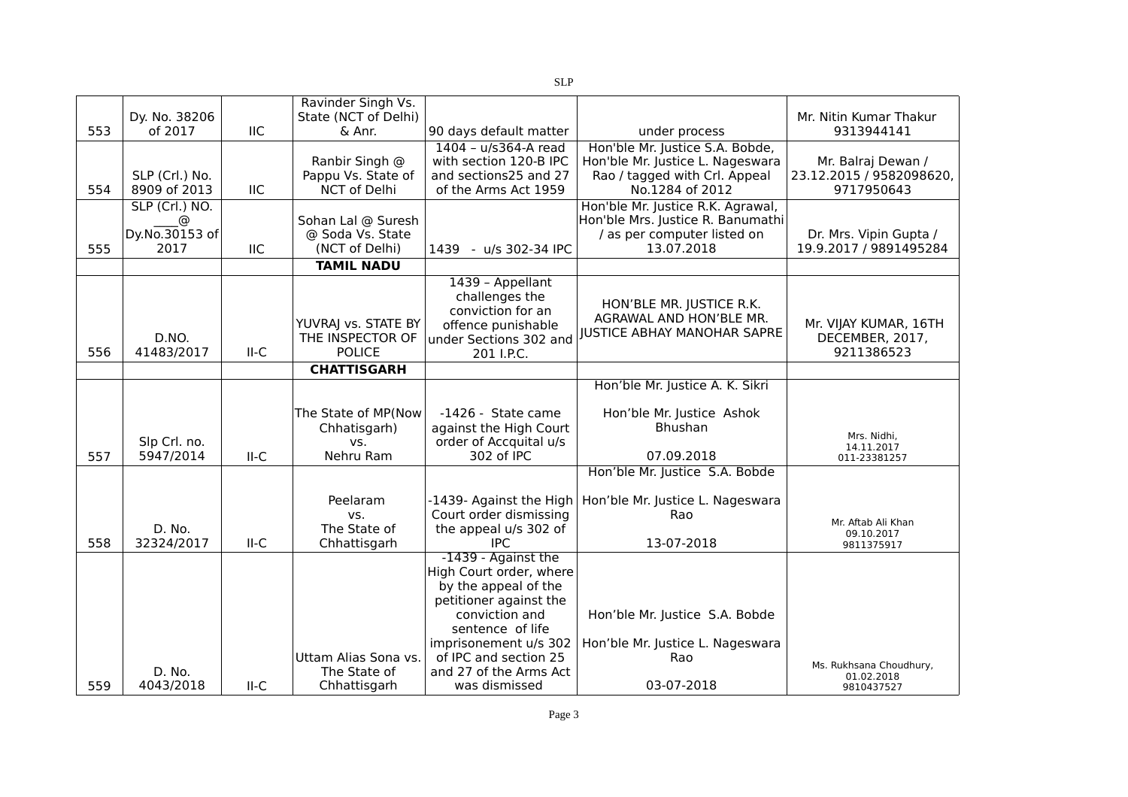|     |                           |            | Ravinder Singh Vs.                   |                                                  |                                                                   |                                                |
|-----|---------------------------|------------|--------------------------------------|--------------------------------------------------|-------------------------------------------------------------------|------------------------------------------------|
| 553 | Dy. No. 38206<br>of 2017  | <b>IIC</b> | State (NCT of Delhi)<br>& Anr.       |                                                  |                                                                   | Mr. Nitin Kumar Thakur<br>9313944141           |
|     |                           |            |                                      | 90 days default matter                           | under process                                                     |                                                |
|     |                           |            |                                      | 1404 - u/s364-A read                             | Hon'ble Mr. Justice S.A. Bobde,                                   |                                                |
|     | SLP (Crl.) No.            |            | Ranbir Singh @<br>Pappu Vs. State of | with section 120-B IPC<br>and sections25 and 27  | Hon'ble Mr. Justice L. Nageswara<br>Rao / tagged with Crl. Appeal | Mr. Balraj Dewan /<br>23.12.2015 / 9582098620, |
| 554 | 8909 of 2013              | <b>IIC</b> | NCT of Delhi                         | of the Arms Act 1959                             | No.1284 of 2012                                                   | 9717950643                                     |
|     | SLP (Crl.) NO.            |            |                                      |                                                  | Hon'ble Mr. Justice R.K. Agrawal,                                 |                                                |
|     | ⊚                         |            | Sohan Lal @ Suresh                   |                                                  | Hon'ble Mrs. Justice R. Banumathi                                 |                                                |
|     | Dy.No.30153 of            |            | @ Soda Vs. State                     |                                                  | / as per computer listed on                                       | Dr. Mrs. Vipin Gupta /                         |
| 555 | 2017                      | <b>IIC</b> | (NCT of Delhi)                       | 1439<br>- u/s 302-34 IPC                         | 13.07.2018                                                        | 19.9.2017 / 9891495284                         |
|     |                           |            | <b>TAMIL NADU</b>                    |                                                  |                                                                   |                                                |
|     |                           |            |                                      | 1439 - Appellant                                 |                                                                   |                                                |
|     |                           |            |                                      | challenges the                                   |                                                                   |                                                |
|     |                           |            |                                      | conviction for an                                | HON'BLE MR. JUSTICE R.K.                                          |                                                |
|     |                           |            | YUVRAJ vs. STATE BY                  | offence punishable                               | AGRAWAL AND HON'BLE MR.                                           | Mr. VIJAY KUMAR, 16TH                          |
|     | D.NO.                     |            | THE INSPECTOR OF                     | under Sections 302 and                           | <b>JUSTICE ABHAY MANOHAR SAPRE</b>                                | DECEMBER, 2017,                                |
| 556 | 41483/2017                | $II-C$     | <b>POLICE</b>                        | 201 I.P.C.                                       |                                                                   | 9211386523                                     |
|     |                           |            | <b>CHATTISGARH</b>                   |                                                  |                                                                   |                                                |
|     |                           |            |                                      |                                                  | Hon'ble Mr. Justice A. K. Sikri                                   |                                                |
|     |                           |            |                                      |                                                  |                                                                   |                                                |
|     |                           |            | The State of MP(Now                  | -1426 - State came                               | Hon'ble Mr. Justice Ashok                                         |                                                |
|     |                           |            | Chhatisgarh)                         | against the High Court<br>order of Accquital u/s | Bhushan                                                           | Mrs. Nidhi,                                    |
| 557 | Slp Crl. no.<br>5947/2014 | $II-C$     | VS.<br>Nehru Ram                     | 302 of IPC                                       | 07.09.2018                                                        | 14.11.2017<br>011-23381257                     |
|     |                           |            |                                      |                                                  | Hon'ble Mr. Justice S.A. Bobde                                    |                                                |
|     |                           |            |                                      |                                                  |                                                                   |                                                |
|     |                           |            | Peelaram                             | -1439- Against the High                          | Hon'ble Mr. Justice L. Nageswara                                  |                                                |
|     |                           |            | VS.                                  | Court order dismissing                           | Rao                                                               |                                                |
|     | D. No.                    |            | The State of                         | the appeal u/s 302 of                            |                                                                   | Mr. Aftab Ali Khan<br>09.10.2017               |
| 558 | 32324/2017                | $II-C$     | Chhattisgarh                         | <b>IPC</b>                                       | 13-07-2018                                                        | 9811375917                                     |
|     |                           |            |                                      | -1439 - Against the                              |                                                                   |                                                |
|     |                           |            |                                      | High Court order, where                          |                                                                   |                                                |
|     |                           |            |                                      | by the appeal of the                             |                                                                   |                                                |
|     |                           |            |                                      | petitioner against the                           |                                                                   |                                                |
|     |                           |            |                                      | conviction and<br>sentence of life               | Hon'ble Mr. Justice S.A. Bobde                                    |                                                |
|     |                           |            |                                      | imprisonement u/s 302                            | Hon'ble Mr. Justice L. Nageswara                                  |                                                |
|     |                           |            | Uttam Alias Sona vs.                 | of IPC and section 25                            | Rao                                                               |                                                |
|     | D. No.                    |            | The State of                         | and 27 of the Arms Act                           |                                                                   | Ms. Rukhsana Choudhury,                        |
| 559 | 4043/2018                 | $II-C$     | Chhattisgarh                         | was dismissed                                    | 03-07-2018                                                        | 01.02.2018<br>9810437527                       |
|     |                           |            |                                      |                                                  |                                                                   |                                                |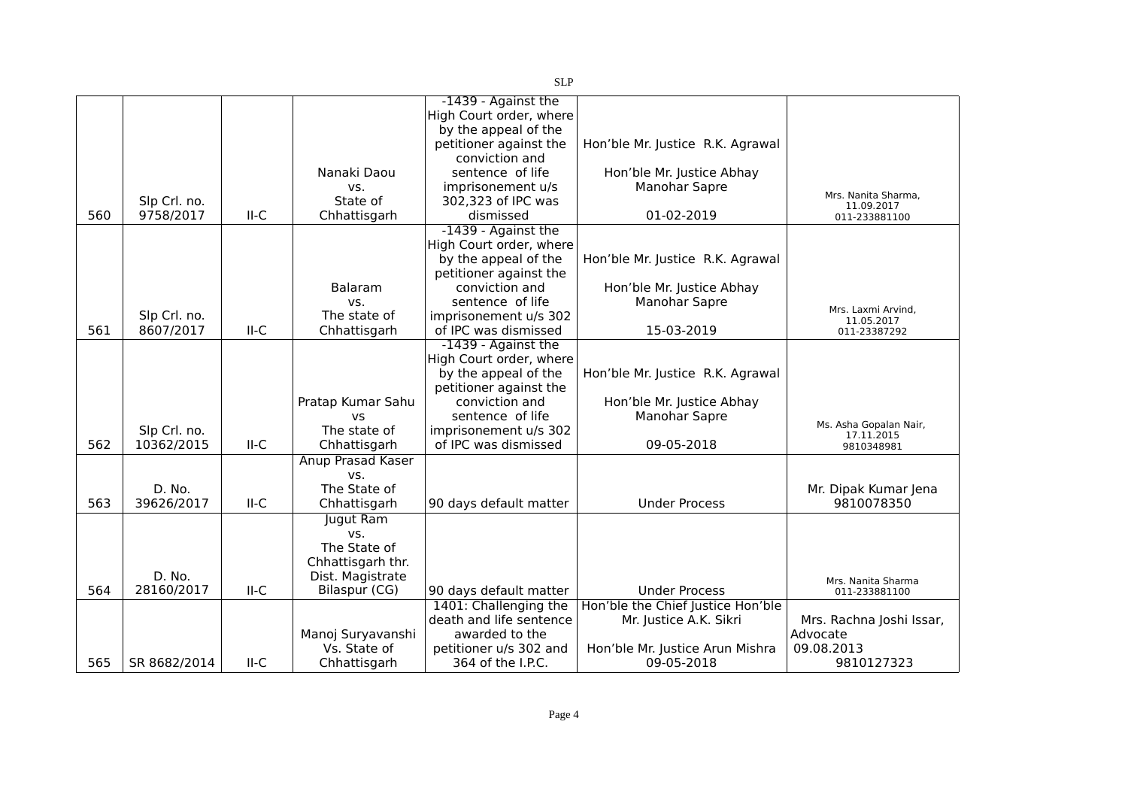|     |              |        |                          | -1439 - Against the     |                                   |                          |
|-----|--------------|--------|--------------------------|-------------------------|-----------------------------------|--------------------------|
|     |              |        |                          | High Court order, where |                                   |                          |
|     |              |        |                          | by the appeal of the    |                                   |                          |
|     |              |        |                          | petitioner against the  | Hon'ble Mr. Justice R.K. Agrawal  |                          |
|     |              |        |                          | conviction and          |                                   |                          |
|     |              |        | Nanaki Daou              | sentence of life        | Hon'ble Mr. Justice Abhay         |                          |
|     |              |        | VS.                      | imprisonement u/s       | Manohar Sapre                     | Mrs. Nanita Sharma,      |
|     | Slp Crl. no. |        | State of                 | 302,323 of IPC was      |                                   | 11.09.2017               |
| 560 | 9758/2017    | II-C   | Chhattisgarh             | dismissed               | 01-02-2019                        | 011-233881100            |
|     |              |        |                          | -1439 - Against the     |                                   |                          |
|     |              |        |                          | High Court order, where |                                   |                          |
|     |              |        |                          | by the appeal of the    | Hon'ble Mr. Justice R.K. Agrawal  |                          |
|     |              |        |                          | petitioner against the  |                                   |                          |
|     |              |        | Balaram                  | conviction and          | Hon'ble Mr. Justice Abhay         |                          |
|     |              |        | VS.                      | sentence of life        | Manohar Sapre                     | Mrs. Laxmi Arvind,       |
|     | Slp Crl. no. |        | The state of             | imprisonement u/s 302   |                                   | 11.05.2017               |
| 561 | 8607/2017    | $II-C$ | Chhattisgarh             | of IPC was dismissed    | 15-03-2019                        | 011-23387292             |
|     |              |        |                          | -1439 - Against the     |                                   |                          |
|     |              |        |                          | High Court order, where |                                   |                          |
|     |              |        |                          | by the appeal of the    | Hon'ble Mr. Justice R.K. Agrawal  |                          |
|     |              |        |                          | petitioner against the  |                                   |                          |
|     |              |        | Pratap Kumar Sahu        | conviction and          | Hon'ble Mr. Justice Abhay         |                          |
|     |              |        | VS                       | sentence of life        | Manohar Sapre                     | Ms. Asha Gopalan Nair,   |
|     | Slp Crl. no. |        | The state of             | imprisonement u/s 302   |                                   | 17.11.2015               |
| 562 | 10362/2015   | $II-C$ | Chhattisgarh             | of IPC was dismissed    | 09-05-2018                        | 9810348981               |
|     |              |        | <b>Anup Prasad Kaser</b> |                         |                                   |                          |
|     |              |        | vs.                      |                         |                                   |                          |
|     | D. No.       |        | The State of             |                         |                                   | Mr. Dipak Kumar Jena     |
| 563 | 39626/2017   | $II-C$ | Chhattisgarh             | 90 days default matter  | <b>Under Process</b>              | 9810078350               |
|     |              |        | Jugut Ram                |                         |                                   |                          |
|     |              |        | VS.                      |                         |                                   |                          |
|     |              |        | The State of             |                         |                                   |                          |
|     |              |        | Chhattisgarh thr.        |                         |                                   |                          |
|     | D. No.       |        | Dist. Magistrate         |                         |                                   | Mrs. Nanita Sharma       |
| 564 | 28160/2017   | $II-C$ | Bilaspur (CG)            | 90 days default matter  | <b>Under Process</b>              | 011-233881100            |
|     |              |        |                          | 1401: Challenging the   | Hon'ble the Chief Justice Hon'ble |                          |
|     |              |        |                          | death and life sentence | Mr. Justice A.K. Sikri            | Mrs. Rachna Joshi Issar, |
|     |              |        | Manoj Suryavanshi        | awarded to the          |                                   | Advocate                 |
|     |              |        | Vs. State of             | petitioner u/s 302 and  | Hon'ble Mr. Justice Arun Mishra   | 09.08.2013               |
| 565 | SR 8682/2014 | II-C   | Chhattisgarh             | 364 of the I.P.C.       | 09-05-2018                        | 9810127323               |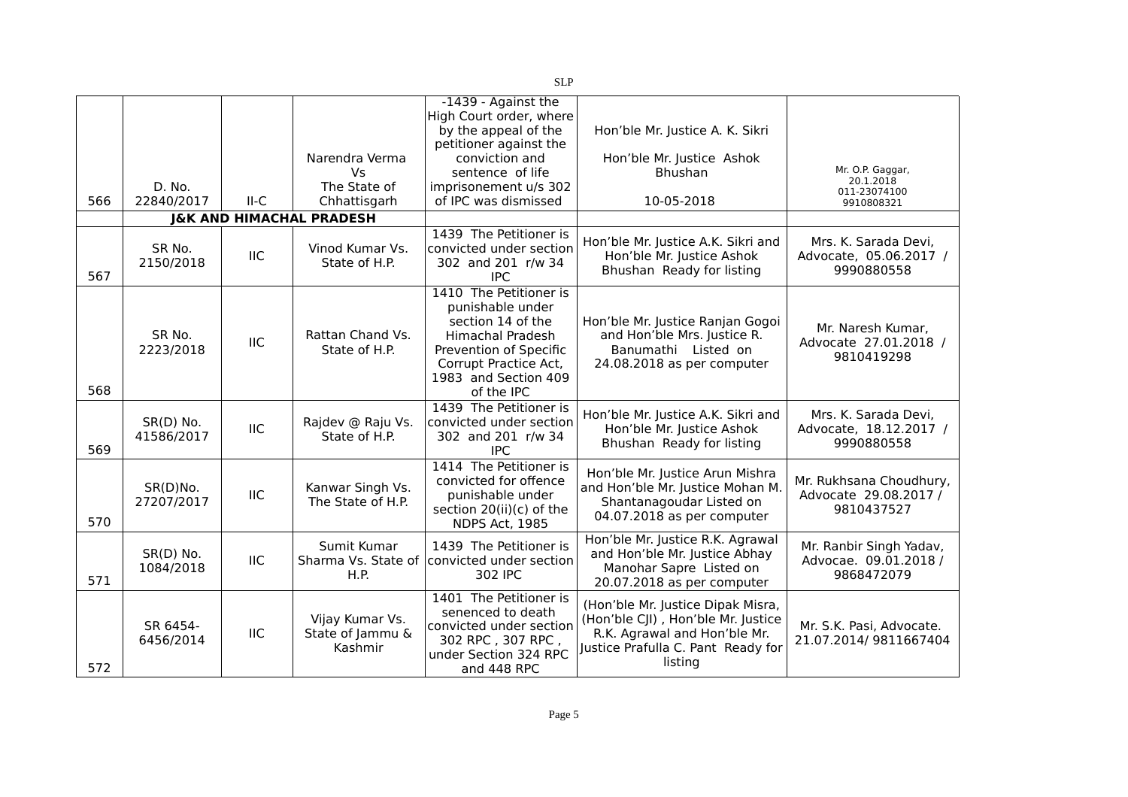|     |                           |            |                                                | -1439 - Against the<br>High Court order, where                                                                                                                                      |                                                                                                                                                          |                                                                |
|-----|---------------------------|------------|------------------------------------------------|-------------------------------------------------------------------------------------------------------------------------------------------------------------------------------------|----------------------------------------------------------------------------------------------------------------------------------------------------------|----------------------------------------------------------------|
|     |                           |            |                                                | by the appeal of the<br>petitioner against the                                                                                                                                      | Hon'ble Mr. Justice A. K. Sikri                                                                                                                          |                                                                |
|     |                           |            | Narendra Verma                                 | conviction and                                                                                                                                                                      | Hon'ble Mr. Justice Ashok                                                                                                                                |                                                                |
|     |                           |            | Vs                                             | sentence of life                                                                                                                                                                    | Bhushan                                                                                                                                                  | Mr. O.P. Gaggar,<br>20.1.2018                                  |
|     | D. No.                    | $II-C$     | The State of                                   | imprisonement u/s 302<br>of IPC was dismissed                                                                                                                                       |                                                                                                                                                          | 011-23074100                                                   |
| 566 | 22840/2017                |            | Chhattisgarh                                   |                                                                                                                                                                                     | 10-05-2018                                                                                                                                               | 9910808321                                                     |
|     |                           |            | <b>J&amp;K AND HIMACHAL PRADESH</b>            | 1439 The Petitioner is                                                                                                                                                              |                                                                                                                                                          |                                                                |
| 567 | SR No.<br>2150/2018       | <b>IIC</b> | Vinod Kumar Vs.<br>State of H.P.               | convicted under section<br>302 and 201 r/w 34<br><b>IPC</b>                                                                                                                         | Hon'ble Mr. Justice A.K. Sikri and<br>Hon'ble Mr. Justice Ashok<br>Bhushan Ready for listing                                                             | Mrs. K. Sarada Devi,<br>Advocate, 05.06.2017 /<br>9990880558   |
| 568 | SR No.<br>2223/2018       | <b>IIC</b> | Rattan Chand Vs.<br>State of H.P.              | 1410 The Petitioner is<br>punishable under<br>section 14 of the<br><b>Himachal Pradesh</b><br>Prevention of Specific<br>Corrupt Practice Act,<br>1983 and Section 409<br>of the IPC | Hon'ble Mr. Justice Ranjan Gogoi<br>and Hon'ble Mrs. Justice R.<br>Banumathi Listed on<br>24.08.2018 as per computer                                     | Mr. Naresh Kumar,<br>Advocate 27.01.2018 /<br>9810419298       |
| 569 | $SR(D)$ No.<br>41586/2017 | <b>IIC</b> | Rajdev @ Raju Vs.<br>State of H.P.             | 1439 The Petitioner is<br>convicted under section<br>302 and 201 r/w 34<br><b>IPC</b>                                                                                               | Hon'ble Mr. Justice A.K. Sikri and<br>Hon'ble Mr. Justice Ashok<br>Bhushan Ready for listing                                                             | Mrs. K. Sarada Devi,<br>Advocate, 18.12.2017 /<br>9990880558   |
| 570 | SR(D)No.<br>27207/2017    | <b>IIC</b> | Kanwar Singh Vs.<br>The State of H.P.          | 1414 The Petitioner is<br>convicted for offence<br>punishable under<br>section 20(ii)(c) of the<br>NDPS Act, 1985                                                                   | Hon'ble Mr. Justice Arun Mishra<br>and Hon'ble Mr. Justice Mohan M.<br>Shantanagoudar Listed on<br>04.07.2018 as per computer                            | Mr. Rukhsana Choudhury,<br>Advocate 29.08.2017 /<br>9810437527 |
| 571 | $SR(D)$ No.<br>1084/2018  | <b>IIC</b> | Sumit Kumar<br>H.P.                            | 1439 The Petitioner is<br>Sharma Vs. State of convicted under section<br>302 IPC                                                                                                    | Hon'ble Mr. Justice R.K. Agrawal<br>and Hon'ble Mr. Justice Abhay<br>Manohar Sapre Listed on<br>20.07.2018 as per computer                               | Mr. Ranbir Singh Yadav,<br>Advocae. 09.01.2018 /<br>9868472079 |
| 572 | SR 6454-<br>6456/2014     | <b>IIC</b> | Vijay Kumar Vs.<br>State of Jammu &<br>Kashmir | 1401 The Petitioner is<br>senenced to death<br>convicted under section<br>302 RPC, 307 RPC,<br>under Section 324 RPC<br>and 448 RPC                                                 | (Hon'ble Mr. Justice Dipak Misra,<br>(Hon'ble CJI), Hon'ble Mr. Justice<br>R.K. Agrawal and Hon'ble Mr.<br>Justice Prafulla C. Pant Ready for<br>listing | Mr. S.K. Pasi, Advocate.<br>21.07.2014/9811667404              |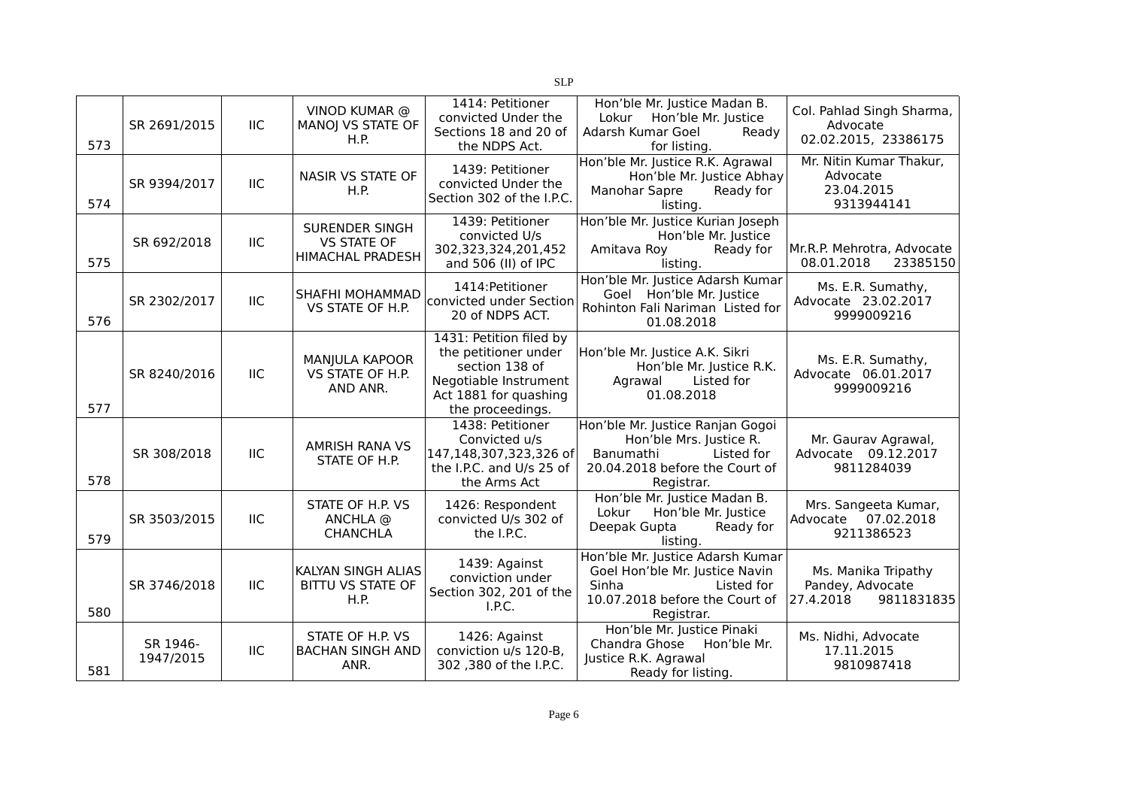| 573 | SR 2691/2015          | <b>IIC</b> | VINOD KUMAR @<br>MANOJ VS STATE OF<br>H.P.                             | 1414: Petitioner<br>convicted Under the<br>Sections 18 and 20 of<br>the NDPS Act.                                                       | Hon'ble Mr. Justice Madan B.<br>Lokur<br>Hon'ble Mr. Justice<br>Adarsh Kumar Goel<br>Ready<br>for listing.                                | Col. Pahlad Singh Sharma,<br>Advocate<br>02.02.2015, 23386175      |
|-----|-----------------------|------------|------------------------------------------------------------------------|-----------------------------------------------------------------------------------------------------------------------------------------|-------------------------------------------------------------------------------------------------------------------------------------------|--------------------------------------------------------------------|
| 574 | SR 9394/2017          | <b>IIC</b> | NASIR VS STATE OF<br>H.P.                                              | 1439: Petitioner<br>convicted Under the<br>Section 302 of the I.P.C.                                                                    | Hon'ble Mr. Justice R.K. Agrawal<br>Hon'ble Mr. Justice Abhay<br>Manohar Sapre<br>Ready for<br>listing.                                   | Mr. Nitin Kumar Thakur,<br>Advocate<br>23.04.2015<br>9313944141    |
| 575 | SR 692/2018           | IIC        | <b>SURENDER SINGH</b><br><b>VS STATE OF</b><br><b>HIMACHAL PRADESH</b> | 1439: Petitioner<br>convicted U/s<br>302,323,324,201,452<br>and 506 (II) of IPC                                                         | Hon'ble Mr. Justice Kurian Joseph<br>Hon'ble Mr. Justice<br>Amitava Roy<br>Ready for<br>listing.                                          | Mr.R.P. Mehrotra, Advocate<br>08.01.2018<br>23385150               |
| 576 | SR 2302/2017          | IIC        | SHAFHI MOHAMMAD<br>VS STATE OF H.P.                                    | 1414: Petitioner<br>convicted under Section<br>20 of NDPS ACT.                                                                          | Hon'ble Mr. Justice Adarsh Kumar<br>Goel Hon'ble Mr. Justice<br>Rohinton Fali Nariman Listed for<br>01.08.2018                            | Ms. E.R. Sumathy,<br>Advocate 23.02.2017<br>9999009216             |
| 577 | SR 8240/2016          | <b>IIC</b> | MANJULA KAPOOR<br>VS STATE OF H.P.<br>AND ANR.                         | 1431: Petition filed by<br>the petitioner under<br>section 138 of<br>Negotiable Instrument<br>Act 1881 for quashing<br>the proceedings. | Hon'ble Mr. Justice A.K. Sikri<br>Hon'ble Mr. Justice R.K.<br>Listed for<br>Agrawal<br>01.08.2018                                         | Ms. E.R. Sumathy,<br>Advocate 06.01.2017<br>9999009216             |
| 578 | SR 308/2018           | IIC        | AMRISH RANA VS<br>STATE OF H.P.                                        | 1438: Petitioner<br>Convicted u/s<br>147,148,307,323,326 of<br>the I.P.C. and U/s 25 of<br>the Arms Act                                 | Hon'ble Mr. Justice Ranjan Gogoi<br>Hon'ble Mrs. Justice R.<br>Banumathi<br>Listed for<br>20.04.2018 before the Court of<br>Registrar.    | Mr. Gaurav Agrawal,<br>Advocate 09.12.2017<br>9811284039           |
| 579 | SR 3503/2015          | <b>IIC</b> | STATE OF H.P. VS<br>ANCHLA @<br><b>CHANCHLA</b>                        | 1426: Respondent<br>convicted U/s 302 of<br>the I.P.C.                                                                                  | Hon'ble Mr. Justice Madan B.<br>Lokur<br>Hon'ble Mr. Justice<br>Deepak Gupta<br>Ready for<br>listing.                                     | Mrs. Sangeeta Kumar,<br>Advocate 07.02.2018<br>9211386523          |
| 580 | SR 3746/2018          | <b>IIC</b> | KALYAN SINGH ALIAS<br><b>BITTU VS STATE OF</b><br>H.P.                 | 1439: Against<br>conviction under<br>Section 302, 201 of the<br>I.P.C.                                                                  | Hon'ble Mr. Justice Adarsh Kumar<br>Goel Hon'ble Mr. Justice Navin<br>Sinha<br>Listed for<br>10.07.2018 before the Court of<br>Registrar. | Ms. Manika Tripathy<br>Pandey, Advocate<br>27.4.2018<br>9811831835 |
| 581 | SR 1946-<br>1947/2015 | <b>IIC</b> | STATE OF H.P. VS<br><b>BACHAN SINGH AND</b><br>ANR.                    | 1426: Against<br>conviction u/s 120-B,<br>302,380 of the I.P.C.                                                                         | Hon'ble Mr. Justice Pinaki<br>Chandra Ghose<br>Hon'ble Mr.<br>Justice R.K. Agrawal<br>Ready for listing.                                  | Ms. Nidhi, Advocate<br>17.11.2015<br>9810987418                    |